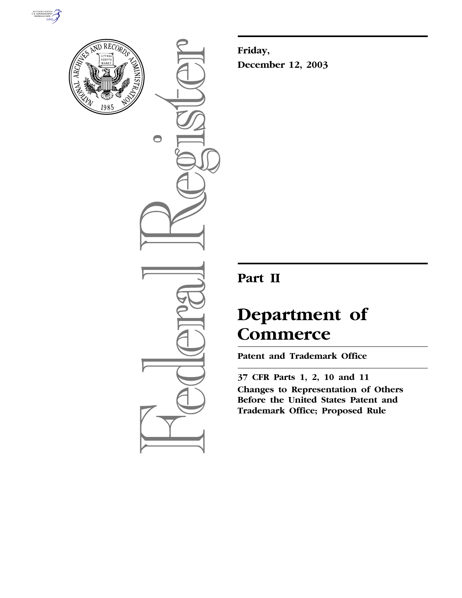



 $\bigcirc$ 

**Friday, December 12, 2003**

## **Part II**

# **Department of Commerce**

**Patent and Trademark Office** 

**37 CFR Parts 1, 2, 10 and 11 Changes to Representation of Others Before the United States Patent and Trademark Office; Proposed Rule**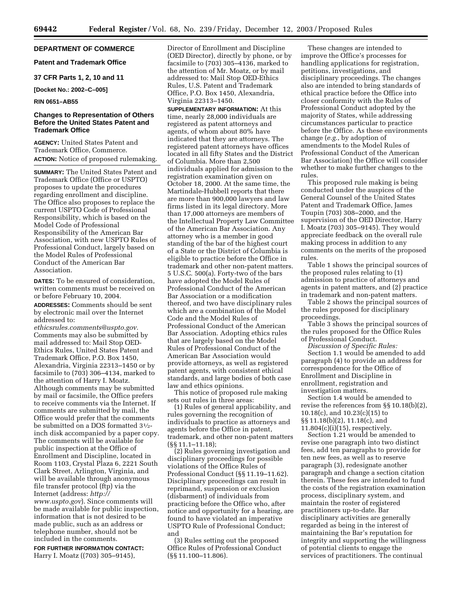### **DEPARTMENT OF COMMERCE**

**Patent and Trademark Office** 

**37 CFR Parts 1, 2, 10 and 11** 

**[Docket No.: 2002–C–005]** 

#### **RIN 0651–AB55**

#### **Changes to Representation of Others Before the United States Patent and Trademark Office**

**AGENCY:** United States Patent and Trademark Office, Commerce. **ACTION:** Notice of proposed rulemaking.

**SUMMARY:** The United States Patent and Trademark Office (Office or USPTO) proposes to update the procedures regarding enrollment and discipline. The Office also proposes to replace the current USPTO Code of Professional Responsibility, which is based on the Model Code of Professional Responsibility of the American Bar Association, with new USPTO Rules of Professional Conduct, largely based on the Model Rules of Professional Conduct of the American Bar Association.

**DATES:** To be ensured of consideration, written comments must be received on or before February 10, 2004.

**ADDRESSES:** Comments should be sent by electronic mail over the Internet addressed to:

*ethicsrules.comments@uspto.gov.* Comments may also be submitted by mail addressed to: Mail Stop OED-Ethics Rules, United States Patent and Trademark Office, P.O. Box 1450, Alexandria, Virginia 22313–1450 or by facsimile to (703) 306–4134, marked to the attention of Harry I. Moatz. Although comments may be submitted by mail or facsimile, the Office prefers to receive comments via the Internet. If comments are submitted by mail, the Office would prefer that the comments be submitted on a DOS formatted 31⁄2 inch disk accompanied by a paper copy. The comments will be available for public inspection at the Office of Enrollment and Discipline, located in Room 1103, Crystal Plaza 6, 2221 South Clark Street, Arlington, Virginia, and will be available through anonymous file transfer protocol (ftp) via the Internet (address: *http:// www.uspto.gov*). Since comments will be made available for public inspection, information that is not desired to be made public, such as an address or telephone number, should not be included in the comments.

**FOR FURTHER INFORMATION CONTACT:** Harry I. Moatz ((703) 305–9145),

Director of Enrollment and Discipline (OED Director), directly by phone, or by facsimile to (703) 305–4136, marked to the attention of Mr. Moatz, or by mail addressed to: Mail Stop OED-Ethics Rules, U.S. Patent and Trademark Office, P.O. Box 1450, Alexandria, Virginia 22313–1450.

**SUPPLEMENTARY INFORMATION:** At this time, nearly 28,000 individuals are registered as patent attorneys and agents, of whom about 80% have indicated that they are attorneys. The registered patent attorneys have offices located in all fifty States and the District of Columbia. More than 2,500 individuals applied for admission to the registration examination given on October 18, 2000. At the same time, the Martindale-Hubbell reports that there are more than 900,000 lawyers and law firms listed in its legal directory. More than 17,000 attorneys are members of the Intellectual Property Law Committee of the American Bar Association. Any attorney who is a member in good standing of the bar of the highest court of a State or the District of Columbia is eligible to practice before the Office in trademark and other non-patent matters. 5 U.S.C. 500(a). Forty-two of the bars have adopted the Model Rules of Professional Conduct of the American Bar Association or a modification thereof, and two have disciplinary rules which are a combination of the Model Code and the Model Rules of Professional Conduct of the American Bar Association. Adopting ethics rules that are largely based on the Model Rules of Professional Conduct of the American Bar Association would provide attorneys, as well as registered patent agents, with consistent ethical standards, and large bodies of both case law and ethics opinions.

This notice of proposed rule making sets out rules in three areas:

(1) Rules of general applicability, and rules governing the recognition of individuals to practice as attorneys and agents before the Office in patent, trademark, and other non-patent matters (§§ 11.1–11.18);

(2) Rules governing investigation and disciplinary proceedings for possible violations of the Office Rules of Professional Conduct (§§ 11.19–11.62). Disciplinary proceedings can result in reprimand, suspension or exclusion (disbarment) of individuals from practicing before the Office who, after notice and opportunity for a hearing, are found to have violated an imperative USPTO Rule of Professional Conduct; and

(3) Rules setting out the proposed Office Rules of Professional Conduct (§§ 11.100–11.806).

These changes are intended to improve the Office's processes for handling applications for registration, petitions, investigations, and disciplinary proceedings. The changes also are intended to bring standards of ethical practice before the Office into closer conformity with the Rules of Professional Conduct adopted by the majority of States, while addressing circumstances particular to practice before the Office. As these environments change (*e.g.*, by adoption of amendments to the Model Rules of Professional Conduct of the American Bar Association) the Office will consider whether to make further changes to the rules.

This proposed rule making is being conducted under the auspices of the General Counsel of the United States Patent and Trademark Office, James Toupin (703) 308–2000, and the supervision of the OED Director, Harry I. Moatz (703) 305–9145). They would appreciate feedback on the overall rule making process in addition to any comments on the merits of the proposed rules.

Table 1 shows the principal sources of the proposed rules relating to (1) admission to practice of attorneys and agents in patent matters, and (2) practice in trademark and non-patent matters.

Table 2 shows the principal sources of the rules proposed for disciplinary proceedings.

Table 3 shows the principal sources of the rules proposed for the Office Rules of Professional Conduct.

*Discussion of Specific Rules:*

Section 1.1 would be amended to add paragraph (4) to provide an address for correspondence for the Office of Enrollment and Discipline in enrollment, registration and investigation matters.

Section 1.4 would be amended to revise the references from §§ 10.18(b)(2), 10.18(c), and 10.23(c)(15) to §§ 11.18(b)(2), 11.18(c), and 11.804(c)(i)(15), respectively.

Section 1.21 would be amended to revise one paragraph into two distinct fees, add ten paragraphs to provide for ten new fees, as well as to reserve paragraph (3), redesignate another paragraph and change a section citation therein. These fees are intended to fund the costs of the registration examination process, disciplinary system, and maintain the roster of registered practitioners up-to-date. Bar disciplinary activities are generally regarded as being in the interest of maintaining the Bar's reputation for integrity and supporting the willingness of potential clients to engage the services of practitioners. The continual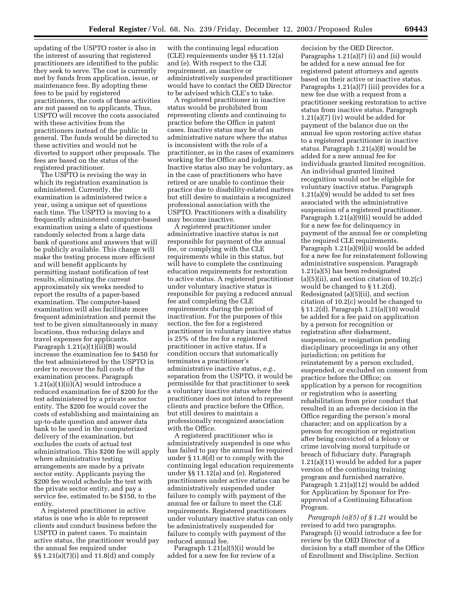updating of the USPTO roster is also in the interest of assuring that registered practitioners are identified to the public they seek to serve. The cost is currently met by funds from application, issue, or maintenance fees. By adopting these fees to be paid by registered practitioners, the costs of these activities are not passed on to applicants. Thus, USPTO will recover the costs associated with these activities from the practitioners instead of the public in general. The funds would be directed to these activities and would not be diverted to support other proposals. The fees are based on the status of the registered practitioner.

The USPTO is revising the way in which its registration examination is administered. Currently, the examination is administered twice a year, using a unique set of questions each time. The USPTO is moving to a frequently administered computer-based examination using a slate of questions randomly selected from a large data bank of questions and answers that will be publicly available. This change will make the testing process more efficient and will benefit applicants by permitting instant notification of test results, eliminating the current approximately six weeks needed to report the results of a paper-based examination. The computer-based examination will also facilitate more frequent administration and permit the test to be given simultaneously in many locations, thus reducing delays and travel expenses for applicants. Paragraph 1.21(a)(1)(ii)(B) would increase the examination fee to \$450 for the test administered by the USPTO in order to recover the full costs of the examination process. Paragraph 1.21(a)(1)(ii)(A) would introduce a reduced examination fee of \$200 for the test administered by a private sector entity. The \$200 fee would cover the costs of establishing and maintaining an up-to-date question and answer data bank to be used in the computerized delivery of the examination, but excludes the costs of actual test administration. This \$200 fee will apply where administrative testing arrangements are made by a private sector entity. Applicants paying the \$200 fee would schedule the test with the private sector entity, and pay a service fee, estimated to be \$150, to the entity.

A registered practitioner in active status is one who is able to represent clients and conduct business before the USPTO in patent cases. To maintain active status, the practitioner would pay the annual fee required under §§ 1.21(a)(7)(i) and 11.8(d) and comply

with the continuing legal education (CLE) requirements under §§ 11.12(a) and (e). With respect to the CLE requirement, an inactive or administratively suspended practitioner would have to contact the OED Director to be advised which CLE's to take.

A registered practitioner in inactive status would be prohibited from representing clients and continuing to practice before the Office in patent cases. Inactive status may be of an administrative nature where the status is inconsistent with the role of a practitioner, as in the cases of examiners working for the Office and judges. Inactive status also may be voluntary, as in the case of practitioners who have retired or are unable to continue their practice due to disability-related matters but still desire to maintain a recognized professional association with the USPTO. Practitioners with a disability may become inactive.

A registered practitioner under administrative inactive status is not responsible for payment of the annual fee, or complying with the CLE requirements while in this status, but will have to complete the continuing education requirements for restoration to active status. A registered practitioner under voluntary inactive status is responsible for paying a reduced annual fee and completing the CLE requirements during the period of inactivation. For the purposes of this section, the fee for a registered practitioner in voluntary inactive status is 25% of the fee for a registered practitioner in active status. If a condition occurs that automatically terminates a practitioner's administrative inactive status, *e.g.*, separation from the USPTO, it would be permissible for that practitioner to seek a voluntary inactive status where the practitioner does not intend to represent clients and practice before the Office, but still desires to maintain a professionally recognized association with the Office.

A registered practitioner who is administratively suspended is one who has failed to pay the annual fee required under § 11.8(d) or to comply with the continuing legal education requirements under §§ 11.12(a) and (e). Registered practitioners under active status can be administratively suspended under failure to comply with payment of the annual fee or failure to meet the CLE requirements. Registered practitioners under voluntary inactive status can only be administratively suspended for failure to comply with payment of the reduced annual fee.

Paragraph 1.21(a)(5)(i) would be added for a new fee for review of a

decision by the OED Director. Paragraphs 1.21(a)(7) (i) and (ii) would be added for a new annual fee for registered patent attorneys and agents based on their active or inactive status. Paragraphs 1.21(a)(7) (iii) provides for a new fee due with a request from a practitioner seeking restoration to active status from inactive status. Paragraph 1.21(a)(7) (iv) would be added for payment of the balance due on the annual fee upon restoring active status to a registered practitioner in inactive status. Paragraph 1.21(a)(8) would be added for a new annual fee for individuals granted limited recognition. An individual granted limited recognition would not be eligible for voluntary inactive status. Paragraph 1.21(a)(9) would be added to set fees associated with the administrative suspension of a registered practitioner. Paragraph 1.21(a)(9)(i) would be added for a new fee for delinquency in payment of the annual fee or completing the required CLE requirements. Paragraph 1.21(a)(9)(ii) would be added for a new fee for reinstatement following administrative suspension. Paragraph 1.21(a)(5) has been redesignated  $(a)(5)(ii)$ , and section citation of 10.2 $(c)$ would be changed to § 11.2(d). Redesignated (a)(5)(ii), and section citation of 10.2(c) would be changed to § 11.2(d). Paragraph 1.21(a)(10) would be added for a fee paid on application by a person for recognition or registration after disbarment, suspension, or resignation pending disciplinary proceedings in any other jurisdiction; on petition for reinstatement by a person excluded, suspended, or excluded on consent from practice before the Office; on application by a person for recognition or registration who is asserting rehabilitation from prior conduct that resulted in an adverse decision in the Office regarding the person's moral character; and on application by a person for recognition or registration after being convicted of a felony or crime involving moral turpitude or breach of fiduciary duty. Paragraph 1.21(a)(11) would be added for a paper version of the continuing training program and furnished narrative. Paragraph 1.21(a)(12) would be added for Application by Sponsor for Preapproval of a Continuing Education Program.

*Paragraph (a)(5) of § 1.21* would be revised to add two paragraphs. Paragraph (i) would introduce a fee for review by the OED Director of a decision by a staff member of the Office of Enrollment and Discipline. Section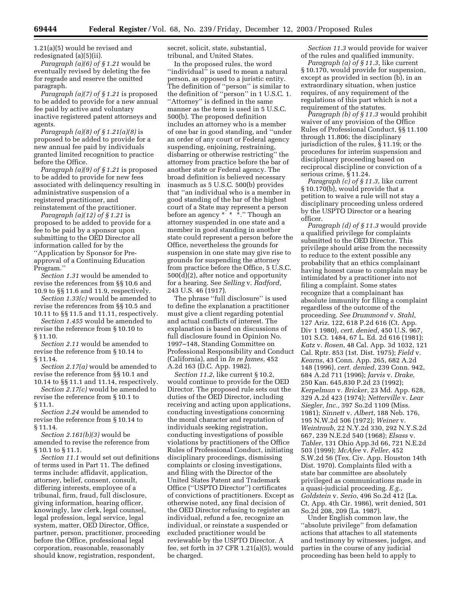1.21(a)(5) would be revised and redesignated (a)(5)(ii).

*Paragraph (a)(6) of § 1.21* would be eventually revised by deleting the fee for regrade and reserve the omitted paragraph.

*Paragraph (a)(7) of § 1.21* is proposed to be added to provide for a new annual fee paid by active and voluntary inactive registered patent attorneys and agents.

*Paragraph (a)(8) of § 1.21(a)(8)* is proposed to be added to provide for a new annual fee paid by individuals granted limited recognition to practice before the Office.

*Paragraph (a)(9) of § 1.21* is proposed to be added to provide for new fees associated with delinquency resulting in administrative suspension of a registered practitioner, and reinstatement of the practitioner.

*Paragraph (a)(12) of § 1.21* is proposed to be added to provide for a fee to be paid by a sponsor upon submitting to the OED Director all information called for by the ''Application by Sponsor for Preapproval of a Continuing Education Program.''

*Section 1.31* would be amended to revise the references from §§ 10.6 and 10.9 to §§ 11.6 and 11.9, respectively.

*Section 1.33(c)* would be amended to revise the references from §§ 10.5 and 10.11 to §§ 11.5 and 11.11, respectively.

*Section 1.455* would be amended to revise the reference from § 10.10 to

§ 11.10. *Section 2.11* would be amended to

revise the reference from § 10.14 to § 11.14.

*Section 2.17(a)* would be amended to revise the reference from §§ 10.1 and 10.14 to §§ 11.1 and 11.14, respectively.

*Section 2.17(c)* would be amended to revise the reference from § 10.1 to § 11.1.

*Section 2.24* would be amended to revise the reference from § 10.14 to § 11.14.

*Section 2.161(b)(3)* would be amended to revise the reference from § 10.1 to § 11.1.

*Section 11.1* would set out definitions of terms used in Part 11. The defined terms include: affidavit, application, attorney, belief, consent, consult, differing interests, employee of a tribunal, firm, fraud, full disclosure, giving information, hearing officer, knowingly, law clerk, legal counsel, legal profession, legal service, legal system, matter, OED Director, Office, partner, person, practitioner, proceeding before the Office, professional legal corporation, reasonable, reasonably should know, registration, respondent,

secret, solicit, state, substantial, tribunal, and United States.

In the proposed rules, the word "individual" is used to mean a natural person, as opposed to a juristic entity. The definition of ''person'' is similar to the definition of ''person'' in 1 U.S.C. 1. ''Attorney'' is defined in the same manner as the term is used in 5 U.S.C. 500(b). The proposed definition includes an attorney who is a member of one bar in good standing, and ''under an order of any court or Federal agency suspending, enjoining, restraining, disbarring or otherwise restricting'' the attorney from practice before the bar of another state or Federal agency. The broad definition is believed necessary inasmuch as 5 U.S.C. 500(b) provides that ''an individual who is a member in good standing of the bar of the highest court of a State may represent a person before an agency \* \* \*.'' Though an attorney suspended in one state and a member in good standing in another state could represent a person before the Office, nevertheless the grounds for suspension in one state may give rise to grounds for suspending the attorney from practice before the Office, 5 U.S.C. 500(d)(2), after notice and opportunity for a hearing. See *Selling* v. *Radford*, 243 U.S. 46 (1917).

The phrase ''full disclosure'' is used to define the explanation a practitioner must give a client regarding potential and actual conflicts of interest. The explanation is based on discussions of full disclosure found in Opinion No. 1997–148, Standing Committee on Professional Responsibility and Conduct (California), and in *In re James*, 452 A.2d 163 (D.C. App. 1982).

*Section 11.2*, like current § 10.2, would continue to provide for the OED Director. The proposed rule sets out the duties of the OED Director, including receiving and acting upon applications, conducting investigations concerning the moral character and reputation of individuals seeking registration, conducting investigations of possible violations by practitioners of the Office Rules of Professional Conduct, initiating disciplinary proceedings, dismissing complaints or closing investigations, and filing with the Director of the United States Patent and Trademark Office (''USPTO Director'') certificates of convictions of practitioners. Except as otherwise noted, any final decision of the OED Director refusing to register an individual, refund a fee, recognize an individual, or reinstate a suspended or excluded practitioner would be reviewable by the USPTO Director. A fee, set forth in 37 CFR 1.21(a)(5), would be charged.

*Section 11.3* would provide for waiver of the rules and qualified immunity.

*Paragraph (a) of § 11.3*, like current § 10.170, would provide for suspension, except as provided in section (b), in an extraordinary situation, when justice requires, of any requirement of the regulations of this part which is not a requirement of the statutes.

*Paragraph (b) of § 11.3* would prohibit waiver of any provision of the Office Rules of Professional Conduct, §§ 11.100 through 11.806; the disciplinary jurisdiction of the rules, § 11.19; or the procedures for interim suspension and disciplinary proceeding based on reciprocal discipline or conviction of a serious crime, § 11.24.

*Paragraph (c) of § 11.3*, like current § 10.170(b), would provide that a petition to waive a rule will not stay a disciplinary proceeding unless ordered by the USPTO Director or a hearing officer.

*Paragraph (d) of § 11.3* would provide a qualified privilege for complaints submitted to the OED Director. This privilege should arise from the necessity to reduce to the extent possible any probability that an ethics complainant having honest cause to complain may be intimidated by a practitioner into not filing a complaint. Some states recognize that a complainant has absolute immunity for filing a complaint regardless of the outcome of the proceeding. *See Drummond* v. *Stahl*, 127 Ariz. 122, 618 P.2d 616 (Ct. App. Div 1 1980), *cert. denied*, 450 U.S. 967, 101 S.Ct. 1484, 67 L. Ed. 2d 616 (1981); *Katz* v. *Rosen*, 48 Cal. App. 3d 1032, 121 Cal. Rptr. 853 (1st. Dist. 1975); *Field* v. *Kearns*, 43 Conn. App. 265, 682 A.2d 148 (1996), *cert. denied*, 239 Conn. 942, 684 A.2d 711 (1996); *Jarvis* v. *Drake*, 250 Kan. 645,830 P.2d 23 (1992); *Kerpelman* v. *Bricker*, 23 Md. App. 628, 329 A.2d 423 (1974); *Netterville* v. *Lear Siegler, Inc.,* 397 So.2d 1109 (Miss. 1981); *Sinnett* v. *Albert*, 188 Neb. 176, 195 N.W.2d 506 (1972); *Weiner* v. *Weintraub*, 22 N.Y.2d 330, 292 N.Y.S.2d 667, 239 N.E.2d 540 (1968); *Elsass* v. *Tabler*, 131 Ohio App.3d 66, 721 N.E.2d 503 (1999); *McAfee* v. *Feller*, 452 S.W.2d 56 (Tex. Civ. App. Houston 14th Dist. 1970). Complaints filed with a state bar committee are absolutely privileged as communications made in a quasi-judicial proceeding. *E.g., Goldstein* v. *Serio*, 496 So.2d 412 (La. Ct. App. 4th Cir. 1986), writ denied, 501 So.2d 208, 209 (La. 1987).

Under English common law, the ''absolute privilege'' from defamation actions that attaches to all statements and testimony by witnesses, judges, and parties in the course of any judicial proceeding has been held to apply to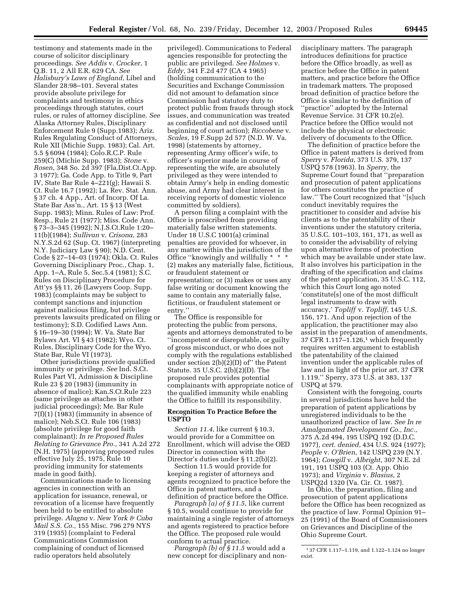testimony and statements made in the course of solicitor disciplinary proceedings. *See Addis* v. *Crocker*, 1 Q.B. 11, 2 All E.R. 629 CA. *See Halisbury's Laws of England*, Libel and Slander 28:98–101. Several states provide absolute privilege for complaints and testimony in ethics proceedings through statutes, court rules, or rules of attorney discipline. *See* Alaska Attorney Rules, Disciplinary Enforcement Rule 9 (Supp.1983); Ariz. Rules Regulating Conduct of Attorneys, Rule XII (Michie Supp. 1983); Cal. Art. 5.5 § 6094 (1984); Colo.R.C.P. Rule 259(C) (Michie Supp. 1983); *Stone* v. *Rosen*, 348 So. 2d 397 (Fla.Dist.Ct.App. 3 1977); Ga. Code App. to Title 9, Part IV, State Bar Rule 4–221(g); Hawaii S. Ct. Rule 16.7 (1992); La. Rev. Stat. Ann. § 37 ch. 4 App., Art. of Incorp. Of La. State Bar Ass'n., Art. 15 § 13 (West Supp. 1983); Minn. Rules of Law: Prof. Resp., Rule 21 (1977); Miss. Code Ann. § 73–3–345 (1992); N.J.S.Ct.Rule 1:20– 11(b)(1984); *Sullivan* v. *Crisona*, 283 N.Y.S.2d 62 (Sup. Ct. 1967) (interpreting N.Y. Judiciary Law § 90); N.D. Cent. Code § 27–14–03 (1974); Okla. Ct. Rules Governing Disciplinary Proc., Chap. 1, App. 1–A, Rule 5, Sec.5.4 (1981); S.C. Rules on Disciplinary Procedure for Att'ys §§ 11, 26 (Lawyers Coop. Supp. 1983) (complaints may be subject to contempt sanctions and injunction against malicious filing, but privilege prevents lawsuits predicated on filing or testimony); S.D. Codified Laws Ann. § 16–19–30 (1994); W. Va. State Bar Bylaws Art. VI § 43 (1982); Wyo. Ct. Rules, Disciplinary Code for the Wyo. State Bar, Rule VI (1973).

Other jurisdictions provide qualified immunity or privilege. *See* Ind. S.Ct. Rules Part VI, Admission & Discipline Rule 23 § 20 (1983) (immunity in absence of malice); Kan.S.Ct.Rule 223 (same privilege as attaches in other judicial proceedings); Me. Bar Rule  $7(f)(1)(1983)$  (immunity in absence of malice); Neb.S.Ct. Rule 106 (1983) (absolute privilege for good faith complainant); *In re Proposed Rules Relating to Grievance Pro.,* 341 A.2d 272 (N.H. 1975) (approving proposed rules effective July 25, 1975, Rule 10 providing immunity for statements made in good faith).

Communications made to licensing agencies in connection with an application for issuance, renewal, or revocation of a license have frequently been held to be entitled to absolute privilege. *Alagna* v. *New York & Cuba Mail S.S. Co.,* 155 Misc. 796 279 NYS 319 (1935) (complaint to Federal Communications Commission complaining of conduct of licensed radio operators held absolutely

privileged). Communications to Federal agencies responsible for protecting the public are privileged. *See Holmes* v. *Eddy*, 341 F.2d 477 (CA 4 1965) (holding communication to the Securities and Exchange Commission did not amount to defamation since Commission had statutory duty to protect public from frauds through stock issues, and communication was treated as confidential and not disclosed until beginning of court action); *Riccobene* v. *Scales*, 19 F.Supp 2d 577 (N.D. W. Va. 1998) (statements by attorney, representing Army officer's wife, to officer's superior made in course of representing the wife, are absolutely privileged as they were intended to obtain Army's help in ending domestic abuse, and Army had clear interest in receiving reports of domestic violence committed by soldiers).

A person filing a complaint with the Office is proscribed from providing materially false written statements. Under 18 U.S.C 1001(a) criminal penalties are provided for whoever, in any matter within the jurisdiction of the Office ''knowingly and willfully \* \* \* (2) makes any materially false, fictitious, or fraudulent statement or representation; or (3) makes or uses any false writing or document knowing the same to contain any materially false, fictitious, or fraudulent statement or entry.''

The Office is responsible for protecting the public from persons, agents and attorneys demonstrated to be ''incompetent or disreputable, or guilty of gross misconduct, or who does not comply with the regulations established under section 2(b)(2)(D) of'' the Patent Statute. 35 U.S.C. 2(b)(2)(D). The proposed rule provides potential complainants with appropriate notice of the qualified immunity while enabling the Office to fulfill its responsibility.

#### **Recognition To Practice Before the USPTO**

*Section 11.4*, like current § 10.3, would provide for a Committee on Enrollment, which will advise the OED Director in connection with the Director's duties under § 11.2(b)(2).

Section 11.5 would provide for keeping a register of attorneys and agents recognized to practice before the Office in patent matters, and a definition of practice before the Office.

*Paragraph (a) of § 11.5*, like current § 10.5, would continue to provide for maintaining a single register of attorneys and agents registered to practice before the Office. The proposed rule would conform to actual practice.

*Paragraph (b) of § 11.5* would add a new concept for disciplinary and nondisciplinary matters. The paragraph introduces definitions for practice before the Office broadly, as well as practice before the Office in patent matters, and practice before the Office in trademark matters. The proposed broad definition of practice before the Office is similar to the definition of ''practice'' adopted by the Internal Revenue Service. 31 CFR 10.2(e). Practice before the Office would not include the physical or electronic delivery of documents to the Office.

The definition of practice before the Office in patent matters is derived from *Sperry* v. *Florida*, 373 U.S. 379, 137 USPQ 578 (1963). In *Sperry,* the Supreme Court found that ''preparation and prosecution of patent applications for others constitutes the practice of law.'' The Court recognized that ''[s]uch conduct inevitably requires the practitioner to consider and advise his clients as to the patentability of their inventions under the statutory criteria, 35 U.S.C. 101–103, 161, 171, as well as to consider the advisability of relying upon alternative forms of protection which may be available under state law. It also involves his participation in the drafting of the specification and claims of the patent application, 35 U.S.C. 112, which this Court long ago noted 'constitute[s] one of the most difficult legal instruments to draw with accuracy,' *Topliff* v. *Topliff*, 145 U.S. 156, 171. And upon rejection of the application, the practitioner may also assist in the preparation of amendments, 37 CFR 1.117–1.126,1 which frequently requires written argument to establish the patentability of the claimed invention under the applicable rules of law and in light of the prior art. 37 CFR 1.119.'' Sperry, 373 U.S. at 383, 137 USPQ at 579.

Consistent with the foregoing, courts in several jurisdictions have held the preparation of patent applications by unregistered individuals to be the unauthorized practice of law. *See In re Amalgamated Development Co., Inc.,* 375 A.2d 494, 195 USPQ 192 (D.D.C. 1977), *cert. denied*, 434 U.S. 924 (1977); *People* v. *O'Brien*, 142 USPQ 239 (N.Y. 1964); *Cowgill* v. *Albright*, 307 N.E. 2d 191, 191 USPQ 103 (Ct. App. Ohio 1973); and *Virginia* v. *Blasius*, 2 USPQ2d 1320 (Va. Cir. Ct. 1987).

In Ohio, the preparation, filing and prosecution of patent applications before the Office has been recognized as the practice of law. Formal Opinion 91– 25 (1991) of the Board of Commissioners on Grievances and Discipline of the Ohio Supreme Court.

<sup>1</sup> 37 CFR 1.117–1.119, and 1.122–1.124 no longer exist.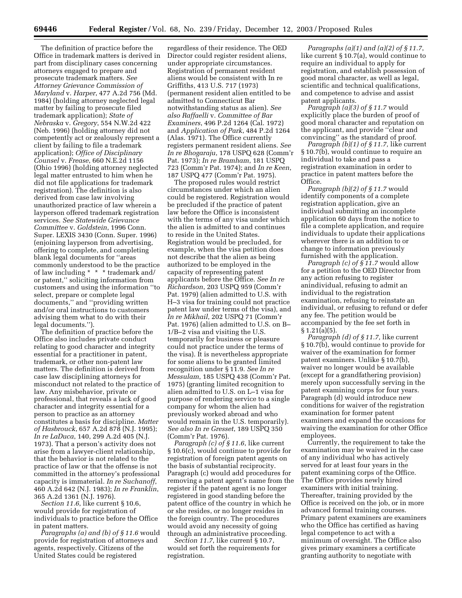The definition of practice before the Office in trademark matters is derived in part from disciplinary cases concerning attorneys engaged to prepare and prosecute trademark matters. *See Attorney Grievance Commission of Maryland* v. *Harper*, 477 A.2d 756 (Md. 1984) (holding attorney neglected legal matter by failing to prosecute filed trademark application); *State of Nebraska* v. *Gregory*, 554 N.W.2d 422 (Neb. 1996) (holding attorney did not competently act or zealously represent a client by failing to file a trademark application); *Office of Disciplinary Counsel* v. *Frease*, 660 N.E.2d 1156 (Ohio 1996) (holding attorney neglected legal matter entrusted to him when he did not file applications for trademark registration). The definition is also derived from case law involving unauthorized practice of law wherein a layperson offered trademark registration services. *See Statewide Grievance Committee* v. *Goldstein*, 1996 Conn. Super. LEXIS 3430 (Conn. Super. 1996) (enjoining layperson from advertising, offering to complete, and completing blank legal documents for ''areas commonly understood to be the practice of law including \* \* \* trademark and/ or patent,'' soliciting information from customers and using the information ''to select, prepare or complete legal documents,'' and ''providing written and/or oral instructions to customers advising them what to do with their legal documents.'').

The definition of practice before the Office also includes private conduct relating to good character and integrity essential for a practitioner in patent, trademark, or other non-patent law matters. The definition is derived from case law disciplining attorneys for misconduct not related to the practice of law. Any misbehavior, private or professional, that reveals a lack of good character and integrity essential for a person to practice as an attorney constitutes a basis for discipline. *Matter of Hasbrouck*, 657 A.2d 878 (N.J. 1995); *In re LaDuca*, 140, 299 A.2d 405 (N.J. 1973). That a person's activity does not arise from a lawyer-client relationship, that the behavior is not related to the practice of law or that the offense is not committed in the attorney's professional capacity is immaterial. *In re Suchanoff*, 460 A.2d 642 (N.J. 1983); *In re Franklin*, 365 A.2d 1361 (N.J. 1976).

*Section 11.6*, like current § 10.6, would provide for registration of individuals to practice before the Office in patent matters.

*Paragraphs (a) and (b) of § 11.6* would provide for registration of attorneys and agents, respectively. Citizens of the United States could be registered

regardless of their residence. The OED Director could register resident aliens, under appropriate circumstances. Registration of permanent resident aliens would be consistent with In re Griffiths, 413 U.S. 717 (1973) (permanent resident alien entitled to be admitted to Connecticut Bar notwithstanding status as alien). *See also Raffaelli* v. *Committee of Bar Examiners*, 496 P.2d 1264 (Cal. 1972) and *Application of Park*, 484 P.2d 1264 (Alas. 1971). The Office currently registers permanent resident aliens. *See In re Bhogaraju*, 178 USPQ 628 (Comm'r Pat. 1973); *In re Bramham*, 181 USPQ 723 (Comm'r Pat. 1974); and *In re Keen*, 187 USPQ 477 (Comm'r Pat. 1975).

The proposed rules would restrict circumstances under which an alien could be registered. Registration would be precluded if the practice of patent law before the Office is inconsistent with the terms of any visa under which the alien is admitted to and continues to reside in the United States. Registration would be precluded, for example, when the visa petition does not describe that the alien as being authorized to be employed in the capacity of representing patent applicants before the Office. *See In re Richardson*, 203 USPQ 959 (Comm'r Pat. 1979) (alien admitted to U.S. with H–3 visa for training could not practice patent law under terms of the visa), and *In re Mikhail*, 202 USPQ 71 (Comm'r Pat. 1976) (alien admitted to U.S. on B– 1/B–2 visa and visiting the U.S. temporarily for business or pleasure could not practice under the terms of the visa). It is nevertheless appropriate for some aliens to be granted limited recognition under § 11.9. *See In re Messulam*, 185 USPQ 438 (Comm'r Pat. 1975) (granting limited recognition to alien admitted to U.S. on L–1 visa for purpose of rendering service to a single company for whom the alien had previously worked abroad and who would remain in the U.S. temporarily). *See also In re Gresset*, 189 USPQ 350 (Comm'r Pat. 1976).

*Paragraph (c) of § 11.6*, like current § 10.6(c), would continue to provide for registration of foreign patent agents on the basis of substantial reciprocity. Paragraph (c) would add procedures for removing a patent agent's name from the register if the patent agent is no longer registered in good standing before the patent office of the country in which he or she resides, or no longer resides in the foreign country. The procedures would avoid any necessity of going through an administrative proceeding.

*Section 11.7*, like current § 10.7, would set forth the requirements for registration.

*Paragraphs (a)(1) and (a)(2) of § 11.7*, like current § 10.7(a), would continue to require an individual to apply for registration, and establish possession of good moral character, as well as legal, scientific and technical qualifications, and competence to advise and assist patent applicants.

*Paragraph (a)(3) of § 11.7* would explicitly place the burden of proof of good moral character and reputation on the applicant, and provide ''clear and convincing'' as the standard of proof.

*Paragraph (b)(1) of § 11.7,* like current § 10.7(b), would continue to require an individual to take and pass a registration examination in order to practice in patent matters before the Office.

*Paragraph (b)(2) of § 11.7* would identify components of a complete registration application, give an individual submitting an incomplete application 60 days from the notice to file a complete application, and require individuals to update their applications wherever there is an addition to or change to information previously furnished with the application.

*Paragraph (c) of § 11.7* would allow for a petition to the OED Director from any action refusing to register anindividual, refusing to admit an individual to the registration examination, refusing to reinstate an individual, or refusing to refund or defer any fee. The petition would be accompanied by the fee set forth in  $§ 1.21(a)(5).$ 

*Paragraph (d) of § 11.7,* like current § 10.7(b), would continue to provide for waiver of the examination for former patent examiners. Unlike § 10.7(b), waiver no longer would be available (except for a grandfathering provision) merely upon successfully serving in the patent examining corps for four years. Paragraph (d) would introduce new conditions for waiver of the registration examination for former patent examiners and expand the occasions for waiving the examination for other Office employees.

Currently, the requirement to take the examination may be waived in the case of any individual who has actively served for at least four years in the patent examining corps of the Office. The Office provides newly hired examiners with initial training. Thereafter, training provided by the Office is received on the job, or in more advanced formal training courses. Primary patent examiners are examiners who the Office has certified as having legal competence to act with a minimum of oversight. The Office also gives primary examiners a certificate granting authority to negotiate with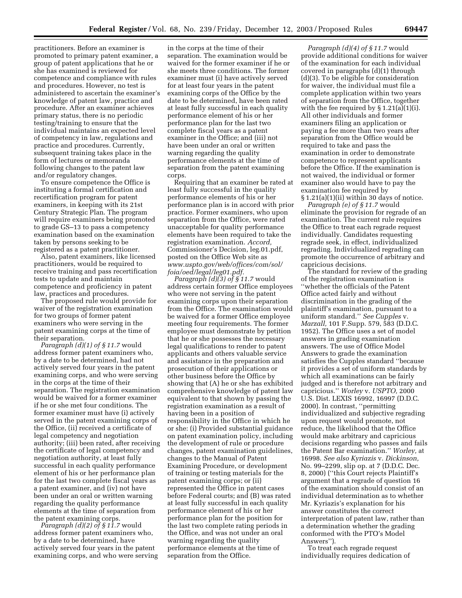practitioners. Before an examiner is promoted to primary patent examiner, a group of patent applications that he or she has examined is reviewed for competence and compliance with rules and procedures. However, no test is administered to ascertain the examiner's knowledge of patent law, practice and procedure. After an examiner achieves primary status, there is no periodic testing/training to ensure that the individual maintains an expected level of competency in law, regulations and practice and procedures. Currently, subsequent training takes place in the form of lectures or memoranda following changes to the patent law and/or regulatory changes.

To ensure competence the Office is instituting a formal certification and recertification program for patent examiners, in keeping with its 21st Century Strategic Plan. The program will require examiners being promoted to grade GS–13 to pass a competency examination based on the examination taken by persons seeking to be registered as a patent practitioner.

Also, patent examiners, like licensed practitioners, would be required to receive training and pass recertification tests to update and maintain competence and proficiency in patent law, practices and procedures.

The proposed rule would provide for waiver of the registration examination for two groups of former patent examiners who were serving in the patent examining corps at the time of their separation.

*Paragraph (d)(1) of § 11.7* would address former patent examiners who, by a date to be determined, had not actively served four years in the patent examining corps, and who were serving in the corps at the time of their separation. The registration examination would be waived for a former examiner if he or she met four conditions. The former examiner must have (i) actively served in the patent examining corps of the Office, (ii) received a certificate of legal competency and negotiation authority; (iii) been rated, after receiving the certificate of legal competency and negotiation authority, at least fully successful in each quality performance element of his or her performance plan for the last two complete fiscal years as a patent examiner, and (iv) not have been under an oral or written warning regarding the quality performance elements at the time of separation from the patent examining corps.

*Paragraph (d)(2) of § 11.7* would address former patent examiners who, by a date to be determined, have actively served four years in the patent examining corps, and who were serving

in the corps at the time of their separation. The examination would be waived for the former examiner if he or she meets three conditions. The former examiner must (i) have actively served for at least four years in the patent examining corps of the Office by the date to be determined, have been rated at least fully successful in each quality performance element of his or her performance plan for the last two complete fiscal years as a patent examiner in the Office; and (iii) not have been under an oral or written warning regarding the quality performance elements at the time of separation from the patent examining corps.

Requiring that an examiner be rated at least fully successful in the quality performance elements of his or her performance plan is in accord with prior practice. Former examiners, who upon separation from the Office, were rated unacceptable for quality performance elements have been required to take the registration examination. *Accord,* Commissioner's Decision, leg.01.pdf, posted on the Office Web site as *www.uspto.gov/web/offices/com/sol/ foia/oed/legal/leg01.pdf.*

*Paragraph (d)(3) of § 11.7* would address certain former Office employees who were not serving in the patent examining corps upon their separation from the Office. The examination would be waived for a former Office employee meeting four requirements. The former employee must demonstrate by petition that he or she possesses the necessary legal qualifications to render to patent applicants and others valuable service and assistance in the preparation and prosecution of their applications or other business before the Office by showing that (A) he or she has exhibited comprehensive knowledge of patent law equivalent to that shown by passing the registration examination as a result of having been in a position of responsibility in the Office in which he or she: (i) Provided substantial guidance on patent examination policy, including the development of rule or procedure changes, patent examination guidelines, changes to the Manual of Patent Examining Procedure, or development of training or testing materials for the patent examining corps; or (ii) represented the Office in patent cases before Federal courts; and (B) was rated at least fully successful in each quality performance element of his or her performance plan for the position for the last two complete rating periods in the Office, and was not under an oral warning regarding the quality performance elements at the time of separation from the Office.

*Paragraph (d)(4) of § 11.7* would provide additional conditions for waiver of the examination for each individual covered in paragraphs (d)(1) through (d)(3). To be eligible for consideration for waiver, the individual must file a complete application within two years of separation from the Office, together with the fee required by  $\S 1.21(a)(1)(i)$ . All other individuals and former examiners filing an application or paying a fee more than two years after separation from the Office would be required to take and pass the examination in order to demonstrate competence to represent applicants before the Office. If the examination is not waived, the individual or former examiner also would have to pay the examination fee required by § 1.21(a)(1)(ii) within 30 days of notice.

*Paragraph (e) of § 11.7* would eliminate the provision for regrade of an examination. The current rule requires the Office to treat each regrade request individually. Candidates requesting regrade seek, in effect, individualized regrading. Individualized regrading can promote the occurrence of arbitrary and capricious decisions.

The standard for review of the grading of the registration examination is ''whether the officials of the Patent Office acted fairly and without discrimination in the grading of the plaintiff's examination, pursuant to a uniform standard.'' *See Cupples* v. *Marzall,* 101 F.Supp. 579, 583 (D.D.C. 1952). The Office uses a set of model answers in grading examination answers. The use of Office Model Answers to grade the examination satisfies the Cupples standard ''because it provides a set of uniform standards by which all examinations can be fairly judged and is therefore not arbitrary and capricious.'' *Worley* v. *USPTO,* 2000 U.S. Dist. LEXIS 16992, 16997 (D.D.C. 2000). In contrast, ''permitting individualized and subjective regrading upon request would promote, not reduce, the likelihood that the Office would make arbitrary and capricious decisions regarding who passes and fails the Patent Bar examination.'' *Worley,* at 16998. *See also Kyriazis* v. *Dickinson,* No. 99–2299, slip op. at 7 (D.D.C. Dec. 8, 2000) (''this Court rejects Plaintiff's argument that a regrade of question 16 of the examination should consist of an individual determination as to whether Mr. Kyriazis's explanation for his answer constitutes the correct interpretation of patent law, rather than a determination whether the grading conformed with the PTO's Model Answers'').

To treat each regrade request individually requires dedication of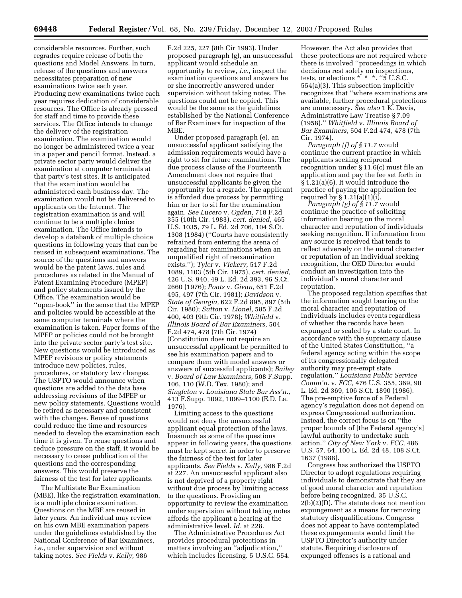considerable resources. Further, such regrades require release of both the questions and Model Answers. In turn, release of the questions and answers necessitates preparation of new examinations twice each year. Producing new examinations twice each year requires dedication of considerable resources. The Office is already pressed for staff and time to provide these services. The Office intends to change the delivery of the registration examination. The examination would no longer be administered twice a year in a paper and pencil format. Instead, a private sector party would deliver the examination at computer terminals at that party's test sites. It is anticipated that the examination would be administered each business day. The examination would not be delivered to applicants on the Internet. The registration examination is and will continue to be a multiple choice examination. The Office intends to develop a databank of multiple choice questions in following years that can be reused in subsequent examinations. The source of the questions and answers would be the patent laws, rules and procedures as related in the Manual of Patent Examining Procedure (MPEP) and policy statements issued by the Office. The examination would be ''open-book'' in the sense that the MPEP and policies would be accessible at the same computer terminals where the examination is taken. Paper forms of the MPEP or policies could not be brought into the private sector party's test site. New questions would be introduced as MPEP revisions or policy statements introduce new policies, rules, procedures, or statutory law changes. The USPTO would announce when questions are added to the data base addressing revisions of the MPEP or new policy statements. Questions would be retired as necessary and consistent with the changes. Reuse of questions could reduce the time and resources needed to develop the examination each time it is given. To reuse questions and reduce pressure on the staff, it would be necessary to cease publication of the questions and the corresponding answers. This would preserve the fairness of the test for later applicants.

The Multistate Bar Examination (MBE), like the registration examination, is a multiple choice examination. Questions on the MBE are reused in later years. An individual may review on his own MBE examination papers under the guidelines established by the National Conference of Bar Examiners, *i.e.*, under supervision and without taking notes. *See Fields* v. *Kelly,* 986

F.2d 225, 227 (8th Cir 1993). Under proposed paragraph (g), an unsuccessful applicant would schedule an opportunity to review, *i.e.*, inspect the examination questions and answers he or she incorrectly answered under supervision without taking notes. The questions could not be copied. This would be the same as the guidelines established by the National Conference of Bar Examiners for inspection of the MBE.

Under proposed paragraph (e), an unsuccessful applicant satisfying the admission requirements would have a right to sit for future examinations. The due process clause of the Fourteenth Amendment does not require that unsuccessful applicants be given the opportunity for a regrade. The applicant is afforded due process by permitting him or her to sit for the examination again. *See Lucero* v. *Ogden,* 718 F.2d 355 (10th Cir. 1983), *cert. denied,* 465 U.S. 1035, 79 L. Ed. 2d 706, 104 S.Ct. 1308 (1984) (''Courts have consistently refrained from entering the arena of regrading bar examinations when an unqualified right of reexamination exists.''); *Tyler* v. *Vickery,* 517 F.2d 1089, 1103 (5th Cir. 1975), *cert. denied,* 426 U.S. 940, 49 L. Ed. 2d 393, 96 S.Ct. 2660 (1976); *Poats* v. *Givan,* 651 F.2d 495, 497 (7th Cir. 1981); *Davidson* v. *State of Georgia,* 622 F.2d 895, 897 (5th Cir. 1980); *Sutton* v. *Lionel,* 585 F.2d 400, 403 (9th Cir. 1978); *Whitfield* v. *Illinois Board of Bar Examiners,* 504 F.2d 474, 478 (7th Cir. 1974) (Constitution does not require an unsuccessful applicant be permitted to see his examination papers and to compare them with model answers or answers of successful applicants); *Bailey* v. *Board of Law Examiners,* 508 F.Supp. 106, 110 (W.D. Tex. 1980); and *Singleton* v. *Louisiana State Bar Ass'n.,* 413 F.Supp. 1092, 1099–1100 (E.D. La. 1976).

Limiting access to the questions would not deny the unsuccessful applicant equal protection of the laws. Inasmuch as some of the questions appear in following years, the questions must be kept secret in order to preserve the fairness of the test for later applicants. *See Fields* v. *Kelly,* 986 F.2d at 227. An unsuccessful applicant also is not deprived of a property right without due process by limiting access to the questions. Providing an opportunity to review the examination under supervision without taking notes affords the applicant a hearing at the administrative level. *Id.* at 228.

The Administrative Procedures Act provides procedural protections in matters involving an ''adjudication,'' which includes licensing. 5 U.S.C. 554. However, the Act also provides that these protections are not required where there is involved ''proceedings in which decisions rest solely on inspections, tests, or elections  $* \times *$ . "5 U.S.C. 554(a)(3). This subsection implicitly recognizes that ''where examinations are available, further procedural protections are unnecessary. *See also* 1 K. Davis, Administrative Law Treatise § 7.09 (1958).'' *Whitfield* v. *Illinois Board of Bar Examiners,* 504 F.2d 474, 478 (7th Cir. 1974).

*Paragraph (f) of § 11.7* would continue the current practice in which applicants seeking reciprocal recognition under § 11.6(c) must file an application and pay the fee set forth in § 1.21(a)(6). It would introduce the practice of paying the application fee required by  $\S 1.21(a)(1)(i)$ .

*Paragraph (g) of § 11.7* would continue the practice of soliciting information bearing on the moral character and reputation of individuals seeking recognition. If information from any source is received that tends to reflect adversely on the moral character or reputation of an individual seeking recognition, the OED Director would conduct an investigation into the individual's moral character and reputation.

The proposed regulation specifies that the information sought bearing on the moral character and reputation of individuals includes events regardless of whether the records have been expunged or sealed by a state court. In accordance with the supremacy clause of the United States Constitution, ''a federal agency acting within the scope of its congressionally delegated authority may pre-empt state regulation.'' *Louisiana Public Service Comm'n.* v. *FCC,* 476 U.S. 355, 369, 90 L. Ed. 2d 369, 106 S.Ct. 1890 (1986). The pre-emptive force of a Federal agency's regulation does not depend on express Congressional authorization. Instead, the correct focus is on ''the proper bounds of [the Federal agency's] lawful authority to undertake such action.'' *City of New York* v. *FCC,* 486 U.S. 57, 64, 100 L. Ed. 2d 48, 108 S.Ct. 1637 (1988).

Congress has authorized the USPTO Director to adopt regulations requiring individuals to demonstrate that they are of good moral character and reputation before being recognized. 35 U.S.C. 2(b)(2)(D). The statute does not mention expungement as a means for removing statutory disqualifications. Congress does not appear to have contemplated these expungements would limit the USPTO Director's authority under statute. Requiring disclosure of expunged offenses is a rational and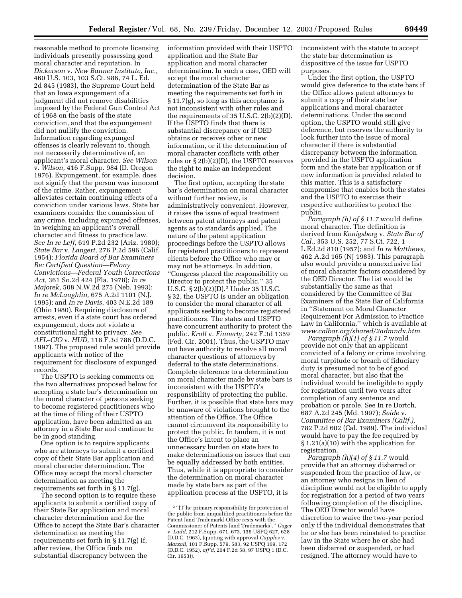reasonable method to promote licensing individuals presently possessing good moral character and reputation. In *Dickerson* v. *New Banner Institute, Inc.,* 460 U.S. 103, 103 S.Ct. 986, 74 L. Ed. 2d 845 (1983), the Supreme Court held that an Iowa expungement of a judgment did not remove disabilities imposed by the Federal Gun Control Act of 1968 on the basis of the state conviction, and that the expungement did not nullify the conviction. Information regarding expunged offenses is clearly relevant to, though not necessarily determinative of, an applicant's moral character. *See Wilson* v. *Wilson,* 416 F.Supp. 984 (D. Oregon 1976). Expungement, for example, does not signify that the person was innocent of the crime. Rather, expungement alleviates certain continuing effects of a conviction under various laws. State bar examiners consider the commission of any crime, including expunged offenses, in weighing an applicant's overall character and fitness to practice law. *See In re Leff,* 619 P.2d 232 (Ariz. 1980); *State Bar* v. *Langert,* 276 P.2d 596 (Calif. 1954); *Florida Board of Bar Examiners Re: Certified Question—Felony Convictions—Federal Youth Corrections Act,* 361 So.2d 424 (Fla. 1978); *In re Majorek,* 508 N.W.2d 275 (Neb. 1993); *In re McLaughlin,* 675 A.2d 1101 (N.J. 1995); and *In re Davis,* 403 N.E.2d 189 (Ohio 1980). Requiring disclosure of arrests, even if a state court has ordered expungement, does not violate a constitutional right to privacy. *See AFL–CIO* v. *HUD,* 118 F.3d 786 (D.D.C. 1997). The proposed rule would provide applicants with notice of the requirement for disclosure of expunged records.

The USPTO is seeking comments on the two alternatives proposed below for accepting a state bar's determination on the moral character of persons seeking to become registered practitioners who at the time of filing of their USPTO application, have been admitted as an attorney in a State Bar and continue to be in good standing.

One option is to require applicants who are attorneys to submit a certified copy of their State Bar application and moral character determination. The Office may accept the moral character determination as meeting the requirements set forth in § 11.7(g).

The second option is to require these applicants to submit a certified copy of their State Bar application and moral character determination and for the Office to accept the State Bar's character determination as meeting the requirements set forth in § 11.7(g) if, after review, the Office finds no substantial discrepancy between the

information provided with their USPTO application and the State Bar application and moral character determination. In such a case, OED will accept the moral character determination of the State Bar as meeting the requirements set forth in § 11.7(g), so long as this acceptance is not inconsistent with other rules and the requirements of 35 U.S.C. 2(b)(2)(D). If the USPTO finds that there is substantial discrepancy or if OED obtains or receives other or new information, or if the determination of moral character conflicts with other rules or § 2(b)(2)(D), the USPTO reserves the right to make an independent decision.

The first option, accepting the state bar's determination on moral character without further review, is administratively convenient. However, it raises the issue of equal treatment between patent attorneys and patent agents as to standards applied. The nature of the patent application proceedings before the USPTO allows for registered practitioners to represent clients before the Office who may or may not be attorneys. In addition, ''Congress placed the responsibility on Director to protect the public.'' 35 U.S.C. § 2(b)(2)(D).2 Under 35 U.S.C. § 32, the USPTO is under an obligation to consider the moral character of all applicants seeking to become registered practitioners. The states and USPTO have concurrent authority to protect the public. *Kroll* v. *Finnerty,* 242 F.3d 1359 (Fed. Cir. 2001). Thus, the USPTO may not have authority to resolve all moral character questions of attorneys by deferral to the state determinations. Complete deference to a determination on moral character made by state bars is inconsistent with the USPTO's responsibility of protecting the public. Further, it is possible that state bars may be unaware of violations brought to the attention of the Office. The Office cannot circumvent its responsibility to protect the public. In tandem, it is not the Office's intent to place an unnecessary burden on state bars to make determinations on issues that can be equally addressed by both entities. Thus, while it is appropriate to consider the determination on moral character made by state bars as part of the application process at the USPTO, it is

inconsistent with the statute to accept the state bar determination as dispositive of the issue for USPTO purposes.

Under the first option, the USPTO would give deference to the state bars if the Office allows patent attorneys to submit a copy of their state bar applications and moral character determinations. Under the second option, the USPTO would still give deference, but reserves the authority to look further into the issue of moral character if there is substantial discrepancy between the information provided in the USPTO application form and the state bar application or if new information is provided related to this matter. This is a satisfactory compromise that enables both the states and the USPTO to exercise their respective authorities to protect the public.

*Paragraph (h) of § 11.7* would define moral character. The definition is derived from *Konigsberg* v. *State Bar of Cal.,* 353 U.S. 252, 77 S.Ct. 722, 1 L.Ed.2d 810 (1957); and *In re Matthews,* 462 A.2d 165 (NJ 1983). This paragraph also would provide a nonexclusive list of moral character factors considered by the OED Director. The list would be substantially the same as that considered by the Committee of Bar Examiners of the State Bar of California in ''Statement on Moral Character Requirement For Admission to Practice Law in California,'' which is available at *www.calbar.org/shared/2admndx.htm.*

*Paragraph (h)(1) of § 11.7* would provide not only that an applicant convicted of a felony or crime involving moral turpitude or breach of fiduciary duty is presumed not to be of good moral character, but also that the individual would be ineligible to apply for registration until two years after completion of any sentence and probation or parole. See In re Dortch, 687 A.2d 245 (Md. 1997); *Seide* v. *Committee of Bar Examiners (Calif.),* 782 P.2d 602 (Cal. 1989). The individual would have to pay the fee required by § 1.21(a)(10) with the application for registration.

*Paragraph (h)(4) of § 11.7* would provide that an attorney disbarred or suspended from the practice of law, or an attorney who resigns in lieu of discipline would not be eligible to apply for registration for a period of two years following completion of the discipline. The OED Director would have discretion to waive the two-year period only if the individual demonstrates that he or she has been reinstated to practice law in the State where he or she had been disbarred or suspended, or had resigned. The attorney would have to

<sup>2</sup> ''[T]he primary responsibility for protection of the public from unqualified practitioners before the Patent [and Trademark] Office rests with the Commissioner of Patents [and Trademarks].'' *Gager* v. *Ladd,* 212 F.Supp. 671, 673, 136 USPQ 627, 628 (D.D.C. 1963), (quoting with approval *Cupples* v. *Marzall,* 101 F.Supp. 579, 583, 92 USPQ 169, 172 (D.D.C. 1952), *aff'd,* 204 F.2d 58, 97 USPQ 1 (D.C. Cir. 1953)).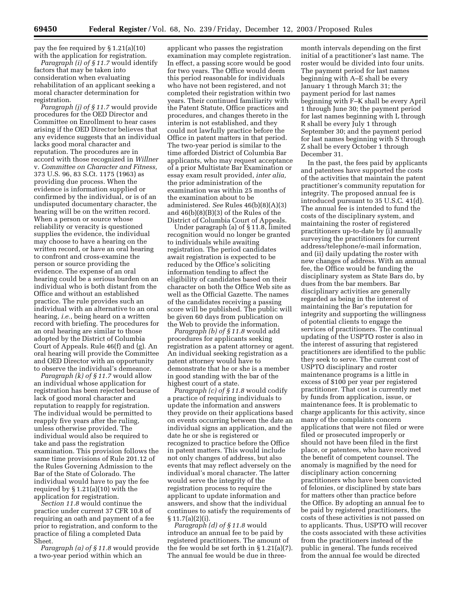pay the fee required by § 1.21(a)(10) with the application for registration.

*Paragraph (i) of § 11.7* would identify factors that may be taken into consideration when evaluating rehabilitation of an applicant seeking a moral character determination for registration.

*Paragraph (j) of § 11.7* would provide procedures for the OED Director and Committee on Enrollment to hear cases arising if the OED Director believes that any evidence suggests that an individual lacks good moral character and reputation. The procedures are in accord with those recognized in *Willner* v. *Committee on Character and Fitness,* 373 U.S. 96, 83 S.Ct. 1175 (1963) as providing due process. When the evidence is information supplied or confirmed by the individual, or is of an undisputed documentary character, the hearing will be on the written record. When a person or source whose reliability or veracity is questioned supplies the evidence, the individual may choose to have a hearing on the written record, or have an oral hearing to confront and cross-examine the person or source providing the evidence. The expense of an oral hearing could be a serious burden on an individual who is both distant from the Office and without an established practice. The rule provides such an individual with an alternative to an oral hearing, *i.e.*, being heard on a written record with briefing. The procedures for an oral hearing are similar to those adopted by the District of Columbia Court of Appeals. Rule 46(f) and (g). An oral hearing will provide the Committee and OED Director with an opportunity to observe the individual's demeanor.

*Paragraph (k) of § 11.7* would allow an individual whose application for registration has been rejected because of lack of good moral character and reputation to reapply for registration. The individual would be permitted to reapply five years after the ruling, unless otherwise provided. The individual would also be required to take and pass the registration examination. This provision follows the same time provisions of Rule 201.12 of the Rules Governing Admission to the Bar of the State of Colorado. The individual would have to pay the fee required by  $\S 1.21(a)(10)$  with the application for registration.

*Section 11.8* would continue the practice under current 37 CFR 10.8 of requiring an oath and payment of a fee prior to registration, and conform to the practice of filing a completed Data Sheet.

*Paragraph (a) of § 11.8* would provide a two-year period within which an

applicant who passes the registration examination may complete registration. In effect, a passing score would be good for two years. The Office would deem this period reasonable for individuals who have not been registered, and not completed their registration within two years. Their continued familiarity with the Patent Statute, Office practices and procedures, and changes thereto in the interim is not established, and they could not lawfully practice before the Office in patent matters in that period. The two-year period is similar to the time afforded District of Columbia Bar applicants, who may request acceptance of a prior Multistate Bar Examination or essay exam result provided, *inter alia,* the prior administration of the examination was within 25 months of the examination about to be administered. *See* Rules 46(b)(8)(A)(3) and 46(b)(8)(B)(3) of the Rules of the District of Columbia Court of Appeals.

Under paragraph (a) of § 11.8, limited recognition would no longer be granted to individuals while awaiting registration. The period candidates await registration is expected to be reduced by the Office's soliciting information tending to affect the eligibility of candidates based on their character on both the Office Web site as well as the Official Gazette. The names of the candidates receiving a passing score will be published. The public will be given 60 days from publication on the Web to provide the information.

*Paragraph (b) of § 11.8* would add procedures for applicants seeking registration as a patent attorney or agent. An individual seeking registration as a patent attorney would have to demonstrate that he or she is a member in good standing with the bar of the highest court of a state.

*Paragraph (c) of § 11.8* would codify a practice of requiring individuals to update the information and answers they provide on their applications based on events occurring between the date an individual signs an application, and the date he or she is registered or recognized to practice before the Office in patent matters. This would include not only changes of address, but also events that may reflect adversely on the individual's moral character. The latter would serve the integrity of the registration process to require the applicant to update information and answers, and show that the individual continues to satisfy the requirements of  $§ 11.7(a)(2)(i).$ 

*Paragraph (d) of § 11.8* would introduce an annual fee to be paid by registered practitioners. The amount of the fee would be set forth in § 1.21(a)(7). The annual fee would be due in three-

month intervals depending on the first initial of a practitioner's last name. The roster would be divided into four units. The payment period for last names beginning with A–E shall be every January 1 through March 31; the payment period for last names beginning with F–K shall be every April 1 through June 30; the payment period for last names beginning with L through R shall be every July 1 through September 30; and the payment period for last names beginning with S through Z shall be every October 1 through December 31.

In the past, the fees paid by applicants and patentees have supported the costs of the activities that maintain the patent practitioner's community reputation for integrity. The proposed annual fee is introduced pursuant to 35 U.S.C. 41(d). The annual fee is intended to fund the costs of the disciplinary system, and maintaining the roster of registered practitioners up-to-date by (i) annually surveying the practitioners for current address/telephone/e-mail information, and (ii) daily updating the roster with new changes of address. With an annual fee, the Office would be funding the disciplinary system as State Bars do, by dues from the bar members. Bar disciplinary activities are generally regarded as being in the interest of maintaining the Bar's reputation for integrity and supporting the willingness of potential clients to engage the services of practitioners. The continual updating of the USPTO roster is also in the interest of assuring that registered practitioners are identified to the public they seek to serve. The current cost of USPTO disciplinary and roster maintenance programs is a little in excess of \$100 per year per registered practitioner. That cost is currently met by funds from application, issue, or maintenance fees. It is problematic to charge applicants for this activity, since many of the complaints concern applications that were not filed or were filed or prosecuted improperly or should not have been filed in the first place, or patentees, who have received the benefit of competent counsel. The anomaly is magnified by the need for disciplinary action concerning practitioners who have been convicted of felonies, or disciplined by state bars for matters other than practice before the Office. By adopting an annual fee to be paid by registered practitioners, the costs of these activities is not passed on to applicants. Thus, USPTO will recover the costs associated with these activities from the practitioners instead of the public in general. The funds received from the annual fee would be directed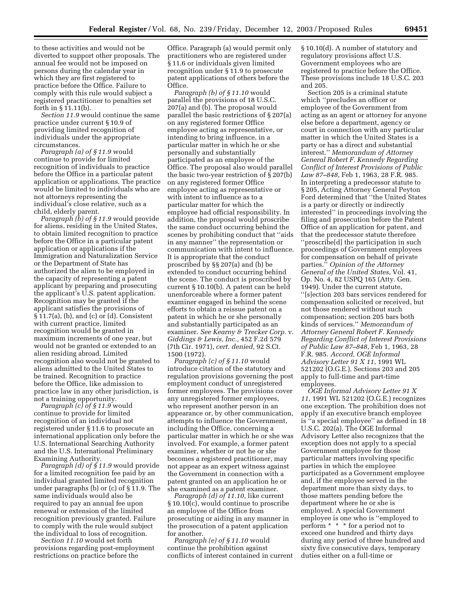to these activities and would not be diverted to support other proposals. The annual fee would not be imposed on persons during the calendar year in which they are first registered to practice before the Office. Failure to comply with this rule would subject a registered practitioner to penalties set forth in § 11.11(b).

*Section 11.9* would continue the same practice under current § 10.9 of providing limited recognition of individuals under the appropriate circumstances.

*Paragraph (a) of § 11.9* would continue to provide for limited recognition of individuals to practice before the Office in a particular patent application or applications. The practice would be limited to individuals who are not attorneys representing the individual's close relative, such as a child, elderly parent.

*Paragraph (b) of § 11.9* would provide for aliens, residing in the United States, to obtain limited recognition to practice before the Office in a particular patent application or applications if the Immigration and Naturalization Service or the Department of State has authorized the alien to be employed in the capacity of representing a patent applicant by preparing and prosecuting the applicant's U.S. patent application. Recognition may be granted if the applicant satisfies the provisions of § 11.7(a), (b), and (c) or (d). Consistent with current practice, limited recognition would be granted in maximum increments of one year, but would not be granted or extended to an alien residing abroad. Limited recognition also would not be granted to aliens admitted to the United States to be trained. Recognition to practice before the Office, like admission to practice law in any other jurisdiction, is not a training opportunity.

*Paragraph (c) of § 11.9* would continue to provide for limited recognition of an individual not registered under § 11.6 to prosecute an international application only before the U.S. International Searching Authority and the U.S. International Preliminary Examining Authority.

*Paragraph (d) of § 11.9* would provide for a limited recognition fee paid by an individual granted limited recognition under paragraphs (b) or (c) of § 11.9. The same individuals would also be required to pay an annual fee upon renewal or extension of the limited recognition previously granted. Failure to comply with the rule would subject the individual to loss of recognition.

*Section 11.10* would set forth provisions regarding post-employment restrictions on practice before the

Office. Paragraph (a) would permit only practitioners who are registered under § 11.6 or individuals given limited recognition under § 11.9 to prosecute patent applications of others before the Office.

*Paragraph (b) of § 11.10* would parallel the provisions of 18 U.S.C. 207(a) and (b). The proposal would parallel the basic restrictions of § 207(a) on any registered former Office employee acting as representative, or intending to bring influence, in a particular matter in which he or she personally and substantially participated as an employee of the Office. The proposal also would parallel the basic two-year restriction of § 207(b) on any registered former Office employee acting as representative or with intent to influence as to a particular matter for which the employee had official responsibility. In addition, the proposal would proscribe the same conduct occurring behind the scenes by prohibiting conduct that ''aids in any manner'' the representation or communication with intent to influence. It is appropriate that the conduct proscribed by §§ 207(a) and (b) be extended to conduct occurring behind the scene. The conduct is proscribed by current § 10.10(b). A patent can be held unenforceable where a former patent examiner engaged in behind the scene efforts to obtain a reissue patent on a patent in which he or she personally and substantially participated as an examiner. *See Kearny & Trecker Corp.* v. *Giddings & Lewis, Inc.,* 452 F.2d 579 (7th Cir. 1971), *cert. denied,* 92 S.Ct. 1500 (1972).

*Paragraph (c) of § 11.10* would introduce citation of the statutory and regulation provisions governing the post employment conduct of unregistered former employees. The provisions cover any unregistered former employees, who represent another person in an appearance or, by other communication, attempts to influence the Government, including the Office, concerning a particular matter in which he or she was involved. For example, a former patent examiner, whether or not he or she becomes a registered practitioner, may not appear as an expert witness against the Government in connection with a patent granted on an application he or she examined as a patent examiner.

*Paragraph (d) of 11.10*, like current § 10.10(c), would continue to proscribe an employee of the Office from prosecuting or aiding in any manner in the prosecution of a patent application for another.

*Paragraph (e) of § 11.10* would continue the prohibition against conflicts of interest contained in current § 10.10(d). A number of statutory and regulatory provisions affect U.S. Government employees who are registered to practice before the Office. These provisions include 18 U.S.C. 203 and 205.

Section 205 is a criminal statute which ''precludes an officer or employee of the Government from acting as an agent or attorney for anyone else before a department, agency or court in connection with any particular matter in which the United States is a party or has a direct and substantial interest.'' *Memorandum of Attorney General Robert F. Kennedy Regarding Conflict of Interest Provisions of Public Law 87–848*, Feb 1, 1963, 28 F.R. 985. In interpreting a predecessor statute to § 205, Acting Attorney General Peyton Ford determined that ''the United States is a party or directly or indirectly interested'' in proceedings involving the filing and prosecution before the Patent Office of an application for patent, and that the predecessor statute therefore ''proscribe[d] the participation in such proceedings of Government employees for compensation on behalf of private parties.'' *Opinion of the Attorney General of the United States*, Vol. 41, Op. No. 4, 82 USPQ 165 (Atty. Gen. 1949). Under the current statute, ''[s]ection 203 bars services rendered for compensation solicited or received, but not those rendered without such compensation; section 205 bars both kinds of services.'' *Memorandum of Attorney General Robert F. Kennedy Regarding Conflict of Interest Provisions of Public Law 87–848*, Feb 1, 1963, 28 F.R. 985. *Accord, OGE Informal Advisory Letter 91 X 11*, 1991 WL 521202 (O.G.E.). Sections 203 and 205 apply to full-time and part-time employees.

*OGE Informal Advisory Letter 91 X 11*, 1991 WL 521202 (O.G.E.) recognizes one exception. The prohibition does not apply if an executive branch employee is ''a special employee'' as defined in 18 U.S.C. 202(a). The OGE Informal Advisory Letter also recognizes that the exception does not apply to a special Government employee for those particular matters involving specific parties in which the employee participated as a Government employee and, if the employee served in the department more than sixty days, to those matters pending before the department where he or she is employed. A special Government employee is one who is ''employed to perform \* \* \* for a period not to exceed one hundred and thirty days during any period of three hundred and sixty five consecutive days, temporary duties either on a full-time or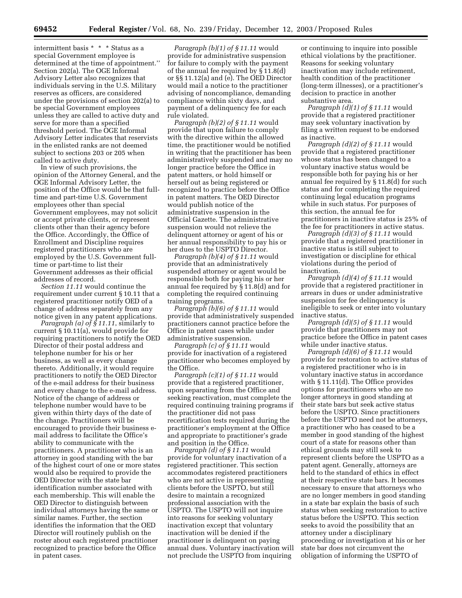intermittent basis \* \* \* Status as a special Government employee is determined at the time of appointment.'' Section 202(a). The OGE Informal Advisory Letter also recognizes that individuals serving in the U.S. Military reserves as officers, are considered under the provisions of section 202(a) to be special Government employees unless they are called to active duty and serve for more than a specified threshold period. The OGE Informal Advisory Letter indicates that reservists in the enlisted ranks are not deemed subject to sections 203 or 205 when called to active duty.

In view of such provisions, the opinion of the Attorney General, and the OGE Informal Advisory Letter, the position of the Office would be that fulltime and part-time U.S. Government employees other than special Government employees, may not solicit or accept private clients, or represent clients other than their agency before the Office. Accordingly, the Office of Enrollment and Discipline requires registered practitioners who are employed by the U.S. Government fulltime or part-time to list their Government addresses as their official addresses of record.

*Section 11.11* would continue the requirement under current § 10.11 that a registered practitioner notify OED of a change of address separately from any notice given in any patent applications.

*Paragraph (a) of § 11.11*, similarly to current § 10.11(a), would provide for requiring practitioners to notify the OED Director of their postal address and telephone number for his or her business, as well as every change thereto. Additionally, it would require practitioners to notify the OED Director of the e-mail address for their business and every change to the e-mail address. Notice of the change of address or telephone number would have to be given within thirty days of the date of the change. Practitioners will be encouraged to provide their business email address to facilitate the Office's ability to communicate with the practitioners. A practitioner who is an attorney in good standing with the bar of the highest court of one or more states would also be required to provide the OED Director with the state bar identification number associated with each membership. This will enable the OED Director to distinguish between individual attorneys having the same or similar names. Further, the section identifies the information that the OED Director will routinely publish on the roster about each registered practitioner recognized to practice before the Office in patent cases.

*Paragraph (b)(1) of § 11.11* would provide for administrative suspension for failure to comply with the payment of the annual fee required by § 11.8(d) or §§ 11.12(a) and (e). The OED Director would mail a notice to the practitioner advising of noncompliance, demanding compliance within sixty days, and payment of a delinquency fee for each rule violated.

*Paragraph (b)(2) of § 11.11* would provide that upon failure to comply with the directive within the allowed time, the practitioner would be notified in writing that the practitioner has been administratively suspended and may no longer practice before the Office in patent matters, or hold himself or herself out as being registered or recognized to practice before the Office in patent matters. The OED Director would publish notice of the administrative suspension in the Official Gazette. The administrative suspension would not relieve the delinquent attorney or agent of his or her annual responsibility to pay his or her dues to the USPTO Director.

*Paragraph (b)(4) of § 11.11* would provide that an administratively suspended attorney or agent would be responsible both for paying his or her annual fee required by § 11.8(d) and for completing the required continuing training programs.

*Paragraph (b)(6) of § 11.11* would provide that administratively suspended practitioners cannot practice before the Office in patent cases while under administrative suspension.

*Paragraph (c) of § 11.11* would provide for inactivation of a registered practitioner who becomes employed by the Office.

*Paragraph (c)(1) of § 11.11* would provide that a registered practitioner, upon separating from the Office and seeking reactivation, must complete the required continuing training programs if the practitioner did not pass recertification tests required during the practitioner's employment at the Office and appropriate to practitioner's grade and position in the Office.

*Paragraph (d) of § 11.11* would provide for voluntary inactivation of a registered practitioner. This section accommodates registered practitioners who are not active in representing clients before the USPTO, but still desire to maintain a recognized professional association with the USPTO. The USPTO will not inquire into reasons for seeking voluntary inactivation except that voluntary inactivation will be denied if the practitioner is delinquent on paying annual dues. Voluntary inactivation will not preclude the USPTO from inquiring

or continuing to inquire into possible ethical violations by the practitioner. Reasons for seeking voluntary inactivation may include retirement, health condition of the practitioner (long-term illnesses), or a practitioner's decision to practice in another substantive area.

*Paragraph (d)(1) of § 11.11* would provide that a registered practitioner may seek voluntary inactivation by filing a written request to be endorsed as inactive.

*Paragraph (d)(2) of § 11.11* would provide that a registered practitioner whose status has been changed to a voluntary inactive status would be responsible both for paying his or her annual fee required by § 11.8(d) for such status and for completing the required continuing legal education programs while in such status. For purposes of this section, the annual fee for practitioners in inactive status is 25% of the fee for practitioners in active status.

*Paragraph (d)(3) of § 11.11* would provide that a registered practitioner in inactive status is still subject to investigation or discipline for ethical violations during the period of inactivation.

*Paragraph (d)(4) of § 11.11* would provide that a registered practitioner in arrears in dues or under administrative suspension for fee delinquency is ineligible to seek or enter into voluntary inactive status.

*Paragraph (d)(5) of § 11.11* would provide that practitioners may not practice before the Office in patent cases while under inactive status.

*Paragraph (d)(6) of § 11.11* would provide for restoration to active status of a registered practitioner who is in voluntary inactive status in accordance with § 11.11(d). The Office provides options for practitioners who are no longer attorneys in good standing at their state bars but seek active status before the USPTO. Since practitioners before the USPTO need not be attorneys, a practitioner who has ceased to be a member in good standing of the highest court of a state for reasons other than ethical grounds may still seek to represent clients before the USPTO as a patent agent. Generally, attorneys are held to the standard of ethics in effect at their respective state bars. It becomes necessary to ensure that attorneys who are no longer members in good standing in a state bar explain the basis of such status when seeking restoration to active status before the USPTO. This section seeks to avoid the possibility that an attorney under a disciplinary proceeding or investigation at his or her state bar does not circumvent the obligation of informing the USPTO of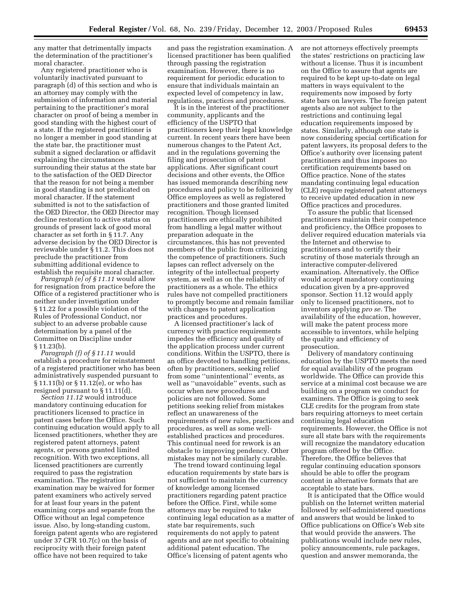any matter that detrimentally impacts the determination of the practitioner's moral character.

Any registered practitioner who is voluntarily inactivated pursuant to paragraph (d) of this section and who is an attorney may comply with the submission of information and material pertaining to the practitioner's moral character on proof of being a member in good standing with the highest court of a state. If the registered practitioner is no longer a member in good standing at the state bar, the practitioner must submit a signed declaration or affidavit explaining the circumstances surrounding their status at the state bar to the satisfaction of the OED Director that the reason for not being a member in good standing is not predicated on moral character. If the statement submitted is not to the satisfaction of the OED Director, the OED Director may decline restoration to active status on grounds of present lack of good moral character as set forth in § 11.7. Any adverse decision by the OED Director is reviewable under § 11.2. This does not preclude the practitioner from submitting additional evidence to establish the requisite moral character.

*Paragraph (e) of § 11.11* would allow for resignation from practice before the Office of a registered practitioner who is neither under investigation under § 11.22 for a possible violation of the Rules of Professional Conduct, nor subject to an adverse probable cause determination by a panel of the Committee on Discipline under § 11.23(b).

*Paragraph (f) of § 11.11* would establish a procedure for reinstatement of a registered practitioner who has been administratively suspended pursuant to § 11.11(b) or § 11.12(e), or who has resigned pursuant to § 11.11(d).

*Section 11.12* would introduce mandatory continuing education for practitioners licensed to practice in patent cases before the Office. Such continuing education would apply to all licensed practitioners, whether they are registered patent attorneys, patent agents, or persons granted limited recognition. With two exceptions, all licensed practitioners are currently required to pass the registration examination. The registration examination may be waived for former patent examiners who actively served for at least four years in the patent examining corps and separate from the Office without an legal competence issue. Also, by long-standing custom, foreign patent agents who are registered under 37 CFR 10.7(c) on the basis of reciprocity with their foreign patent office have not been required to take

and pass the registration examination. A licensed practitioner has been qualified through passing the registration examination. However, there is no requirement for periodic education to ensure that individuals maintain an expected level of competency in law, regulations, practices and procedures.

It is in the interest of the practitioner community, applicants and the efficiency of the USPTO that practitioners keep their legal knowledge current. In recent years there have been numerous changes to the Patent Act, and in the regulations governing the filing and prosecution of patent applications. After significant court decisions and other events, the Office has issued memoranda describing new procedures and policy to be followed by Office employees as well as registered practitioners and those granted limited recognition. Though licensed practitioners are ethically prohibited from handling a legal matter without preparation adequate in the circumstances, this has not prevented members of the public from criticizing the competence of practitioners. Such lapses can reflect adversely on the integrity of the intellectual property system, as well as on the reliability of practitioners as a whole. The ethics rules have not compelled practitioners to promptly become and remain familiar with changes to patent application practices and procedures.

A licensed practitioner's lack of currency with practice requirements impedes the efficiency and quality of the application process under current conditions. Within the USPTO, there is an office devoted to handling petitions, often by practitioners, seeking relief from some ''unintentional'' events, as well as ''unavoidable'' events, such as occur when new procedures and policies are not followed. Some petitions seeking relief from mistakes reflect an unawareness of the requirements of new rules, practices and procedures, as well as some wellestablished practices and procedures. This continual need for rework is an obstacle to improving pendency. Other mistakes may not be similarly curable.

The trend toward continuing legal education requirements by state bars is not sufficient to maintain the currency of knowledge among licensed practitioners regarding patent practice before the Office. First, while some attorneys may be required to take continuing legal education as a matter of state bar requirements, such requirements do not apply to patent agents and are not specific to obtaining additional patent education. The Office's licensing of patent agents who

are not attorneys effectively preempts the states' restrictions on practicing law without a license. Thus it is incumbent on the Office to assure that agents are required to be kept up-to-date on legal matters in ways equivalent to the requirements now imposed by forty state bars on lawyers. The foreign patent agents also are not subject to the restrictions and continuing legal education requirements imposed by states. Similarly, although one state is now considering special certification for patent lawyers, its proposal defers to the Office's authority over licensing patent practitioners and thus imposes no certification requirements based on Office practice. None of the states mandating continuing legal education (CLE) require registered patent attorneys to receive updated education in new Office practices and procedures.

To assure the public that licensed practitioners maintain their competence and proficiency, the Office proposes to deliver required education materials via the Internet and otherwise to practitioners and to certify their scrutiny of those materials through an interactive computer-delivered examination. Alternatively, the Office would accept mandatory continuing education given by a pre-approved sponsor. Section 11.12 would apply only to licensed practitioners, not to inventors applying *pro se.* The availability of the education, however, will make the patent process more accessible to inventors, while helping the quality and efficiency of prosecution.

Delivery of mandatory continuing education by the USPTO meets the need for equal availability of the program worldwide. The Office can provide this service at a minimal cost because we are building on a program we conduct for examiners. The Office is going to seek CLE credits for the program from state bars requiring attorneys to meet certain continuing legal education requirements. However, the Office is not sure all state bars with the requirements will recognize the mandatory education program offered by the Office. Therefore, the Office believes that regular continuing education sponsors should be able to offer the program content in alternative formats that are acceptable to state bars.

It is anticipated that the Office would publish on the Internet written material followed by self-administered questions and answers that would be linked to Office publications on Office's Web site that would provide the answers. The publications would include new rules, policy announcements, rule packages, question and answer memoranda, the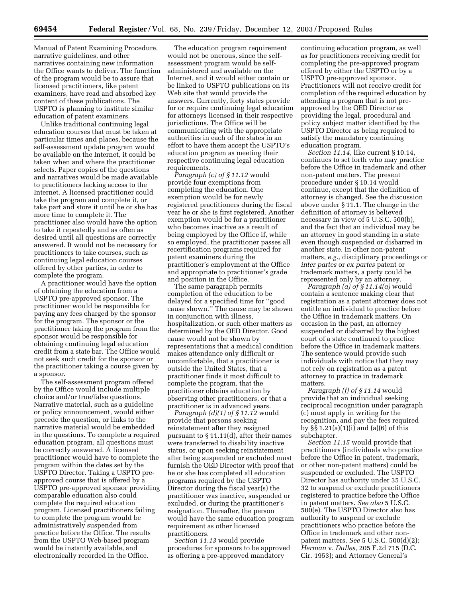Manual of Patent Examining Procedure, narrative guidelines, and other narratives containing new information the Office wants to deliver. The function of the program would be to assure that licensed practitioners, like patent examiners, have read and absorbed key content of these publications. The USPTO is planning to institute similar education of patent examiners.

Unlike traditional continuing legal education courses that must be taken at particular times and places, because the self-assessment update program would be available on the Internet, it could be taken when and where the practitioner selects. Paper copies of the questions and narratives would be made available to practitioners lacking access to the Internet. A licensed practitioner could take the program and complete it, or take part and store it until he or she has more time to complete it. The practitioner also would have the option to take it repeatedly and as often as desired until all questions are correctly answered. It would not be necessary for practitioners to take courses, such as continuing legal education courses offered by other parties, in order to complete the program.

A practitioner would have the option of obtaining the education from a USPTO pre-approved sponsor. The practitioner would be responsible for paying any fees charged by the sponsor for the program. The sponsor or the practitioner taking the program from the sponsor would be responsible for obtaining continuing legal education credit from a state bar. The Office would not seek such credit for the sponsor or the practitioner taking a course given by a sponsor.

The self-assessment program offered by the Office would include multiple choice and/or true/false questions. Narrative material, such as a guideline or policy announcement, would either precede the question, or links to the narrative material would be embedded in the questions. To complete a required education program, all questions must be correctly answered. A licensed practitioner would have to complete the program within the dates set by the USPTO Director. Taking a USPTO preapproved course that is offered by a USPTO pre-approved sponsor providing comparable education also could complete the required education program. Licensed practitioners failing to complete the program would be administratively suspended from practice before the Office. The results from the USPTO Web-based program would be instantly available, and electronically recorded in the Office.

The education program requirement would not be onerous, since the selfassessment program would be selfadministered and available on the Internet, and it would either contain or be linked to USPTO publications on its Web site that would provide the answers. Currently, forty states provide for or require continuing legal education for attorneys licensed in their respective jurisdictions. The Office will be communicating with the appropriate authorities in each of the states in an effort to have them accept the USPTO's education program as meeting their respective continuing legal education requirements.

*Paragraph (c) of § 11.12* would provide four exemptions from completing the education. One exemption would be for newly registered practitioners during the fiscal year he or she is first registered. Another exemption would be for a practitioner who becomes inactive as a result of being employed by the Office if, while so employed, the practitioner passes all recertification programs required for patent examiners during the practitioner's employment at the Office and appropriate to practitioner's grade and position in the Office.

The same paragraph permits completion of the education to be delayed for a specified time for ''good cause shown.'' The cause may be shown in conjunction with illness, hospitalization, or such other matters as determined by the OED Director. Good cause would not be shown by representations that a medical condition makes attendance only difficult or uncomfortable, that a practitioner is outside the United States, that a practitioner finds it most difficult to complete the program, that the practitioner obtains education by observing other practitioners, or that a practitioner is in advanced years.

*Paragraph (d)(1) of § 11.12* would provide that persons seeking reinstatement after they resigned pursuant to § 11.11(d), after their names were transferred to disability inactive status, or upon seeking reinstatement after being suspended or excluded must furnish the OED Director with proof that he or she has completed all education programs required by the USPTO Director during the fiscal year(s) the practitioner was inactive, suspended or excluded, or during the practitioner's resignation. Thereafter, the person would have the same education program requirement as other licensed practitioners.

*Section 11.13* would provide procedures for sponsors to be approved as offering a pre-approved mandatory

continuing education program, as well as for practitioners receiving credit for completing the pre-approved program offered by either the USPTO or by a USPTO pre-approved sponsor. Practitioners will not receive credit for completion of the required education by attending a program that is not preapproved by the OED Director as providing the legal, procedural and policy subject matter identified by the USPTO Director as being required to satisfy the mandatory continuing education program.

*Section 11.14,* like current § 10.14, continues to set forth who may practice before the Office in trademark and other non-patent matters. The present procedure under § 10.14 would continue, except that the definition of attorney is changed. See the discussion above under § 11.1. The change in the definition of attorney is believed necessary in view of 5 U.S.C. 500(b), and the fact that an individual may be an attorney in good standing in a state even though suspended or disbarred in another state. In other non-patent matters, *e.g.,* disciplinary proceedings or *inter partes* or *ex partes* patent or trademark matters, a party could be represented only by an attorney.

*Paragraph (a) of § 11.14(a)* would contain a sentence making clear that registration as a patent attorney does not entitle an individual to practice before the Office in trademark matters. On occasion in the past, an attorney suspended or disbarred by the highest court of a state continued to practice before the Office in trademark matters. The sentence would provide such individuals with notice that they may not rely on registration as a patent attorney to practice in trademark matters.

*Paragraph (f) of § 11.14* would provide that an individual seeking reciprocal recognition under paragraph (c) must apply in writing for the recognition, and pay the fees required by §§ 1.21(a)(1)(i) and (a)(6) of this subchapter.

*Section 11.15* would provide that practitioners (individuals who practice before the Office in patent, trademark, or other non-patent matters) could be suspended or excluded. The USPTO Director has authority under 35 U.S.C. 32 to suspend or exclude practitioners registered to practice before the Office in patent matters. *See also* 5 U.S.C. 500(e). The USPTO Director also has authority to suspend or exclude practitioners who practice before the Office in trademark and other nonpatent matters. *See* 5 U.S.C. 500(d)(2); *Herman* v. *Dulles,* 205 F.2d 715 (D.C. Cir. 1953); and Attorney General's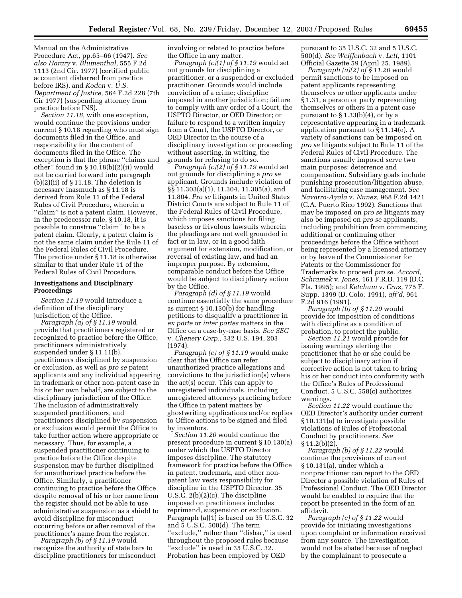Manual on the Administrative Procedure Act, pp.65–66 (1947). *See also Harary* v. *Blumenthal,* 555 F.2d 1113 (2nd Cir. 1977) (certified public accountant disbarred from practice before IRS), and *Koden* v. *U.S. Department of Justice,* 564 F.2d 228 (7th Cir 1977) (suspending attorney from practice before INS).

*Section 11.18,* with one exception, would continue the provisions under current § 10.18 regarding who must sign documents filed in the Office, and responsibility for the content of documents filed in the Office. The exception is that the phrase ''claims and other'' found in § 10.18(b)(2)(ii) would not be carried forward into paragraph  $(b)(2)(ii)$  of  $§ 11.18$ . The deletion is necessary inasmuch as § 11.18 is derived from Rule 11 of the Federal Rules of Civil Procedure, wherein a ''claim'' is not a patent claim. However, in the predecessor rule, § 10.18, it is possible to construe ''claim'' to be a patent claim. Clearly, a patent claim is not the same claim under the Rule 11 of the Federal Rules of Civil Procedure. The practice under § 11.18 is otherwise similar to that under Rule 11 of the Federal Rules of Civil Procedure.

#### **Investigations and Disciplinary Proceedings**

*Section 11.19* would introduce a definition of the disciplinary jurisdiction of the Office.

*Paragraph (a) of § 11.19* would provide that practitioners registered or recognized to practice before the Office, practitioners administratively suspended under § 11.11(b), practitioners disciplined by suspension or exclusion, as well as *pro se* patent applicants and any individual appearing in trademark or other non-patent case in his or her own behalf, are subject to the disciplinary jurisdiction of the Office. The inclusion of administratively suspended practitioners, and practitioners disciplined by suspension or exclusion would permit the Office to take further action where appropriate or necessary. Thus, for example, a suspended practitioner continuing to practice before the Office despite suspension may be further disciplined for unauthorized practice before the Office. Similarly, a practitioner continuing to practice before the Office despite removal of his or her name from the register should not be able to use administrative suspension as a shield to avoid discipline for misconduct occurring before or after removal of the practitioner's name from the register.

*Paragraph (b) of § 11.19* would recognize the authority of state bars to discipline practitioners for misconduct involving or related to practice before the Office in any matter.

*Paragraph (c)(1) of § 11.19* would set out grounds for disciplining a practitioner, or a suspended or excluded practitioner. Grounds would include conviction of a crime; discipline imposed in another jurisdiction; failure to comply with any order of a Court, the USPTO Director, or OED Director; or failure to respond to a written inquiry from a Court, the USPTO Director, or OED Director in the course of a disciplinary investigation or proceeding without asserting, in writing, the grounds for refusing to do so.

*Paragraph (c)(2) of § 11.19* would set out grounds for disciplining a *pro se* applicant. Grounds include violation of §§ 11.303(a)(1), 11.304, 11.305(a), and 11.804. *Pro se* litigants in United States District Courts are subject to Rule 11 of the Federal Rules of Civil Procedure, which imposes sanctions for filing baseless or frivolous lawsuits wherein the pleadings are not well grounded in fact or in law, or in a good faith argument for extension, modification, or reversal of existing law, and had an improper purpose. By extension, comparable conduct before the Office would be subject to disciplinary action by the Office.

*Paragraph (d) of § 11.19* would continue essentially the same procedure as current § 10.130(b) for handling petitions to disqualify a practitioner in *ex parte* or *inter partes* matters in the Office on a case-by-case basis. *See SEC* v. *Chenery Corp.,* 332 U.S. 194, 203 (1974).

*Paragraph (e) of § 11.19* would make clear that the Office can refer unauthorized practice allegations and convictions to the jurisdiction(s) where the act(s) occur. This can apply to unregistered individuals, including unregistered attorneys practicing before the Office in patent matters by ghostwriting applications and/or replies to Office actions to be signed and filed by inventors.

*Section 11.20* would continue the present procedure in current § 10.130(a) under which the USPTO Director imposes discipline. The statutory framework for practice before the Office in patent, trademark, and other nonpatent law vests responsibility for discipline in the USPTO Director. 35 U.S.C. 2(b)(2)(c). The discipline imposed on practitioners includes reprimand, suspension or exclusion. Paragraph  $(a)(1)$  is based on 35 U.S.C. 32 and 5 U.S.C. 500(d). The term "exclude," rather than "disbar," is used throughout the proposed rules because "exclude" is used in 35 U.S.C. 32. Probation has been employed by OED

pursuant to 35 U.S.C. 32 and 5 U.S.C. 500(d). *See Weiffenbach* v. *Lett,* 1101 Official Gazette 59 (April 25, 1989).

*Paragraph (a)(2) of § 11.20* would permit sanctions to be imposed on patent applicants representing themselves or other applicants under § 1.31, a person or party representing themselves or others in a patent case pursuant to  $\S 1.33(b)(4)$ , or by a representative appearing in a trademark application pursuant to § 11.14(e). A variety of sanctions can be imposed on *pro se* litigants subject to Rule 11 of the Federal Rules of Civil Procedure. The sanctions usually imposed serve two main purposes: deterrence and compensation. Subsidiary goals include punishing prosecution/litigation abuse, and facilitating case management. *See Navarro-Ayala* v. *Nunez,* 968 F.2d 1421 (C.A. Puerto Rico 1992). Sanctions that may be imposed on *pro se* litigants may also be imposed on *pro se* applicants, including prohibition from commencing additional or continuing other proceedings before the Office without being represented by a licensed attorney or by leave of the Commissioner for Patents or the Commissioner for Trademarks to proceed *pro se. Accord, Schramek* v. *Jones,* 161 F.R.D. 119 (D.C. Fla. 1995); and *Ketchum* v. *Cruz,* 775 F. Supp. 1399 (D. Colo. 1991), *aff'd,* 961 F.2d 916 (1991).

*Paragraph (b) of § 11.20* would provide for imposition of conditions with discipline as a condition of probation, to protect the public.

*Section 11.21* would provide for issuing warnings alerting the practitioner that he or she could be subject to disciplinary action if corrective action is not taken to bring his or her conduct into conformity with the Office's Rules of Professional Conduct. 5 U.S.C. 558(c) authorizes warnings.

*Section 11.22* would continue the OED Director's authority under current § 10.131(a) to investigate possible violations of Rules of Professional Conduct by practitioners. *See*  $§ 11.2(b)(2).$ 

*Paragraph (b) of § 11.22* would continue the provisions of current § 10.131(a), under which a nonpractitioner can report to the OED Director a possible violation of Rules of Professional Conduct. The OED Director would be enabled to require that the report be presented in the form of an affidavit.

*Paragraph (c) of § 11.22* would provide for initiating investigations upon complaint or information received from any source. The investigation would not be abated because of neglect by the complainant to prosecute a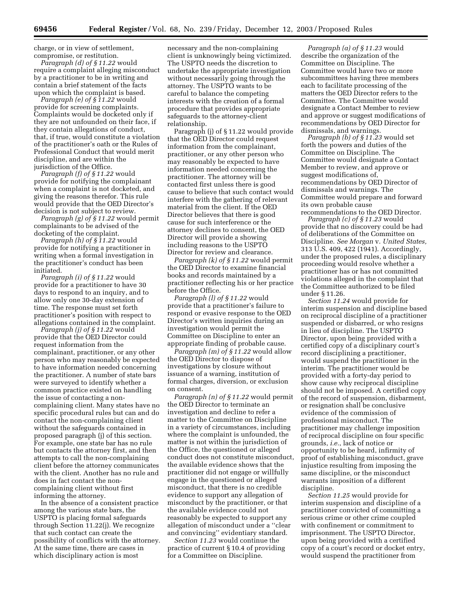charge, or in view of settlement, compromise, or restitution.

*Paragraph (d) of § 11.22* would require a complaint alleging misconduct by a practitioner to be in writing and contain a brief statement of the facts upon which the complaint is based.

*Paragraph (e) of § 11.22* would provide for screening complaints. Complaints would be docketed only if they are not unfounded on their face, if they contain allegations of conduct, that, if true, would constitute a violation of the practitioner's oath or the Rules of Professional Conduct that would merit discipline, and are within the jurisdiction of the Office.

*Paragraph (f) of § 11.22* would provide for notifying the complainant when a complaint is not docketed, and giving the reasons therefor. This rule would provide that the OED Director's decision is not subject to review.

*Paragraph (g) of § 11.22* would permit complainants to be advised of the docketing of the complaint.

*Paragraph (h) of § 11.22* would provide for notifying a practitioner in writing when a formal investigation in the practitioner's conduct has been initiated.

*Paragraph (i) of § 11.22* would provide for a practitioner to have 30 days to respond to an inquiry, and to allow only one 30-day extension of time. The response must set forth practitioner's position with respect to allegations contained in the complaint.

*Paragraph (j) of § 11.22* would provide that the OED Director could request information from the complainant, practitioner, or any other person who may reasonably be expected to have information needed concerning the practitioner. A number of state bars were surveyed to identify whether a common practice existed on handling the issue of contacting a noncomplaining client. Many states have no specific procedural rules but can and do contact the non-complaining client without the safeguards contained in proposed paragraph (j) of this section. For example, one state bar has no rule but contacts the attorney first, and then attempts to call the non-complaining client before the attorney communicates with the client. Another has no rule and does in fact contact the noncomplaining client without first informing the attorney.

In the absence of a consistent practice among the various state bars, the USPTO is placing formal safeguards through Section 11.22(j). We recognize that such contact can create the possibility of conflicts with the attorney. At the same time, there are cases in which disciplinary action is most

necessary and the non-complaining client is unknowingly being victimized. The USPTO needs the discretion to undertake the appropriate investigation without necessarily going through the attorney. The USPTO wants to be careful to balance the competing interests with the creation of a formal procedure that provides appropriate safeguards to the attorney-client relationship.

Paragraph (j) of § 11.22 would provide that the OED Director could request information from the complainant, practitioner, or any other person who may reasonably be expected to have information needed concerning the practitioner. The attorney will be contacted first unless there is good cause to believe that such contact would interfere with the gathering of relevant material from the client. If the OED Director believes that there is good cause for such interference or the attorney declines to consent, the OED Director will provide a showing including reasons to the USPTO Director for review and clearance.

*Paragraph (k) of § 11.22* would permit the OED Director to examine financial books and records maintained by a practitioner reflecting his or her practice before the Office.

*Paragraph (l) of § 11.22* would provide that a practitioner's failure to respond or evasive response to the OED Director's written inquiries during an investigation would permit the Committee on Discipline to enter an appropriate finding of probable cause.

*Paragraph (m) of § 11.22* would allow the OED Director to dispose of investigations by closure without issuance of a warning, institution of formal charges, diversion, or exclusion on consent.

*Paragraph (n) of § 11.22* would permit the OED Director to terminate an investigation and decline to refer a matter to the Committee on Discipline in a variety of circumstances, including where the complaint is unfounded, the matter is not within the jurisdiction of the Office, the questioned or alleged conduct does not constitute misconduct, the available evidence shows that the practitioner did not engage or willfully engage in the questioned or alleged misconduct, that there is no credible evidence to support any allegation of misconduct by the practitioner, or that the available evidence could not reasonably be expected to support any allegation of misconduct under a ''clear and convincing'' evidentiary standard.

*Section 11.23* would continue the practice of current § 10.4 of providing for a Committee on Discipline.

*Paragraph (a) of § 11.23* would describe the organization of the Committee on Discipline. The Committee would have two or more subcommittees having three members each to facilitate processing of the matters the OED Director refers to the Committee. The Committee would designate a Contact Member to review and approve or suggest modifications of recommendations by OED Director for dismissals, and warnings.

*Paragraph (b) of § 11.23* would set forth the powers and duties of the Committee on Discipline. The Committee would designate a Contact Member to review, and approve or suggest modifications of, recommendations by OED Director of dismissals and warnings. The Committee would prepare and forward its own probable cause recommendations to the OED Director.

*Paragraph (c) of § 11.23* would provide that no discovery could be had of deliberations of the Committee on Discipline. *See Morgan* v. *United States,* 313 U.S. 409, 422 (1941). Accordingly, under the proposed rules, a disciplinary proceeding would resolve whether a practitioner has or has not committed violations alleged in the complaint that the Committee authorized to be filed under § 11.26.

*Section 11.24* would provide for interim suspension and discipline based on reciprocal discipline of a practitioner suspended or disbarred, or who resigns in lieu of discipline. The USPTO Director, upon being provided with a certified copy of a disciplinary court's record disciplining a practitioner, would suspend the practitioner in the interim. The practitioner would be provided with a forty-day period to show cause why reciprocal discipline should not be imposed. A certified copy of the record of suspension, disbarment, or resignation shall be conclusive evidence of the commission of professional misconduct. The practitioner may challenge imposition of reciprocal discipline on four specific grounds, *i.e.*, lack of notice or opportunity to be heard, infirmity of proof of establishing misconduct, grave injustice resulting from imposing the same discipline, or the misconduct warrants imposition of a different discipline.

*Section 11.25* would provide for interim suspension and discipline of a practitioner convicted of committing a serious crime or other crime coupled with confinement or commitment to imprisonment. The USPTO Director, upon being provided with a certified copy of a court's record or docket entry, would suspend the practitioner from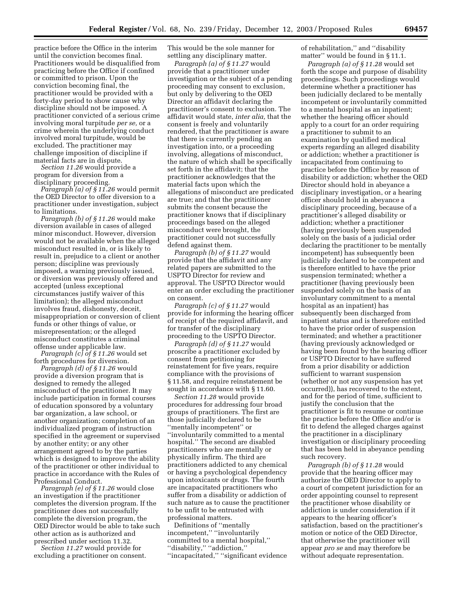practice before the Office in the interim until the conviction becomes final. Practitioners would be disqualified from practicing before the Office if confined or committed to prison. Upon the conviction becoming final, the practitioner would be provided with a forty-day period to show cause why discipline should not be imposed. A practitioner convicted of a serious crime involving moral turpitude *per se,* or a crime wherein the underlying conduct involved moral turpitude, would be excluded. The practitioner may challenge imposition of discipline if material facts are in dispute.

*Section 11.26* would provide a program for diversion from a disciplinary proceeding.

*Paragraph (a) of § 11.26* would permit the OED Director to offer diversion to a practitioner under investigation, subject to limitations.

*Paragraph (b) of § 11.26* would make diversion available in cases of alleged minor misconduct. However, diversion would not be available when the alleged misconduct resulted in, or is likely to result in, prejudice to a client or another person; discipline was previously imposed, a warning previously issued, or diversion was previously offered and accepted (unless exceptional circumstances justify waiver of this limitation); the alleged misconduct involves fraud, dishonesty, deceit, misappropriation or conversion of client funds or other things of value, or misrepresentation; or the alleged misconduct constitutes a criminal offense under applicable law.

*Paragraph (c) of § 11.26* would set forth procedures for diversion.

*Paragraph (d) of § 11.26* would provide a diversion program that is designed to remedy the alleged misconduct of the practitioner. It may include participation in formal courses of education sponsored by a voluntary bar organization, a law school, or another organization; completion of an individualized program of instruction specified in the agreement or supervised by another entity; or any other arrangement agreed to by the parties which is designed to improve the ability of the practitioner or other individual to practice in accordance with the Rules of Professional Conduct.

*Paragraph (e) of § 11.26* would close an investigation if the practitioner completes the diversion program. If the practitioner does not successfully complete the diversion program, the OED Director would be able to take such other action as is authorized and prescribed under section 11.32.

*Section 11.27* would provide for excluding a practitioner on consent. This would be the sole manner for settling any disciplinary matter.

*Paragraph (a) of § 11.27* would provide that a practitioner under investigation or the subject of a pending proceeding may consent to exclusion, but only by delivering to the OED Director an affidavit declaring the practitioner's consent to exclusion. The affidavit would state, *inter alia,* that the consent is freely and voluntarily rendered, that the practitioner is aware that there is currently pending an investigation into, or a proceeding involving, allegations of misconduct, the nature of which shall be specifically set forth in the affidavit; that the practitioner acknowledges that the material facts upon which the allegations of misconduct are predicated are true; and that the practitioner submits the consent because the practitioner knows that if disciplinary proceedings based on the alleged misconduct were brought, the practitioner could not successfully defend against them.

*Paragraph (b) of § 11.27* would provide that the affidavit and any related papers are submitted to the USPTO Director for review and approval. The USPTO Director would enter an order excluding the practitioner on consent.

*Paragraph (c) of § 11.27* would provide for informing the hearing officer of receipt of the required affidavit, and for transfer of the disciplinary proceeding to the USPTO Director.

*Paragraph (d) of § 11.27* would proscribe a practitioner excluded by consent from petitioning for reinstatement for five years, require compliance with the provisions of § 11.58, and require reinstatement be sought in accordance with § 11.60.

*Section 11.28* would provide procedures for addressing four broad groups of practitioners. The first are those judicially declared to be ''mentally incompetent'' or ''involuntarily committed to a mental hospital.'' The second are disabled practitioners who are mentally or physically infirm. The third are practitioners addicted to any chemical or having a psychological dependency upon intoxicants or drugs. The fourth are incapacitated practitioners who suffer from a disability or addiction of such nature as to cause the practitioner to be unfit to be entrusted with professional matters.

Definitions of ''mentally incompetent,'' ''involuntarily committed to a mental hospital,'' ''disability,'' ''addiction,'' ''incapacitated,'' ''significant evidence of rehabilitation,'' and ''disability matter'' would be found in § 11.1.

*Paragraph (a) of § 11.28* would set forth the scope and purpose of disability proceedings. Such proceedings would determine whether a practitioner has been judicially declared to be mentally incompetent or involuntarily committed to a mental hospital as an inpatient; whether the hearing officer should apply to a court for an order requiring a practitioner to submit to an examination by qualified medical experts regarding an alleged disability or addiction; whether a practitioner is incapacitated from continuing to practice before the Office by reason of disability or addiction; whether the OED Director should hold in abeyance a disciplinary investigation, or a hearing officer should hold in abeyance a disciplinary proceeding, because of a practitioner's alleged disability or addiction; whether a practitioner (having previously been suspended solely on the basis of a judicial order declaring the practitioner to be mentally incompetent) has subsequently been judicially declared to be competent and is therefore entitled to have the prior suspension terminated; whether a practitioner (having previously been suspended solely on the basis of an involuntary commitment to a mental hospital as an inpatient) has subsequently been discharged from inpatient status and is therefore entitled to have the prior order of suspension terminated; and whether a practitioner (having previously acknowledged or having been found by the hearing officer or USPTO Director to have suffered from a prior disability or addiction sufficient to warrant suspension (whether or not any suspension has yet occurred)), has recovered to the extent, and for the period of time, sufficient to justify the conclusion that the practitioner is fit to resume or continue the practice before the Office and/or is fit to defend the alleged charges against the practitioner in a disciplinary investigation or disciplinary proceeding that has been held in abeyance pending such recovery.

*Paragraph (b) of § 11.28* would provide that the hearing officer may authorize the OED Director to apply to a court of competent jurisdiction for an order appointing counsel to represent the practitioner whose disability or addiction is under consideration if it appears to the hearing officer's satisfaction, based on the practitioner's motion or notice of the OED Director, that otherwise the practitioner will appear *pro se* and may therefore be without adequate representation.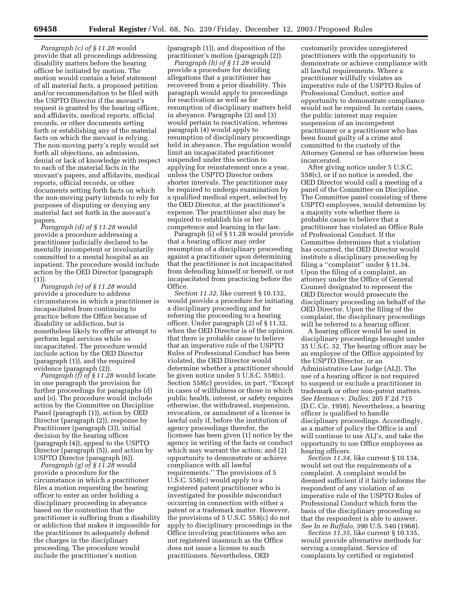*Paragraph (c) of § 11.28* would provide that all proceedings addressing disability matters before the hearing officer be initiated by motion. The motion would contain a brief statement of all material facts, a proposed petition and/or recommendation to be filed with the USPTO Director if the movant's request is granted by the hearing officer, and affidavits, medical reports, official records, or other documents setting forth or establishing any of the material facts on which the movant is relying. The non-moving party's reply would set forth all objections, an admission, denial or lack of knowledge with respect to each of the material facts in the movant's papers, and affidavits, medical reports, official records, or other documents setting forth facts on which the non-moving party intends to rely for purposes of disputing or denying any material fact set forth in the movant's papers.

*Paragraph (d) of § 11.28* would provide a procedure addressing a practitioner judicially declared to be mentally incompetent or involuntarily committed to a mental hospital as an inpatient. The procedure would include action by the OED Director (paragraph  $(1)$ 

*Paragraph (e) of § 11.28* would provide a procedure to address circumstances in which a practitioner is incapacitated from continuing to practice before the Office because of disability or addiction, but is nonetheless likely to offer or attempt to perform legal services while so incapacitated. The procedure would include action by the OED Director (paragraph (1)), and the required evidence (paragraph (2)).

*Paragraph (f) of § 11.28* would locate in one paragraph the provision for further proceedings for paragraphs (d) and (e). The procedure would include action by the Committee on Discipline Panel (paragraph (1)), action by OED Director (paragraph (2)), response by Practitioner (paragraph (3)), initial decision by the hearing officer (paragraph (4)), appeal to the USPTO Director (paragraph (5)), and action by USPTO Director (paragraph (6)).

*Paragraph (g) of § 11.28* would provide a procedure for the circumstance in which a practitioner files a motion requesting the hearing officer to enter an order holding a disciplinary proceeding in abeyance based on the contention that the practitioner is suffering from a disability or addiction that makes it impossible for the practitioner to adequately defend the charges in the disciplinary proceeding. The procedure would include the practitioner's motion

(paragraph (1)), and disposition of the practitioner's motion (paragraph (2)).

*Paragraph (h) of § 11.28* would provide a procedure for deciding allegations that a practitioner has recovered from a prior disability. This paragraph would apply to proceedings for reactivation as well as for resumption of disciplinary matters held in abeyance. Paragraphs (2) and (3) would pertain to reactivation, whereas paragraph (4) would apply to resumption of disciplinary proceedings held in abeyance. The regulation would limit an incapacitated practitioner suspended under this section to applying for reinstatement once a year, unless the USPTO Director orders shorter intervals. The practitioner may be required to undergo examination by a qualified medical expert, selected by the OED Director, at the practitioner's expense. The practitioner also may be required to establish his or her competence and learning in the law.

Paragraph (i) of § 11.28 would provide that a hearing officer may order resumption of a disciplinary proceeding against a practitioner upon determining that the practitioner is not incapacitated from defending himself or herself, or not incapacitated from practicing before the Office.

*Section 11.32,* like current § 10.132, would provide a procedure for initiating a disciplinary proceeding and for referring the proceeding to a hearing officer. Under paragraph (2) of § 11.32, when the OED Director is of the opinion that there is probable cause to believe that an imperative rule of the USPTO Rules of Professional Conduct has been violated, the OED Director would determine whether a practitioner should be given notice under 5 U.S.C. 558(c). Section 558(c) provides, in part, ''Except in cases of willfulness or those in which public health, interest, or safety requires otherwise, the withdrawal, suspension, revocation, or annulment of a license is lawful only if, before the institution of agency proceedings therefor, the licensee has been given (1) notice by the agency in writing of the facts or conduct which may warrant the action; and (2) opportunity to demonstrate or achieve compliance with all lawful requirements.'' The provisions of 5 U.S.C. 558(c) would apply to a registered patent practitioner who is investigated for possible misconduct occurring in connection with either a patent or a trademark matter. However, the provisions of 5 U.S.C. 558(c) do not apply to disciplinary proceedings in the Office involving practitioners who are not registered inasmuch as the Office does not issue a license to such practitioners. Nevertheless, OED

customarily provides unregistered practitioners with the opportunity to demonstrate or achieve compliance with all lawful requirements. Where a practitioner willfully violates an imperative rule of the USPTO Rules of Professional Conduct, notice and opportunity to demonstrate compliance would not be required. In certain cases, the public interest may require suspension of an incompetent practitioner or a practitioner who has been found guilty of a crime and committed to the custody of the Attorney General or has otherwise been incarcerated.

After giving notice under 5 U.S.C. 558(c), or if no notice is needed, the OED Director would call a meeting of a panel of the Committee on Discipline. The Committee panel consisting of three USPTO employees, would determine by a majority vote whether there is probable cause to believe that a practitioner has violated an Office Rule of Professional Conduct. If the Committee determines that a violation has occurred, the OED Director would institute a disciplinary proceeding by filing a ''complaint'' under § 11.34. Upon the filing of a complaint, an attorney under the Office of General Counsel designated to represent the OED Director would prosecute the disciplinary proceeding on behalf of the OED Director. Upon the filing of the complaint, the disciplinary proceedings will be referred to a hearing officer.

A hearing officer would be used in disciplinary proceedings brought under 35 U.S.C. 32. The hearing officer may be an employee of the Office appointed by the USPTO Director, or an Administrative Law Judge (ALJ). The use of a hearing officer is not required to suspend or exclude a practitioner in trademark or other non-patent matters. *See Herman* v. *Dulles,* 205 F.2d 715 (D.C. Cir. 1958). Nevertheless, a hearing officer is qualified to handle disciplinary proceedings. Accordingly, as a matter of policy the Office is and will continue to use ALJ's, and take the opportunity to use Office employees as hearing officers.

*Section 11.34,* like current § 10.134, would set out the requirements of a complaint. A complaint would be deemed sufficient if it fairly informs the respondent of any violation of an imperative rule of the USPTO Rules of Professional Conduct which form the basis of the disciplinary proceeding so that the respondent is able to answer. *See In re Ruffalo,* 390 U.S. 540 (1968).

*Section 11.35,* like current § 10.135, would provide alternative methods for serving a complaint. Service of complaints by certified or registered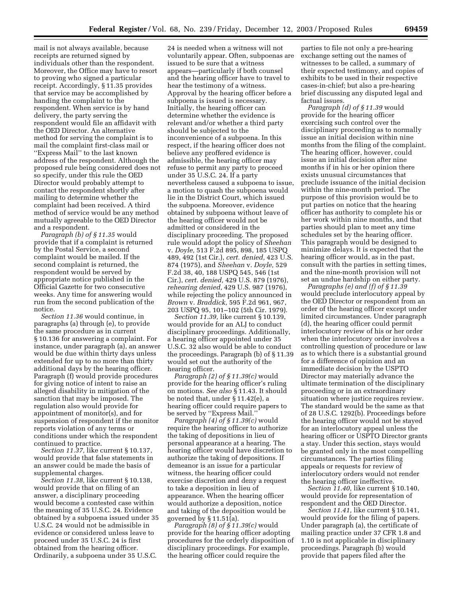mail is not always available, because receipts are returned signed by individuals other than the respondent. Moreover, the Office may have to resort to proving who signed a particular receipt. Accordingly, § 11.35 provides that service may be accomplished by handing the complaint to the respondent. When service is by hand delivery, the party serving the respondent would file an affidavit with the OED Director. An alternative method for serving the complaint is to mail the complaint first-class mail or ''Express Mail'' to the last known address of the respondent. Although the proposed rule being considered does not so specify, under this rule the OED Director would probably attempt to contact the respondent shortly after mailing to determine whether the complaint had been received. A third method of service would be any method mutually agreeable to the OED Director and a respondent.

*Paragraph (b) of § 11.35* would provide that if a complaint is returned by the Postal Service, a second complaint would be mailed. If the second complaint is returned, the respondent would be served by appropriate notice published in the Official Gazette for two consecutive weeks. Any time for answering would run from the second publication of the notice.

*Section 11.36* would continue, in paragraphs (a) through (e), to provide the same procedure as in current § 10.136 for answering a complaint. For instance, under paragraph (a), an answer would be due within thirty days unless extended for up to no more than thirty additional days by the hearing officer. Paragraph (f) would provide procedures for giving notice of intent to raise an alleged disability in mitigation of the sanction that may be imposed. The regulation also would provide for appointment of monitor(s), and for suspension of respondent if the monitor reports violation of any terms or conditions under which the respondent continued to practice.

*Section 11.37,* like current § 10.137, would provide that false statements in an answer could be made the basis of supplemental charges.

*Section 11.38,* like current § 10.138, would provide that on filing of an answer, a disciplinary proceeding would become a contested case within the meaning of 35 U.S.C. 24. Evidence obtained by a subpoena issued under 35 U.S.C. 24 would not be admissible in evidence or considered unless leave to proceed under 35 U.S.C. 24 is first obtained from the hearing officer. Ordinarily, a subpoena under 35 U.S.C.

24 is needed when a witness will not voluntarily appear. Often, subpoenas are issued to be sure that a witness appears—particularly if both counsel and the hearing officer have to travel to hear the testimony of a witness. Approval by the hearing officer before a subpoena is issued is necessary. Initially, the hearing officer can determine whether the evidence is relevant and/or whether a third party should be subjected to the inconvenience of a subpoena. In this respect, if the hearing officer does not believe any proffered evidence is admissible, the hearing officer may refuse to permit any party to proceed under 35 U.S.C. 24. If a party nevertheless caused a subpoena to issue, a motion to quash the subpoena would lie in the District Court, which issued the subpoena. Moreover, evidence obtained by subpoena without leave of the hearing officer would not be admitted or considered in the disciplinary proceeding. The proposed rule would adopt the policy of *Sheehan* v. *Doyle,* 513 F.2d 895, 898, 185 USPQ 489, 492 (1st Cir.), *cert. denied,* 423 U.S. 874 (1975), and *Sheehan* v. *Doyle,* 529 F.2d 38, 40, 188 USPQ 545, 546 (1st Cir.), *cert. denied,* 429 U.S. 879 (1976), *rehearing denied,* 429 U.S. 987 (1976), while rejecting the policy announced in *Brown* v. *Braddick,* 595 F.2d 961, 967, 203 USPQ 95, 101–102 (5th Cir. 1979).

*Section 11.39,* like current § 10.139, would provide for an ALJ to conduct disciplinary proceedings. Additionally, a hearing officer appointed under 35 U.S.C. 32 also would be able to conduct the proceedings. Paragraph (b) of § 11.39 would set out the authority of the hearing officer.

*Paragraph (2) of § 11.39(c)* would provide for the hearing officer's ruling on motions. *See also* § 11.43. It should be noted that, under § 11.42(e), a hearing officer could require papers to be served by ''Express Mail.''

*Paragraph (4) of § 11.39(c)* would require the hearing officer to authorize the taking of depositions in lieu of personal appearance at a hearing. The hearing officer would have discretion to authorize the taking of depositions. If demeanor is an issue for a particular witness, the hearing officer could exercise discretion and deny a request to take a deposition in lieu of appearance. When the hearing officer would authorize a deposition, notice and taking of the deposition would be governed by  $\S 11.51(a)$ .

*Paragraph (8) of § 11.39(c)* would provide for the hearing officer adopting procedures for the orderly disposition of disciplinary proceedings. For example, the hearing officer could require the

parties to file not only a pre-hearing exchange setting out the names of witnesses to be called, a summary of their expected testimony, and copies of exhibits to be used in their respective cases-in-chief; but also a pre-hearing brief discussing any disputed legal and factual issues.

*Paragraph (d) of § 11.39* would provide for the hearing officer exercising such control over the disciplinary proceeding as to normally issue an initial decision within nine months from the filing of the complaint. The hearing officer, however, could issue an initial decision after nine months if in his or her opinion there exists unusual circumstances that preclude issuance of the initial decision within the nine-month period. The purpose of this provision would be to put parties on notice that the hearing officer has authority to complete his or her work within nine months, and that parties should plan to meet any time schedules set by the hearing officer. This paragraph would be designed to minimize delays. It is expected that the hearing officer would, as in the past, consult with the parties in setting times, and the nine-month provision will not set an undue hardship on either party.

*Paragraphs (e) and (f) of § 11.39* would preclude interlocutory appeal by the OED Director or respondent from an order of the hearing officer except under limited circumstances. Under paragraph (d), the hearing officer could permit interlocutory review of his or her order when the interlocutory order involves a controlling question of procedure or law as to which there is a substantial ground for a difference of opinion and an immediate decision by the USPTO Director may materially advance the ultimate termination of the disciplinary proceeding or in an extraordinary situation where justice requires review. The standard would be the same as that of 28 U.S.C. 1292(b). Proceedings before the hearing officer would not be stayed for an interlocutory appeal unless the hearing officer or USPTO Director grants a stay. Under this section, stays would be granted only in the most compelling circumstances. The parties filing appeals or requests for review of interlocutory orders would not render the hearing officer ineffective.

*Section 11.40,* like current § 10.140, would provide for representation of respondent and the OED Director.

*Section 11.41,* like current § 10.141, would provide for the filing of papers. Under paragraph (a), the certificate of mailing practice under 37 CFR 1.8 and 1.10 is not applicable in disciplinary proceedings. Paragraph (b) would provide that papers filed after the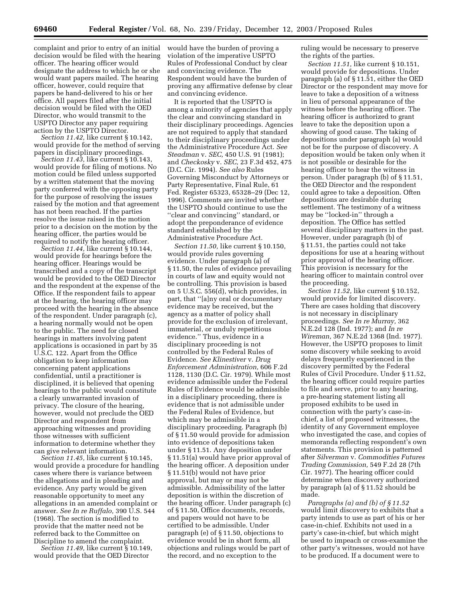complaint and prior to entry of an initial decision would be filed with the hearing officer. The hearing officer would designate the address to which he or she would want papers mailed. The hearing officer, however, could require that papers be hand-delivered to his or her office. All papers filed after the initial decision would be filed with the OED Director, who would transmit to the USPTO Director any paper requiring action by the USPTO Director.

*Section 11.42,* like current § 10.142, would provide for the method of serving papers in disciplinary proceedings.

*Section 11.43,* like current § 10.143, would provide for filing of motions. No motion could be filed unless supported by a written statement that the moving party conferred with the opposing party for the purpose of resolving the issues raised by the motion and that agreement has not been reached. If the parties resolve the issue raised in the motion prior to a decision on the motion by the hearing officer, the parties would be required to notify the hearing officer.

*Section 11.44,* like current § 10.144, would provide for hearings before the hearing officer. Hearings would be transcribed and a copy of the transcript would be provided to the OED Director and the respondent at the expense of the Office. If the respondent fails to appear at the hearing, the hearing officer may proceed with the hearing in the absence of the respondent. Under paragraph (c), a hearing normally would not be open to the public. The need for closed hearings in matters involving patent applications is occasioned in part by 35 U.S.C. 122. Apart from the Office obligation to keep information concerning patent applications confidential, until a practitioner is disciplined, it is believed that opening hearings to the public would constitute a clearly unwarranted invasion of privacy. The closure of the hearing, however, would not preclude the OED Director and respondent from approaching witnesses and providing those witnesses with sufficient information to determine whether they can give relevant information.

*Section 11.45,* like current § 10.145, would provide a procedure for handling cases where there is variance between the allegations and in pleading and evidence. Any party would be given reasonable opportunity to meet any allegations in an amended complaint or answer. *See In re Ruffalo,* 390 U.S. 544 (1968). The section is modified to provide that the matter need not be referred back to the Committee on Discipline to amend the complaint.

*Section 11.49,* like current § 10.149, would provide that the OED Director

would have the burden of proving a violation of the imperative USPTO Rules of Professional Conduct by clear and convincing evidence. The Respondent would have the burden of proving any affirmative defense by clear and convincing evidence.

It is reported that the USPTO is among a minority of agencies that apply the clear and convincing standard in their disciplinary proceedings. Agencies are not required to apply that standard to their disciplinary proceedings under the Administrative Procedure Act. *See Steadman* v. *SEC,* 450 U.S. 91 (1981); and *Checkosky* v. *SEC,* 23 F.3d 452, 475 (D.C. Cir. 1994). *See also* Rules Governing Misconduct by Attorneys or Party Representative, Final Rule, 61 Fed. Register 65323, 65328–29 (Dec 12, 1996). Comments are invited whether the USPTO should continue to use the ''clear and convincing'' standard, or adopt the preponderance of evidence standard established by the Administrative Procedure Act.

*Section 11.50,* like current § 10.150, would provide rules governing evidence. Under paragraph (a) of § 11.50, the rules of evidence prevailing in courts of law and equity would not be controlling. This provision is based on 5 U.S.C. 556(d), which provides, in part, that ''[a]ny oral or documentary evidence may be received, but the agency as a matter of policy shall provide for the exclusion of irrelevant, immaterial, or unduly repetitious evidence.'' Thus, evidence in a disciplinary proceeding is not controlled by the Federal Rules of Evidence. *See Klinestiver* v. *Drug Enforcement Administration,* 606 F.2d 1128, 1130 (D.C. Cir. 1979). While most evidence admissible under the Federal Rules of Evidence would be admissible in a disciplinary proceeding, there is evidence that is not admissible under the Federal Rules of Evidence, but which may be admissible in a disciplinary proceeding. Paragraph (b) of § 11.50 would provide for admission into evidence of depositions taken under § 11.51. Any deposition under § 11.51(a) would have prior approval of the hearing officer. A deposition under § 11.51(b) would not have prior approval, but may or may not be admissible. Admissibility of the latter deposition is within the discretion of the hearing officer. Under paragraph (c) of § 11.50, Office documents, records, and papers would not have to be certified to be admissible. Under paragraph (e) of § 11.50, objections to evidence would be in short form, all objections and rulings would be part of the record, and no exception to the

ruling would be necessary to preserve the rights of the parties.

*Section 11.51,* like current § 10.151, would provide for depositions. Under paragraph (a) of § 11.51, either the OED Director or the respondent may move for leave to take a deposition of a witness in lieu of personal appearance of the witness before the hearing officer. The hearing officer is authorized to grant leave to take the deposition upon a showing of good cause. The taking of depositions under paragraph (a) would not be for the purpose of discovery. A deposition would be taken only when it is not possible or desirable for the hearing officer to hear the witness in person. Under paragraph (b) of § 11.51, the OED Director and the respondent could agree to take a deposition. Often depositions are desirable during settlement. The testimony of a witness may be ''locked-in'' through a deposition. The Office has settled several disciplinary matters in the past. However, under paragraph (b) of § 11.51, the parties could not take depositions for use at a hearing without prior approval of the hearing officer. This provision is necessary for the hearing officer to maintain control over the proceeding.

*Section 11.52,* like current § 10.152, would provide for limited discovery. There are cases holding that discovery is not necessary in disciplinary proceedings. *See In re Murray,* 362 N.E.2d 128 (Ind. 1977); and *In re Wireman,* 367 N.E.2d 1368 (Ind. 1977). However, the USPTO proposes to limit some discovery while seeking to avoid delays frequently experienced in the discovery permitted by the Federal Rules of Civil Procedure. Under § 11.52, the hearing officer could require parties to file and serve, prior to any hearing, a pre-hearing statement listing all proposed exhibits to be used in connection with the party's case-inchief, a list of proposed witnesses, the identity of any Government employee who investigated the case, and copies of memoranda reflecting respondent's own statements. This provision is patterned after *Silverman* v. *Commodities Futures Trading Commission,* 549 F.2d 28 (7th Cir. 1977). The hearing officer could determine when discovery authorized by paragraph (a) of § 11.52 should be made.

*Paragraphs (a) and (b) of § 11.52* would limit discovery to exhibits that a party intends to use as part of his or her case-in-chief. Exhibits not used in a party's case-in-chief, but which might be used to impeach or cross-examine the other party's witnesses, would not have to be produced. If a document were to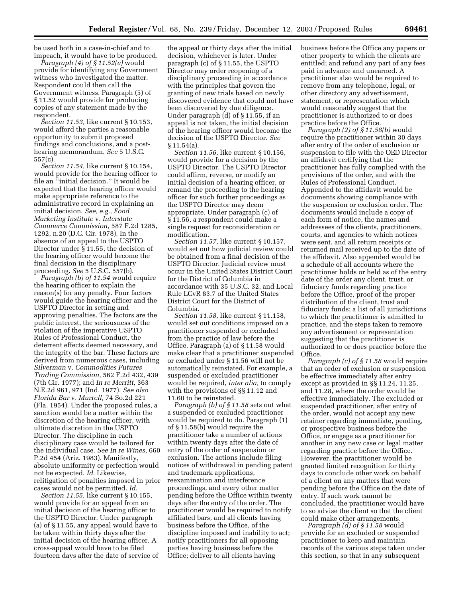be used both in a case-in-chief and to impeach, it would have to be produced.

*Paragraph (4) of § 11.52(e)* would provide for identifying any Government witness who investigated the matter. Respondent could then call the Government witness. Paragraph (5) of § 11.52 would provide for producing copies of any statement made by the respondent.

*Section 11.53,* like current § 10.153, would afford the parties a reasonable opportunity to submit proposed findings and conclusions, and a posthearing memorandum. *See* 5 U.S.C. 557(c).

*Section 11.54,* like current § 10.154, would provide for the hearing officer to file an ''initial decision.'' It would be expected that the hearing officer would make appropriate reference to the administrative record in explaining an initial decision. *See, e.g., Food Marketing Institute* v. *Interstate Commerce Commission,* 587 F.2d 1285, 1292, n.20 (D.C. Cir. 1978). In the absence of an appeal to the USPTO Director under § 11.55, the decision of the hearing officer would become the final decision in the disciplinary proceeding. *See* 5 U.S.C. 557(b).

*Paragraph (b) of 11.54* would require the hearing officer to explain the reason(s) for any penalty. Four factors would guide the hearing officer and the USPTO Director in setting and approving penalties. The factors are the public interest, the seriousness of the violation of the imperative USPTO Rules of Professional Conduct, the deterrent effects deemed necessary, and the integrity of the bar. These factors are derived from numerous cases, including *Silverman* v. *Commodities Futures Trading Commission,* 562 F.2d 432, 439 (7th Cir. 1977); and *In re Merritt,* 363 N.E.2d 961, 971 (Ind. 1977). *See also Florida Bar* v. *Murrell,* 74 So.2d 221 (Fla. 1954). Under the proposed rules, a sanction would be a matter within the discretion of the hearing officer, with ultimate discretion in the USPTO Director. The discipline in each disciplinary case would be tailored for the individual case. *See In re Wines,* 660 P.2d 454 (Ariz. 1983). Manifestly, absolute uniformity or perfection would not be expected. *Id.* Likewise, relitigation of penalties imposed in prior cases would not be permitted. *Id.*

*Section 11.55,* like current § 10.155, would provide for an appeal from an initial decision of the hearing officer to the USPTO Director. Under paragraph (a) of § 11.55, any appeal would have to be taken within thirty days after the initial decision of the hearing officer. A cross-appeal would have to be filed fourteen days after the date of service of

the appeal or thirty days after the initial decision, whichever is later. Under paragraph (c) of § 11.55, the USPTO Director may order reopening of a disciplinary proceeding in accordance with the principles that govern the granting of new trials based on newly discovered evidence that could not have been discovered by due diligence. Under paragraph (d) of § 11.55, if an appeal is not taken, the initial decision of the hearing officer would become the decision of the USPTO Director. *See* § 11.54(a).

*Section 11.56,* like current § 10.156, would provide for a decision by the USPTO Director. The USPTO Director could affirm, reverse, or modify an initial decision of a hearing officer, or remand the proceeding to the hearing officer for such further proceedings as the USPTO Director may deem appropriate. Under paragraph (c) of § 11.56, a respondent could make a single request for reconsideration or modification.

*Section 11.57,* like current § 10.157, would set out how judicial review could be obtained from a final decision of the USPTO Director. Judicial review must occur in the United States District Court for the District of Columbia in accordance with 35 U.S.C. 32, and Local Rule LCvR 83.7 of the United States District Court for the District of Columbia.

*Section 11.58,* like current § 11.158, would set out conditions imposed on a practitioner suspended or excluded from the practice of law before the Office. Paragraph (a) of § 11.58 would make clear that a practitioner suspended or excluded under § 11.56 will not be automatically reinstated. For example, a suspended or excluded practitioner would be required, *inter alia,* to comply with the provisions of §§ 11.12 and 11.60 to be reinstated.

*Paragraph (b) of § 11.58* sets out what a suspended or excluded practitioner would be required to do. Paragraph (1) of § 11.58(b) would require the practitioner take a number of actions within twenty days after the date of entry of the order of suspension or exclusion. The actions include filing notices of withdrawal in pending patent and trademark applications, reexamination and interference proceedings, and every other matter pending before the Office within twenty days after the entry of the order. The practitioner would be required to notify affiliated bars, and all clients having business before the Office, of the discipline imposed and inability to act; notify practitioners for all opposing parties having business before the Office; deliver to all clients having

business before the Office any papers or other property to which the clients are entitled; and refund any part of any fees paid in advance and unearned. A practitioner also would be required to remove from any telephone, legal, or other directory any advertisement, statement, or representation which would reasonably suggest that the practitioner is authorized to or does practice before the Office.

*Paragraph (2) of § 11.58(b)* would require the practitioner within 30 days after entry of the order of exclusion or suspension to file with the OED Director an affidavit certifying that the practitioner has fully complied with the provisions of the order, and with the Rules of Professional Conduct. Appended to the affidavit would be documents showing compliance with the suspension or exclusion order. The documents would include a copy of each form of notice, the names and addressees of the clients, practitioners, courts, and agencies to which notices were sent, and all return receipts or returned mail received up to the date of the affidavit. Also appended would be a schedule of all accounts where the practitioner holds or held as of the entry date of the order any client, trust, or fiduciary funds regarding practice before the Office, proof of the proper distribution of the client, trust and fiduciary funds; a list of all jurisdictions to which the practitioner is admitted to practice, and the steps taken to remove any advertisement or representation suggesting that the practitioner is authorized to or does practice before the Office.

*Paragraph (c) of § 11.58* would require that an order of exclusion or suspension be effective immediately after entry except as provided in §§ 11.24, 11.25, and 11.28, where the order would be effective immediately. The excluded or suspended practitioner, after entry of the order, would not accept any new retainer regarding immediate, pending, or prospective business before the Office, or engage as a practitioner for another in any new case or legal matter regarding practice before the Office. However, the practitioner would be granted limited recognition for thirty days to conclude other work on behalf of a client on any matters that were pending before the Office on the date of entry. If such work cannot be concluded, the practitioner would have to so advise the client so that the client could make other arrangements.

*Paragraph (d) of § 11.58* would provide for an excluded or suspended practitioner to keep and maintain records of the various steps taken under this section, so that in any subsequent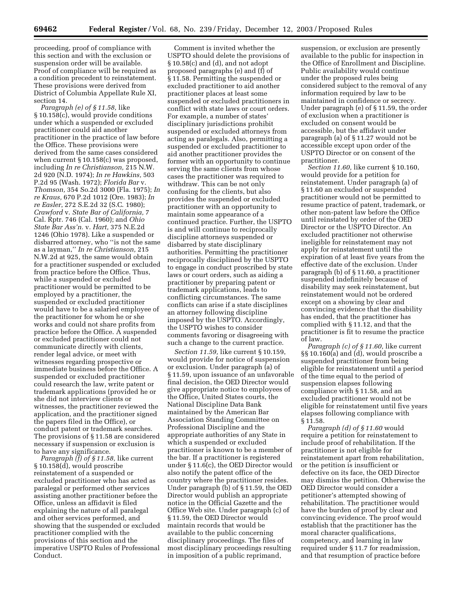proceeding, proof of compliance with this section and with the exclusion or suspension order will be available. Proof of compliance will be required as a condition precedent to reinstatement. These provisions were derived from District of Columbia Appellate Rule XI, section 14.

*Paragraph (e) of § 11.58,* like § 10.158(c), would provide conditions under which a suspended or excluded practitioner could aid another practitioner in the practice of law before the Office. These provisions were derived from the same cases considered when current  $\S 10.158(c)$  was proposed, including *In re Christianson,* 215 N.W. 2d 920 (N.D. 1974); *In re Hawkins,* 503 P.2d 95 (Wash. 1972); *Florida Bar* v. *Thomson,* 354 So.2d 3000 (Fla. 1975); *In re Kraus,* 670 P.2d 1012 (Ore. 1983); *In re Easler*, 272 S.E.2d 32 (S.C. 1980); *Crawford* v. *State Bar of California,* 7 Cal. Rptr. 746 (Cal. 1960); and *Ohio State Bar Ass'n.* v. *Hart,* 375 N.E.2d 1246 (Ohio 1978). Like a suspended or disbarred attorney, who ''is not the same as a layman,'' *In re Christianson,* 215 N.W.2d at 925, the same would obtain for a practitioner suspended or excluded from practice before the Office. Thus, while a suspended or excluded practitioner would be permitted to be employed by a practitioner, the suspended or excluded practitioner would have to be a salaried employee of the practitioner for whom he or she works and could not share profits from practice before the Office. A suspended or excluded practitioner could not communicate directly with clients, render legal advice, or meet with witnesses regarding prospective or immediate business before the Office. A suspended or excluded practitioner could research the law, write patent or trademark applications (provided he or she did not interview clients or witnesses, the practitioner reviewed the application, and the practitioner signed the papers filed in the Office), or conduct patent or trademark searches. The provisions of § 11.58 are considered necessary if suspension or exclusion is to have any significance.

*Paragraph (f) of § 11.58,* like current § 10.158(d), would proscribe reinstatement of a suspended or excluded practitioner who has acted as paralegal or performed other services assisting another practitioner before the Office, unless an affidavit is filed explaining the nature of all paralegal and other services performed, and showing that the suspended or excluded practitioner complied with the provisions of this section and the imperative USPTO Rules of Professional Conduct.

Comment is invited whether the USPTO should delete the provisions of § 10.58(c) and (d), and not adopt proposed paragraphs (e) and (f) of § 11.58. Permitting the suspended or excluded practitioner to aid another practitioner places at least some suspended or excluded practitioners in conflict with state laws or court orders. For example, a number of states' disciplinary jurisdictions prohibit suspended or excluded attorneys from acting as paralegals. Also, permitting a suspended or excluded practitioner to aid another practitioner provides the former with an opportunity to continue serving the same clients from whose cases the practitioner was required to withdraw. This can be not only confusing for the clients, but also provides the suspended or excluded practitioner with an opportunity to maintain some appearance of a continued practice. Further, the USPTO is and will continue to reciprocally discipline attorneys suspended or disbarred by state disciplinary authorities. Permitting the practitioner reciprocally disciplined by the USPTO to engage in conduct proscribed by state laws or court orders, such as aiding a practitioner by preparing patent or trademark applications, leads to conflicting circumstances. The same conflicts can arise if a state disciplines an attorney following discipline imposed by the USPTO. Accordingly, the USPTO wishes to consider comments favoring or disagreeing with such a change to the current practice.

*Section 11.59,* like current § 10.159, would provide for notice of suspension or exclusion. Under paragraph (a) of § 11.59, upon issuance of an unfavorable final decision, the OED Director would give appropriate notice to employees of the Office, United States courts, the National Discipline Data Bank maintained by the American Bar Association Standing Committee on Professional Discipline and the appropriate authorities of any State in which a suspended or excluded practitioner is known to be a member of the bar. If a practitioner is registered under § 11.6(c), the OED Director would also notify the patent office of the country where the practitioner resides. Under paragraph (b) of § 11.59, the OED Director would publish an appropriate notice in the Official Gazette and the Office Web site. Under paragraph (c) of § 11.59, the OED Director would maintain records that would be available to the public concerning disciplinary proceedings. The files of most disciplinary proceedings resulting in imposition of a public reprimand,

suspension, or exclusion are presently available to the public for inspection in the Office of Enrollment and Discipline. Public availability would continue under the proposed rules being considered subject to the removal of any information required by law to be maintained in confidence or secrecy. Under paragraph (e) of § 11.59, the order of exclusion when a practitioner is excluded on consent would be accessible, but the affidavit under paragraph (a) of § 11.27 would not be accessible except upon order of the USPTO Director or on consent of the practitioner.

*Section 11.60,* like current § 10.160, would provide for a petition for reinstatement. Under paragraph (a) of § 11.60 an excluded or suspended practitioner would not be permitted to resume practice of patent, trademark, or other non-patent law before the Office until reinstated by order of the OED Director or the USPTO Director. An excluded practitioner not otherwise ineligible for reinstatement may not apply for reinstatement until the expiration of at least five years from the effective date of the exclusion. Under paragraph (b) of § 11.60, a practitioner suspended indefinitely because of disability may seek reinstatement, but reinstatement would not be ordered except on a showing by clear and convincing evidence that the disability has ended, that the practitioner has complied with § 11.12, and that the practitioner is fit to resume the practice of law.

*Paragraph (c) of § 11.60,* like current §§ 10.160(a) and (d), would proscribe a suspended practitioner from being eligible for reinstatement until a period of the time equal to the period of suspension elapses following compliance with § 11.58, and an excluded practitioner would not be eligible for reinstatement until five years elapses following compliance with § 11.58.

*Paragraph (d) of § 11.60* would require a petition for reinstatement to include proof of rehabilitation. If the practitioner is not eligible for reinstatement apart from rehabilitation, or the petition is insufficient or defective on its face, the OED Director may dismiss the petition. Otherwise the OED Director would consider a petitioner's attempted showing of rehabilitation. The practitioner would have the burden of proof by clear and convincing evidence. The proof would establish that the practitioner has the moral character qualifications, competency, and learning in law required under § 11.7 for readmission, and that resumption of practice before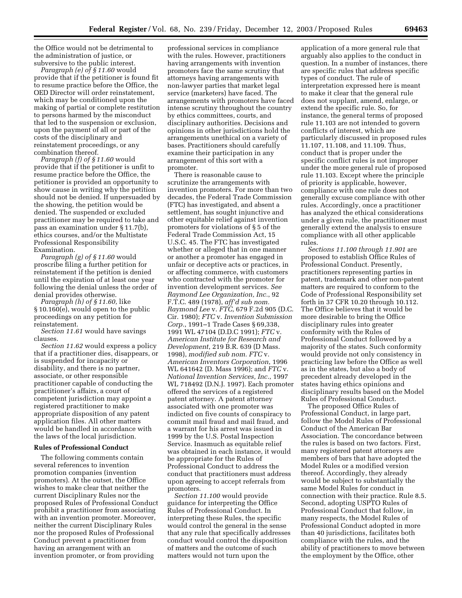the Office would not be detrimental to the administration of justice, or subversive to the public interest.

*Paragraph (e) of § 11.60* would provide that if the petitioner is found fit to resume practice before the Office, the OED Director will order reinstatement, which may be conditioned upon the making of partial or complete restitution to persons harmed by the misconduct that led to the suspension or exclusion, upon the payment of all or part of the costs of the disciplinary and reinstatement proceedings, or any combination thereof.

*Paragraph (f) of § 11.60* would provide that if the petitioner is unfit to resume practice before the Office, the petitioner is provided an opportunity to show cause in writing why the petition should not be denied. If unpersuaded by the showing, the petition would be denied. The suspended or excluded practitioner may be required to take and pass an examination under § 11.7(b), ethics courses, and/or the Multistate Professional Responsibility Examination.

*Paragraph (g) of § 11.60* would proscribe filing a further petition for reinstatement if the petition is denied until the expiration of at least one year following the denial unless the order of denial provides otherwise.

*Paragraph (h) of § 11.60,* like § 10.160(e), would open to the public proceedings on any petition for reinstatement.

*Section 11.61* would have savings clauses.

*Section 11.62* would express a policy that if a practitioner dies, disappears, or is suspended for incapacity or disability, and there is no partner, associate, or other responsible practitioner capable of conducting the practitioner's affairs, a court of competent jurisdiction may appoint a registered practitioner to make appropriate disposition of any patent application files. All other matters would be handled in accordance with the laws of the local jurisdiction.

#### **Rules of Professional Conduct**

The following comments contain several references to invention promotion companies (invention promoters). At the outset, the Office wishes to make clear that neither the current Disciplinary Rules nor the proposed Rules of Professional Conduct prohibit a practitioner from associating with an invention promoter. Moreover, neither the current Disciplinary Rules nor the proposed Rules of Professional Conduct prevent a practitioner from having an arrangement with an invention promoter, or from providing

professional services in compliance with the rules. However, practitioners having arrangements with invention promoters face the same scrutiny that attorneys having arrangements with non-lawyer parties that market legal service (marketers) have faced. The arrangements with promoters have faced intense scrutiny throughout the country by ethics committees, courts, and disciplinary authorities. Decisions and opinions in other jurisdictions hold the arrangements unethical on a variety of bases. Practitioners should carefully examine their participation in any arrangement of this sort with a promoter.

There is reasonable cause to scrutinize the arrangements with invention promoters. For more than two decades, the Federal Trade Commission (FTC) has investigated, and absent a settlement, has sought injunctive and other equitable relief against invention promoters for violations of § 5 of the Federal Trade Commission Act, 15 U.S.C. 45. The FTC has investigated whether or alleged that in one manner or another a promoter has engaged in unfair or deceptive acts or practices, in or affecting commerce, with customers who contracted with the promoter for invention development services. *See Raymond Lee Organization, Inc.*, 92 F.T.C. 489 (1978), *aff'd sub nom. Raymond Lee* v. *FTC*, 679 F.2d 905 (D.C. Cir. 1980); *FTC* v. *Invention Submission Corp.*, 1991–1 Trade Cases § 69,338, 1991 WL 47104 (D.D.C 1991); *FTC* v. *American Institute for Research and Development*, 219 B.R. 639 (D Mass. 1998), *modified sub nom. FTC* v. *American Inventors Corporation*, 1996 WL 641642 (D. Mass 1996); and *FTC* v. *National Invention Services, Inc.*, 1997 WL 718492 (D.N.J. 1997). Each promoter offered the services of a registered patent attorney. A patent attorney associated with one promoter was indicted on five counts of conspiracy to commit mail fraud and mail fraud, and a warrant for his arrest was issued in 1999 by the U.S. Postal Inspection Service. Inasmuch as equitable relief was obtained in each instance, it would be appropriate for the Rules of Professional Conduct to address the conduct that practitioners must address upon agreeing to accept referrals from promoters.

*Section 11.100* would provide guidance for interpreting the Office Rules of Professional Conduct. In interpreting these Rules, the specific would control the general in the sense that any rule that specifically addresses conduct would control the disposition of matters and the outcome of such matters would not turn upon the

application of a more general rule that arguably also applies to the conduct in question. In a number of instances, there are specific rules that address specific types of conduct. The rule of interpretation expressed here is meant to make it clear that the general rule does not supplant, amend, enlarge, or extend the specific rule. So, for instance, the general terms of proposed rule 11.103 are not intended to govern conflicts of interest, which are particularly discussed in proposed rules 11.107, 11.108, and 11.109. Thus, conduct that is proper under the specific conflict rules is not improper under the more general rule of proposed rule 11.103. Except where the principle of priority is applicable, however, compliance with one rule does not generally excuse compliance with other rules. Accordingly, once a practitioner has analyzed the ethical considerations under a given rule, the practitioner must generally extend the analysis to ensure compliance with all other applicable rules.

*Sections 11.100 through 11.901* are proposed to establish Office Rules of Professional Conduct. Presently, practitioners representing parties in patent, trademark and other non-patent matters are required to conform to the Code of Professional Responsibility set forth in 37 CFR 10.20 through 10.112. The Office believes that it would be more desirable to bring the Office disciplinary rules into greater conformity with the Rules of Professional Conduct followed by a majority of the states. Such conformity would provide not only consistency in practicing law before the Office as well as in the states, but also a body of precedent already developed in the states having ethics opinions and disciplinary results based on the Model Rules of Professional Conduct.

The proposed Office Rules of Professional Conduct, in large part, follow the Model Rules of Professional Conduct of the American Bar Association. The concordance between the rules is based on two factors. First, many registered patent attorneys are members of bars that have adopted the Model Rules or a modified version thereof. Accordingly, they already would be subject to substantially the same Model Rules for conduct in connection with their practice. Rule 8.5. Second, adopting USPTO Rules of Professional Conduct that follow, in many respects, the Model Rules of Professional Conduct adopted in more than 40 jurisdictions, facilitates both compliance with the rules, and the ability of practitioners to move between the employment by the Office, other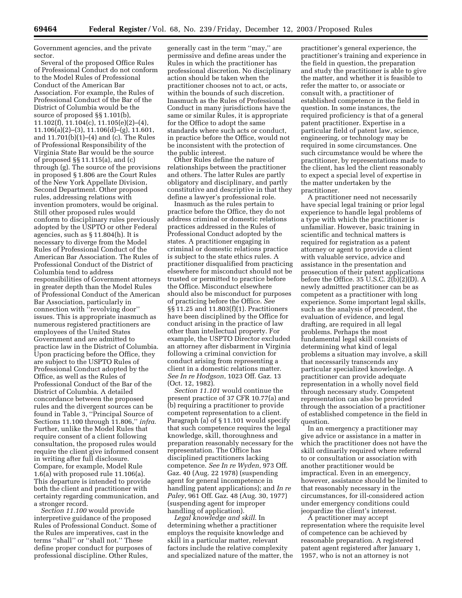Government agencies, and the private sector.

Several of the proposed Office Rules of Professional Conduct do not conform to the Model Rules of Professional Conduct of the American Bar Association. For example, the Rules of Professional Conduct of the Bar of the District of Columbia would be the source of proposed §§ 1.101(b), 11.102(f), 11.104(c), 11.105(e)(2)–(4), 11.106(a)(2)–(3), 11.106(d)–(g), 11.601, and 11.701(b)(1)–(4) and (c). The Rules of Professional Responsibility of the Virginia State Bar would be the source of proposed §§ 11.115(a), and (c) through (g). The source of the provisions in proposed § 1.806 are the Court Rules of the New York Appellate Division, Second Department. Other proposed rules, addressing relations with invention promoters, would be original. Still other proposed rules would conform to disciplinary rules previously adopted by the USPTO or other Federal agencies, such as § 11.804(h). It is necessary to diverge from the Model Rules of Professional Conduct of the American Bar Association. The Rules of Professional Conduct of the District of Columbia tend to address responsibilities of Government attorneys in greater depth than the Model Rules of Professional Conduct of the American Bar Association, particularly in connection with ''revolving door'' issues. This is appropriate inasmuch as numerous registered practitioners are employees of the United States Government and are admitted to practice law in the District of Columbia. Upon practicing before the Office, they are subject to the USPTO Rules of Professional Conduct adopted by the Office, as well as the Rules of Professional Conduct of the Bar of the District of Columbia. A detailed concordance between the proposed rules and the divergent sources can be found in Table 3, ''Principal Source of Sections 11.100 through 11.806,'' *infra*. Further, unlike the Model Rules that require consent of a client following consultation, the proposed rules would require the client give informed consent in writing after full disclosure. Compare, for example, Model Rule 1.6(a) with proposed rule 11.106(a). This departure is intended to provide both the client and practitioner with certainty regarding communication, and a stronger record.

*Section 11.100* would provide interpretive guidance of the proposed Rules of Professional Conduct. Some of the Rules are imperatives, cast in the terms ''shall'' or ''shall not.'' These define proper conduct for purposes of professional discipline. Other Rules,

generally cast in the term ''may,'' are permissive and define areas under the Rules in which the practitioner has professional discretion. No disciplinary action should be taken when the practitioner chooses not to act, or acts, within the bounds of such discretion. Inasmuch as the Rules of Professional Conduct in many jurisdictions have the same or similar Rules, it is appropriate for the Office to adopt the same standards where such acts or conduct, in practice before the Office, would not be inconsistent with the protection of the public interest.

Other Rules define the nature of relationships between the practitioner and others. The latter Rules are partly obligatory and disciplinary, and partly constitutive and descriptive in that they define a lawyer's professional role.

Inasmuch as the rules pertain to practice before the Office, they do not address criminal or domestic relations practices addressed in the Rules of Professional Conduct adopted by the states. A practitioner engaging in criminal or domestic relations practice is subject to the state ethics rules. A practitioner disqualified from practicing elsewhere for misconduct should not be trusted or permitted to practice before the Office. Misconduct elsewhere should also be misconduct for purposes of practicing before the Office. *See* §§ 11.25 and 11.803(f)(1). Practitioners have been disciplined by the Office for conduct arising in the practice of law other than intellectual property. For example, the USPTO Director excluded an attorney after disbarment in Virginia following a criminal conviction for conduct arising from representing a client in a domestic relations matter. *See In re Hodgson*, 1023 Off. Gaz. 13 (Oct. 12, 1982).

*Section 11.101* would continue the present practice of 37 CFR 10.77(a) and (b) requiring a practitioner to provide competent representation to a client. Paragraph (a) of § 11.101 would specify that such competence requires the legal knowledge, skill, thoroughness and preparation reasonably necessary for the representation. The Office has disciplined practitioners lacking competence. *See In re Wyden*, 973 Off. Gaz. 40 (Aug. 22 1978) (suspending agent for general incompetence in handling patent applications); and *In re Paley*, 961 Off. Gaz. 48 (Aug. 30, 1977) (suspending agent for improper handling of application).

*Legal knowledge and skill*. In determining whether a practitioner employs the requisite knowledge and skill in a particular matter, relevant factors include the relative complexity and specialized nature of the matter, the

practitioner's general experience, the practitioner's training and experience in the field in question, the preparation and study the practitioner is able to give the matter, and whether it is feasible to refer the matter to, or associate or consult with, a practitioner of established competence in the field in question. In some instances, the required proficiency is that of a general patent practitioner. Expertise in a particular field of patent law, science, engineering, or technology may be required in some circumstances. One such circumstance would be where the practitioner, by representations made to the client, has led the client reasonably to expect a special level of expertise in the matter undertaken by the practitioner.

A practitioner need not necessarily have special legal training or prior legal experience to handle legal problems of a type with which the practitioner is unfamiliar. However, basic training in scientific and technical matters is required for registration as a patent attorney or agent to provide a client with valuable service, advice and assistance in the presentation and prosecution of their patent applications before the Office. 35 U.S.C. 2(b)(2)(D). A newly admitted practitioner can be as competent as a practitioner with long experience. Some important legal skills, such as the analysis of precedent, the evaluation of evidence, and legal drafting, are required in all legal problems. Perhaps the most fundamental legal skill consists of determining what kind of legal problems a situation may involve, a skill that necessarily transcends any particular specialized knowledge. A practitioner can provide adequate representation in a wholly novel field through necessary study. Competent representation can also be provided through the association of a practitioner of established competence in the field in question.

In an emergency a practitioner may give advice or assistance in a matter in which the practitioner does not have the skill ordinarily required where referral to or consultation or association with another practitioner would be impractical. Even in an emergency, however, assistance should be limited to that reasonably necessary in the circumstances, for ill-considered action under emergency conditions could jeopardize the client's interest.

A practitioner may accept representation where the requisite level of competence can be achieved by reasonable preparation. A registered patent agent registered after January 1, 1957, who is not an attorney is not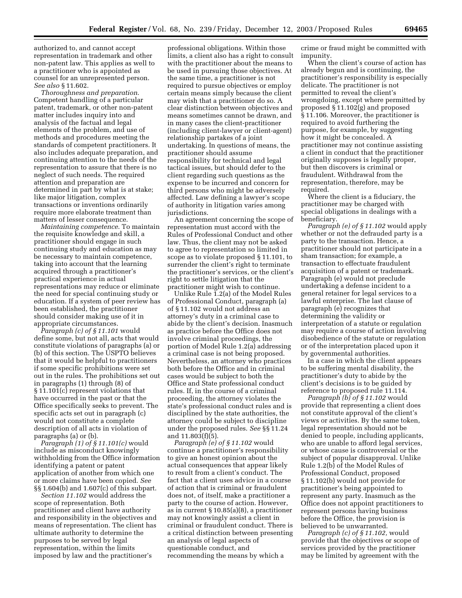authorized to, and cannot accept representation in trademark and other non-patent law. This applies as well to a practitioner who is appointed as counsel for an unrepresented person. *See also* § 11.602.

*Thoroughness and preparation*. Competent handling of a particular patent, trademark, or other non-patent matter includes inquiry into and analysis of the factual and legal elements of the problem, and use of methods and procedures meeting the standards of competent practitioners. It also includes adequate preparation, and continuing attention to the needs of the representation to assure that there is no neglect of such needs. The required attention and preparation are determined in part by what is at stake; like major litigation, complex transactions or inventions ordinarily require more elaborate treatment than matters of lesser consequence.

*Maintaining competence*. To maintain the requisite knowledge and skill, a practitioner should engage in such continuing study and education as may be necessary to maintain competence, taking into account that the learning acquired through a practitioner's practical experience in actual representations may reduce or eliminate the need for special continuing study or education. If a system of peer review has been established, the practitioner should consider making use of it in appropriate circumstances.

*Paragraph (c) of § 11.101* would define some, but not all, acts that would constitute violations of paragraphs (a) or (b) of this section. The USPTO believes that it would be helpful to practitioners if some specific prohibitions were set out in the rules. The prohibitions set out in paragraphs (1) through (8) of § 11.101(c) represent violations that have occurred in the past or that the Office specifically seeks to prevent. The specific acts set out in paragraph (c) would not constitute a complete description of all acts in violation of paragraphs (a) or (b).

*Paragraph (1) of § 11.101(c)* would include as misconduct knowingly withholding from the Office information identifying a patent or patent application of another from which one or more claims have been copied. *See* §§ 1.604(b) and 1.607(c) of this subpart.

*Section 11.102* would address the scope of representation. Both practitioner and client have authority and responsibility in the objectives and means of representation. The client has ultimate authority to determine the purposes to be served by legal representation, within the limits imposed by law and the practitioner's

professional obligations. Within those limits, a client also has a right to consult with the practitioner about the means to be used in pursuing those objectives. At the same time, a practitioner is not required to pursue objectives or employ certain means simply because the client may wish that a practitioner do so. A clear distinction between objectives and means sometimes cannot be drawn, and in many cases the client-practitioner (including client-lawyer or client-agent) relationship partakes of a joint undertaking. In questions of means, the practitioner should assume responsibility for technical and legal tactical issues, but should defer to the client regarding such questions as the expense to be incurred and concern for third persons who might be adversely affected. Law defining a lawyer's scope of authority in litigation varies among jurisdictions.

An agreement concerning the scope of representation must accord with the Rules of Professional Conduct and other law. Thus, the client may not be asked to agree to representation so limited in scope as to violate proposed § 11.101, to surrender the client's right to terminate the practitioner's services, or the client's right to settle litigation that the practitioner might wish to continue.

Unlike Rule 1.2(a) of the Model Rules of Professional Conduct, paragraph (a) of § 11.102 would not address an attorney's duty in a criminal case to abide by the client's decision. Inasmuch as practice before the Office does not involve criminal proceedings, the portion of Model Rule 1.2(a) addressing a criminal case is not being proposed. Nevertheless, an attorney who practices both before the Office and in criminal cases would be subject to both the Office and State professional conduct rules. If, in the course of a criminal proceeding, the attorney violates the state's professional conduct rules and is disciplined by the state authorities, the attorney could be subject to discipline under the proposed rules. *See* §§ 11.24 and 11.803(f)(5).

*Paragraph (e) of § 11.102* would continue a practitioner's responsibility to give an honest opinion about the actual consequences that appear likely to result from a client's conduct. The fact that a client uses advice in a course of action that is criminal or fraudulent does not, of itself, make a practitioner a party to the course of action. However, as in current § 10.85(a)(8), a practitioner may not knowingly assist a client in criminal or fraudulent conduct. There is a critical distinction between presenting an analysis of legal aspects of questionable conduct, and recommending the means by which a

crime or fraud might be committed with impunity.

When the client's course of action has already begun and is continuing, the practitioner's responsibility is especially delicate. The practitioner is not permitted to reveal the client's wrongdoing, except where permitted by proposed § 11.102(g) and proposed § 11.106. Moreover, the practitioner is required to avoid furthering the purpose, for example, by suggesting how it might be concealed. A practitioner may not continue assisting a client in conduct that the practitioner originally supposes is legally proper, but then discovers is criminal or fraudulent. Withdrawal from the representation, therefore, may be required.

Where the client is a fiduciary, the practitioner may be charged with special obligations in dealings with a beneficiary.

*Paragraph (e) of § 11.102* would apply whether or not the defrauded party is a party to the transaction. Hence, a practitioner should not participate in a sham transaction; for example, a transaction to effectuate fraudulent acquisition of a patent or trademark. Paragraph (e) would not preclude undertaking a defense incident to a general retainer for legal services to a lawful enterprise. The last clause of paragraph (e) recognizes that determining the validity or interpretation of a statute or regulation may require a course of action involving disobedience of the statute or regulation or of the interpretation placed upon it by governmental authorities.

In a case in which the client appears to be suffering mental disability, the practitioner's duty to abide by the client's decisions is to be guided by reference to proposed rule 11.114.

*Paragraph (b) of § 11.102* would provide that representing a client does not constitute approval of the client's views or activities. By the same token, legal representation should not be denied to people, including applicants, who are unable to afford legal services, or whose cause is controversial or the subject of popular disapproval. Unlike Rule 1.2(b) of the Model Rules of Professional Conduct, proposed § 11.102(b) would not provide for practitioner's being appointed to represent any party. Inasmuch as the Office does not appoint practitioners to represent persons having business before the Office, the provision is believed to be unwarranted.

*Paragraph (c) of § 11.102,* would provide that the objectives or scope of services provided by the practitioner may be limited by agreement with the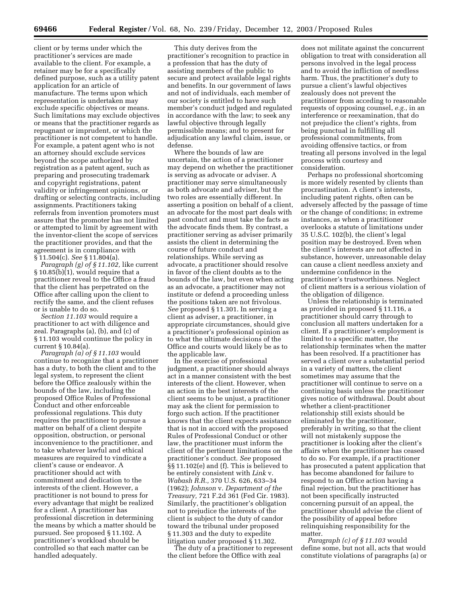client or by terms under which the practitioner's services are made available to the client. For example, a retainer may be for a specifically defined purpose, such as a utility patent application for an article of manufacture. The terms upon which representation is undertaken may exclude specific objectives or means. Such limitations may exclude objectives or means that the practitioner regards as repugnant or imprudent, or which the practitioner is not competent to handle. For example, a patent agent who is not an attorney should exclude services beyond the scope authorized by registration as a patent agent, such as preparing and prosecuting trademark and copyright registrations, patent validity or infringement opinions, or drafting or selecting contracts, including assignments. Practitioners taking referrals from invention promoters must assure that the promoter has not limited or attempted to limit by agreement with the inventor-client the scope of services the practitioner provides, and that the agreement is in compliance with § 11.504(c). *See* § 11.804(a).

*Paragraph (g) of § 11.102,* like current § 10.85(b)(1), would require that a practitioner reveal to the Office a fraud that the client has perpetrated on the Office after calling upon the client to rectify the same, and the client refuses or is unable to do so.

*Section 11.103* would require a practitioner to act with diligence and zeal. Paragraphs (a), (b), and (c) of § 11.103 would continue the policy in current § 10.84(a).

*Paragraph (a) of § 11.103* would continue to recognize that a practitioner has a duty, to both the client and to the legal system, to represent the client before the Office zealously within the bounds of the law, including the proposed Office Rules of Professional Conduct and other enforceable professional regulations. This duty requires the practitioner to pursue a matter on behalf of a client despite opposition, obstruction, or personal inconvenience to the practitioner, and to take whatever lawful and ethical measures are required to vindicate a client's cause or endeavor. A practitioner should act with commitment and dedication to the interests of the client. However, a practitioner is not bound to press for every advantage that might be realized for a client. A practitioner has professional discretion in determining the means by which a matter should be pursued. See proposed § 11.102. A practitioner's workload should be controlled so that each matter can be handled adequately.

This duty derives from the practitioner's recognition to practice in a profession that has the duty of assisting members of the public to secure and protect available legal rights and benefits. In our government of laws and not of individuals, each member of our society is entitled to have such member's conduct judged and regulated in accordance with the law; to seek any lawful objective through legally permissible means; and to present for adjudication any lawful claim, issue, or defense.

Where the bounds of law are uncertain, the action of a practitioner may depend on whether the practitioner is serving as advocate or adviser. A practitioner may serve simultaneously as both advocate and adviser, but the two roles are essentially different. In asserting a position on behalf of a client, an advocate for the most part deals with past conduct and must take the facts as the advocate finds them. By contrast, a practitioner serving as adviser primarily assists the client in determining the course of future conduct and relationships. While serving as advocate, a practitioner should resolve in favor of the client doubts as to the bounds of the law, but even when acting as an advocate, a practitioner may not institute or defend a proceeding unless the positions taken are not frivolous. *See* proposed § 11.301. In serving a client as adviser, a practitioner, in appropriate circumstances, should give a practitioner's professional opinion as to what the ultimate decisions of the Office and courts would likely be as to the applicable law.

In the exercise of professional judgment, a practitioner should always act in a manner consistent with the best interests of the client. However, when an action in the best interests of the client seems to be unjust, a practitioner may ask the client for permission to forgo such action. If the practitioner knows that the client expects assistance that is not in accord with the proposed Rules of Professional Conduct or other law, the practitioner must inform the client of the pertinent limitations on the practitioner's conduct. *See* proposed §§ 11.102(e) and (f). This is believed to be entirely consistent with *Link* v. *Wabash R.R.,* 370 U.S. 626, 633–34 (1962); *Johnson* v. *Department of the Treasury,* 721 F.2d 361 (Fed Cir. 1983). Similarly, the practitioner's obligation not to prejudice the interests of the client is subject to the duty of candor toward the tribunal under proposed § 11.303 and the duty to expedite litigation under proposed § 11.302.

The duty of a practitioner to represent the client before the Office with zeal

does not militate against the concurrent obligation to treat with consideration all persons involved in the legal process and to avoid the infliction of needless harm. Thus, the practitioner's duty to pursue a client's lawful objectives zealously does not prevent the practitioner from acceding to reasonable requests of opposing counsel, *e.g.*, in an interference or reexamination, that do not prejudice the client's rights, from being punctual in fulfilling all professional commitments, from avoiding offensive tactics, or from treating all persons involved in the legal process with courtesy and consideration.

Perhaps no professional shortcoming is more widely resented by clients than procrastination. A client's interests, including patent rights, often can be adversely affected by the passage of time or the change of conditions; in extreme instances, as when a practitioner overlooks a statute of limitations under 35 U.S.C. 102(b), the client's legal position may be destroyed. Even when the client's interests are not affected in substance, however, unreasonable delay can cause a client needless anxiety and undermine confidence in the practitioner's trustworthiness. Neglect of client matters is a serious violation of the obligation of diligence.

Unless the relationship is terminated as provided in proposed § 11.116, a practitioner should carry through to conclusion all matters undertaken for a client. If a practitioner's employment is limited to a specific matter, the relationship terminates when the matter has been resolved. If a practitioner has served a client over a substantial period in a variety of matters, the client sometimes may assume that the practitioner will continue to serve on a continuing basis unless the practitioner gives notice of withdrawal. Doubt about whether a client-practitioner relationship still exists should be eliminated by the practitioner, preferably in writing, so that the client will not mistakenly suppose the practitioner is looking after the client's affairs when the practitioner has ceased to do so. For example, if a practitioner has prosecuted a patent application that has become abandoned for failure to respond to an Office action having a final rejection, but the practitioner has not been specifically instructed concerning pursuit of an appeal, the practitioner should advise the client of the possibility of appeal before relinquishing responsibility for the matter.

*Paragraph (c) of § 11.103* would define some, but not all, acts that would constitute violations of paragraphs (a) or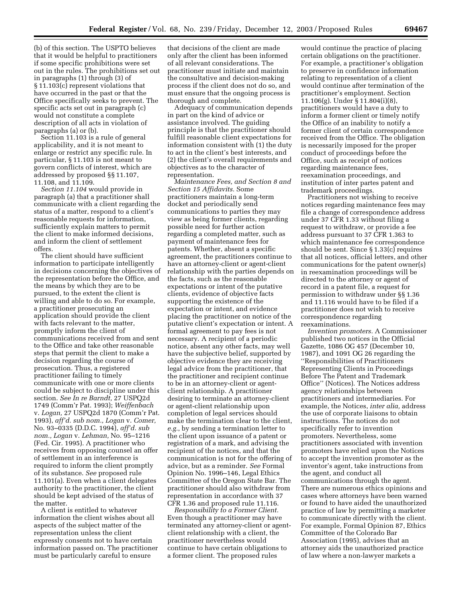(b) of this section. The USPTO believes that it would be helpful to practitioners if some specific prohibitions were set out in the rules. The prohibitions set out in paragraphs (1) through (3) of § 11.103(c) represent violations that have occurred in the past or that the Office specifically seeks to prevent. The specific acts set out in paragraph (c) would not constitute a complete description of all acts in violation of paragraphs (a) or (b).

Section 11.103 is a rule of general applicability, and it is not meant to enlarge or restrict any specific rule. In particular, § 11.103 is not meant to govern conflicts of interest, which are addressed by proposed §§ 11.107, 11.108, and 11.109.

*Section 11.104* would provide in paragraph (a) that a practitioner shall communicate with a client regarding the status of a matter, respond to a client's reasonable requests for information, sufficiently explain matters to permit the client to make informed decisions, and inform the client of settlement offers.

The client should have sufficient information to participate intelligently in decisions concerning the objectives of the representation before the Office, and the means by which they are to be pursued, to the extent the client is willing and able to do so. For example, a practitioner prosecuting an application should provide the client with facts relevant to the matter, promptly inform the client of communications received from and sent to the Office and take other reasonable steps that permit the client to make a decision regarding the course of prosecution. Thus, a registered practitioner failing to timely communicate with one or more clients could be subject to discipline under this section. *See In re Barndt,* 27 USPQ2d 1749 (Comm'r Pat. 1993); *Weiffenbach* v. *Logan,* 27 USPQ2d 1870 (Comm'r Pat. 1993), *aff'd. sub nom., Logan* v. *Comer,* No. 93–0335 (D.D.C. 1994), *aff'd. sub nom., Logan* v. *Lehman,* No. 95–1216 (Fed. Cir. 1995). A practitioner who receives from opposing counsel an offer of settlement in an interference is required to inform the client promptly of its substance. *See* proposed rule 11.101(a). Even when a client delegates authority to the practitioner, the client should be kept advised of the status of the matter.

A client is entitled to whatever information the client wishes about all aspects of the subject matter of the representation unless the client expressly consents not to have certain information passed on. The practitioner must be particularly careful to ensure

that decisions of the client are made only after the client has been informed of all relevant considerations. The practitioner must initiate and maintain the consultative and decision-making process if the client does not do so, and must ensure that the ongoing process is thorough and complete.

Adequacy of communication depends in part on the kind of advice or assistance involved. The guiding principle is that the practitioner should fulfill reasonable client expectations for information consistent with (1) the duty to act in the client's best interests, and (2) the client's overall requirements and objectives as to the character of representation.

*Maintenance Fees, and Section 8 and Section 15 Affidavits.* Some practitioners maintain a long-term docket and periodically send communications to parties they may view as being former clients, regarding possible need for further action regarding a completed matter, such as payment of maintenance fees for patents. Whether, absent a specific agreement, the practitioners continue to have an attorney-client or agent-client relationship with the parties depends on the facts, such as the reasonable expectations or intent of the putative clients, evidence of objective facts supporting the existence of the expectation or intent, and evidence placing the practitioner on notice of the putative client's expectation or intent. A formal agreement to pay fees is not necessary. A recipient of a periodic notice, absent any other facts, may well have the subjective belief, supported by objective evidence they are receiving legal advice from the practitioner, that the practitioner and recipient continue to be in an attorney-client or agentclient relationship. A practitioner desiring to terminate an attorney-client or agent-client relationship upon completion of legal services should make the termination clear to the client, *e.g.*, by sending a termination letter to the client upon issuance of a patent or registration of a mark, and advising the recipient of the notices, and that the communication is not for the offering of advice, but as a reminder. *See* Formal Opinion No. 1996–146, Legal Ethics Committee of the Oregon State Bar. The practitioner should also withdraw from representation in accordance with 37 CFR 1.36 and proposed rule 11.116.

*Responsibility to a Former Client.* Even though a practitioner may have terminated any attorney-client or agentclient relationship with a client, the practitioner nevertheless would continue to have certain obligations to a former client. The proposed rules

would continue the practice of placing certain obligations on the practitioner. For example, a practitioner's obligation to preserve in confidence information relating to representation of a client would continue after termination of the practitioner's employment. Section 11.106(g). Under § 11.804(i)(8), practitioners would have a duty to inform a former client or timely notify the Office of an inability to notify a former client of certain correspondence received from the Office. The obligation is necessarily imposed for the proper conduct of proceedings before the Office, such as receipt of notices regarding maintenance fees, reexamination proceedings, and institution of inter partes patent and trademark proceedings.

Practitioners not wishing to receive notices regarding maintenance fees may file a change of correspondence address under 37 CFR 1.33 without filing a request to withdraw, or provide a fee address pursuant to 37 CFR 1.363 to which maintenance fee correspondence should be sent. Since § 1.33(c) requires that all notices, official letters, and other communications for the patent owner(s) in reexamination proceedings will be directed to the attorney or agent of record in a patent file, a request for permission to withdraw under §§ 1.36 and 11.116 would have to be filed if a practitioner does not wish to receive correspondence regarding reexaminations.

*Invention promoters.* A Commissioner published two notices in the Official Gazette, 1086 OG 457 (December 10, 1987), and 1091 OG 26 regarding the ''Responsibilities of Practitioners Representing Clients in Proceedings Before The Patent and Trademark Office'' (Notices). The Notices address agency relationships between practitioners and intermediaries. For example, the Notices, *inter alia,* address the use of corporate liaisons to obtain instructions. The notices do not specifically refer to invention promoters. Nevertheless, some practitioners associated with invention promoters have relied upon the Notices to accept the invention promoter as the inventor's agent, take instructions from the agent, and conduct all communications through the agent. There are numerous ethics opinions and cases where attorneys have been warned or found to have aided the unauthorized practice of law by permitting a marketer to communicate directly with the client. For example, Formal Opinion 87, Ethics Committee of the Colorado Bar Association (1995), advises that an attorney aids the unauthorized practice of law where a non-lawyer markets a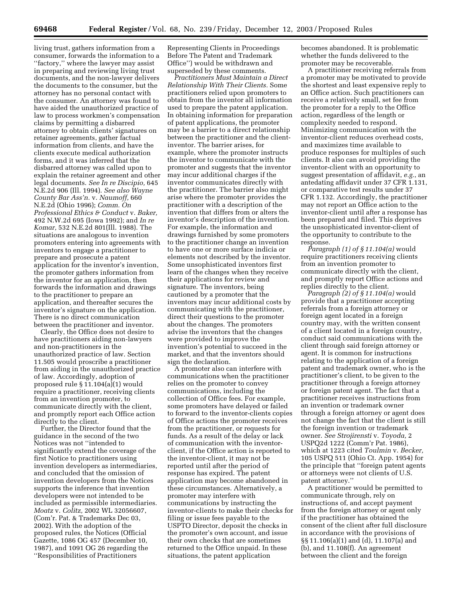living trust, gathers information from a consumer, forwards the information to a ''factory,'' where the lawyer may assist in preparing and reviewing living trust documents, and the non-lawyer delivers the documents to the consumer, but the attorney has no personal contact with the consumer. An attorney was found to have aided the unauthorized practice of law to process workmen's compensation claims by permitting a disbarred attorney to obtain clients' signatures on retainer agreements, gather factual information from clients, and have the clients execute medical authorization forms, and it was inferred that the disbarred attorney was called upon to explain the retainer agreement and other legal documents. *See In re Discipio,* 645 N.E.2d 906 (Ill. 1994). *See also Wayne County Bar Ass'n.* v. *Naumoff,* 660 N.E.2d (Ohio 1996); *Comm. On Professional Ethics & Conduct* v. *Baker,* 492 N.W.2d 695 (Iowa 1992); and *In re Komar,* 532 N.E.2d 801(Ill. 1988). The situations are analogous to invention promoters entering into agreements with inventors to engage a practitioner to prepare and prosecute a patent application for the inventor's invention, the promoter gathers information from the inventor for an application, then forwards the information and drawings to the practitioner to prepare an application, and thereafter secures the inventor's signature on the application. There is no direct communication between the practitioner and inventor.

Clearly, the Office does not desire to have practitioners aiding non-lawyers and non-practitioners in the unauthorized practice of law. Section 11.505 would proscribe a practitioner from aiding in the unauthorized practice of law. Accordingly, adoption of proposed rule § 11.104(a)(1) would require a practitioner, receiving clients from an invention promoter, to communicate directly with the client, and promptly report each Office action directly to the client.

Further, the Director found that the guidance in the second of the two Notices was not ''intended to significantly extend the coverage of the first Notice to practitioners using invention developers as intermediaries, and concluded that the omission of invention developers from the Notices supports the inference that invention developers were not intended to be included as permissible intermediaries. *Moatz* v. *Colitz,* 2002 WL 32056607, (Com'r. Pat. & Trademarks Dec 03, 2002). With the adoption of the proposed rules, the Notices (Official Gazette, 1086 OG 457 (December 10, 1987), and 1091 OG 26 regarding the ''Responsibilities of Practitioners

Representing Clients in Proceedings Before The Patent and Trademark Office'') would be withdrawn and superseded by these comments.

*Practitioners Must Maintain a Direct Relationship With Their Clients.* Some practitioners relied upon promoters to obtain from the inventor all information used to prepare the patent application. In obtaining information for preparation of patent applications, the promoter may be a barrier to a direct relationship between the practitioner and the clientinventor. The barrier arises, for example, where the promoter instructs the inventor to communicate with the promoter and suggests that the inventor may incur additional charges if the inventor communicates directly with the practitioner. The barrier also might arise where the promoter provides the practitioner with a description of the invention that differs from or alters the inventor's description of the invention. For example, the information and drawings furnished by some promoters to the practitioner change an invention to have one or more surface indicia or elements not described by the inventor. Some unsophisticated inventors first learn of the changes when they receive their applications for review and signature. The inventors, being cautioned by a promoter that the inventors may incur additional costs by communicating with the practitioner, direct their questions to the promoter about the changes. The promoters advise the inventors that the changes were provided to improve the invention's potential to succeed in the market, and that the inventors should sign the declaration.

A promoter also can interfere with communications when the practitioner relies on the promoter to convey communications, including the collection of Office fees. For example, some promoters have delayed or failed to forward to the inventor-clients copies of Office actions the promoter receives from the practitioner, or requests for funds. As a result of the delay or lack of communication with the inventorclient, if the Office action is reported to the inventor-client, it may not be reported until after the period of response has expired. The patent application may become abandoned in these circumstances. Alternatively, a promoter may interfere with communications by instructing the inventor-clients to make their checks for filing or issue fees payable to the USPTO Director, deposit the checks in the promoter's own account, and issue their own checks that are sometimes returned to the Office unpaid. In these situations, the patent application

becomes abandoned. It is problematic whether the funds delivered to the promoter may be recoverable.

A practitioner receiving referrals from a promoter may be motivated to provide the shortest and least expensive reply to an Office action. Such practitioners can receive a relatively small, set fee from the promoter for a reply to the Office action, regardless of the length or complexity needed to respond. Minimizing communication with the inventor-client reduces overhead costs, and maximizes time available to produce responses for multiples of such clients. It also can avoid providing the inventor-client with an opportunity to suggest presentation of affidavit, *e.g.*, an antedating affidavit under 37 CFR 1.131, or comparative test results under 37 CFR 1.132. Accordingly, the practitioner may not report an Office action to the inventor-client until after a response has been prepared and filed. This deprives the unsophisticated inventor-client of the opportunity to contribute to the response.

*Paragraph (1) of § 11.104(a)* would require practitioners receiving clients from an invention promoter to communicate directly with the client, and promptly report Office actions and replies directly to the client.

*Paragraph (2) of § 11.104(a)* would provide that a practitioner accepting referrals from a foreign attorney or foreign agent located in a foreign country may, with the written consent of a client located in a foreign country, conduct said communications with the client through said foreign attorney or agent. It is common for instructions relating to the application of a foreign patent and trademark owner, who is the practitioner's client, to be given to the practitioner through a foreign attorney or foreign patent agent. The fact that a practitioner receives instructions from an invention or trademark owner through a foreign attorney or agent does not change the fact that the client is still the foreign invention or trademark owner. *See Strojirensti* v. *Toyoda,* 2 USPQ2d 1222 (Comm'r Pat. 1986), which at 1223 cited *Toulmin* v. *Becker,* 105 USPQ 511 (Ohio Ct. App. 1954) for the principle that ''foreign patent agents or attorneys were not clients of U.S. patent attorney.''

A practitioner would be permitted to communicate through, rely on instructions of, and accept payment from the foreign attorney or agent only if the practitioner has obtained the consent of the client after full disclosure in accordance with the provisions of §§ 11.106(a)(1) and (d), 11.107(a) and (b), and 11.108(f). An agreement between the client and the foreign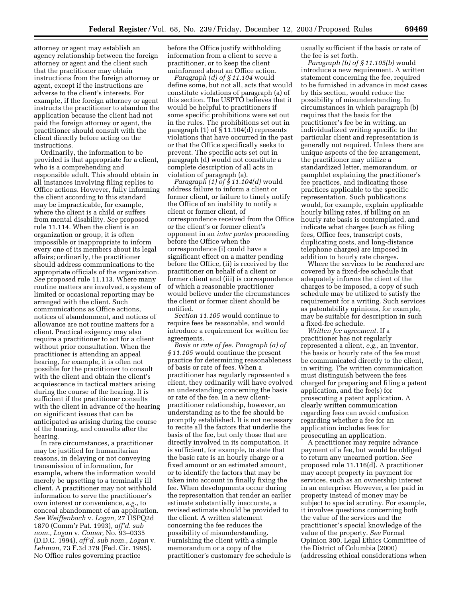attorney or agent may establish an agency relationship between the foreign attorney or agent and the client such that the practitioner may obtain instructions from the foreign attorney or agent, except if the instructions are adverse to the client's interests. For example, if the foreign attorney or agent instructs the practitioner to abandon the application because the client had not paid the foreign attorney or agent, the practitioner should consult with the client directly before acting on the instructions.

Ordinarily, the information to be provided is that appropriate for a client, who is a comprehending and responsible adult. This should obtain in all instances involving filing replies to Office actions. However, fully informing the client according to this standard may be impracticable, for example, where the client is a child or suffers from mental disability. *See* proposed rule 11.114. When the client is an organization or group, it is often impossible or inappropriate to inform every one of its members about its legal affairs; ordinarily, the practitioner should address communications to the appropriate officials of the organization. *See* proposed rule 11.113. Where many routine matters are involved, a system of limited or occasional reporting may be arranged with the client. Such communications as Office actions, notices of abandonment, and notices of allowance are not routine matters for a client. Practical exigency may also require a practitioner to act for a client without prior consultation. When the practitioner is attending an appeal hearing, for example, it is often not possible for the practitioner to consult with the client and obtain the client's acquiescence in tactical matters arising during the course of the hearing. It is sufficient if the practitioner consults with the client in advance of the hearing on significant issues that can be anticipated as arising during the course of the hearing, and consults after the hearing.

In rare circumstances, a practitioner may be justified for humanitarian reasons, in delaying or not conveying transmission of information, for example, where the information would merely be upsetting to a terminally ill client. A practitioner may not withhold information to serve the practitioner's own interest or convenience, *e.g.,* to conceal abandonment of an application. *See Weiffenbach* v. *Logan,* 27 USPQ2d 1870 (Comm'r Pat. 1993)*, aff'd. sub nom., Logan* v. *Comer,* No. 93–0335 (D.D.C. 1994), *aff'd. sub nom., Logan* v. *Lehman,* 73 F.3d 379 (Fed. Cir. 1995). No Office rules governing practice

before the Office justify withholding information from a client to serve a practitioner, or to keep the client uninformed about an Office action.

*Paragraph (d) of § 11.104* would define some, but not all, acts that would constitute violations of paragraph (a) of this section. The USPTO believes that it would be helpful to practitioners if some specific prohibitions were set out in the rules. The prohibitions set out in paragraph (1) of § 11.104(d) represents violations that have occurred in the past or that the Office specifically seeks to prevent. The specific acts set out in paragraph (d) would not constitute a complete description of all acts in violation of paragraph (a).

*Paragraph (1) of § 11.104(d)* would address failure to inform a client or former client, or failure to timely notify the Office of an inability to notify a client or former client, of correspondence received from the Office or the client's or former client's opponent in an *inter partes* proceeding before the Office when the correspondence (i) could have a significant effect on a matter pending before the Office, (ii) is received by the practitioner on behalf of a client or former client and (iii) is correspondence of which a reasonable practitioner would believe under the circumstances the client or former client should be notified.

*Section 11.105* would continue to require fees be reasonable, and would introduce a requirement for written fee agreements.

*Basis or rate of fee. Paragraph (a) of § 11.105* would continue the present practice for determining reasonableness of basis or rate of fees. When a practitioner has regularly represented a client, they ordinarily will have evolved an understanding concerning the basis or rate of the fee. In a new clientpractitioner relationship, however, an understanding as to the fee should be promptly established. It is not necessary to recite all the factors that underlie the basis of the fee, but only those that are directly involved in its computation. It is sufficient, for example, to state that the basic rate is an hourly charge or a fixed amount or an estimated amount, or to identify the factors that may be taken into account in finally fixing the fee. When developments occur during the representation that render an earlier estimate substantially inaccurate, a revised estimate should be provided to the client. A written statement concerning the fee reduces the possibility of misunderstanding. Furnishing the client with a simple memorandum or a copy of the practitioner's customary fee schedule is

usually sufficient if the basis or rate of the fee is set forth.

*Paragraph (b) of § 11.105(b)* would introduce a new requirement. A written statement concerning the fee, required to be furnished in advance in most cases by this section, would reduce the possibility of misunderstanding. In circumstances in which paragraph (b) requires that the basis for the practitioner's fee be in writing, an individualized writing specific to the particular client and representation is generally not required. Unless there are unique aspects of the fee arrangement, the practitioner may utilize a standardized letter, memorandum, or pamphlet explaining the practitioner's fee practices, and indicating those practices applicable to the specific representation. Such publications would, for example, explain applicable hourly billing rates, if billing on an hourly rate basis is contemplated, and indicate what charges (such as filing fees, Office fees, transcript costs, duplicating costs, and long-distance telephone charges) are imposed in addition to hourly rate charges.

Where the services to be rendered are covered by a fixed-fee schedule that adequately informs the client of the charges to be imposed, a copy of such schedule may be utilized to satisfy the requirement for a writing. Such services as patentability opinions, for example, may be suitable for description in such a fixed-fee schedule.

*Written fee agreement.* If a practitioner has not regularly represented a client, *e.g.,* an inventor, the basis or hourly rate of the fee must be communicated directly to the client, in writing. The written communication must distinguish between the fees charged for preparing and filing a patent application, and the fee(s) for prosecuting a patent application. A clearly written communication regarding fees can avoid confusion regarding whether a fee for an application includes fees for prosecuting an application.

A practitioner may require advance payment of a fee, but would be obliged to return any unearned portion. *See* proposed rule 11.116(d). A practitioner may accept property in payment for services, such as an ownership interest in an enterprise. However, a fee paid in property instead of money may be subject to special scrutiny. For example, it involves questions concerning both the value of the services and the practitioner's special knowledge of the value of the property. *See* Formal Opinion 300, Legal Ethics Committee of the District of Columbia (2000) (addressing ethical considerations when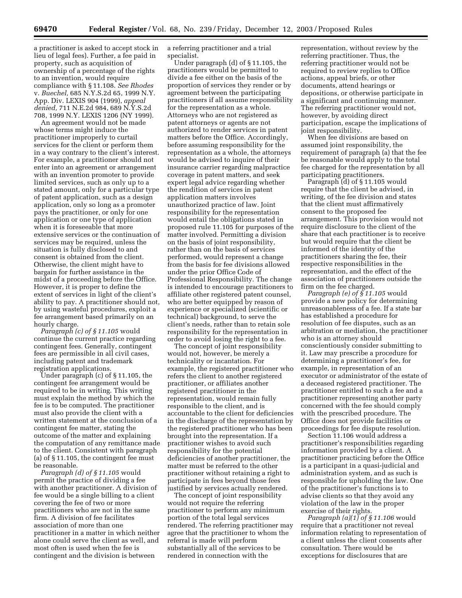a practitioner is asked to accept stock in lieu of legal fees). Further, a fee paid in property, such as acquisition of ownership of a percentage of the rights to an invention, would require compliance with § 11.108. *See Rhodes* v. *Buechel,* 685 N.Y.S.2d 65, 1999 N.Y. App. Div. LEXIS 904 (1999), *appeal denied,* 711 N.E.2d 984, 689 N.Y.S.2d 708, 1999 N.Y. LEXIS 1206 (NY 1999).

An agreement would not be made whose terms might induce the practitioner improperly to curtail services for the client or perform them in a way contrary to the client's interest. For example, a practitioner should not enter into an agreement or arrangement with an invention promoter to provide limited services, such as only up to a stated amount, only for a particular type of patent application, such as a design application, only so long as a promoter pays the practitioner, or only for one application or one type of application when it is foreseeable that more extensive services or the continuation of services may be required, unless the situation is fully disclosed to and consent is obtained from the client. Otherwise, the client might have to bargain for further assistance in the midst of a proceeding before the Office. However, it is proper to define the extent of services in light of the client's ability to pay. A practitioner should not, by using wasteful procedures, exploit a fee arrangement based primarily on an hourly charge.

*Paragraph (c) of § 11.105* would continue the current practice regarding contingent fees. Generally, contingent fees are permissible in all civil cases, including patent and trademark registration applications.

Under paragraph (c) of § 11.105, the contingent fee arrangement would be required to be in writing. This writing must explain the method by which the fee is to be computed. The practitioner must also provide the client with a written statement at the conclusion of a contingent fee matter, stating the outcome of the matter and explaining the computation of any remittance made to the client. Consistent with paragraph (a) of § 11.105, the contingent fee must be reasonable.

*Paragraph (d) of § 11.105* would permit the practice of dividing a fee with another practitioner. A division of fee would be a single billing to a client covering the fee of two or more practitioners who are not in the same firm. A division of fee facilitates association of more than one practitioner in a matter in which neither alone could serve the client as well, and most often is used when the fee is contingent and the division is between

a referring practitioner and a trial specialist.

Under paragraph (d) of § 11.105, the practitioners would be permitted to divide a fee either on the basis of the proportion of services they render or by agreement between the participating practitioners if all assume responsibility for the representation as a whole. Attorneys who are not registered as patent attorneys or agents are not authorized to render services in patent matters before the Office. Accordingly, before assuming responsibility for the representation as a whole, the attorneys would be advised to inquire of their insurance carrier regarding malpractice coverage in patent matters, and seek expert legal advice regarding whether the rendition of services in patent application matters involves unauthorized practice of law. Joint responsibility for the representation would entail the obligations stated in proposed rule 11.105 for purposes of the matter involved. Permitting a division on the basis of joint responsibility, rather than on the basis of services performed, would represent a change from the basis for fee divisions allowed under the prior Office Code of Professional Responsibility. The change is intended to encourage practitioners to affiliate other registered patent counsel, who are better equipped by reason of experience or specialized (scientific or technical) background, to serve the client's needs, rather than to retain sole responsibility for the representation in order to avoid losing the right to a fee.

The concept of joint responsibility would not, however, be merely a technicality or incantation. For example, the registered practitioner who refers the client to another registered practitioner, or affiliates another registered practitioner in the representation, would remain fully responsible to the client, and is accountable to the client for deficiencies in the discharge of the representation by the registered practitioner who has been brought into the representation. If a practitioner wishes to avoid such responsibility for the potential deficiencies of another practitioner, the matter must be referred to the other practitioner without retaining a right to participate in fees beyond those fees justified by services actually rendered.

The concept of joint responsibility would not require the referring practitioner to perform any minimum portion of the total legal services rendered. The referring practitioner may agree that the practitioner to whom the referral is made will perform substantially all of the services to be rendered in connection with the

representation, without review by the referring practitioner. Thus, the referring practitioner would not be required to review replies to Office actions, appeal briefs, or other documents, attend hearings or depositions, or otherwise participate in a significant and continuing manner. The referring practitioner would not, however, by avoiding direct participation, escape the implications of joint responsibility.

When fee divisions are based on assumed joint responsibility, the requirement of paragraph (a) that the fee be reasonable would apply to the total fee charged for the representation by all participating practitioners.

Paragraph (d) of § 11.105 would require that the client be advised, in writing, of the fee division and states that the client must affirmatively consent to the proposed fee arrangement. This provision would not require disclosure to the client of the share that each practitioner is to receive but would require that the client be informed of the identity of the practitioners sharing the fee, their respective responsibilities in the representation, and the effect of the association of practitioners outside the firm on the fee charged.

*Paragraph (e) of § 11.105* would provide a new policy for determining unreasonableness of a fee. If a state bar has established a procedure for resolution of fee disputes, such as an arbitration or mediation, the practitioner who is an attorney should conscientiously consider submitting to it. Law may prescribe a procedure for determining a practitioner's fee, for example, in representation of an executor or administrator of the estate of a deceased registered practitioner. The practitioner entitled to such a fee and a practitioner representing another party concerned with the fee should comply with the prescribed procedure. The Office does not provide facilities or proceedings for fee dispute resolution.

Section 11.106 would address a practitioner's responsibilities regarding information provided by a client. A practitioner practicing before the Office is a participant in a quasi-judicial and administration system, and as such is responsible for upholding the law. One of the practitioner's functions is to advise clients so that they avoid any violation of the law in the proper exercise of their rights.

*Paragraph (a)(1) of § 11.106* would require that a practitioner not reveal information relating to representation of a client unless the client consents after consultation. There would be exceptions for disclosures that are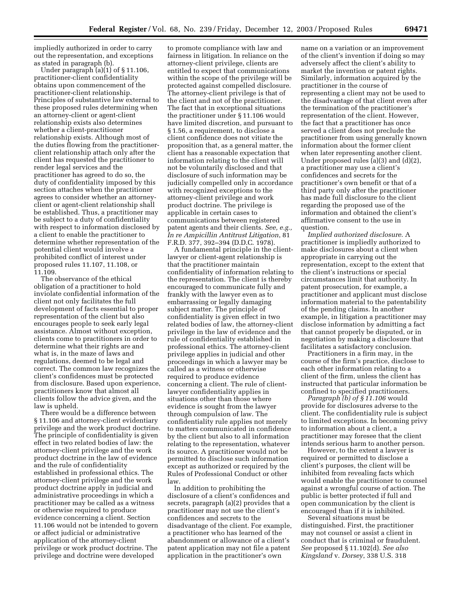impliedly authorized in order to carry out the representation, and exceptions as stated in paragraph (b).

Under paragraph (a)(1) of § 11.106, practitioner-client confidentiality obtains upon commencement of the practitioner-client relationship. Principles of substantive law external to these proposed rules determining when an attorney-client or agent-client relationship exists also determines whether a client-practitioner relationship exists. Although most of the duties flowing from the practitionerclient relationship attach only after the client has requested the practitioner to render legal services and the practitioner has agreed to do so, the duty of confidentiality imposed by this section attaches when the practitioner agrees to consider whether an attorneyclient or agent-client relationship shall be established. Thus, a practitioner may be subject to a duty of confidentiality with respect to information disclosed by a client to enable the practitioner to determine whether representation of the potential client would involve a prohibited conflict of interest under proposed rules 11.107, 11.108, or 11.109.

The observance of the ethical obligation of a practitioner to hold inviolate confidential information of the client not only facilitates the full development of facts essential to proper representation of the client but also encourages people to seek early legal assistance. Almost without exception, clients come to practitioners in order to determine what their rights are and what is, in the maze of laws and regulations, deemed to be legal and correct. The common law recognizes the client's confidences must be protected from disclosure. Based upon experience, practitioners know that almost all clients follow the advice given, and the law is upheld.

There would be a difference between § 11.106 and attorney-client evidentiary privilege and the work product doctrine. The principle of confidentiality is given effect in two related bodies of law: the attorney-client privilege and the work product doctrine in the law of evidence and the rule of confidentiality established in professional ethics. The attorney-client privilege and the work product doctrine apply in judicial and administrative proceedings in which a practitioner may be called as a witness or otherwise required to produce evidence concerning a client. Section 11.106 would not be intended to govern or affect judicial or administrative application of the attorney-client privilege or work product doctrine. The privilege and doctrine were developed

to promote compliance with law and fairness in litigation. In reliance on the attorney-client privilege, clients are entitled to expect that communications within the scope of the privilege will be protected against compelled disclosure. The attorney-client privilege is that of the client and not of the practitioner. The fact that in exceptional situations the practitioner under § 11.106 would have limited discretion, and pursuant to § 1.56, a requirement, to disclose a client confidence does not vitiate the proposition that, as a general matter, the client has a reasonable expectation that information relating to the client will not be voluntarily disclosed and that disclosure of such information may be judicially compelled only in accordance with recognized exceptions to the attorney-client privilege and work product doctrine. The privilege is applicable in certain cases to communications between registered patent agents and their clients. *See, e.g., In re Ampicillin Antitrust Litigation*, 81 F.R.D. 377, 392–394 (D.D.C. 1978).

A fundamental principle in the clientlawyer or client-agent relationship is that the practitioner maintain confidentiality of information relating to the representation. The client is thereby encouraged to communicate fully and frankly with the lawyer even as to embarrassing or legally damaging subject matter. The principle of confidentiality is given effect in two related bodies of law, the attorney-client privilege in the law of evidence and the rule of confidentiality established in professional ethics. The attorney-client privilege applies in judicial and other proceedings in which a lawyer may be called as a witness or otherwise required to produce evidence concerning a client. The rule of clientlawyer confidentiality applies in situations other than those where evidence is sought from the lawyer through compulsion of law. The confidentiality rule applies not merely to matters communicated in confidence by the client but also to all information relating to the representation, whatever its source. A practitioner would not be permitted to disclose such information except as authorized or required by the Rules of Professional Conduct or other law.

In addition to prohibiting the disclosure of a client's confidences and secrets, paragraph (a)(2) provides that a practitioner may not use the client's confidences and secrets to the disadvantage of the client. For example, a practitioner who has learned of the abandonment or allowance of a client's patent application may not file a patent application in the practitioner's own

name on a variation or an improvement of the client's invention if doing so may adversely affect the client's ability to market the invention or patent rights. Similarly, information acquired by the practitioner in the course of representing a client may not be used to the disadvantage of that client even after the termination of the practitioner's representation of the client. However, the fact that a practitioner has once served a client does not preclude the practitioner from using generally known information about the former client when later representing another client. Under proposed rules (a)(3) and (d)(2), a practitioner may use a client's confidences and secrets for the practitioner's own benefit or that of a third party only after the practitioner has made full disclosure to the client regarding the proposed use of the information and obtained the client's affirmative consent to the use in question.

*Implied authorized disclosure*. A practitioner is impliedly authorized to make disclosures about a client when appropriate in carrying out the representation, except to the extent that the client's instructions or special circumstances limit that authority. In patent prosecution, for example, a practitioner and applicant must disclose information material to the patentability of the pending claims. In another example, in litigation a practitioner may disclose information by admitting a fact that cannot properly be disputed, or in negotiation by making a disclosure that facilitates a satisfactory conclusion.

Practitioners in a firm may, in the course of the firm's practice, disclose to each other information relating to a client of the firm, unless the client has instructed that particular information be confined to specified practitioners.

*Paragraph (b) of § 11.106* would provide for disclosures adverse to the client. The confidentiality rule is subject to limited exceptions. In becoming privy to information about a client, a practitioner may foresee that the client intends serious harm to another person.

However, to the extent a lawyer is required or permitted to disclose a client's purposes, the client will be inhibited from revealing facts which would enable the practitioner to counsel against a wrongful course of action. The public is better protected if full and open communication by the client is encouraged than if it is inhibited.

Several situations must be distinguished. First, the practitioner may not counsel or assist a client in conduct that is criminal or fraudulent. *See* proposed § 11.102(d). *See also Kingsland* v. *Dorsey*, 338 U.S. 318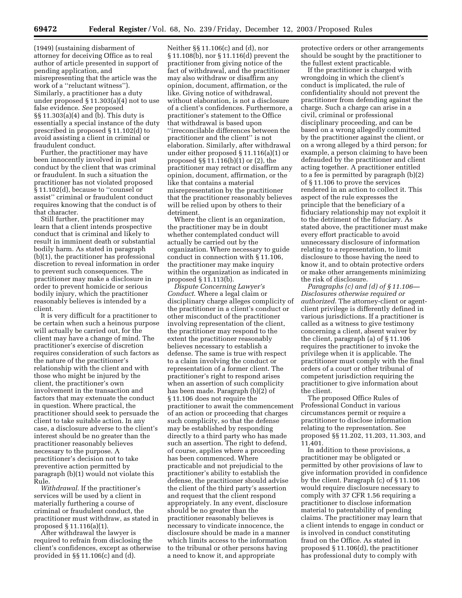(1949) (sustaining disbarment of attorney for deceiving Office as to real author of article presented in support of pending application, and misrepresenting that the article was the work of a ''reluctant witness''). Similarly, a practitioner has a duty under proposed § 11.303(a)(4) not to use false evidence. *See* proposed §§ 11.303(a)(4) and (b). This duty is essentially a special instance of the duty prescribed in proposed § 11.102(d) to avoid assisting a client in criminal or fraudulent conduct.

Further, the practitioner may have been innocently involved in past conduct by the client that was criminal or fraudulent. In such a situation the practitioner has not violated proposed § 11.102(d), because to "counsel or assist'' criminal or fraudulent conduct requires knowing that the conduct is of that character.

Still further, the practitioner may learn that a client intends prospective conduct that is criminal and likely to result in imminent death or substantial bodily harm. As stated in paragraph (b)(1), the practitioner has professional discretion to reveal information in order to prevent such consequences. The practitioner may make a disclosure in order to prevent homicide or serious bodily injury, which the practitioner reasonably believes is intended by a client.

It is very difficult for a practitioner to be certain when such a heinous purpose will actually be carried out, for the client may have a change of mind. The practitioner's exercise of discretion requires consideration of such factors as the nature of the practitioner's relationship with the client and with those who might be injured by the client, the practitioner's own involvement in the transaction and factors that may extenuate the conduct in question. Where practical, the practitioner should seek to persuade the client to take suitable action. In any case, a disclosure adverse to the client's interest should be no greater than the practitioner reasonably believes necessary to the purpose. A practitioner's decision not to take preventive action permitted by paragraph (b)(1) would not violate this Rule.

*Withdrawal*. If the practitioner's services will be used by a client in materially furthering a course of criminal or fraudulent conduct, the practitioner must withdraw, as stated in proposed § 11.116(a)(1).

After withdrawal the lawyer is required to refrain from disclosing the client's confidences, except as otherwise provided in §§ 11.106(c) and (d).

Neither §§ 11.106(c) and (d), nor § 11.108(b), nor § 11.116(d) prevent the practitioner from giving notice of the fact of withdrawal, and the practitioner may also withdraw or disaffirm any opinion, document, affirmation, or the like. Giving notice of withdrawal, without elaboration, is not a disclosure of a client's confidences. Furthermore, a practitioner's statement to the Office that withdrawal is based upon ''irreconcilable differences between the practitioner and the client'' is not elaboration. Similarly, after withdrawal under either proposed § 11.116(a)(1) or proposed §§ 11.116(b)(1) or (2), the practitioner may retract or disaffirm any opinion, document, affirmation, or the like that contains a material misrepresentation by the practitioner that the practitioner reasonably believes will be relied upon by others to their detriment.

Where the client is an organization, the practitioner may be in doubt whether contemplated conduct will actually be carried out by the organization. Where necessary to guide conduct in connection with § 11.106, the practitioner may make inquiry within the organization as indicated in proposed § 11.113(b).

*Dispute Concerning Lawyer's Conduct*. Where a legal claim or disciplinary charge alleges complicity of the practitioner in a client's conduct or other misconduct of the practitioner involving representation of the client, the practitioner may respond to the extent the practitioner reasonably believes necessary to establish a defense. The same is true with respect to a claim involving the conduct or representation of a former client. The practitioner's right to respond arises when an assertion of such complicity has been made. Paragraph (b)(2) of § 11.106 does not require the practitioner to await the commencement of an action or proceeding that charges such complicity, so that the defense may be established by responding directly to a third party who has made such an assertion. The right to defend, of course, applies where a proceeding has been commenced. Where practicable and not prejudicial to the practitioner's ability to establish the defense, the practitioner should advise the client of the third party's assertion and request that the client respond appropriately. In any event, disclosure should be no greater than the practitioner reasonably believes is necessary to vindicate innocence, the disclosure should be made in a manner which limits access to the information to the tribunal or other persons having a need to know it, and appropriate

protective orders or other arrangements should be sought by the practitioner to the fullest extent practicable.

If the practitioner is charged with wrongdoing in which the client's conduct is implicated, the rule of confidentiality should not prevent the practitioner from defending against the charge. Such a charge can arise in a civil, criminal or professional disciplinary proceeding, and can be based on a wrong allegedly committed by the practitioner against the client, or on a wrong alleged by a third person; for example, a person claiming to have been defrauded by the practitioner and client acting together. A practitioner entitled to a fee is permitted by paragraph (b)(2) of § 11.106 to prove the services rendered in an action to collect it. This aspect of the rule expresses the principle that the beneficiary of a fiduciary relationship may not exploit it to the detriment of the fiduciary. As stated above, the practitioner must make every effort practicable to avoid unnecessary disclosure of information relating to a representation, to limit disclosure to those having the need to know it, and to obtain protective orders or make other arrangements minimizing the risk of disclosure.

*Paragraphs (c) and (d) of § 11.106— Disclosures otherwise required or authorized*. The attorney-client or agentclient privilege is differently defined in various jurisdictions. If a practitioner is called as a witness to give testimony concerning a client, absent waiver by the client, paragraph (a) of § 11.106 requires the practitioner to invoke the privilege when it is applicable. The practitioner must comply with the final orders of a court or other tribunal of competent jurisdiction requiring the practitioner to give information about the client.

The proposed Office Rules of Professional Conduct in various circumstances permit or require a practitioner to disclose information relating to the representation. See proposed §§ 11.202, 11.203, 11.303, and 11.401.

In addition to these provisions, a practitioner may be obligated or permitted by other provisions of law to give information provided in confidence by the client. Paragraph (c) of § 11.106 would require disclosure necessary to comply with 37 CFR 1.56 requiring a practitioner to disclose information material to patentability of pending claims. The practitioner may learn that a client intends to engage in conduct or is involved in conduct constituting fraud on the Office. As stated in proposed § 11.106(d), the practitioner has professional duty to comply with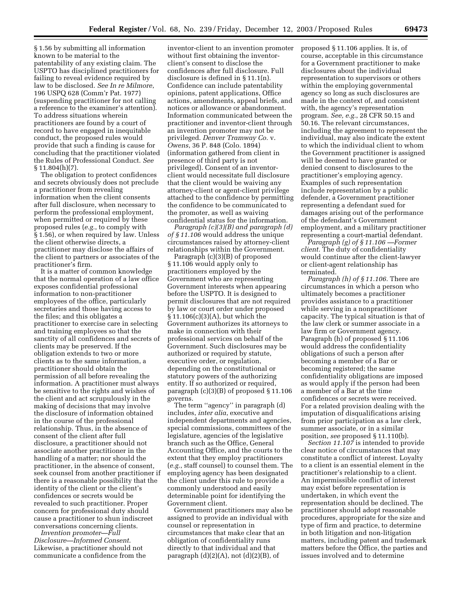§ 1.56 by submitting all information known to be material to the patentability of any existing claim. The USPTO has disciplined practitioners for failing to reveal evidence required by law to be disclosed. *See In re Milmore*, 196 USPQ 628 (Comm'r Pat. 1977) (suspending practitioner for not calling a reference to the examiner's attention). To address situations wherein practitioners are found by a court of record to have engaged in inequitable conduct, the proposed rules would provide that such a finding is cause for concluding that the practitioner violated the Rules of Professional Conduct. *See* § 11.804(h)(7).

The obligation to protect confidences and secrets obviously does not preclude a practitioner from revealing information when the client consents after full disclosure, when necessary to perform the professional employment, when permitted or required by these proposed rules (*e.g.*, to comply with § 1.56), or when required by law. Unless the client otherwise directs, a practitioner may disclose the affairs of the client to partners or associates of the practitioner's firm.

It is a matter of common knowledge that the normal operation of a law office exposes confidential professional information to non-practitioner employees of the office, particularly secretaries and those having access to the files; and this obligates a practitioner to exercise care in selecting and training employees so that the sanctity of all confidences and secrets of clients may be preserved. If the obligation extends to two or more clients as to the same information, a practitioner should obtain the permission of all before revealing the information. A practitioner must always be sensitive to the rights and wishes of the client and act scrupulously in the making of decisions that may involve the disclosure of information obtained in the course of the professional relationship. Thus, in the absence of consent of the client after full disclosure, a practitioner should not associate another practitioner in the handling of a matter; nor should the practitioner, in the absence of consent, seek counsel from another practitioner if there is a reasonable possibility that the identity of the client or the client's confidences or secrets would be revealed to such practitioner. Proper concern for professional duty should cause a practitioner to shun indiscreet conversations concerning clients.

*Invention promoter—Full Disclosure—Informed Consent*. Likewise, a practitioner should not communicate a confidence from the

inventor-client to an invention promoter without first obtaining the inventorclient's consent to disclose the confidences after full disclosure. Full disclosure is defined in § 11.1(n). Confidence can include patentability opinions, patent applications, Office actions, amendments, appeal briefs, and notices or allowance or abandonment. Information communicated between the practitioner and inventor-client through an invention promoter may not be privileged. *Denver Tramway Co.* v. *Owens*, 36 P. 848 (Colo. 1894) (information gathered from client in presence of third party is not privileged). Consent of an inventorclient would necessitate full disclosure that the client would be waiving any attorney-client or agent-client privilege attached to the confidence by permitting the confidence to be communicated to the promoter, as well as waiving confidential status for the information.

*Paragraph (c)(3)(B) and paragraph (d) of § 11.106* would address the unique circumstances raised by attorney-client relationships within the Government.

Paragraph (c)(3)(B) of proposed § 11.106 would apply only to practitioners employed by the Government who are representing Government interests when appearing before the USPTO. It is designed to permit disclosures that are not required by law or court order under proposed § 11.106(c)(3)(A), but which the Government authorizes its attorneys to make in connection with their professional services on behalf of the Government. Such disclosures may be authorized or required by statute, executive order, or regulation, depending on the constitutional or statutory powers of the authorizing entity. If so authorized or required, paragraph (c)(3)(B) of proposed § 11.106 governs.

The term ''agency'' in paragraph (d) includes, *inter alia*, executive and independent departments and agencies, special commissions, committees of the legislature, agencies of the legislative branch such as the Office, General Accounting Office, and the courts to the extent that they employ practitioners (*e.g.*, staff counsel) to counsel them. The employing agency has been designated the client under this rule to provide a commonly understood and easily determinable point for identifying the Government client.

Government practitioners may also be assigned to provide an individual with counsel or representation in circumstances that make clear that an obligation of confidentiality runs directly to that individual and that paragraph  $(d)(2)(A)$ , not  $(d)(2)(B)$ , of

proposed § 11.106 applies. It is, of course, acceptable in this circumstance for a Government practitioner to make disclosures about the individual representation to supervisors or others within the employing governmental agency so long as such disclosures are made in the context of, and consistent with, the agency's representation program. *See, e.g.*, 28 CFR 50.15 and 50.16. The relevant circumstances, including the agreement to represent the individual, may also indicate the extent to which the individual client to whom the Government practitioner is assigned will be deemed to have granted or denied consent to disclosures to the practitioner's employing agency. Examples of such representation include representation by a public defender, a Government practitioner representing a defendant sued for damages arising out of the performance of the defendant's Government employment, and a military practitioner representing a court-martial defendant.

*Paragraph (g) of § 11.106 —Former client.* The duty of confidentiality would continue after the client-lawyer or client-agent relationship has terminated.

*Paragraph (h) of § 11.106.* There are circumstances in which a person who ultimately becomes a practitioner provides assistance to a practitioner while serving in a nonpractitioner capacity. The typical situation is that of the law clerk or summer associate in a law firm or Government agency. Paragraph (h) of proposed § 11.106 would address the confidentiality obligations of such a person after becoming a member of a Bar or becoming registered; the same confidentiality obligations are imposed as would apply if the person had been a member of a Bar at the time confidences or secrets were received. For a related provision dealing with the imputation of disqualifications arising from prior participation as a law clerk, summer associate, or in a similar position, *see* proposed § 11.110(b).

*Section 11.107* is intended to provide clear notice of circumstances that may constitute a conflict of interest. Loyalty to a client is an essential element in the practitioner's relationship to a client. An impermissible conflict of interest may exist before representation is undertaken, in which event the representation should be declined. The practitioner should adopt reasonable procedures, appropriate for the size and type of firm and practice, to determine in both litigation and non-litigation matters, including patent and trademark matters before the Office, the parties and issues involved and to determine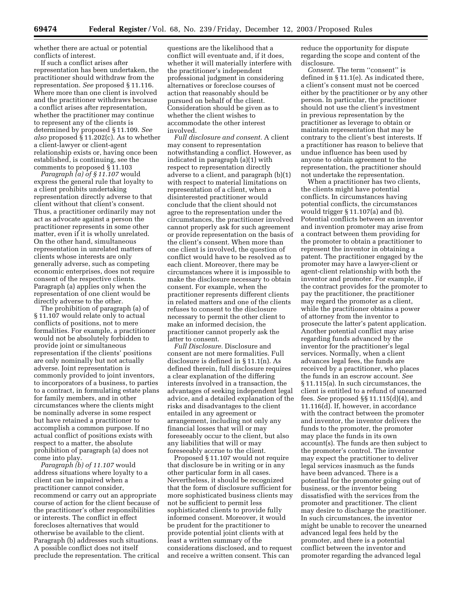whether there are actual or potential conflicts of interest.

If such a conflict arises after representation has been undertaken, the practitioner should withdraw from the representation. *See* proposed § 11.116. Where more than one client is involved and the practitioner withdraws because a conflict arises after representation, whether the practitioner may continue to represent any of the clients is determined by proposed § 11.109. *See also* proposed § 11.202(c). As to whether a client-lawyer or client-agent relationship exists or, having once been established, is continuing, see the comments to proposed § 11.103

*Paragraph (a) of § 11.107* would express the general rule that loyalty to a client prohibits undertaking representation directly adverse to that client without that client's consent. Thus, a practitioner ordinarily may not act as advocate against a person the practitioner represents in some other matter, even if it is wholly unrelated. On the other hand, simultaneous representation in unrelated matters of clients whose interests are only generally adverse, such as competing economic enterprises, does not require consent of the respective clients. Paragraph (a) applies only when the representation of one client would be directly adverse to the other.

The prohibition of paragraph (a) of § 11.107 would relate only to actual conflicts of positions, not to mere formalities. For example, a practitioner would not be absolutely forbidden to provide joint or simultaneous representation if the clients' positions are only nominally but not actually adverse. Joint representation is commonly provided to joint inventors, to incorporators of a business, to parties to a contract, in formulating estate plans for family members, and in other circumstances where the clients might be nominally adverse in some respect but have retained a practitioner to accomplish a common purpose. If no actual conflict of positions exists with respect to a matter, the absolute prohibition of paragraph (a) does not come into play.

*Paragraph (b) of 11.107* would address situations where loyalty to a client can be impaired when a practitioner cannot consider, recommend or carry out an appropriate course of action for the client because of the practitioner's other responsibilities or interests. The conflict in effect forecloses alternatives that would otherwise be available to the client. Paragraph (b) addresses such situations. A possible conflict does not itself preclude the representation. The critical

questions are the likelihood that a conflict will eventuate and, if it does, whether it will materially interfere with the practitioner's independent professional judgment in considering alternatives or foreclose courses of action that reasonably should be pursued on behalf of the client. Consideration should be given as to whether the client wishes to accommodate the other interest involved.

*Full disclosure and consent.* A client may consent to representation notwithstanding a conflict. However, as indicated in paragraph (a)(1) with respect to representation directly adverse to a client, and paragraph (b)(1) with respect to material limitations on representation of a client, when a disinterested practitioner would conclude that the client should not agree to the representation under the circumstances, the practitioner involved cannot properly ask for such agreement or provide representation on the basis of the client's consent. When more than one client is involved, the question of conflict would have to be resolved as to each client. Moreover, there may be circumstances where it is impossible to make the disclosure necessary to obtain consent. For example, when the practitioner represents different clients in related matters and one of the clients refuses to consent to the disclosure necessary to permit the other client to make an informed decision, the practitioner cannot properly ask the latter to consent.

*Full Disclosure.* Disclosure and consent are not mere formalities. Full disclosure is defined in § 11.1(n). As defined therein, full disclosure requires a clear explanation of the differing interests involved in a transaction, the advantages of seeking independent legal advice, and a detailed explanation of the risks and disadvantages to the client entailed in any agreement or arrangement, including not only any financial losses that will or may foreseeably occur to the client, but also any liabilities that will or may foreseeably accrue to the client.

Proposed § 11.107 would not require that disclosure be in writing or in any other particular form in all cases. Nevertheless, it should be recognized that the form of disclosure sufficient for more sophisticated business clients may not be sufficient to permit less sophisticated clients to provide fully informed consent. Moreover, it would be prudent for the practitioner to provide potential joint clients with at least a written summary of the considerations disclosed, and to request and receive a written consent. This can

reduce the opportunity for dispute regarding the scope and content of the disclosure.

*Consent.* The term ''consent'' is defined in § 11.1(e). As indicated there, a client's consent must not be coerced either by the practitioner or by any other person. In particular, the practitioner should not use the client's investment in previous representation by the practitioner as leverage to obtain or maintain representation that may be contrary to the client's best interests. If a practitioner has reason to believe that undue influence has been used by anyone to obtain agreement to the representation, the practitioner should not undertake the representation.

When a practitioner has two clients, the clients might have potential conflicts. In circumstances having potential conflicts, the circumstances would trigger § 11.107(a) and (b). Potential conflicts between an inventor and invention promoter may arise from a contract between them providing for the promoter to obtain a practitioner to represent the inventor in obtaining a patent. The practitioner engaged by the promoter may have a lawyer-client or agent-client relationship with both the inventor and promoter. For example, if the contract provides for the promoter to pay the practitioner, the practitioner may regard the promoter as a client, while the practitioner obtains a power of attorney from the inventor to prosecute the latter's patent application. Another potential conflict may arise regarding funds advanced by the inventor for the practitioner's legal services. Normally, when a client advances legal fees, the funds are received by a practitioner, who places the funds in an escrow account. *See* § 11.115(a). In such circumstances, the client is entitled to a refund of unearned fees. *See* proposed §§ 11.115(d)(4), and 11.116(d). If, however, in accordance with the contract between the promoter and inventor, the inventor delivers the funds to the promoter, the promoter may place the funds in its own account(s). The funds are then subject to the promoter's control. The inventor may expect the practitioner to deliver legal services inasmuch as the funds have been advanced. There is a potential for the promoter going out of business, or the inventor being dissatisfied with the services from the promoter and practitioner. The client may desire to discharge the practitioner. In such circumstances, the inventor might be unable to recover the unearned advanced legal fees held by the promoter, and there is a potential conflict between the inventor and promoter regarding the advanced legal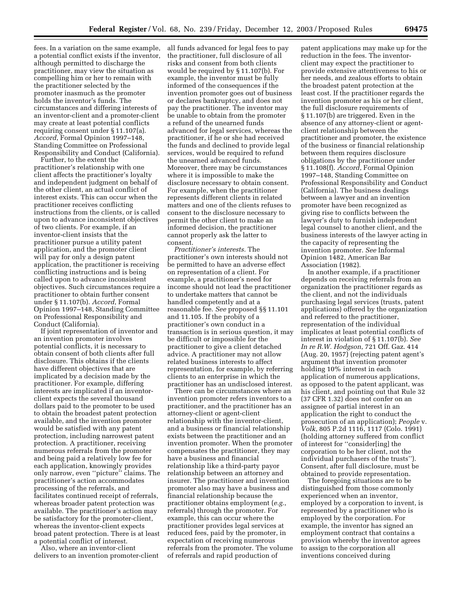fees. In a variation on the same example, a potential conflict exists if the inventor, although permitted to discharge the practitioner, may view the situation as compelling him or her to remain with the practitioner selected by the promoter inasmuch as the promoter holds the inventor's funds. The circumstances and differing interests of an inventor-client and a promoter-client may create at least potential conflicts requiring consent under § 11.107(a). *Accord*, Formal Opinion 1997–148, Standing Committee on Professional Responsibility and Conduct (California).

Further, to the extent the practitioner's relationship with one client affects the practitioner's loyalty and independent judgment on behalf of the other client, an actual conflict of interest exists. This can occur when the practitioner receives conflicting instructions from the clients, or is called upon to advance inconsistent objectives of two clients. For example, if an inventor-client insists that the practitioner pursue a utility patent application, and the promoter client will pay for only a design patent application, the practitioner is receiving conflicting instructions and is being called upon to advance inconsistent objectives. Such circumstances require a practitioner to obtain further consent under § 11.107(b). *Accord*, Formal Opinion 1997–148, Standing Committee on Professional Responsibility and Conduct (California).

If joint representation of inventor and an invention promoter involves potential conflicts, it is necessary to obtain consent of both clients after full disclosure. This obtains if the clients have different objectives that are implicated by a decision made by the practitioner. For example, differing interests are implicated if an inventorclient expects the several thousand dollars paid to the promoter to be used to obtain the broadest patent protection available, and the invention promoter would be satisfied with any patent protection, including narrowest patent protection. A practitioner, receiving numerous referrals from the promoter and being paid a relatively low fee for each application, knowingly provides only narrow, even ''picture'' claims. The practitioner's action accommodates processing of the referrals, and facilitates continued receipt of referrals, whereas broader patent protection was available. The practitioner's action may be satisfactory for the promoter-client, whereas the inventor-client expects broad patent protection. There is at least a potential conflict of interest.

Also, where an inventor-client delivers to an invention promoter-client all funds advanced for legal fees to pay the practitioner, full disclosure of all risks and consent from both clients would be required by § 11.107(b). For example, the inventor must be fully informed of the consequences if the invention promoter goes out of business or declares bankruptcy, and does not pay the practitioner. The inventor may be unable to obtain from the promoter a refund of the unearned funds advanced for legal services, whereas the practitioner, if he or she had received the funds and declined to provide legal services, would be required to refund the unearned advanced funds. Moreover, there may be circumstances where it is impossible to make the disclosure necessary to obtain consent. For example, when the practitioner represents different clients in related matters and one of the clients refuses to consent to the disclosure necessary to permit the other client to make an informed decision, the practitioner cannot properly ask the latter to consent.

*Practitioner's interests.* The practitioner's own interests should not be permitted to have an adverse effect on representation of a client. For example, a practitioner's need for income should not lead the practitioner to undertake matters that cannot be handled competently and at a reasonable fee. *See* proposed §§ 11.101 and 11.105. If the probity of a practitioner's own conduct in a transaction is in serious question, it may be difficult or impossible for the practitioner to give a client detached advice. A practitioner may not allow related business interests to affect representation, for example, by referring clients to an enterprise in which the practitioner has an undisclosed interest.

There can be circumstances where an invention promoter refers inventors to a practitioner, and the practitioner has an attorney-client or agent-client relationship with the inventor-client, and a business or financial relationship exists between the practitioner and an invention promoter. When the promoter compensates the practitioner, they may have a business and financial relationship like a third-party payor relationship between an attorney and insurer. The practitioner and invention promoter also may have a business and financial relationship because the practitioner obtains employment (*e.g.*, referrals) through the promoter. For example, this can occur where the practitioner provides legal services at reduced fees, paid by the promoter, in expectation of receiving numerous referrals from the promoter. The volume of referrals and rapid production of

patent applications may make up for the reduction in the fees. The inventorclient may expect the practitioner to provide extensive attentiveness to his or her needs, and zealous efforts to obtain the broadest patent protection at the least cost. If the practitioner regards the invention promoter as his or her client, the full disclosure requirements of § 11.107(b) are triggered. Even in the absence of any attorney-client or agentclient relationship between the practitioner and promoter, the existence of the business or financial relationship between them requires disclosure obligations by the practitioner under § 11.108(f). *Accord*, Formal Opinion 1997–148, Standing Committee on Professional Responsibility and Conduct (California). The business dealings between a lawyer and an invention promoter have been recognized as giving rise to conflicts between the lawyer's duty to furnish independent legal counsel to another client, and the business interests of the lawyer acting in the capacity of representing the invention promoter. *See* Informal Opinion 1482, American Bar Association (1982).

In another example, if a practitioner depends on receiving referrals from an organization the practitioner regards as the client, and not the individuals purchasing legal services (trusts, patent applications) offered by the organization and referred to the practitioner, representation of the individual implicates at least potential conflicts of interest in violation of § 11.107(b). *See In re R.W. Hodgson*, 721 Off. Gaz. 414 (Aug. 20, 1957) (rejecting patent agent's argument that invention promoter holding 10% interest in each application of numerous applications, as opposed to the patent applicant, was his client, and pointing out that Rule 32 (37 CFR 1.32) does not confer on an assignee of partial interest in an application the right to conduct the prosecution of an application); *People* v. *Volk*, 805 P.2d 1116, 1117 (Colo. 1991) (holding attorney suffered from conflict of interest for ''consider[ing] the corporation to be her client, not the individual purchasers of the trusts''). Consent, after full disclosure, must be obtained to provide representation.

The foregoing situations are to be distinguished from those commonly experienced when an inventor, employed by a corporation to invent, is represented by a practitioner who is employed by the corporation. For example, the inventor has signed an employment contract that contains a provision whereby the inventor agrees to assign to the corporation all inventions conceived during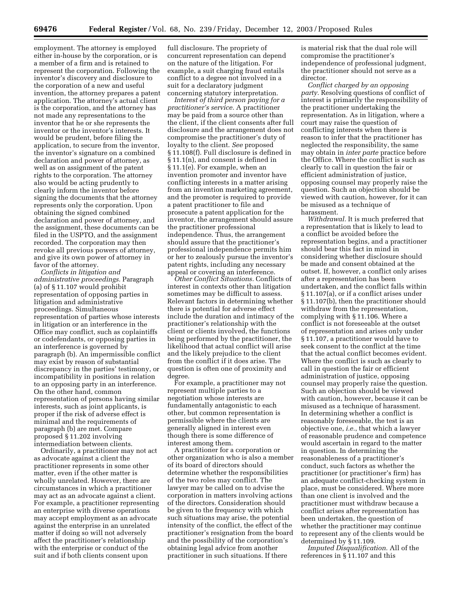employment. The attorney is employed either in-house by the corporation, or is a member of a firm and is retained to represent the corporation. Following the inventor's discovery and disclosure to the corporation of a new and useful invention, the attorney prepares a patent application. The attorney's actual client is the corporation, and the attorney has not made any representations to the inventor that he or she represents the inventor or the inventor's interests. It would be prudent, before filing the application, to secure from the inventor, the inventor's signature on a combined declaration and power of attorney, as well as on assignment of the patent rights to the corporation. The attorney also would be acting prudently to clearly inform the inventor before signing the documents that the attorney represents only the corporation. Upon obtaining the signed combined declaration and power of attorney, and the assignment, these documents can be filed in the USPTO, and the assignment recorded. The corporation may then revoke all previous powers of attorney, and give its own power of attorney in favor of the attorney.

*Conflicts in litigation and administrative proceedings.* Paragraph (a) of § 11.107 would prohibit representation of opposing parties in litigation and administrative proceedings. Simultaneous representation of parties whose interests in litigation or an interference in the Office may conflict, such as coplaintiffs or codefendants, or opposing parties in an interference is governed by paragraph (b). An impermissible conflict may exist by reason of substantial discrepancy in the parties' testimony, or incompatibility in positions in relation to an opposing party in an interference. On the other hand, common representation of persons having similar interests, such as joint applicants, is proper if the risk of adverse effect is minimal and the requirements of paragraph (b) are met. Compare proposed § 11.202 involving intermediation between clients.

Ordinarily, a practitioner may not act as advocate against a client the practitioner represents in some other matter, even if the other matter is wholly unrelated. However, there are circumstances in which a practitioner may act as an advocate against a client. For example, a practitioner representing an enterprise with diverse operations may accept employment as an advocate against the enterprise in an unrelated matter if doing so will not adversely affect the practitioner's relationship with the enterprise or conduct of the suit and if both clients consent upon

full disclosure. The propriety of concurrent representation can depend on the nature of the litigation. For example, a suit charging fraud entails conflict to a degree not involved in a suit for a declaratory judgment concerning statutory interpretation.

*Interest of third person paying for a practitioner's service.* A practitioner may be paid from a source other than the client, if the client consents after full disclosure and the arrangement does not compromise the practitioner's duty of loyalty to the client. *See* proposed § 11.108(f). Full disclosure is defined in § 11.1(n), and consent is defined in § 11.1(e). For example, when an invention promoter and inventor have conflicting interests in a matter arising from an invention marketing agreement, and the promoter is required to provide a patent practitioner to file and prosecute a patent application for the inventor, the arrangement should assure the practitioner professional independence. Thus, the arrangement should assure that the practitioner's professional independence permits him or her to zealously pursue the inventor's patent rights, including any necessary appeal or covering an interference.

*Other Conflict Situations.* Conflicts of interest in contexts other than litigation sometimes may be difficult to assess. Relevant factors in determining whether there is potential for adverse effect include the duration and intimacy of the practitioner's relationship with the client or clients involved, the functions being performed by the practitioner, the likelihood that actual conflict will arise and the likely prejudice to the client from the conflict if it does arise. The question is often one of proximity and degree.

For example, a practitioner may not represent multiple parties to a negotiation whose interests are fundamentally antagonistic to each other, but common representation is permissible where the clients are generally aligned in interest even though there is some difference of interest among them.

A practitioner for a corporation or other organization who is also a member of its board of directors should determine whether the responsibilities of the two roles may conflict. The lawyer may be called on to advise the corporation in matters involving actions of the directors. Consideration should be given to the frequency with which such situations may arise, the potential intensity of the conflict, the effect of the practitioner's resignation from the board and the possibility of the corporation's obtaining legal advice from another practitioner in such situations. If there

is material risk that the dual role will compromise the practitioner's independence of professional judgment, the practitioner should not serve as a director.

*Conflict charged by an opposing party.* Resolving questions of conflict of interest is primarily the responsibility of the practitioner undertaking the representation. As in litigation, where a court may raise the question of conflicting interests when there is reason to infer that the practitioner has neglected the responsibility, the same may obtain in *inter parte* practice before the Office. Where the conflict is such as clearly to call in question the fair or efficient administration of justice, opposing counsel may properly raise the question. Such an objection should be viewed with caution, however, for it can be misused as a technique of harassment.

*Withdrawal.* It is much preferred that a representation that is likely to lead to a conflict be avoided before the representation begins, and a practitioner should bear this fact in mind in considering whether disclosure should be made and consent obtained at the outset. If, however, a conflict only arises after a representation has been undertaken, and the conflict falls within § 11.107(a), or if a conflict arises under § 11.107(b), then the practitioner should withdraw from the representation, complying with § 11.106. Where a conflict is not foreseeable at the outset of representation and arises only under § 11.107, a practitioner would have to seek consent to the conflict at the time that the actual conflict becomes evident. Where the conflict is such as clearly to call in question the fair or efficient administration of justice, opposing counsel may properly raise the question. Such an objection should be viewed with caution, however, because it can be misused as a technique of harassment. In determining whether a conflict is reasonably foreseeable, the test is an objective one, *i.e.*, that which a lawyer of reasonable prudence and competence would ascertain in regard to the matter in question. In determining the reasonableness of a practitioner's conduct, such factors as whether the practitioner (or practitioner's firm) has an adequate conflict-checking system in place, must be considered. Where more than one client is involved and the practitioner must withdraw because a conflict arises after representation has been undertaken, the question of whether the practitioner may continue to represent any of the clients would be determined by § 11.109.

*Imputed Disqualification.* All of the references in § 11.107 and this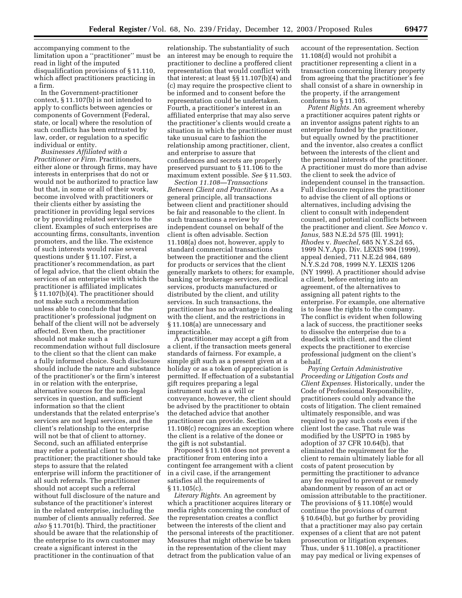accompanying comment to the limitation upon a ''practitioner'' must be read in light of the imputed disqualification provisions of § 11.110, which affect practitioners practicing in a firm.

In the Government-practitioner context, § 11.107(b) is not intended to apply to conflicts between agencies or components of Government (Federal, state, or local) where the resolution of such conflicts has been entrusted by law, order, or regulation to a specific individual or entity.

*Businesses Affiliated with a Practitioner or Firm.* Practitioners, either alone or through firms, may have interests in enterprises that do not or would not be authorized to practice law but that, in some or all of their work, become involved with practitioners or their clients either by assisting the practitioner in providing legal services or by providing related services to the client. Examples of such enterprises are accounting firms, consultants, invention promoters, and the like. The existence of such interests would raise several questions under § 11.107. First, a practitioner's recommendation, as part of legal advice, that the client obtain the services of an enterprise with which the practitioner is affiliated implicates § 11.107(b)(4). The practitioner should not make such a recommendation unless able to conclude that the practitioner's professional judgment on behalf of the client will not be adversely affected. Even then, the practitioner should not make such a recommendation without full disclosure to the client so that the client can make a fully informed choice. Such disclosure should include the nature and substance of the practitioner's or the firm's interest in or relation with the enterprise, alternative sources for the non-legal services in question, and sufficient information so that the client understands that the related enterprise's services are not legal services, and the client's relationship to the enterprise will not be that of client to attorney. Second, such an affiliated enterprise may refer a potential client to the practitioner; the practitioner should take steps to assure that the related enterprise will inform the practitioner of all such referrals. The practitioner should not accept such a referral without full disclosure of the nature and substance of the practitioner's interest in the related enterprise, including the number of clients annually referred. *See also* § 11.701(b). Third, the practitioner should be aware that the relationship of the enterprise to its own customer may create a significant interest in the practitioner in the continuation of that

relationship. The substantiality of such an interest may be enough to require the practitioner to decline a proffered client representation that would conflict with that interest; at least §§ 11.107(b)(4) and (c) may require the prospective client to be informed and to consent before the representation could be undertaken. Fourth, a practitioner's interest in an affiliated enterprise that may also serve the practitioner's clients would create a situation in which the practitioner must take unusual care to fashion the relationship among practitioner, client, and enterprise to assure that confidences and secrets are properly preserved pursuant to § 11.106 to the maximum extent possible. *See* § 11.503.

*Section 11.108—Transactions Between Client and Practitioner.* As a general principle, all transactions between client and practitioner should be fair and reasonable to the client. In such transactions a review by independent counsel on behalf of the client is often advisable. Section 11.108(a) does not, however, apply to standard commercial transactions between the practitioner and the client for products or services that the client generally markets to others; for example, banking or brokerage services, medical services, products manufactured or distributed by the client, and utility services. In such transactions, the practitioner has no advantage in dealing with the client, and the restrictions in § 11.108(a) are unnecessary and impracticable.

A practitioner may accept a gift from a client, if the transaction meets general standards of fairness. For example, a simple gift such as a present given at a holiday or as a token of appreciation is permitted. If effectuation of a substantial gift requires preparing a legal instrument such as a will or conveyance, however, the client should be advised by the practitioner to obtain the detached advice that another practitioner can provide. Section 11.108(c) recognizes an exception where the client is a relative of the donee or the gift is not substantial.

Proposed § 11.108 does not prevent a practitioner from entering into a contingent fee arrangement with a client in a civil case, if the arrangement satisfies all the requirements of  $§ 11.105(c).$ 

*Literary Rights.* An agreement by which a practitioner acquires literary or media rights concerning the conduct of the representation creates a conflict between the interests of the client and the personal interests of the practitioner. Measures that might otherwise be taken in the representation of the client may detract from the publication value of an

account of the representation. Section 11.108(d) would not prohibit a practitioner representing a client in a transaction concerning literary property from agreeing that the practitioner's fee shall consist of a share in ownership in the property, if the arrangement conforms to § 11.105.

*Patent Rights.* An agreement whereby a practitioner acquires patent rights or an inventor assigns patent rights to an enterprise funded by the practitioner, but equally owned by the practitioner and the inventor, also creates a conflict between the interests of the client and the personal interests of the practitioner. A practitioner must do more than advise the client to seek the advice of independent counsel in the transaction. Full disclosure requires the practitioner to advise the client of all options or alternatives, including advising the client to consult with independent counsel, and potential conflicts between the practitioner and client. *See Monco* v. *Janus,* 583 N.E.2d 575 (Ill. 1991); *Rhodes* v. *Buechel,* 685 N.Y.S.2d 65, 1999 N.Y.App. Div. LEXIS 904 (1999), appeal denied, 711 N.E.2d 984, 689 N.Y.S.2d 708, 1999 N.Y. LEXIS 1206 (NY 1999). A practitioner should advise a client, before entering into an agreement, of the alternatives to assigning all patent rights to the enterprise. For example, one alternative is to lease the rights to the company. The conflict is evident when following a lack of success, the practitioner seeks to dissolve the enterprise due to a deadlock with client, and the client expects the practitioner to exercise professional judgment on the client's behalf.

*Paying Certain Administrative Proceeding or Litigation Costs and Client Expenses.* Historically, under the Code of Professional Responsibility, practitioners could only advance the costs of litigation. The client remained ultimately responsible, and was required to pay such costs even if the client lost the case. That rule was modified by the USPTO in 1985 by adoption of 37 CFR 10.64(b), that eliminated the requirement for the client to remain ultimately liable for all costs of patent prosecution by permitting the practitioner to advance any fee required to prevent or remedy abandonment by reason of an act or omission attributable to the practitioner. The provisions of § 11.108(e) would continue the provisions of current § 10.64(b), but go further by providing that a practitioner may also pay certain expenses of a client that are not patent prosecution or litigation expenses. Thus, under § 11.108(e), a practitioner may pay medical or living expenses of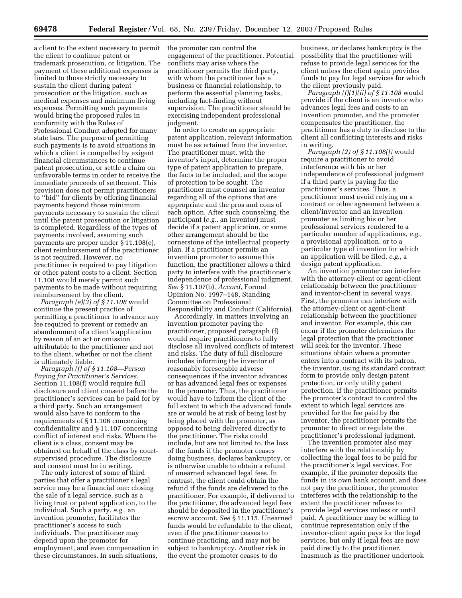a client to the extent necessary to permit the client to continue patent or trademark prosecution, or litigation. The payment of these additional expenses is limited to those strictly necessary to sustain the client during patent prosecution or the litigation, such as medical expenses and minimum living expenses. Permitting such payments would bring the proposed rules in conformity with the Rules of Professional Conduct adopted for many state bars. The purpose of permitting such payments is to avoid situations in which a client is compelled by exigent financial circumstances to continue patent prosecution, or settle a claim on unfavorable terms in order to receive the immediate proceeds of settlement. This provision does not permit practitioners to ''bid'' for clients by offering financial payments beyond those minimum payments necessary to sustain the client until the patent prosecution or litigation is completed. Regardless of the types of payments involved, assuming such payments are proper under § 11.108(e), client reimbursement of the practitioner is not required. However, no practitioner is required to pay litigation or other patent costs to a client. Section 11.108 would merely permit such payments to be made without requiring reimbursement by the client.

*Paragraph (e)(3) of § 11.108* would continue the present practice of permitting a practitioner to advance any fee required to prevent or remedy an abandonment of a client's application by reason of an act or omission attributable to the practitioner and not to the client, whether or not the client is ultimately liable.

*Paragraph (f) of § 11.108—Person Paying for Practitioner's Services.* Section 11.108(f) would require full disclosure and client consent before the practitioner's services can be paid for by a third party. Such an arrangement would also have to conform to the requirements of § 11.106 concerning confidentiality and § 11.107 concerning conflict of interest and risks. Where the client is a class, consent may be obtained on behalf of the class by courtsupervised procedure. The disclosure and consent must be in writing.

The only interest of some of third parties that offer a practitioner's legal service may be a financial one: closing the sale of a legal service, such as a living trust or patent application, to the individual. Such a party, *e.g.,* an invention promoter, facilitates the practitioner's access to such individuals. The practitioner may depend upon the promoter for employment, and even compensation in these circumstances. In such situations,

the promoter can control the engagement of the practitioner. Potential conflicts may arise where the practitioner permits the third party, with whom the practitioner has a business or financial relationship, to perform the essential planning tasks, including fact-finding without supervision. The practitioner should be exercising independent professional judgment.

In order to create an appropriate patent application, relevant information must be ascertained from the inventor. The practitioner must, with the inventor's input, determine the proper type of patent application to prepare, the facts to be included, and the scope of protection to be sought. The practitioner must counsel an inventor regarding all of the options that are appropriate and the pros and cons of each option. After such counseling, the participant (*e.g.,* an inventor) must decide if a patent application, or some other arrangement should be the cornerstone of the intellectual property plan. If a practitioner permits an invention promoter to assume this function, the practitioner allows a third party to interfere with the practitioner's independence of professional judgment. *See* § 11.107(b). *Accord,* Formal Opinion No. 1997–148, Standing Committee on Professional Responsibility and Conduct (California).

Accordingly, in matters involving an invention promoter paying the practitioner, proposed paragraph (f) would require practitioners to fully disclose all involved conflicts of interest and risks. The duty of full disclosure includes informing the inventor of reasonably foreseeable adverse consequences if the inventor advances or has advanced legal fees or expenses to the promoter. Thus, the practitioner would have to inform the client of the full extent to which the advanced funds are or would be at risk of being lost by being placed with the promoter, as opposed to being delivered directly to the practitioner. The risks could include, but are not limited to, the loss of the funds if the promoter ceases doing business, declares bankruptcy, or is otherwise unable to obtain a refund of unearned advanced legal fees. In contrast, the client could obtain the refund if the funds are delivered to the practitioner. For example, if delivered to the practitioner, the advanced legal fees should be deposited in the practitioner's escrow account. *See* § 11.115. Unearned funds would be refundable to the client, even if the practitioner ceases to continue practicing, and may not be subject to bankruptcy. Another risk in the event the promoter ceases to do

business, or declares bankruptcy is the possibility that the practitioner will refuse to provide legal services for the client unless the client again provides funds to pay for legal services for which the client previously paid.

*Paragraph (f)(1)(ii) of § 11.108* would provide if the client is an inventor who advances legal fees and costs to an invention promoter, and the promoter compensates the practitioner, the practitioner has a duty to disclose to the client all conflicting interests and risks in writing.

*Paragraph (2) of § 11.108(f)* would require a practitioner to avoid interference with his or her independence of professional judgment if a third party is paying for the practitioner's services. Thus, a practitioner must avoid relying on a contract or other agreement between a client/inventor and an invention promoter as limiting his or her professional services rendered to a particular number of applications, *e.g.,* a provisional application, or to a particular type of invention for which an application will be filed, *e.g.,* a design patent application.

An invention promoter can interfere with the attorney-client or agent-client relationship between the practitioner and inventor-client in several ways. First, the promoter can interfere with the attorney-client or agent-client relationship between the practitioner and inventor. For example, this can occur if the promoter determines the legal protection that the practitioner will seek for the inventor. These situations obtain where a promoter enters into a contract with its patron, the inventor, using its standard contract form to provide only design patent protection, or only utility patent protection. If the practitioner permits the promoter's contract to control the extent to which legal services are provided for the fee paid by the inventor, the practitioner permits the promoter to direct or regulate the practitioner's professional judgment.

The invention promoter also may interfere with the relationship by collecting the legal fees to be paid for the practitioner's legal services. For example, if the promoter deposits the funds in its own bank account, and does not pay the practitioner, the promoter interferes with the relationship to the extent the practitioner refuses to provide legal services unless or until paid. A practitioner may be willing to continue representation only if the inventor-client again pays for the legal services, but only if legal fees are now paid directly to the practitioner. Inasmuch as the practitioner undertook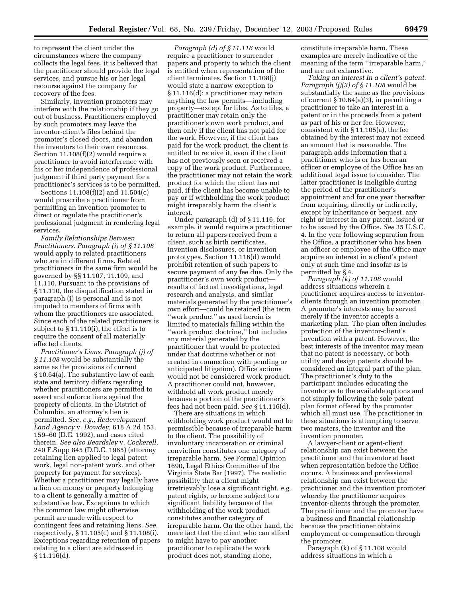to represent the client under the circumstances where the company collects the legal fees, it is believed that the practitioner should provide the legal services, and pursue his or her legal recourse against the company for recovery of the fees.

Similarly, invention promoters may interfere with the relationship if they go out of business. Practitioners employed by such promoters may leave the inventor-client's files behind the promoter's closed doors, and abandon the inventors to their own resources. Section 11.108(f)(2) would require a practitioner to avoid interference with his or her independence of professional judgment if third party payment for a practitioner's services is to be permitted.

Sections 11.108(f)(2) and 11.504(c) would proscribe a practitioner from permitting an invention promoter to direct or regulate the practitioner's professional judgment in rendering legal services.

*Family Relationships Between Practitioners. Paragraph (i) of § 11.108* would apply to related practitioners who are in different firms. Related practitioners in the same firm would be governed by §§ 11.107, 11.109, and 11.110. Pursuant to the provisions of § 11.110, the disqualification stated in paragraph (i) is personal and is not imputed to members of firms with whom the practitioners are associated. Since each of the related practitioners is subject to § 11.110(i), the effect is to require the consent of all materially affected clients.

*Practitioner's Liens. Paragraph (j) of § 11.108* would be substantially the same as the provisions of current § 10.64(a). The substantive law of each state and territory differs regarding whether practitioners are permitted to assert and enforce liens against the property of clients. In the District of Columbia, an attorney's lien is permitted. *See, e.g., Redevelopment Land Agency* v. *Dowdey,* 618 A.2d 153, 159–60 (D.C. 1992), and cases cited therein. *See also Beardsley* v. *Cockerell,* 240 F.Supp 845 (D.D.C. 1965) (attorney retaining lien applied to legal patent work, legal non-patent work, and other property for payment for services). Whether a practitioner may legally have a lien on money or property belonging to a client is generally a matter of substantive law. Exceptions to which the common law might otherwise permit are made with respect to contingent fees and retaining liens. *See,* respectively, § 11.105(c) and § 11.108(i). Exceptions regarding retention of papers relating to a client are addressed in § 11.116(d).

*Paragraph (d) of § 11.116* would require a practitioner to surrender papers and property to which the client is entitled when representation of the client terminates. Section 11.108(j) would state a narrow exception to § 11.116(d): a practitioner may retain anything the law permits—including property—except for files. As to files, a practitioner may retain only the practitioner's own work product, and then only if the client has not paid for the work. However, if the client has paid for the work product, the client is entitled to receive it, even if the client has not previously seen or received a copy of the work product. Furthermore, the practitioner may not retain the work product for which the client has not paid, if the client has become unable to pay or if withholding the work product might irreparably harm the client's interest.

Under paragraph (d) of § 11.116, for example, it would require a practitioner to return all papers received from a client, such as birth certificates, invention disclosures, or invention prototypes. Section 11.116(d) would prohibit retention of such papers to secure payment of any fee due. Only the practitioner's own work product results of factual investigations, legal research and analysis, and similar materials generated by the practitioner's own effort—could be retained (the term ''work product'' as used herein is limited to materials falling within the ''work product doctrine,'' but includes any material generated by the practitioner that would be protected under that doctrine whether or not created in connection with pending or anticipated litigation). Office actions would not be considered work product. A practitioner could not, however, withhold all work product merely because a portion of the practitioner's fees had not been paid. *See* § 11.116(d).

There are situations in which withholding work product would not be permissible because of irreparable harm to the client. The possibility of involuntary incarceration or criminal conviction constitutes one category of irreparable harm. *See* Formal Opinion 1690, Legal Ethics Committee of the Virginia State Bar (1997). The realistic possibility that a client might irretrievably lose a significant right, *e.g.*, patent rights, or become subject to a significant liability because of the withholding of the work product constitutes another category of irreparable harm. On the other hand, the mere fact that the client who can afford to might have to pay another practitioner to replicate the work product does not, standing alone,

constitute irreparable harm. These examples are merely indicative of the meaning of the term ''irreparable harm,'' and are not exhaustive.

*Taking an interest in a client's patent. Paragraph (j)(3) of § 11.108* would be substantially the same as the provisions of current § 10.64(a)(3), in permitting a practitioner to take an interest in a patent or in the proceeds from a patent as part of his or her fee. However, consistent with § 11.105(a), the fee obtained by the interest may not exceed an amount that is reasonable. The paragraph adds information that a practitioner who is or has been an officer or employee of the Office has an additional legal issue to consider. The latter practitioner is ineligible during the period of the practitioner's appointment and for one year thereafter from acquiring, directly or indirectly, except by inheritance or bequest, any right or interest in any patent, issued or to be issued by the Office. *See* 35 U.S.C. 4. In the year following separation from the Office, a practitioner who has been an officer or employee of the Office may acquire an interest in a client's patent only at such time and insofar as is permitted by § 4.

*Paragraph (k) of 11.108* would address situations wherein a practitioner acquires access to inventorclients through an invention promoter. A promoter's interests may be served merely if the inventor accepts a marketing plan. The plan often includes protection of the inventor-client's invention with a patent. However, the best interests of the inventor may mean that no patent is necessary, or both utility and design patents should be considered an integral part of the plan. The practitioner's duty to the participant includes educating the inventor as to the available options and not simply following the sole patent plan format offered by the promoter which all must use. The practitioner in these situations is attempting to serve two masters, the inventor and the invention promoter.

A lawyer-client or agent-client relationship can exist between the practitioner and the inventor at least when representation before the Office occurs. A business and professional relationship can exist between the practitioner and the invention promoter whereby the practitioner acquires inventor-clients through the promoter. The practitioner and the promoter have a business and financial relationship because the practitioner obtains employment or compensation through the promoter.

Paragraph (k) of § 11.108 would address situations in which a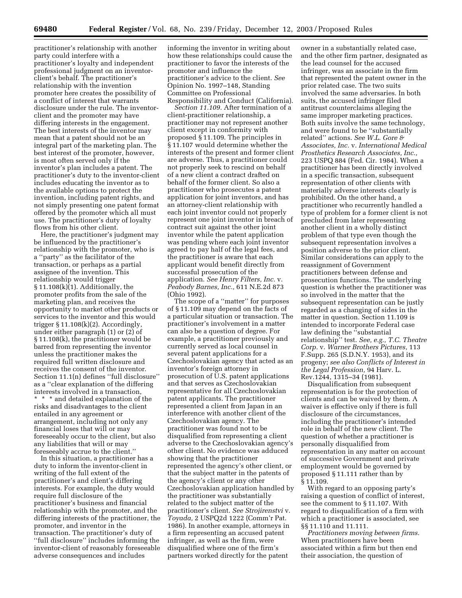practitioner's relationship with another party could interfere with a practitioner's loyalty and independent professional judgment on an inventorclient's behalf. The practitioner's relationship with the invention promoter here creates the possibility of a conflict of interest that warrants disclosure under the rule. The inventorclient and the promoter may have differing interests in the engagement. The best interests of the inventor may mean that a patent should not be an integral part of the marketing plan. The best interest of the promoter, however, is most often served only if the inventor's plan includes a patent. The practitioner's duty to the inventor-client includes educating the inventor as to the available options to protect the invention, including patent rights, and not simply presenting one patent format offered by the promoter which all must use. The practitioner's duty of loyalty flows from his other client.

Here, the practitioner's judgment may be influenced by the practitioner's relationship with the promoter, who is a ''party'' as the facilitator of the transaction, or perhaps as a partial assignee of the invention. This relationship would trigger § 11.108(k)(1). Additionally, the promoter profits from the sale of the marketing plan, and receives the opportunity to market other products or services to the inventor and this would trigger  $\S 11.108(k)(2)$ . Accordingly, under either paragraph (1) or (2) of § 11.108(k), the practitioner would be barred from representing the inventor unless the practitioner makes the required full written disclosure and receives the consent of the inventor. Section 11.1(n) defines "full disclosure" as a ''clear explanation of the differing interests involved in a transaction, \* \* \* and detailed explanation of the risks and disadvantages to the client entailed in any agreement or arrangement, including not only any financial loses that will or may foreseeably occur to the client, but also any liabilities that will or may foreseeably accrue to the client.''

In this situation, a practitioner has a duty to inform the inventor-client in writing of the full extent of the practitioner's and client's differing interests. For example, the duty would require full disclosure of the practitioner's business and financial relationship with the promoter, and the differing interests of the practitioner, the promoter, and inventor in the transaction. The practitioner's duty of ''full disclosure'' includes informing the inventor-client of reasonably foreseeable adverse consequences and includes

informing the inventor in writing about how these relationships could cause the practitioner to favor the interests of the promoter and influence the practitioner's advice to the client. *See* Opinion No. 1997–148, Standing Committee on Professional Responsibility and Conduct (California).

*Section 11.109.* After termination of a client-practitioner relationship, a practitioner may not represent another client except in conformity with proposed § 11.109. The principles in § 11.107 would determine whether the interests of the present and former client are adverse. Thus, a practitioner could not properly seek to rescind on behalf of a new client a contract drafted on behalf of the former client. So also a practitioner who prosecutes a patent application for joint inventors, and has an attorney-client relationship with each joint inventor could not properly represent one joint inventor in breach of contract suit against the other joint inventor while the patent application was pending where each joint inventor agreed to pay half of the legal fees, and the practitioner is aware that each applicant would benefit directly from successful prosecution of the application. *See Henry Filters, Inc.* v. *Peabody Barnes, Inc.,* 611 N.E.2d 873 (Ohio 1992).

The scope of a ''matter'' for purposes of § 11.109 may depend on the facts of a particular situation or transaction. The practitioner's involvement in a matter can also be a question of degree. For example, a practitioner previously and currently served as local counsel in several patent applications for a Czechoslovakian agency that acted as an inventor's foreign attorney in prosecution of U.S. patent applications and that serves as Czechoslovakian representative for all Czechoslovakian patent applicants. The practitioner represented a client from Japan in an interference with another client of the Czechoslovakian agency. The practitioner was found not to be disqualified from representing a client adverse to the Czechoslovakian agency's other client. No evidence was adduced showing that the practitioner represented the agency's other client, or that the subject matter in the patents of the agency's client or any other Czechoslovakian application handled by the practitioner was substantially related to the subject matter of the practitioner's client. *See Strojirenstvi* v. *Toyada,* 2 USPQ2d 1222 (Comm'r Pat. 1986). In another example, attorneys in a firm representing an accused patent infringer, as well as the firm, were disqualified where one of the firm's partners worked directly for the patent

owner in a substantially related case, and the other firm partner, designated as the lead counsel for the accused infringer, was an associate in the firm that represented the patent owner in the prior related case. The two suits involved the same adversaries. In both suits, the accused infringer filed antitrust counterclaims alleging the same improper marketing practices. Both suits involve the same technology, and were found to be ''substantially related'' actions. *See W.L. Gore & Associates, Inc.* v. *International Medical Prosthetics Research Associates, Inc.,* 223 USPQ 884 (Fed. Cir. 1984). When a practitioner has been directly involved in a specific transaction, subsequent representation of other clients with materially adverse interests clearly is prohibited. On the other hand, a practitioner who recurrently handled a type of problem for a former client is not precluded from later representing another client in a wholly distinct problem of that type even though the subsequent representation involves a position adverse to the prior client. Similar considerations can apply to the reassignment of Government practitioners between defense and prosecution functions. The underlying question is whether the practitioner was so involved in the matter that the subsequent representation can be justly regarded as a changing of sides in the matter in question. Section 11.109 is intended to incorporate Federal case law defining the ''substantial relationship'' test. *See, e.g., T.C. Theatre Corp.* v. *Warner Brothers Pictures,* 113 F.Supp. 265 (S.D.N.Y. 1953), and its progeny; *see also Conflicts of Interest in the Legal Profession,* 94 Harv. L. Rev.1244, 1315–34 (1981).

Disqualification from subsequent representation is for the protection of clients and can be waived by them. A waiver is effective only if there is full disclosure of the circumstances, including the practitioner's intended role in behalf of the new client. The question of whether a practitioner is personally disqualified from representation in any matter on account of successive Government and private employment would be governed by proposed § 11.111 rather than by § 11.109.

With regard to an opposing party's raising a question of conflict of interest, see the comment to § 11.107. With regard to disqualification of a firm with which a practitioner is associated, see §§ 11.110 and 11.111.

*Practitioners moving between firms.* When practitioners have been associated within a firm but then end their association, the question of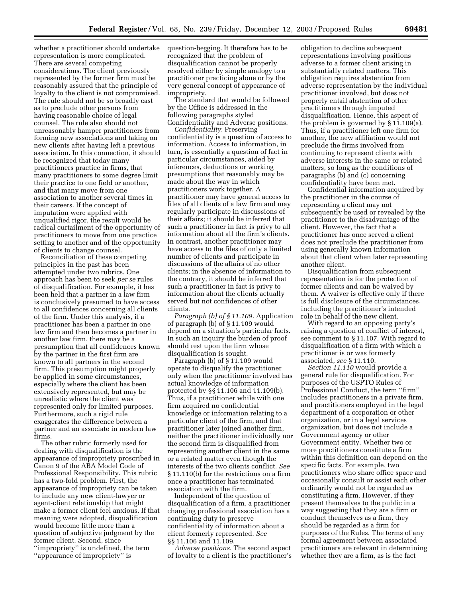whether a practitioner should undertake representation is more complicated. There are several competing considerations. The client previously represented by the former firm must be reasonably assured that the principle of loyalty to the client is not compromised. The rule should not be so broadly cast as to preclude other persons from having reasonable choice of legal counsel. The rule also should not unreasonably hamper practitioners from forming new associations and taking on new clients after having left a previous association. In this connection, it should be recognized that today many practitioners practice in firms, that many practitioners to some degree limit their practice to one field or another, and that many move from one association to another several times in their careers. If the concept of imputation were applied with unqualified rigor, the result would be radical curtailment of the opportunity of practitioners to move from one practice setting to another and of the opportunity of clients to change counsel.

Reconciliation of these competing principles in the past has been attempted under two rubrics. One approach has been to seek *per se* rules of disqualification. For example, it has been held that a partner in a law firm is conclusively presumed to have access to all confidences concerning all clients of the firm. Under this analysis, if a practitioner has been a partner in one law firm and then becomes a partner in another law firm, there may be a presumption that all confidences known by the partner in the first firm are known to all partners in the second firm. This presumption might properly be applied in some circumstances, especially where the client has been extensively represented, but may be unrealistic where the client was represented only for limited purposes. Furthermore, such a rigid rule exaggerates the difference between a partner and an associate in modern law firms.

The other rubric formerly used for dealing with disqualification is the appearance of impropriety proscribed in Canon 9 of the ABA Model Code of Professional Responsibility. This rubric has a two-fold problem. First, the appearance of impropriety can be taken to include any new client-lawyer or agent-client relationship that might make a former client feel anxious. If that meaning were adopted, disqualification would become little more than a question of subjective judgment by the former client. Second, since ''impropriety'' is undefined, the term ''appearance of impropriety'' is

question-begging. It therefore has to be recognized that the problem of disqualification cannot be properly resolved either by simple analogy to a practitioner practicing alone or by the very general concept of appearance of impropriety.

The standard that would be followed by the Office is addressed in the following paragraphs styled Confidentiality and Adverse positions.

*Confidentiality.* Preserving confidentiality is a question of access to information. Access to information, in turn, is essentially a question of fact in particular circumstances, aided by inferences, deductions or working presumptions that reasonably may be made about the way in which practitioners work together. A practitioner may have general access to files of all clients of a law firm and may regularly participate in discussions of their affairs; it should be inferred that such a practitioner in fact is privy to all information about all the firm's clients. In contrast, another practitioner may have access to the files of only a limited number of clients and participate in discussions of the affairs of no other clients; in the absence of information to the contrary, it should be inferred that such a practitioner in fact is privy to information about the clients actually served but not confidences of other clients.

*Paragraph (b) of § 11.109.* Application of paragraph (b) of § 11.109 would depend on a situation's particular facts. In such an inquiry the burden of proof should rest upon the firm whose disqualification is sought.

Paragraph (b) of §11.109 would operate to disqualify the practitioner only when the practitioner involved has actual knowledge of information protected by §§ 11.106 and 11.109(b). Thus, if a practitioner while with one firm acquired no confidential knowledge or information relating to a particular client of the firm, and that practitioner later joined another firm, neither the practitioner individually nor the second firm is disqualified from representing another client in the same or a related matter even though the interests of the two clients conflict. *See* § 11.110(b) for the restrictions on a firm once a practitioner has terminated association with the firm.

Independent of the question of disqualification of a firm, a practitioner changing professional association has a continuing duty to preserve confidentiality of information about a client formerly represented. *See* §§ 11.106 and 11.109.

*Adverse positions.* The second aspect of loyalty to a client is the practitioner's obligation to decline subsequent representations involving positions adverse to a former client arising in substantially related matters. This obligation requires abstention from adverse representation by the individual practitioner involved, but does not properly entail abstention of other practitioners through imputed disqualification. Hence, this aspect of the problem is governed by § 11.109(a). Thus, if a practitioner left one firm for another, the new affiliation would not preclude the firms involved from continuing to represent clients with adverse interests in the same or related matters, so long as the conditions of paragraphs (b) and (c) concerning confidentiality have been met.

Confidential information acquired by the practitioner in the course of representing a client may not subsequently be used or revealed by the practitioner to the disadvantage of the client. However, the fact that a practitioner has once served a client does not preclude the practitioner from using generally known information about that client when later representing another client.

Disqualification from subsequent representation is for the protection of former clients and can be waived by them. A waiver is effective only if there is full disclosure of the circumstances, including the practitioner's intended role in behalf of the new client.

With regard to an opposing party's raising a question of conflict of interest, see comment to § 11.107. With regard to disqualification of a firm with which a practitioner is or was formerly associated, *see* § 11.110.

*Section 11.110* would provide a general rule for disqualification. For purposes of the USPTO Rules of Professional Conduct, the term ''firm'' includes practitioners in a private firm, and practitioners employed in the legal department of a corporation or other organization, or in a legal services organization, but does not include a Government agency or other Government entity. Whether two or more practitioners constitute a firm within this definition can depend on the specific facts. For example, two practitioners who share office space and occasionally consult or assist each other ordinarily would not be regarded as constituting a firm. However, if they present themselves to the public in a way suggesting that they are a firm or conduct themselves as a firm, they should be regarded as a firm for purposes of the Rules. The terms of any formal agreement between associated practitioners are relevant in determining whether they are a firm, as is the fact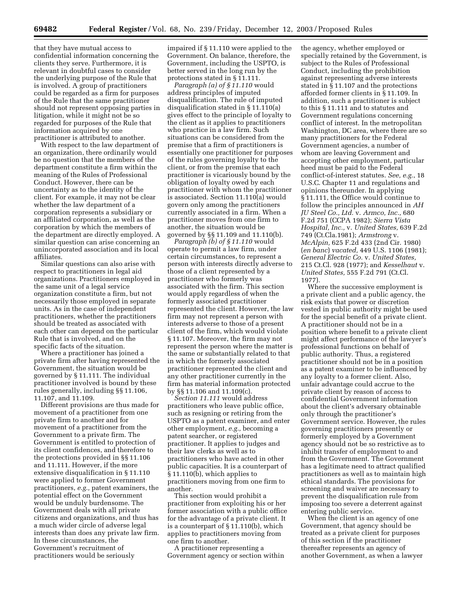that they have mutual access to confidential information concerning the clients they serve. Furthermore, it is relevant in doubtful cases to consider the underlying purpose of the Rule that is involved. A group of practitioners could be regarded as a firm for purposes of the Rule that the same practitioner should not represent opposing parties in litigation, while it might not be so regarded for purposes of the Rule that information acquired by one practitioner is attributed to another.

With respect to the law department of an organization, there ordinarily would be no question that the members of the department constitute a firm within the meaning of the Rules of Professional Conduct. However, there can be uncertainty as to the identity of the client. For example, it may not be clear whether the law department of a corporation represents a subsidiary or an affiliated corporation, as well as the corporation by which the members of the department are directly employed. A similar question can arise concerning an unincorporated association and its local affiliates.

Similar questions can also arise with respect to practitioners in legal aid organizations. Practitioners employed in the same unit of a legal service organization constitute a firm, but not necessarily those employed in separate units. As in the case of independent practitioners, whether the practitioners should be treated as associated with each other can depend on the particular Rule that is involved, and on the specific facts of the situation.

Where a practitioner has joined a private firm after having represented the Government, the situation would be governed by § 11.111. The individual practitioner involved is bound by these rules generally, including §§ 11.106, 11.107, and 11.109.

Different provisions are thus made for movement of a practitioner from one private firm to another and for movement of a practitioner from the Government to a private firm. The Government is entitled to protection of its client confidences, and therefore to the protections provided in §§ 11.106 and 11.111. However, if the more extensive disqualification in § 11.110 were applied to former Government practitioners, *e.g.,* patent examiners, the potential effect on the Government would be unduly burdensome. The Government deals with all private citizens and organizations, and thus has a much wider circle of adverse legal interests than does any private law firm. In these circumstances, the Government's recruitment of practitioners would be seriously

impaired if § 11.110 were applied to the Government. On balance, therefore, the Government, including the USPTO, is better served in the long run by the protections stated in § 11.111.

*Paragraph (a) of § 11.110* would address principles of imputed disqualification. The rule of imputed disqualification stated in § 11.110(a) gives effect to the principle of loyalty to the client as it applies to practitioners who practice in a law firm. Such situations can be considered from the premise that a firm of practitioners is essentially one practitioner for purposes of the rules governing loyalty to the client, or from the premise that each practitioner is vicariously bound by the obligation of loyalty owed by each practitioner with whom the practitioner is associated. Section 11.110(a) would govern only among the practitioners currently associated in a firm. When a practitioner moves from one firm to another, the situation would be governed by §§ 11.109 and 11.110(b).

*Paragraph (b) of § 11.110* would operate to permit a law firm, under certain circumstances, to represent a person with interests directly adverse to those of a client represented by a practitioner who formerly was associated with the firm. This section would apply regardless of when the formerly associated practitioner represented the client. However, the law firm may not represent a person with interests adverse to those of a present client of the firm, which would violate § 11.107. Moreover, the firm may not represent the person where the matter is the same or substantially related to that in which the formerly associated practitioner represented the client and any other practitioner currently in the firm has material information protected by §§ 11.106 and 11.109(c).

*Section 11.111* would address practitioners who leave public office, such as resigning or retiring from the USPTO as a patent examiner, and enter other employment, *e.g.,* becoming a patent searcher, or registered practitioner. It applies to judges and their law clerks as well as to practitioners who have acted in other public capacities. It is a counterpart of § 11.110(b), which applies to practitioners moving from one firm to another.

This section would prohibit a practitioner from exploiting his or her former association with a public office for the advantage of a private client. It is a counterpart of § 11.110(b), which applies to practitioners moving from one firm to another.

A practitioner representing a Government agency or section within the agency, whether employed or specially retained by the Government, is subject to the Rules of Professional Conduct, including the prohibition against representing adverse interests stated in § 11.107 and the protections afforded former clients in § 11.109. In addition, such a practitioner is subject to this § 11.111 and to statutes and Government regulations concerning conflict of interest. In the metropolitan Washington, DC area, where there are so many practitioners for the Federal Government agencies, a number of whom are leaving Government and accepting other employment, particular heed must be paid to the Federal conflict-of-interest statutes. *See, e.g.*, 18 U.S.C. Chapter 11 and regulations and opinions thereunder. In applying § 11.111, the Office would continue to follow the principles announced in *AH JU Steel Co., Ltd.* v. *Armco, Inc.,* 680 F.2d 751 (CCPA 1982); *Sierra Vista Hospital, Inc.,* v. *United States,* 639 F.2d 749 (Ct.Cla.1981); *Armstrong* v. *McAlpin,* 625 F.2d 433 (2nd Cir. 1980) (*en banc*) *vacated,* 449 U.S. 1106 (1981); *General Electric Co.* v. *United States,* 215 Ct.Cl. 928 (1977); and *Kesselhaut* v. *United States,* 555 F.2d 791 (Ct.Cl. 1977).

Where the successive employment is a private client and a public agency, the risk exists that power or discretion vested in public authority might be used for the special benefit of a private client. A practitioner should not be in a position where benefit to a private client might affect performance of the lawyer's professional functions on behalf of public authority. Thus, a registered practitioner should not be in a position as a patent examiner to be influenced by any loyalty to a former client. Also, unfair advantage could accrue to the private client by reason of access to confidential Government information about the client's adversary obtainable only through the practitioner's Government service. However, the rules governing practitioners presently or formerly employed by a Government agency should not be so restrictive as to inhibit transfer of employment to and from the Government. The Government has a legitimate need to attract qualified practitioners as well as to maintain high ethical standards. The provisions for screening and waiver are necessary to prevent the disqualification rule from imposing too severe a deterrent against entering public service.

When the client is an agency of one Government, that agency should be treated as a private client for purposes of this section if the practitioner thereafter represents an agency of another Government, as when a lawyer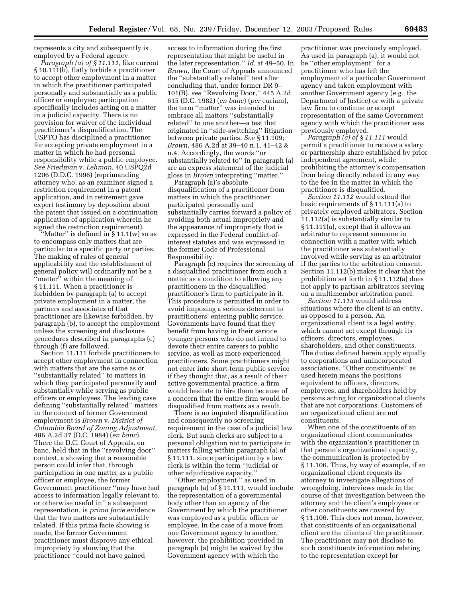represents a city and subsequently is employed by a Federal agency.

*Paragraph (a) of § 11.111,* like current § 10.111(b), flatly forbids a practitioner to accept other employment in a matter in which the practitioner participated personally and substantially as a public officer or employee; participation specifically includes acting on a matter in a judicial capacity. There is no provision for waiver of the individual practitioner's disqualification. The USPTO has disciplined a practitioner for accepting private employment in a matter in which he had personal responsibility while a public employee. *See Friedman* v. *Lehman,* 40 USPQ2d 1206 (D.D.C. 1996) (reprimanding attorney who, as an examiner signed a restriction requirement in a patent application, and in retirement gave expert testimony by deposition about the patent that issued on a continuation application of application wherein he signed the restriction requirement).

''Matter'' is defined in § 11.1(w) so as to encompass only matters that are particular to a specific party or parties. The making of rules of general applicability and the establishment of general policy will ordinarily not be a ''matter'' within the meaning of § 11.111. When a practitioner is forbidden by paragraph (a) to accept private employment in a matter, the partners and associates of that practitioner are likewise forbidden, by paragraph (b), to accept the employment unless the screening and disclosure procedures described in paragraphs (c) through (f) are followed.

Section 11.111 forbids practitioners to accept other employment in connection with matters that are the same as or ''substantially related'' to matters in which they participated personally and substantially while serving as public officers or employees. The leading case defining ''substantially related'' matters in the context of former Government employment is *Brown* v. *District of Columbia Board of Zoning Adjustment,* 486 A.2d 37 (D.C. 1984) (*en banc*). There the D.C. Court of Appeals, en banc, held that in the ''revolving door'' context, a showing that a reasonable person could infer that, through participation in one matter as a public officer or employee, the former Government practitioner ''may have had access to information legally relevant to, or otherwise useful in'' a subsequent representation, is *prima facie* evidence that the two matters are substantially related. If this prima facie showing is made, the former Government practitioner must disprove any ethical impropriety by showing that the practitioner ''could not have gained

access to information during the first representation that might be useful in the later representation.'' *Id.* at 49–50. In *Brown,* the Court of Appeals announced the ''substantially related'' test after concluding that, under former DR 9– 101(B), *see* ''Revolving Door,'' 445 A.2d 615 (D.C. 1982) (*en banc*) (*per* curiam), the term ''matter'' was intended to embrace all matters ''substantially related'' to one another—a test that originated in ''side-switching'' litigation between private parties. *See* § 11.109; *Brown,* 486 A.2d at 39–40 n.1, 41–42 & n.4. Accordingly, the words ''or substantially related to'' in paragraph (a) are an express statement of the judicial gloss in *Brown* interpreting ''matter.''

Paragraph (a)'s absolute disqualification of a practitioner from matters in which the practitioner participated personally and substantially carries forward a policy of avoiding both actual impropriety and the appearance of impropriety that is expressed in the Federal conflict-ofinterest statutes and was expressed in the former Code of Professional Responsibility.

Paragraph (c) requires the screening of a disqualified practitioner from such a matter as a condition to allowing any practitioners in the disqualified practitioner's firm to participate in it. This procedure is permitted in order to avoid imposing a serious deterrent to practitioners' entering public service. Governments have found that they benefit from having in their service younger persons who do not intend to devote their entire careers to public service, as well as more experienced practitioners. Some practitioners might not enter into short-term public service if they thought that, as a result of their active governmental practice, a firm would hesitate to hire them because of a concern that the entire firm would be disqualified from matters as a result.

There is no imputed disqualification and consequently no screening requirement in the case of a judicial law clerk. But such clerks are subject to a personal obligation not to participate in matters falling within paragraph (a) of § 11.111, since participation by a law clerk is within the term ''judicial or other adjudicative capacity.''

''Other employment,'' as used in paragraph (a) of § 11.111, would include the representation of a governmental body other than an agency of the Government by which the practitioner was employed as a public officer or employee. In the case of a move from one Government agency to another, however, the prohibition provided in paragraph (a) might be waived by the Government agency with which the

practitioner was previously employed. As used in paragraph (a), it would not be ''other employment'' for a practitioner who has left the employment of a particular Government agency and taken employment with another Government agency (*e.g.,* the Department of Justice) or with a private law firm to continue or accept representation of the same Government agency with which the practitioner was previously employed.

*Paragraph (c) of § 11.111* would permit a practitioner to receive a salary or partnership share established by prior independent agreement, while prohibiting the attorney's compensation from being directly related in any way to the fee in the matter in which the practitioner is disqualified.

*Section 11.112* would extend the basic requirements of § 11.111(a) to privately employed arbitrators. Section 11.112(a) is substantially similar to § 11.111(a), except that it allows an arbitrator to represent someone in connection with a matter with which the practitioner was substantially involved while serving as an arbitrator if the parties to the arbitration consent. Section 11.112(b) makes it clear that the prohibition set forth in § 11.112(a) does not apply to partisan arbitrators serving on a multimember arbitration panel.

*Section 11.113* would address situations where the client is an entity, as opposed to a person. An organizational client is a legal entity, which cannot act except through its officers, directors, employees, shareholders, and other constituents. The duties defined herein apply equally to corporations and unincorporated associations. ''Other constituents'' as used herein means the positions equivalent to officers, directors, employees, and shareholders held by persons acting for organizational clients that are not corporations. Customers of an organizational client are not constituents.

When one of the constituents of an organizational client communicates with the organization's practitioner in that person's organizational capacity, the communication is protected by § 11.106. Thus, by way of example, if an organizational client requests its attorney to investigate allegations of wrongdoing, interviews made in the course of that investigation between the attorney and the client's employees or other constituents are covered by § 11.106. This does not mean, however, that constituents of an organizational client are the clients of the practitioner. The practitioner may not disclose to such constituents information relating to the representation except for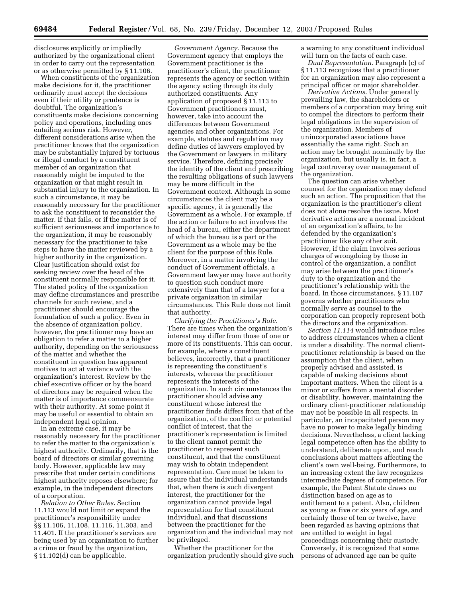disclosures explicitly or impliedly authorized by the organizational client in order to carry out the representation or as otherwise permitted by § 11.106.

When constituents of the organization make decisions for it, the practitioner ordinarily must accept the decisions even if their utility or prudence is doubtful. The organization's constituents make decisions concerning policy and operations, including ones entailing serious risk. However, different considerations arise when the practitioner knows that the organization may be substantially injured by tortuous or illegal conduct by a constituent member of an organization that reasonably might be imputed to the organization or that might result in substantial injury to the organization. In such a circumstance, it may be reasonably necessary for the practitioner to ask the constituent to reconsider the matter. If that fails, or if the matter is of sufficient seriousness and importance to the organization, it may be reasonably necessary for the practitioner to take steps to have the matter reviewed by a higher authority in the organization. Clear justification should exist for seeking review over the head of the constituent normally responsible for it. The stated policy of the organization may define circumstances and prescribe channels for such review, and a practitioner should encourage the formulation of such a policy. Even in the absence of organization policy, however, the practitioner may have an obligation to refer a matter to a higher authority, depending on the seriousness of the matter and whether the constituent in question has apparent motives to act at variance with the organization's interest. Review by the chief executive officer or by the board of directors may be required when the matter is of importance commensurate with their authority. At some point it may be useful or essential to obtain an independent legal opinion.

In an extreme case, it may be reasonably necessary for the practitioner to refer the matter to the organization's highest authority. Ordinarily, that is the board of directors or similar governing body. However, applicable law may prescribe that under certain conditions highest authority reposes elsewhere; for example, in the independent directors of a corporation.

*Relation to Other Rules.* Section 11.113 would not limit or expand the practitioner's responsibility under §§ 11.106, 11.108, 11.116, 11.303, and 11.401. If the practitioner's services are being used by an organization to further a crime or fraud by the organization, § 11.102(d) can be applicable.

*Government Agency.* Because the Government agency that employs the Government practitioner is the practitioner's client, the practitioner represents the agency or section within the agency acting through its duly authorized constituents. Any application of proposed § 11.113 to Government practitioners must, however, take into account the differences between Government agencies and other organizations. For example, statutes and regulation may define duties of lawyers employed by the Government or lawyers in military service. Therefore, defining precisely the identity of the client and prescribing the resulting obligations of such lawyers may be more difficult in the Government context. Although in some circumstances the client may be a specific agency, it is generally the Government as a whole. For example, if the action or failure to act involves the head of a bureau, either the department of which the bureau is a part or the Government as a whole may be the client for the purpose of this Rule. Moreover, in a matter involving the conduct of Government officials, a Government lawyer may have authority to question such conduct more extensively than that of a lawyer for a private organization in similar circumstances. This Rule does not limit that authority.

*Clarifying the Practitioner's Role.* There are times when the organization's interest may differ from those of one or more of its constituents. This can occur, for example, where a constituent believes, incorrectly, that a practitioner is representing the constituent's interests, whereas the practitioner represents the interests of the organization. In such circumstances the practitioner should advise any constituent whose interest the practitioner finds differs from that of the organization, of the conflict or potential conflict of interest, that the practitioner's representation is limited to the client cannot permit the practitioner to represent such constituent, and that the constituent may wish to obtain independent representation. Care must be taken to assure that the individual understands that, when there is such divergent interest, the practitioner for the organization cannot provide legal representation for that constituent individual, and that discussions between the practitioner for the organization and the individual may not be privileged.

Whether the practitioner for the organization prudently should give such a warning to any constituent individual will turn on the facts of each case.

*Dual Representation.* Paragraph (c) of § 11.113 recognizes that a practitioner for an organization may also represent a principal officer or major shareholder.

*Derivative Actions.* Under generally prevailing law, the shareholders or members of a corporation may bring suit to compel the directors to perform their legal obligations in the supervision of the organization. Members of unincorporated associations have essentially the same right. Such an action may be brought nominally by the organization, but usually is, in fact, a legal controversy over management of the organization.

The question can arise whether counsel for the organization may defend such an action. The proposition that the organization is the practitioner's client does not alone resolve the issue. Most derivative actions are a normal incident of an organization's affairs, to be defended by the organization's practitioner like any other suit. However, if the claim involves serious charges of wrongdoing by those in control of the organization, a conflict may arise between the practitioner's duty to the organization and the practitioner's relationship with the board. In those circumstances, § 11.107 governs whether practitioners who normally serve as counsel to the corporation can properly represent both the directors and the organization.

*Section 11.114* would introduce rules to address circumstances when a client is under a disability. The normal clientpractitioner relationship is based on the assumption that the client, when properly advised and assisted, is capable of making decisions about important matters. When the client is a minor or suffers from a mental disorder or disability, however, maintaining the ordinary client-practitioner relationship may not be possible in all respects. In particular, an incapacitated person may have no power to make legally binding decisions. Nevertheless, a client lacking legal competence often has the ability to understand, deliberate upon, and reach conclusions about matters affecting the client's own well-being. Furthermore, to an increasing extent the law recognizes intermediate degrees of competence. For example, the Patent Statute draws no distinction based on age as to entitlement to a patent. Also, children as young as five or six years of age, and certainly those of ten or twelve, have been regarded as having opinions that are entitled to weight in legal proceedings concerning their custody. Conversely, it is recognized that some persons of advanced age can be quite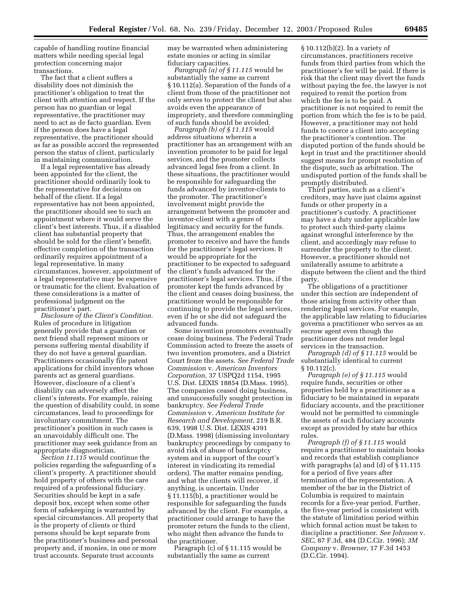capable of handling routine financial matters while needing special legal protection concerning major transactions.

The fact that a client suffers a disability does not diminish the practitioner's obligation to treat the client with attention and respect. If the person has no guardian or legal representative, the practitioner may need to act as de facto guardian. Even if the person does have a legal representative, the practitioner should as far as possible accord the represented person the status of client, particularly in maintaining communication.

If a legal representative has already been appointed for the client, the practitioner should ordinarily look to the representative for decisions on behalf of the client. If a legal representative has not been appointed, the practitioner should see to such an appointment where it would serve the client's best interests. Thus, if a disabled client has substantial property that should be sold for the client's benefit, effective completion of the transaction ordinarily requires appointment of a legal representative. In many circumstances, however, appointment of a legal representative may be expensive or traumatic for the client. Evaluation of these considerations is a matter of professional judgment on the practitioner's part.

*Disclosure of the Client's Condition.* Rules of procedure in litigation generally provide that a guardian or next friend shall represent minors or persons suffering mental disability if they do not have a general guardian. Practitioners occasionally file patent applications for child inventors whose parents act as general guardians. However, disclosure of a client's disability can adversely affect the client's interests. For example, raising the question of disability could, in some circumstances, lead to proceedings for involuntary commitment. The practitioner's position in such cases is an unavoidably difficult one. The practitioner may seek guidance from an appropriate diagnostician.

*Section 11.115* would continue the policies regarding the safeguarding of a client's property. A practitioner should hold property of others with the care required of a professional fiduciary. Securities should be kept in a safe deposit box, except when some other form of safekeeping is warranted by special circumstances. All property that is the property of clients or third persons should be kept separate from the practitioner's business and personal property and, if monies, in one or more trust accounts. Separate trust accounts

may be warranted when administering estate monies or acting in similar fiduciary capacities.

*Paragraph (a) of § 11.115* would be substantially the same as current § 10.112(a). Separation of the funds of a client from those of the practitioner not only serves to protect the client but also avoids even the appearance of impropriety, and therefore commingling of such funds should be avoided.

*Paragraph (b) of § 11.115* would address situations wherein a practitioner has an arrangement with an invention promoter to be paid for legal services, and the promoter collects advanced legal fees from a client. In these situations, the practitioner would be responsible for safeguarding the funds advanced by inventor-clients to the promoter. The practitioner's involvement might provide the arrangement between the promoter and inventor-client with a genre of legitimacy and security for the funds. Thus, the arrangement enables the promoter to receive and have the funds for the practitioner's legal services. It would be appropriate for the practitioner to be expected to safeguard the client's funds advanced for the practitioner's legal services. Thus, if the promoter kept the funds advanced by the client and ceases doing business, the practitioner would be responsible for continuing to provide the legal services, even if he or she did not safeguard the advanced funds.

Some invention promoters eventually cease doing business. The Federal Trade Commission acted to freeze the assets of two invention promoters, and a District Court froze the assets. *See Federal Trade Commission* v. *American Inventors Corporation,* 37 USPQ2d 1154, 1995 U.S. Dist. LEXIS 18854 (D.Mass. 1995). The companies ceased doing business, and unsuccessfully sought protection in bankruptcy. *See Federal Trade Commission* v. *American Institute for Research and Development,* 219 B.R. 639, 1998 U.S. Dist. LEXIS 4391 (D.Mass. 1998) (dismissing involuntary bankruptcy proceedings by company to avoid risk of abuse of bankruptcy system and in support of the court's interest in vindicating its remedial orders). The matter remains pending, and what the clients will recover, if anything, is uncertain. Under § 11.115(b), a practitioner would be responsible for safeguarding the funds advanced by the client. For example, a practitioner could arrange to have the promoter return the funds to the client, who might then advance the funds to the practitioner.

Paragraph (c) of § 11.115 would be substantially the same as current

§ 10.112(b)(2). In a variety of circumstances, practitioners receive funds from third parties from which the practitioner's fee will be paid. If there is risk that the client may divert the funds without paying the fee, the lawyer is not required to remit the portion from which the fee is to be paid. A practitioner is not required to remit the portion from which the fee is to be paid. However, a practitioner may not hold funds to coerce a client into accepting the practitioner's contention. The disputed portion of the funds should be kept in trust and the practitioner should suggest means for prompt resolution of the dispute, such as arbitration. The undisputed portion of the funds shall be promptly distributed.

Third parties, such as a client's creditors, may have just claims against funds or other property in a practitioner's custody. A practitioner may have a duty under applicable law to protect such third-party claims against wrongful interference by the client, and accordingly may refuse to surrender the property to the client. However, a practitioner should not unilaterally assume to arbitrate a dispute between the client and the third party.

The obligations of a practitioner under this section are independent of those arising from activity other than rendering legal services. For example, the applicable law relating to fiduciaries governs a practitioner who serves as an escrow agent even though the practitioner does not render legal services in the transaction.

*Paragraph (d) of § 11.115* would be substantially identical to current § 10.112(c).

*Paragraph (e) of § 11.115* would require funds, securities or other properties held by a practitioner as a fiduciary to be maintained in separate fiduciary accounts, and the practitioner would not be permitted to commingle the assets of such fiduciary accounts except as provided by state bar ethics rules.

*Paragraph (f) of § 11.115* would require a practitioner to maintain books and records that establish compliance with paragraphs (a) and (d) of § 11.115 for a period of five years after termination of the representation. A member of the bar in the District of Columbia is required to maintain records for a five-year period. Further, the five-year period is consistent with the statute of limitation period within which formal action must be taken to discipline a practitioner. *See Johnson* v. *SEC*, 87 F.3d, 484 (D.C.Cir. 1996); *3M Company* v. *Browner*, 17 F.3d 1453 (D.C.Cir. 1994).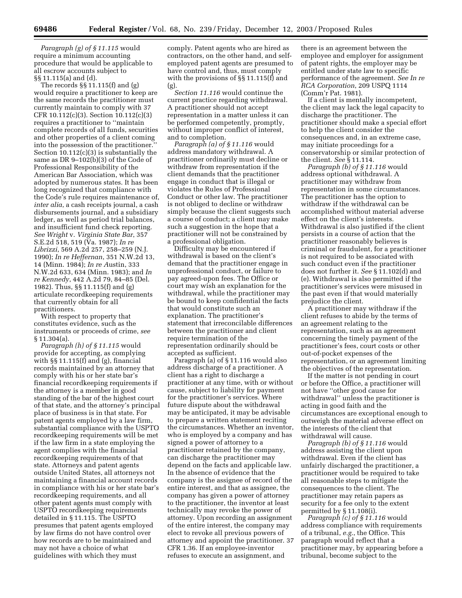*Paragraph (g) of § 11.115* would require a minimum accounting procedure that would be applicable to all escrow accounts subject to §§ 11.115(a) and (d).

The records §§ 11.115(f) and (g) would require a practitioner to keep are the same records the practitioner must currently maintain to comply with 37 CFR 10.112(c)(3). Section 10.112(c)(3) requires a practitioner to ''maintain complete records of all funds, securities and other properties of a client coming into the possession of the practitioner. Section 10.112(c)(3) is substantially the same as DR 9–102(b)(3) of the Code of Professional Responsibility of the American Bar Association, which was adopted by numerous states. It has been long recognized that compliance with the Code's rule requires maintenance of, *inter alia*, a cash receipts journal, a cash disbursements journal, and a subsidiary ledger, as well as period trial balances, and insufficient fund check reporting. *See Wright* v. *Virginia State Bar*, 357 S.E.2d 518, 519 (Va. 1987); *In re Librizzi*, 569 A.2d 257, 258–259 (N.J. 1990); *In re Heffernan*, 351 N.W.2d 13, 14 (Minn. 1984); *In re A*ustin, 333 N.W.2d 633, 634 (Minn. 1983); and *In re Kennedy*, 442 A.2d 79, 84–85 (Del. 1982). Thus, §§ 11.115(f) and (g) articulate recordkeeping requirements that currently obtain for all practitioners.

With respect to property that constitutes evidence, such as the instruments or proceeds of crime, *see* § 11.304(a).

*Paragraph (h) of § 11.115* would provide for accepting, as complying with §§ 11.115(f) and (g), financial records maintained by an attorney that comply with his or her state bar's financial recordkeeping requirements if the attorney is a member in good standing of the bar of the highest court of that state, and the attorney's principal place of business is in that state. For patent agents employed by a law firm, substantial compliance with the USPTO recordkeeping requirements will be met if the law firm in a state employing the agent complies with the financial recordkeeping requirements of that state. Attorneys and patent agents outside United States, all attorneys not maintaining a financial account records in compliance with his or her state bar's recordkeeping requirements, and all other patent agents must comply with USPTO recordkeeping requirements detailed in §11.115. The USPTO presumes that patent agents employed by law firms do not have control over how records are to be maintained and may not have a choice of what guidelines with which they must

comply. Patent agents who are hired as contractors, on the other hand, and selfemployed patent agents are presumed to have control and, thus, must comply with the provisions of §§ 11.115(f) and (g).

*Section 11.116* would continue the current practice regarding withdrawal. A practitioner should not accept representation in a matter unless it can be performed competently, promptly, without improper conflict of interest, and to completion.

*Paragraph (a) of § 11.116* would address mandatory withdrawal. A practitioner ordinarily must decline or withdraw from representation if the client demands that the practitioner engage in conduct that is illegal or violates the Rules of Professional Conduct or other law. The practitioner is not obliged to decline or withdraw simply because the client suggests such a course of conduct; a client may make such a suggestion in the hope that a practitioner will not be constrained by a professional obligation.

Difficulty may be encountered if withdrawal is based on the client's demand that the practitioner engage in unprofessional conduct, or failure to pay agreed-upon fees. The Office or court may wish an explanation for the withdrawal, while the practitioner may be bound to keep confidential the facts that would constitute such an explanation. The practitioner's statement that irreconcilable differences between the practitioner and client require termination of the representation ordinarily should be accepted as sufficient.

Paragraph (a) of § 11.116 would also address discharge of a practitioner. A client has a right to discharge a practitioner at any time, with or without cause, subject to liability for payment for the practitioner's services. Where future dispute about the withdrawal may be anticipated, it may be advisable to prepare a written statement reciting the circumstances. Whether an inventor, who is employed by a company and has signed a power of attorney to a practitioner retained by the company, can discharge the practitioner may depend on the facts and applicable law. In the absence of evidence that the company is the assignee of record of the entire interest, and that as assignee, the company has given a power of attorney to the practitioner, the inventor at least technically may revoke the power of attorney. Upon recording an assignment of the entire interest, the company may elect to revoke all previous powers of attorney and appoint the practitioner. 37 CFR 1.36. If an employee-inventor refuses to execute an assignment, and

there is an agreement between the employee and employer for assignment of patent rights, the employer may be entitled under state law to specific performance of the agreement. *See In re RCA Corporation*, 209 USPQ 1114 (Comm'r Pat. 1981).

If a client is mentally incompetent, the client may lack the legal capacity to discharge the practitioner. The practitioner should make a special effort to help the client consider the consequences and, in an extreme case, may initiate proceedings for a conservatorship or similar protection of the client. *See* § 11.114.

*Paragraph (b) of § 11.116* would address optional withdrawal. A practitioner may withdraw from representation in some circumstances. The practitioner has the option to withdraw if the withdrawal can be accomplished without material adverse effect on the client's interests. Withdrawal is also justified if the client persists in a course of action that the practitioner reasonably believes is criminal or fraudulent, for a practitioner is not required to be associated with such conduct even if the practitioner does not further it. *See* § 11.102(d) and (e). Withdrawal is also permitted if the practitioner's services were misused in the past even if that would materially prejudice the client.

A practitioner may withdraw if the client refuses to abide by the terms of an agreement relating to the representation, such as an agreement concerning the timely payment of the practitioner's fees, court costs or other out-of-pocket expenses of the representation, or an agreement limiting the objectives of the representation.

If the matter is not pending in court or before the Office, a practitioner will not have ''other good cause for withdrawal'' unless the practitioner is acting in good faith and the circumstances are exceptional enough to outweigh the material adverse effect on the interests of the client that withdrawal will cause.

*Paragraph (b) of § 11.116* would address assisting the client upon withdrawal. Even if the client has unfairly discharged the practitioner, a practitioner would be required to take all reasonable steps to mitigate the consequences to the client. The practitioner may retain papers as security for a fee only to the extent permitted by § 11.108(i).

*Paragraph (c) of § 11.116* would address compliance with requirements of a tribunal, *e.g.*, the Office. This paragraph would reflect that a practitioner may, by appearing before a tribunal, become subject to the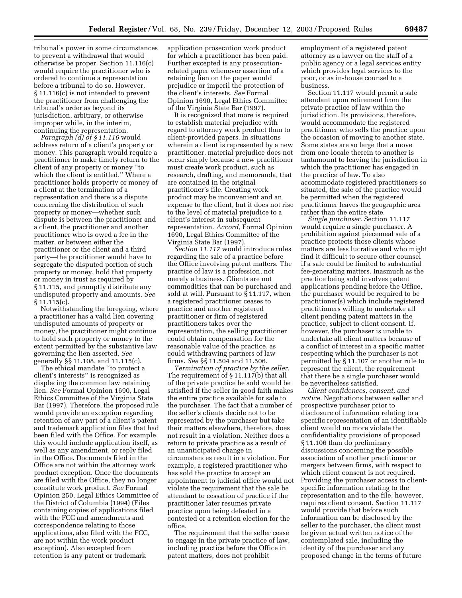tribunal's power in some circumstances to prevent a withdrawal that would otherwise be proper. Section 11.116(c) would require the practitioner who is ordered to continue a representation before a tribunal to do so. However, § 11.116(c) is not intended to prevent the practitioner from challenging the tribunal's order as beyond its jurisdiction, arbitrary, or otherwise improper while, in the interim, continuing the representation.

*Paragraph (d) of § 11.116* would address return of a client's property or money. This paragraph would require a practitioner to make timely return to the client of any property or money ''to which the client is entitled.'' Where a practitioner holds property or money of a client at the termination of a representation and there is a dispute concerning the distribution of such property or money—whether such dispute is between the practitioner and a client, the practitioner and another practitioner who is owed a fee in the matter, or between either the practitioner or the client and a third party—the practitioner would have to segregate the disputed portion of such property or money, hold that property or money in trust as required by § 11.115, and promptly distribute any undisputed property and amounts. *See*  $§ 11.115(c).$ 

Notwithstanding the foregoing, where a practitioner has a valid lien covering undisputed amounts of property or money, the practitioner might continue to hold such property or money to the extent permitted by the substantive law governing the lien asserted. *See* generally §§ 11.108, and 11.115(c).

The ethical mandate ''to protect a client's interests'' is recognized as displacing the common law retaining lien. *See* Formal Opinion 1690, Legal Ethics Committee of the Virginia State Bar (1997). Therefore, the proposed rule would provide an exception regarding retention of any part of a client's patent and trademark application files that had been filed with the Office. For example, this would include application itself, as well as any amendment, or reply filed in the Office. Documents filed in the Office are not within the attorney work product exception. Once the documents are filed with the Office, they no longer constitute work product. *See* Formal Opinion 250, Legal Ethics Committee of the District of Columbia (1994) (Files containing copies of applications filed with the FCC and amendments and correspondence relating to those applications, also filed with the FCC, are not within the work product exception). Also excepted from retention is any patent or trademark

application prosecution work product for which a practitioner has been paid. Further excepted is any prosecutionrelated paper whenever assertion of a retaining lien on the paper would prejudice or imperil the protection of the client's interests. *See* Formal Opinion 1690, Legal Ethics Committee of the Virginia State Bar (1997).

It is recognized that more is required to establish material prejudice with regard to attorney work product than to client-provided papers. In situations wherein a client is represented by a new practitioner, material prejudice does not occur simply because a new practitioner must create work product, such as research, drafting, and memoranda, that are contained in the original practitioner's file. Creating work product may be inconvenient and an expense to the client, but it does not rise to the level of material prejudice to a client's interest in subsequent representation. *Accord*, Formal Opinion 1690, Legal Ethics Committee of the Virginia State Bar (1997).

*Section 11.117* would introduce rules regarding the sale of a practice before the Office involving patent matters. The practice of law is a profession, not merely a business. Clients are not commodities that can be purchased and sold at will. Pursuant to § 11.117, when a registered practitioner ceases to practice and another registered practitioner or firm of registered practitioners takes over the representation, the selling practitioner could obtain compensation for the reasonable value of the practice, as could withdrawing partners of law firms. *See* §§ 11.504 and 11.506.

*Termination of practice by the seller.* The requirement of § 11.117(b) that all of the private practice be sold would be satisfied if the seller in good faith makes the entire practice available for sale to the purchaser. The fact that a number of the seller's clients decide not to be represented by the purchaser but take their matters elsewhere, therefore, does not result in a violation. Neither does a return to private practice as a result of an unanticipated change in circumstances result in a violation. For example, a registered practitioner who has sold the practice to accept an appointment to judicial office would not violate the requirement that the sale be attendant to cessation of practice if the practitioner later resumes private practice upon being defeated in a contested or a retention election for the office.

The requirement that the seller cease to engage in the private practice of law, including practice before the Office in patent matters, does not prohibit

employment of a registered patent attorney as a lawyer on the staff of a public agency or a legal services entity which provides legal services to the poor, or as in-house counsel to a business.

Section 11.117 would permit a sale attendant upon retirement from the private practice of law within the jurisdiction. Its provisions, therefore, would accommodate the registered practitioner who sells the practice upon the occasion of moving to another state. Some states are so large that a move from one locale therein to another is tantamount to leaving the jurisdiction in which the practitioner has engaged in the practice of law. To also accommodate registered practitioners so situated, the sale of the practice would be permitted when the registered practitioner leaves the geographic area rather than the entire state.

*Single purchaser.* Section 11.117 would require a single purchaser. A prohibition against piecemeal sale of a practice protects those clients whose matters are less lucrative and who might find it difficult to secure other counsel if a sale could be limited to substantial fee-generating matters. Inasmuch as the practice being sold involves patent applications pending before the Office, the purchaser would be required to be practitioner(s) which include registered practitioners willing to undertake all client pending patent matters in the practice, subject to client consent. If, however, the purchaser is unable to undertake all client matters because of a conflict of interest in a specific matter respecting which the purchaser is not permitted by § 11.107 or another rule to represent the client, the requirement that there be a single purchaser would be nevertheless satisfied.

*Client confidences, consent, and notice.* Negotiations between seller and prospective purchaser prior to disclosure of information relating to a specific representation of an identifiable client would no more violate the confidentiality provisions of proposed § 11.106 than do preliminary discussions concerning the possible association of another practitioner or mergers between firms, with respect to which client consent is not required. Providing the purchaser access to clientspecific information relating to the representation and to the file, however, requires client consent. Section 11.117 would provide that before such information can be disclosed by the seller to the purchaser, the client must be given actual written notice of the contemplated sale, including the identity of the purchaser and any proposed change in the terms of future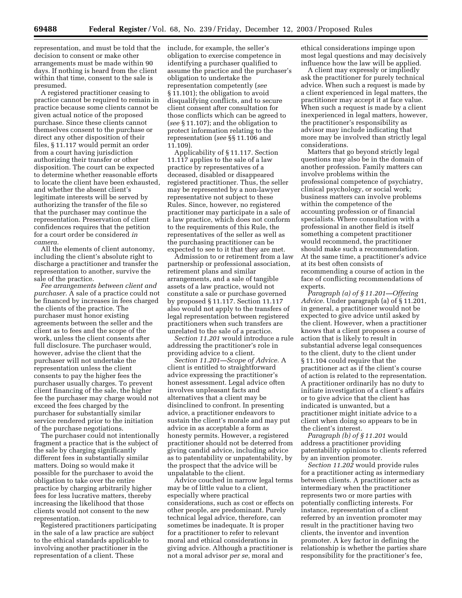representation, and must be told that the decision to consent or make other arrangements must be made within 90 days. If nothing is heard from the client within that time, consent to the sale is presumed.

A registered practitioner ceasing to practice cannot be required to remain in practice because some clients cannot be given actual notice of the proposed purchase. Since these clients cannot themselves consent to the purchase or direct any other disposition of their files, § 11.117 would permit an order from a court having jurisdiction authorizing their transfer or other disposition. The court can be expected to determine whether reasonable efforts to locate the client have been exhausted, and whether the absent client's legitimate interests will be served by authorizing the transfer of the file so that the purchaser may continue the representation. Preservation of client confidences requires that the petition for a court order be considered *in camera.*

All the elements of client autonomy, including the client's absolute right to discharge a practitioner and transfer the representation to another, survive the sale of the practice.

*Fee arrangements between client and purchaser.* A sale of a practice could not be financed by increases in fees charged the clients of the practice. The purchaser must honor existing agreements between the seller and the client as to fees and the scope of the work, unless the client consents after full disclosure. The purchaser would, however, advise the client that the purchaser will not undertake the representation unless the client consents to pay the higher fees the purchaser usually charges. To prevent client financing of the sale, the higher fee the purchaser may charge would not exceed the fees charged by the purchaser for substantially similar service rendered prior to the initiation of the purchase negotiations.

The purchaser could not intentionally fragment a practice that is the subject of the sale by charging significantly different fees in substantially similar matters. Doing so would make it possible for the purchaser to avoid the obligation to take over the entire practice by charging arbitrarily higher fees for less lucrative matters, thereby increasing the likelihood that those clients would not consent to the new representation.

Registered practitioners participating in the sale of a law practice are subject to the ethical standards applicable to involving another practitioner in the representation of a client. These

include, for example, the seller's obligation to exercise competence in identifying a purchaser qualified to assume the practice and the purchaser's obligation to undertake the representation competently (*see* § 11.101); the obligation to avoid disqualifying conflicts, and to secure client consent after consultation for those conflicts which can be agreed to (*see* § 11.107); and the obligation to protect information relating to the representation (*see* §§ 11.106 and 11.109).

Applicability of § 11.117. Section 11.117 applies to the sale of a law practice by representatives of a deceased, disabled or disappeared registered practitioner. Thus, the seller may be represented by a non-lawyer representative not subject to these Rules. Since, however, no registered practitioner may participate in a sale of a law practice, which does not conform to the requirements of this Rule, the representatives of the seller as well as the purchasing practitioner can be expected to see to it that they are met.

Admission to or retirement from a law partnership or professional association, retirement plans and similar arrangements, and a sale of tangible assets of a law practice, would not constitute a sale or purchase governed by proposed § 11.117. Section 11.117 also would not apply to the transfers of legal representation between registered practitioners when such transfers are unrelated to the sale of a practice.

*Section 11.201* would introduce a rule addressing the practitioner's role in providing advice to a client.

*Section 11.201—Scope of Advice.* A client is entitled to straightforward advice expressing the practitioner's honest assessment. Legal advice often involves unpleasant facts and alternatives that a client may be disinclined to confront. In presenting advice, a practitioner endeavors to sustain the client's morale and may put advice in as acceptable a form as honesty permits. However, a registered practitioner should not be deterred from giving candid advice, including advice as to patentability or unpatentability, by the prospect that the advice will be unpalatable to the client.

Advice couched in narrow legal terms may be of little value to a client, especially where practical considerations, such as cost or effects on other people, are predominant. Purely technical legal advice, therefore, can sometimes be inadequate. It is proper for a practitioner to refer to relevant moral and ethical considerations in giving advice. Although a practitioner is not a moral advisor *per se*, moral and

ethical considerations impinge upon most legal questions and may decisively influence how the law will be applied.

A client may expressly or impliedly ask the practitioner for purely technical advice. When such a request is made by a client experienced in legal matters, the practitioner may accept it at face value. When such a request is made by a client inexperienced in legal matters, however, the practitioner's responsibility as advisor may include indicating that more may be involved than strictly legal considerations.

Matters that go beyond strictly legal questions may also be in the domain of another profession. Family matters can involve problems within the professional competence of psychiatry, clinical psychology, or social work; business matters can involve problems within the competence of the accounting profession or of financial specialists. Where consultation with a professional in another field is itself something a competent practitioner would recommend, the practitioner should make such a recommendation. At the same time, a practitioner's advice at its best often consists of recommending a course of action in the face of conflicting recommendations of experts.

*Paragraph (a) of § 11.201—Offering Advice.* Under paragraph (a) of § 11.201, in general, a practitioner would not be expected to give advice until asked by the client. However, when a practitioner knows that a client proposes a course of action that is likely to result in substantial adverse legal consequences to the client, duty to the client under § 11.104 could require that the practitioner act as if the client's course of action is related to the representation. A practitioner ordinarily has no duty to initiate investigation of a client's affairs or to give advice that the client has indicated is unwanted, but a practitioner might initiate advice to a client when doing so appears to be in the client's interest.

*Paragraph (b) of § 11.201* would address a practitioner providing patentability opinions to clients referred by an invention promoter.

*Section 11.202* would provide rules for a practitioner acting as intermediary between clients. A practitioner acts as intermediary when the practitioner represents two or more parties with potentially conflicting interests. For instance, representation of a client referred by an invention promoter may result in the practitioner having two clients, the inventor and invention promoter. A key factor in defining the relationship is whether the parties share responsibility for the practitioner's fee,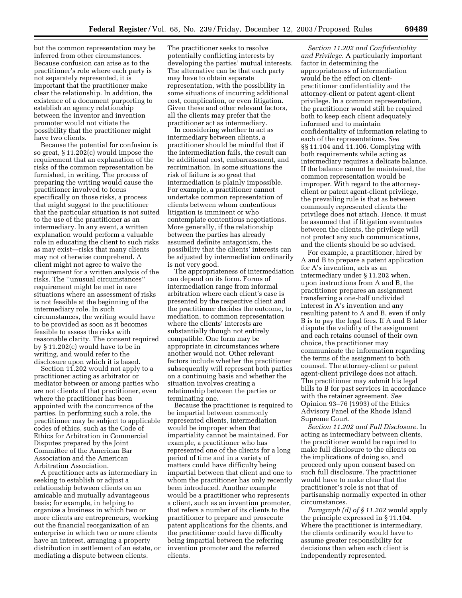but the common representation may be inferred from other circumstances. Because confusion can arise as to the practitioner's role where each party is not separately represented, it is important that the practitioner make clear the relationship. In addition, the existence of a document purporting to establish an agency relationship between the inventor and invention promoter would not vitiate the possibility that the practitioner might have two clients.

Because the potential for confusion is so great, § 11.202(c) would impose the requirement that an explanation of the risks of the common representation be furnished, in writing. The process of preparing the writing would cause the practitioner involved to focus specifically on those risks, a process that might suggest to the practitioner that the particular situation is not suited to the use of the practitioner as an intermediary. In any event, a written explanation would perform a valuable role in educating the client to such risks as may exist—risks that many clients may not otherwise comprehend. A client might not agree to waive the requirement for a written analysis of the risks. The ''unusual circumstances'' requirement might be met in rare situations where an assessment of risks is not feasible at the beginning of the intermediary role. In such circumstances, the writing would have to be provided as soon as it becomes feasible to assess the risks with reasonable clarity. The consent required by § 11.202(c) would have to be in writing, and would refer to the disclosure upon which it is based.

Section 11.202 would not apply to a practitioner acting as arbitrator or mediator between or among parties who are not clients of that practitioner, even where the practitioner has been appointed with the concurrence of the parties. In performing such a role, the practitioner may be subject to applicable codes of ethics, such as the Code of Ethics for Arbitration in Commercial Disputes prepared by the Joint Committee of the American Bar Association and the American Arbitration Association.

A practitioner acts as intermediary in seeking to establish or adjust a relationship between clients on an amicable and mutually advantageous basis; for example, in helping to organize a business in which two or more clients are entrepreneurs, working out the financial reorganization of an enterprise in which two or more clients have an interest, arranging a property distribution in settlement of an estate, or mediating a dispute between clients.

The practitioner seeks to resolve potentially conflicting interests by developing the parties' mutual interests. The alternative can be that each party may have to obtain separate representation, with the possibility in some situations of incurring additional cost, complication, or even litigation. Given these and other relevant factors, all the clients may prefer that the practitioner act as intermediary.

In considering whether to act as intermediary between clients, a practitioner should be mindful that if the intermediation fails, the result can be additional cost, embarrassment, and recrimination. In some situations the risk of failure is so great that intermediation is plainly impossible. For example, a practitioner cannot undertake common representation of clients between whom contentious litigation is imminent or who contemplate contentious negotiations. More generally, if the relationship between the parties has already assumed definite antagonism, the possibility that the clients' interests can be adjusted by intermediation ordinarily is not very good.

The appropriateness of intermediation can depend on its form. Forms of intermediation range from informal arbitration where each client's case is presented by the respective client and the practitioner decides the outcome, to mediation, to common representation where the clients' interests are substantially though not entirely compatible. One form may be appropriate in circumstances where another would not. Other relevant factors include whether the practitioner subsequently will represent both parties on a continuing basis and whether the situation involves creating a relationship between the parties or terminating one.

Because the practitioner is required to be impartial between commonly represented clients, intermediation would be improper when that impartiality cannot be maintained. For example, a practitioner who has represented one of the clients for a long period of time and in a variety of matters could have difficulty being impartial between that client and one to whom the practitioner has only recently been introduced. Another example would be a practitioner who represents a client, such as an invention promoter, that refers a number of its clients to the practitioner to prepare and prosecute patent applications for the clients, and the practitioner could have difficulty being impartial between the referring invention promoter and the referred clients.

*Section 11.202 and Confidentiality and Privilege.* A particularly important factor in determining the appropriateness of intermediation would be the effect on clientpractitioner confidentiality and the attorney-client or patent agent-client privilege. In a common representation, the practitioner would still be required both to keep each client adequately informed and to maintain confidentiality of information relating to each of the representations. *See* §§ 11.104 and 11.106. Complying with both requirements while acting as intermediary requires a delicate balance. If the balance cannot be maintained, the common representation would be improper. With regard to the attorneyclient or patent agent-client privilege, the prevailing rule is that as between commonly represented clients the privilege does not attach. Hence, it must be assumed that if litigation eventuates between the clients, the privilege will not protect any such communications, and the clients should be so advised.

For example, a practitioner, hired by A and B to prepare a patent application for A's invention, acts as an intermediary under § 11.202 when, upon instructions from A and B, the practitioner prepares an assignment transferring a one-half undivided interest in A's invention and any resulting patent to A and B, even if only B is to pay the legal fees. If A and B later dispute the validity of the assignment and each retains counsel of their own choice, the practitioner may communicate the information regarding the terms of the assignment to both counsel. The attorney-client or patent agent-client privilege does not attach. The practitioner may submit his legal bills to B for past services in accordance with the retainer agreement. *See* Opinion 93–76 (1993) of the Ethics Advisory Panel of the Rhode Island Supreme Court.

*Section 11.202 and Full Disclosure.* In acting as intermediary between clients, the practitioner would be required to make full disclosure to the clients on the implications of doing so, and proceed only upon consent based on such full disclosure. The practitioner would have to make clear that the practitioner's role is not that of partisanship normally expected in other circumstances.

*Paragraph (d) of § 11.202* would apply the principle expressed in § 11.104. Where the practitioner is intermediary, the clients ordinarily would have to assume greater responsibility for decisions than when each client is independently represented.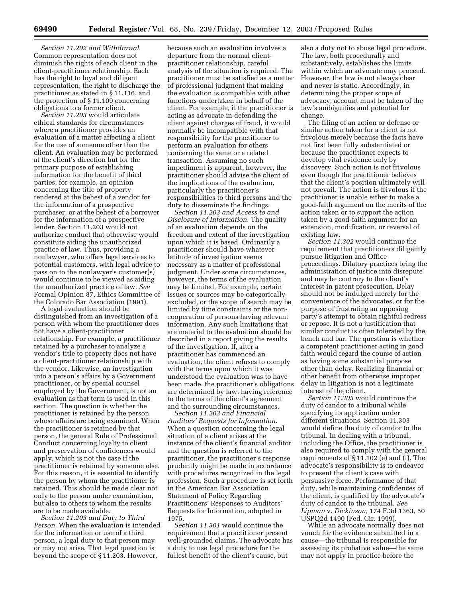*Section 11.202 and Withdrawal.* Common representation does not diminish the rights of each client in the client-practitioner relationship. Each has the right to loyal and diligent representation, the right to discharge the practitioner as stated in § 11.116, and the protection of § 11.109 concerning obligations to a former client.

*Section 11.203* would articulate ethical standards for circumstances where a practitioner provides an evaluation of a matter affecting a client for the use of someone other than the client. An evaluation may be performed at the client's direction but for the primary purpose of establishing information for the benefit of third parties; for example, an opinion concerning the title of property rendered at the behest of a vendor for the information of a prospective purchaser, or at the behest of a borrower for the information of a prospective lender. Section 11.203 would not authorize conduct that otherwise would constitute aiding the unauthorized practice of law. Thus, providing a nonlawyer, who offers legal services to potential customers, with legal advice to pass on to the nonlawyer's customer(s) would continue to be viewed as aiding the unauthorized practice of law. *See* Formal Opinion 87, Ethics Committee of the Colorado Bar Association (1991).

A legal evaluation should be distinguished from an investigation of a person with whom the practitioner does not have a client-practitioner relationship. For example, a practitioner retained by a purchaser to analyze a vendor's title to property does not have a client-practitioner relationship with the vendor. Likewise, an investigation into a person's affairs by a Government practitioner, or by special counsel employed by the Government, is not an evaluation as that term is used in this section. The question is whether the practitioner is retained by the person whose affairs are being examined. When the practitioner is retained by that person, the general Rule of Professional Conduct concerning loyalty to client and preservation of confidences would apply, which is not the case if the practitioner is retained by someone else. For this reason, it is essential to identify the person by whom the practitioner is retained. This should be made clear not only to the person under examination, but also to others to whom the results are to be made available.

*Section 11.203 and Duty to Third Person.* When the evaluation is intended for the information or use of a third person, a legal duty to that person may or may not arise. That legal question is beyond the scope of § 11.203. However,

because such an evaluation involves a departure from the normal clientpractitioner relationship, careful analysis of the situation is required. The practitioner must be satisfied as a matter of professional judgment that making the evaluation is compatible with other functions undertaken in behalf of the client. For example, if the practitioner is acting as advocate in defending the client against charges of fraud, it would normally be incompatible with that responsibility for the practitioner to perform an evaluation for others concerning the same or a related transaction. Assuming no such impediment is apparent, however, the practitioner should advise the client of the implications of the evaluation, particularly the practitioner's responsibilities to third persons and the duty to disseminate the findings.

*Section 11.203 and Access to and Disclosure of Information.* The quality of an evaluation depends on the freedom and extent of the investigation upon which it is based. Ordinarily a practitioner should have whatever latitude of investigation seems necessary as a matter of professional judgment. Under some circumstances, however, the terms of the evaluation may be limited. For example, certain issues or sources may be categorically excluded, or the scope of search may be limited by time constraints or the noncooperation of persons having relevant information. Any such limitations that are material to the evaluation should be described in a report giving the results of the investigation. If, after a practitioner has commenced an evaluation, the client refuses to comply with the terms upon which it was understood the evaluation was to have been made, the practitioner's obligations are determined by law, having reference to the terms of the client's agreement and the surrounding circumstances.

*Section 11.203 and Financial Auditors' Requests for Information.* When a question concerning the legal situation of a client arises at the instance of the client's financial auditor and the question is referred to the practitioner, the practitioner's response prudently might be made in accordance with procedures recognized in the legal profession. Such a procedure is set forth in the American Bar Association Statement of Policy Regarding Practitioners' Responses to Auditors' Requests for Information, adopted in 1975.

*Section 11.301* would continue the requirement that a practitioner present well-grounded claims. The advocate has a duty to use legal procedure for the fullest benefit of the client's cause, but

also a duty not to abuse legal procedure. The law, both procedurally and substantively, establishes the limits within which an advocate may proceed. However, the law is not always clear and never is static. Accordingly, in determining the proper scope of advocacy, account must be taken of the law's ambiguities and potential for change.

The filing of an action or defense or similar action taken for a client is not frivolous merely because the facts have not first been fully substantiated or because the practitioner expects to develop vital evidence only by discovery. Such action is not frivolous even though the practitioner believes that the client's position ultimately will not prevail. The action is frivolous if the practitioner is unable either to make a good-faith argument on the merits of the action taken or to support the action taken by a good-faith argument for an extension, modification, or reversal of existing law.

*Section 11.302* would continue the requirement that practitioners diligently pursue litigation and Office proceedings. Dilatory practices bring the administration of justice into disrepute and may be contrary to the client's interest in patent prosecution. Delay should not be indulged merely for the convenience of the advocates, or for the purpose of frustrating an opposing party's attempt to obtain rightful redress or repose. It is not a justification that similar conduct is often tolerated by the bench and bar. The question is whether a competent practitioner acting in good faith would regard the course of action as having some substantial purpose other than delay. Realizing financial or other benefit from otherwise improper delay in litigation is not a legitimate interest of the client.

*Section 11.303* would continue the duty of candor to a tribunal while specifying its application under different situations. Section 11.303 would define the duty of candor to the tribunal. In dealing with a tribunal, including the Office, the practitioner is also required to comply with the general requirements of § 11.102 (e) and (f). The advocate's responsibility is to endeavor to present the client's case with persuasive force. Performance of that duty, while maintaining confidences of the client, is qualified by the advocate's duty of candor to the tribunal. *See Lipman* v. *Dickinson,* 174 F.3d 1363, 50 USPQ2d 1490 (Fed. Cir. 1999).

While an advocate normally does not vouch for the evidence submitted in a cause—the tribunal is responsible for assessing its probative value—the same may not apply in practice before the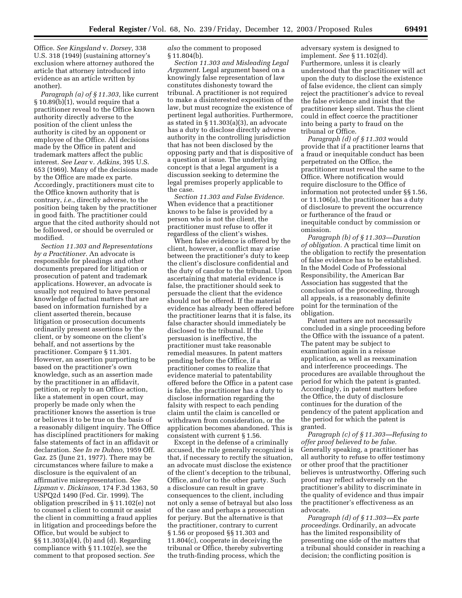Office. *See Kingsland* v. *Dorsey,* 338 U.S. 318 (1949) (sustaining attorney's exclusion where attorney authored the article that attorney introduced into evidence as an article written by another).

*Paragraph (a) of § 11.303,* like current § 10.89(b)(1), would require that a practitioner reveal to the Office known authority directly adverse to the position of the client unless the authority is cited by an opponent or employee of the Office. All decisions made by the Office in patent and trademark matters affect the public interest. *See Lear* v. *Adkins,* 395 U.S. 653 (1969). Many of the decisions made by the Office are made ex parte. Accordingly, practitioners must cite to the Office known authority that is contrary, *i.e.*, directly adverse, to the position being taken by the practitioner in good faith. The practitioner could argue that the cited authority should not be followed, or should be overruled or modified.

*Section 11.303 and Representations by a Practitioner.* An advocate is responsible for pleadings and other documents prepared for litigation or prosecution of patent and trademark applications. However, an advocate is usually not required to have personal knowledge of factual matters that are based on information furnished by a client asserted therein, because litigation or prosecution documents ordinarily present assertions by the client, or by someone on the client's behalf, and not assertions by the practitioner. Compare § 11.301. However, an assertion purporting to be based on the practitioner's own knowledge, such as an assertion made by the practitioner in an affidavit, petition, or reply to an Office action, like a statement in open court, may properly be made only when the practitioner knows the assertion is true or believes it to be true on the basis of a reasonably diligent inquiry. The Office has disciplined practitioners for making false statements of fact in an affidavit or declaration. *See In re Dubno,* 1959 Off. Gaz. 25 (June 21, 1977). There may be circumstances where failure to make a disclosure is the equivalent of an affirmative misrepresentation. *See Lipman* v. *Dickinson,* 174 F.3d 1363, 50 USPQ2d 1490 (Fed. Cir. 1999). The obligation prescribed in § 11.102(e) not to counsel a client to commit or assist the client in committing a fraud applies in litigation and proceedings before the Office, but would be subject to §§ 11.303(a)(4), (b) and (d). Regarding compliance with § 11.102(e), see the comment to that proposed section. *See* 

*also* the comment to proposed § 11.804(b).

*Section 11.303 and Misleading Legal Argument.* Legal argument based on a knowingly false representation of law constitutes dishonesty toward the tribunal. A practitioner is not required to make a disinterested exposition of the law, but must recognize the existence of pertinent legal authorities. Furthermore, as stated in § 11.303(a)(3), an advocate has a duty to disclose directly adverse authority in the controlling jurisdiction that has not been disclosed by the opposing party and that is dispositive of a question at issue. The underlying concept is that a legal argument is a discussion seeking to determine the legal premises properly applicable to the case.

*Section 11.303 and False Evidence.* When evidence that a practitioner knows to be false is provided by a person who is not the client, the practitioner must refuse to offer it regardless of the client's wishes.

When false evidence is offered by the client, however, a conflict may arise between the practitioner's duty to keep the client's disclosure confidential and the duty of candor to the tribunal. Upon ascertaining that material evidence is false, the practitioner should seek to persuade the client that the evidence should not be offered. If the material evidence has already been offered before the practitioner learns that it is false, its false character should immediately be disclosed to the tribunal. If the persuasion is ineffective, the practitioner must take reasonable remedial measures. In patent matters pending before the Office, if a practitioner comes to realize that evidence material to patentability offered before the Office in a patent case is false, the practitioner has a duty to disclose information regarding the falsity with respect to each pending claim until the claim is cancelled or withdrawn from consideration, or the application becomes abandoned. This is consistent with current § 1.56.

Except in the defense of a criminally accused, the rule generally recognized is that, if necessary to rectify the situation, an advocate must disclose the existence of the client's deception to the tribunal, Office, and/or to the other party. Such a disclosure can result in grave consequences to the client, including not only a sense of betrayal but also loss of the case and perhaps a prosecution for perjury. But the alternative is that the practitioner, contrary to current § 1.56 or proposed §§ 11.303 and 11.804(c), cooperate in deceiving the tribunal or Office, thereby subverting the truth-finding process, which the

adversary system is designed to implement. *See* § 11.102(d). Furthermore, unless it is clearly understood that the practitioner will act upon the duty to disclose the existence of false evidence, the client can simply reject the practitioner's advice to reveal the false evidence and insist that the practitioner keep silent. Thus the client could in effect coerce the practitioner into being a party to fraud on the tribunal or Office.

*Paragraph (d) of § 11.303* would provide that if a practitioner learns that a fraud or inequitable conduct has been perpetrated on the Office, the practitioner must reveal the same to the Office. Where notification would require disclosure to the Office of information not protected under §§ 1.56, or 11.106(a), the practitioner has a duty of disclosure to prevent the occurrence or furtherance of the fraud or inequitable conduct by commission or omission.

*Paragraph (b) of § 11.303—Duration of obligation.* A practical time limit on the obligation to rectify the presentation of false evidence has to be established. In the Model Code of Professional Responsibility, the American Bar Association has suggested that the conclusion of the proceeding, through all appeals, is a reasonably definite point for the termination of the obligation.

Patent matters are not necessarily concluded in a single proceeding before the Office with the issuance of a patent. The patent may be subject to examination again in a reissue application, as well as reexamination and interference proceedings. The procedures are available throughout the period for which the patent is granted. Accordingly, in patent matters before the Office, the duty of disclosure continues for the duration of the pendency of the patent application and the period for which the patent is granted.

*Paragraph (c) of § 11.303—Refusing to offer proof believed to be false.* Generally speaking, a practitioner has all authority to refuse to offer testimony or other proof that the practitioner believes is untrustworthy. Offering such proof may reflect adversely on the practitioner's ability to discriminate in the quality of evidence and thus impair the practitioner's effectiveness as an advocate.

*Paragraph (d) of § 11.303—Ex parte proceedings.* Ordinarily, an advocate has the limited responsibility of presenting one side of the matters that a tribunal should consider in reaching a decision; the conflicting position is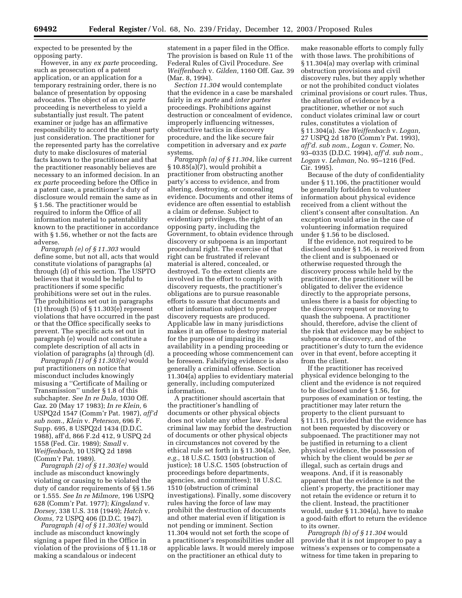expected to be presented by the opposing party.

However, in any *ex parte* proceeding, such as prosecution of a patent application, or an application for a temporary restraining order, there is no balance of presentation by opposing advocates. The object of an *ex parte* proceeding is nevertheless to yield a substantially just result. The patent examiner or judge has an affirmative responsibility to accord the absent party just consideration. The practitioner for the represented party has the correlative duty to make disclosures of material facts known to the practitioner and that the practitioner reasonably believes are necessary to an informed decision. In an *ex parte* proceeding before the Office in a patent case, a practitioner's duty of disclosure would remain the same as in § 1.56. The practitioner would be required to inform the Office of all information material to patentability known to the practitioner in accordance with § 1.56, whether or not the facts are adverse.

*Paragraph (e) of § 11.303* would define some, but not all, acts that would constitute violations of paragraphs (a) through (d) of this section. The USPTO believes that it would be helpful to practitioners if some specific prohibitions were set out in the rules. The prohibitions set out in paragraphs (1) through (5) of § 11.303(e) represent violations that have occurred in the past or that the Office specifically seeks to prevent. The specific acts set out in paragraph (e) would not constitute a complete description of all acts in violation of paragraphs (a) through (d).

*Paragraph (1) of § 11.303(e)* would put practitioners on notice that misconduct includes knowingly misusing a ''Certificate of Mailing or Transmission'' under § 1.8 of this subchapter. *See In re Dula,* 1030 Off. Gaz. 20 (May 17 1983); *In re Klein,* 6 USPQ2d 1547 (Comm'r Pat. 1987), *aff'd sub nom., Klein* v. *Peterson,* 696 F. Supp. 695, 8 USPQ2d 1434 (D.D.C. 1988), aff'd, 866 F.2d 412, 9 USPQ 2d 1558 (Fed. Cir. 1989); *Small* v. *Weiffenbach,* 10 USPQ 2d 1898 (Comm'r Pat. 1989).

*Paragraph (2) of § 11.303(e)* would include as misconduct knowingly violating or causing to be violated the duty of candor requirements of §§ 1.56 or 1.555. *See In re Milmore,* 196 USPQ 628 (Comm'r Pat. 1977); *Kingsland* v. *Dorsey,* 338 U.S. 318 (1949); *Hatch* v. *Ooms,* 72 USPQ 406 (D.D.C. 1947).

*Paragraph (4) of § 11.303(e)* would include as misconduct knowingly signing a paper filed in the Office in violation of the provisions of § 11.18 or making a scandalous or indecent

statement in a paper filed in the Office. The provision is based on Rule 11 of the Federal Rules of Civil Procedure. *See Weiffenbach* v. *Gilden,* 1160 Off. Gaz. 39 (Mar. 8, 1994).

*Section 11.304* would contemplate that the evidence in a case be marshaled fairly in *ex parte* and *inter partes* proceedings. Prohibitions against destruction or concealment of evidence, improperly influencing witnesses, obstructive tactics in discovery procedure, and the like secure fair competition in adversary and *ex parte* systems.

*Paragraph (a) of § 11.304,* like current § 10.85(a)(7), would prohibit a practitioner from obstructing another party's access to evidence, and from altering, destroying, or concealing evidence. Documents and other items of evidence are often essential to establish a claim or defense. Subject to evidentiary privileges, the right of an opposing party, including the Government, to obtain evidence through discovery or subpoena is an important procedural right. The exercise of that right can be frustrated if relevant material is altered, concealed, or destroyed. To the extent clients are involved in the effort to comply with discovery requests, the practitioner's obligations are to pursue reasonable efforts to assure that documents and other information subject to proper discovery requests are produced. Applicable law in many jurisdictions makes it an offense to destroy material for the purpose of impairing its availability in a pending proceeding or a proceeding whose commencement can be foreseen. Falsifying evidence is also generally a criminal offense. Section 11.304(a) applies to evidentiary material generally, including computerized information.

A practitioner should ascertain that the practitioner's handling of documents or other physical objects does not violate any other law. Federal criminal law may forbid the destruction of documents or other physical objects in circumstances not covered by the ethical rule set forth in § 11.304(a). *See, e.g.,* 18 U.S.C. 1503 (obstruction of justice); 18 U.S.C. 1505 (obstruction of proceedings before departments, agencies, and committees); 18 U.S.C. 1510 (obstruction of criminal investigations). Finally, some discovery rules having the force of law may prohibit the destruction of documents and other material even if litigation is not pending or imminent. Section 11.304 would not set forth the scope of a practitioner's responsibilities under all applicable laws. It would merely impose on the practitioner an ethical duty to

make reasonable efforts to comply fully with those laws. The prohibitions of § 11.304(a) may overlap with criminal obstruction provisions and civil discovery rules, but they apply whether or not the prohibited conduct violates criminal provisions or court rules. Thus, the alteration of evidence by a practitioner, whether or not such conduct violates criminal law or court rules, constitutes a violation of § 11.304(a). *See Weiffenbach* v. *Logan,* 27 USPQ 2d 1870 (Comm'r Pat. 1993), *aff'd. sub nom., Logan* v. *Comer,* No. 93–0335 (D.D.C. 1994), *aff'd. sub nom., Logan* v. *Lehman,* No. 95–1216 (Fed. Cir. 1995).

Because of the duty of confidentiality under § 11.106, the practitioner would be generally forbidden to volunteer information about physical evidence received from a client without the client's consent after consultation. An exception would arise in the case of volunteering information required under § 1.56 to be disclosed.

If the evidence, not required to be disclosed under § 1.56, is received from the client and is subpoenaed or otherwise requested through the discovery process while held by the practitioner, the practitioner will be obligated to deliver the evidence directly to the appropriate persons, unless there is a basis for objecting to the discovery request or moving to quash the subpoena. A practitioner should, therefore, advise the client of the risk that evidence may be subject to subpoena or discovery, and of the practitioner's duty to turn the evidence over in that event, before accepting it from the client.

If the practitioner has received physical evidence belonging to the client and the evidence is not required to be disclosed under § 1.56, for purposes of examination or testing, the practitioner may later return the property to the client pursuant to § 11.115, provided that the evidence has not been requested by discovery or subpoenaed. The practitioner may not be justified in returning to a client physical evidence, the possession of which by the client would be *per se* illegal, such as certain drugs and weapons. And, if it is reasonably apparent that the evidence is not the client's property, the practitioner may not retain the evidence or return it to the client. Instead, the practitioner would, under § 11.304(a), have to make a good-faith effort to return the evidence to its owner.

*Paragraph (b) of § 11.304* would provide that it is not improper to pay a witness's expenses or to compensate a witness for time taken in preparing to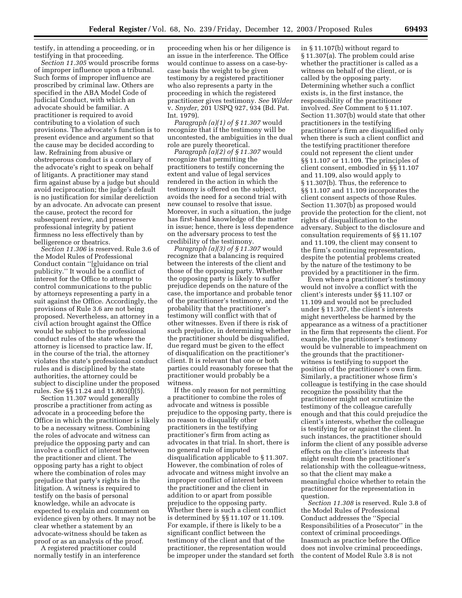testify, in attending a proceeding, or in testifying in that proceeding.

*Section 11.305* would proscribe forms of improper influence upon a tribunal. Such forms of improper influence are proscribed by criminal law. Others are specified in the ABA Model Code of Judicial Conduct, with which an advocate should be familiar. A practitioner is required to avoid contributing to a violation of such provisions. The advocate's function is to present evidence and argument so that the cause may be decided according to law. Refraining from abusive or obstreperous conduct is a corollary of the advocate's right to speak on behalf of litigants. A practitioner may stand firm against abuse by a judge but should avoid reciprocation; the judge's default is no justification for similar dereliction by an advocate. An advocate can present the cause, protect the record for subsequent review, and preserve professional integrity by patient firmness no less effectively than by belligerence or theatrics.

*Section 11.306* is reserved. Rule 3.6 of the Model Rules of Professional Conduct contain ''[g]uidance on trial publicity.'' It would be a conflict of interest for the Office to attempt to control communications to the public by attorneys representing a party in a suit against the Office. Accordingly, the provisions of Rule 3.6 are not being proposed. Nevertheless, an attorney in a civil action brought against the Office would be subject to the professional conduct rules of the state where the attorney is licensed to practice law. If, in the course of the trial, the attorney violates the state's professional conduct rules and is disciplined by the state authorities, the attorney could be subject to discipline under the proposed rules. *See* §§ 11.24 and 11.803(f)(5).

Section 11.307 would generally proscribe a practitioner from acting as advocate in a proceeding before the Office in which the practitioner is likely to be a necessary witness. Combining the roles of advocate and witness can prejudice the opposing party and can involve a conflict of interest between the practitioner and client. The opposing party has a right to object where the combination of roles may prejudice that party's rights in the litigation. A witness is required to testify on the basis of personal knowledge, while an advocate is expected to explain and comment on evidence given by others. It may not be clear whether a statement by an advocate-witness should be taken as proof or as an analysis of the proof.

A registered practitioner could normally testify in an interference

proceeding when his or her diligence is an issue in the interference. The Office would continue to assess on a case-bycase basis the weight to be given testimony by a registered practitioner who also represents a party in the proceeding in which the registered practitioner gives testimony. *See Wilder* v. *Snyder,* 201 USPQ 927, 934 (Bd. Pat. Int. 1979).

*Paragraph (a)(1) of § 11.307* would recognize that if the testimony will be uncontested, the ambiguities in the dual role are purely theoretical.

*Paragraph (a)(2) of § 11.307* would recognize that permitting the practitioners to testify concerning the extent and value of legal services rendered in the action in which the testimony is offered on the subject, avoids the need for a second trial with new counsel to resolve that issue. Moreover, in such a situation, the judge has first-hand knowledge of the matter in issue; hence, there is less dependence on the adversary process to test the credibility of the testimony.

*Paragraph (a)(3) of § 11.307* would recognize that a balancing is required between the interests of the client and those of the opposing party. Whether the opposing party is likely to suffer prejudice depends on the nature of the case, the importance and probable tenor of the practitioner's testimony, and the probability that the practitioner's testimony will conflict with that of other witnesses. Even if there is risk of such prejudice, in determining whether the practitioner should be disqualified, due regard must be given to the effect of disqualification on the practitioner's client. It is relevant that one or both parties could reasonably foresee that the practitioner would probably be a witness.

If the only reason for not permitting a practitioner to combine the roles of advocate and witness is possible prejudice to the opposing party, there is no reason to disqualify other practitioners in the testifying practitioner's firm from acting as advocates in that trial. In short, there is no general rule of imputed disqualification applicable to § 11.307. However, the combination of roles of advocate and witness might involve an improper conflict of interest between the practitioner and the client in addition to or apart from possible prejudice to the opposing party. Whether there is such a client conflict is determined by §§ 11.107 or 11.109. For example, if there is likely to be a significant conflict between the testimony of the client and that of the practitioner, the representation would be improper under the standard set forth in § 11.107(b) without regard to § 11.307(a). The problem could arise whether the practitioner is called as a witness on behalf of the client, or is called by the opposing party. Determining whether such a conflict exists is, in the first instance, the responsibility of the practitioner involved. *See* Comment to § 11.107. Section 11.307(b) would state that other practitioners in the testifying practitioner's firm are disqualified only when there is such a client conflict and the testifying practitioner therefore could not represent the client under §§ 11.107 or 11.109. The principles of client consent, embodied in §§ 11.107 and 11.109, also would apply to § 11.307(b). Thus, the reference to §§ 11.107 and 11.109 incorporates the client consent aspects of those Rules. Section 11.307(b) as proposed would provide the protection for the client, not rights of disqualification to the adversary. Subject to the disclosure and consultation requirements of §§ 11.107 and 11.109, the client may consent to the firm's continuing representation, despite the potential problems created by the nature of the testimony to be provided by a practitioner in the firm.

Even where a practitioner's testimony would not involve a conflict with the client's interests under §§ 11.107 or 11.109 and would not be precluded under § 11.307, the client's interests might nevertheless be harmed by the appearance as a witness of a practitioner in the firm that represents the client. For example, the practitioner's testimony would be vulnerable to impeachment on the grounds that the practitionerwitness is testifying to support the position of the practitioner's own firm. Similarly, a practitioner whose firm's colleague is testifying in the case should recognize the possibility that the practitioner might not scrutinize the testimony of the colleague carefully enough and that this could prejudice the client's interests, whether the colleague is testifying for or against the client. In such instances, the practitioner should inform the client of any possible adverse effects on the client's interests that might result from the practitioner's relationship with the colleague-witness, so that the client may make a meaningful choice whether to retain the practitioner for the representation in question.

*Section 11.308* is reserved. Rule 3.8 of the Model Rules of Professional Conduct addresses the ''Special Responsibilities of a Prosecutor'' in the context of criminal proceedings. Inasmuch as practice before the Office does not involve criminal proceedings, the content of Model Rule 3.8 is not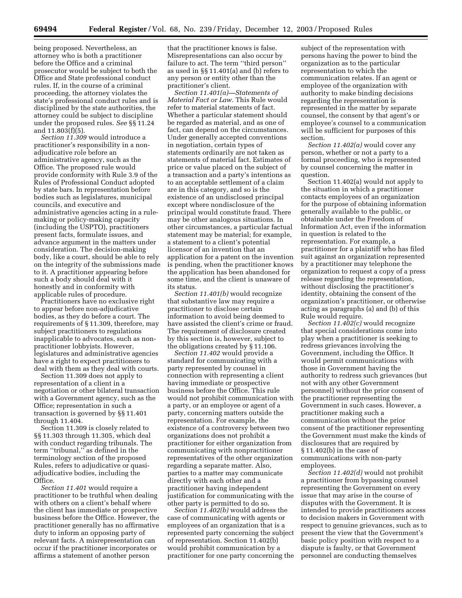being proposed. Nevertheless, an attorney who is both a practitioner before the Office and a criminal prosecutor would be subject to both the Office and State professional conduct rules. If, in the course of a criminal proceeding, the attorney violates the state's professional conduct rules and is disciplined by the state authorities, the attorney could be subject to discipline under the proposed rules. *See* §§ 11.24 and 11.803(f)(5).

*Section 11.309* would introduce a practitioner's responsibility in a nonadjudicative role before an administrative agency, such as the Office. The proposed rule would provide conformity with Rule 3.9 of the Rules of Professional Conduct adopted by state bars. In representation before bodies such as legislatures, municipal councils, and executive and administrative agencies acting in a rulemaking or policy-making capacity (including the USPTO), practitioners present facts, formulate issues, and advance argument in the matters under consideration. The decision-making body, like a court, should be able to rely on the integrity of the submissions made to it. A practitioner appearing before such a body should deal with it honestly and in conformity with applicable rules of procedure.

Practitioners have no exclusive right to appear before non-adjudicative bodies, as they do before a court. The requirements of § 11.309, therefore, may subject practitioners to regulations inapplicable to advocates, such as nonpractitioner lobbyists. However, legislatures and administrative agencies have a right to expect practitioners to deal with them as they deal with courts.

Section 11.309 does not apply to representation of a client in a negotiation or other bilateral transaction with a Government agency, such as the Office; representation in such a transaction is governed by §§ 11.401 through 11.404.

Section 11.309 is closely related to §§ 11.303 through 11.305, which deal with conduct regarding tribunals. The term ''tribunal,'' as defined in the terminology section of the proposed Rules, refers to adjudicative or quasiadjudicative bodies, including the Office.

*Section 11.401* would require a practitioner to be truthful when dealing with others on a client's behalf where the client has immediate or prospective business before the Office. However, the practitioner generally has no affirmative duty to inform an opposing party of relevant facts. A misrepresentation can occur if the practitioner incorporates or affirms a statement of another person

that the practitioner knows is false. Misrepresentations can also occur by failure to act. The term ''third person'' as used in §§ 11.401(a) and (b) refers to any person or entity other than the practitioner's client.

*Section 11.401(a)—Statements of Material Fact or Law.* This Rule would refer to material statements of fact. Whether a particular statement should be regarded as material, and as one of fact, can depend on the circumstances. Under generally accepted conventions in negotiation, certain types of statements ordinarily are not taken as statements of material fact. Estimates of price or value placed on the subject of a transaction and a party's intentions as to an acceptable settlement of a claim are in this category, and so is the existence of an undisclosed principal except where nondisclosure of the principal would constitute fraud. There may be other analogous situations. In other circumstances, a particular factual statement may be material; for example, a statement to a client's potential licensor of an invention that an application for a patent on the invention is pending, when the practitioner knows the application has been abandoned for some time, and the client is unaware of its status.

*Section 11.401(b)* would recognize that substantive law may require a practitioner to disclose certain information to avoid being deemed to have assisted the client's crime or fraud. The requirement of disclosure created by this section is, however, subject to the obligations created by § 11.106.

*Section 11.402* would provide a standard for communicating with a party represented by counsel in connection with representing a client having immediate or prospective business before the Office. This rule would not prohibit communication with a party, or an employee or agent of a party, concerning matters outside the representation. For example, the existence of a controversy between two organizations does not prohibit a practitioner for either organization from communicating with nonpractitioner representatives of the other organization regarding a separate matter. Also, parties to a matter may communicate directly with each other and a practitioner having independent justification for communicating with the other party is permitted to do so.

*Section 11.402(b)* would address the case of communicating with agents or employees of an organization that is a represented party concerning the subject of representation. Section 11.402(b) would prohibit communication by a practitioner for one party concerning the

subject of the representation with persons having the power to bind the organization as to the particular representation to which the communication relates. If an agent or employee of the organization with authority to make binding decisions regarding the representation is represented in the matter by separate counsel, the consent by that agent's or employee's counsel to a communication will be sufficient for purposes of this section.

*Section 11.402(a)* would cover any person, whether or not a party to a formal proceeding, who is represented by counsel concerning the matter in question.

Section 11.402(a) would not apply to the situation in which a practitioner contacts employees of an organization for the purpose of obtaining information generally available to the public, or obtainable under the Freedom of Information Act, even if the information in question is related to the representation. For example, a practitioner for a plaintiff who has filed suit against an organization represented by a practitioner may telephone the organization to request a copy of a press release regarding the representation, without disclosing the practitioner's identity, obtaining the consent of the organization's practitioner, or otherwise acting as paragraphs (a) and (b) of this Rule would require.

*Section 11.402(c)* would recognize that special considerations come into play when a practitioner is seeking to redress grievances involving the Government, including the Office. It would permit communications with those in Government having the authority to redress such grievances (but not with any other Government personnel) without the prior consent of the practitioner representing the Government in such cases. However, a practitioner making such a communication without the prior consent of the practitioner representing the Government must make the kinds of disclosures that are required by § 11.402(b) in the case of communications with non-party employees.

*Section 11.402(d)* would not prohibit a practitioner from bypassing counsel representing the Government on every issue that may arise in the course of disputes with the Government. It is intended to provide practitioners access to decision makers in Government with respect to genuine grievances, such as to present the view that the Government's basic policy position with respect to a dispute is faulty, or that Government personnel are conducting themselves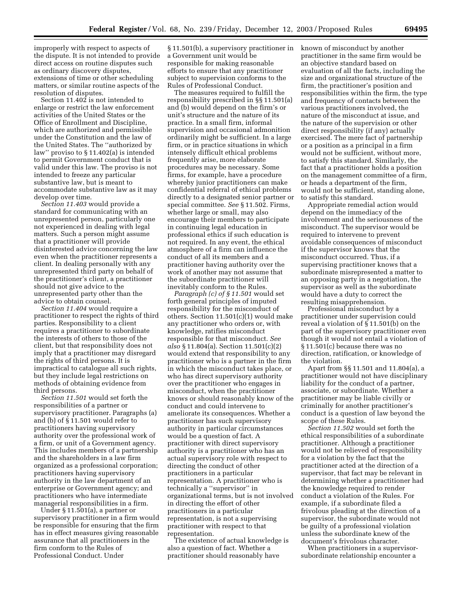improperly with respect to aspects of the dispute. It is not intended to provide direct access on routine disputes such as ordinary discovery disputes, extensions of time or other scheduling matters, or similar routine aspects of the resolution of disputes.

Section 11.402 is not intended to enlarge or restrict the law enforcement activities of the United States or the Office of Enrollment and Discipline, which are authorized and permissible under the Constitution and the law of the United States. The ''authorized by law'' proviso to § 11.402(a) is intended to permit Government conduct that is valid under this law. The proviso is not intended to freeze any particular substantive law, but is meant to accommodate substantive law as it may develop over time.

*Section 11.403* would provide a standard for communicating with an unrepresented person, particularly one not experienced in dealing with legal matters. Such a person might assume that a practitioner will provide disinterested advice concerning the law even when the practitioner represents a client. In dealing personally with any unrepresented third party on behalf of the practitioner's client, a practitioner should not give advice to the unrepresented party other than the advice to obtain counsel.

*Section 11.404* would require a practitioner to respect the rights of third parties. Responsibility to a client requires a practitioner to subordinate the interests of others to those of the client, but that responsibility does not imply that a practitioner may disregard the rights of third persons. It is impractical to catalogue all such rights, but they include legal restrictions on methods of obtaining evidence from third persons.

*Section 11.501* would set forth the responsibilities of a partner or supervisory practitioner. Paragraphs (a) and (b) of § 11.501 would refer to practitioners having supervisory authority over the professional work of a firm, or unit of a Government agency. This includes members of a partnership and the shareholders in a law firm organized as a professional corporation; practitioners having supervisory authority in the law department of an enterprise or Government agency; and practitioners who have intermediate managerial responsibilities in a firm.

Under § 11.501(a), a partner or supervisory practitioner in a firm would be responsible for ensuring that the firm has in effect measures giving reasonable assurance that all practitioners in the firm conform to the Rules of Professional Conduct. Under

§ 11.501(b), a supervisory practitioner in a Government unit would be responsible for making reasonable efforts to ensure that any practitioner subject to supervision conforms to the Rules of Professional Conduct.

The measures required to fulfill the responsibility prescribed in §§ 11.501(a) and (b) would depend on the firm's or unit's structure and the nature of its practice. In a small firm, informal supervision and occasional admonition ordinarily might be sufficient. In a large firm, or in practice situations in which intensely difficult ethical problems frequently arise, more elaborate procedures may be necessary. Some firms, for example, have a procedure whereby junior practitioners can make confidential referral of ethical problems directly to a designated senior partner or special committee. *See* § 11.502. Firms, whether large or small, may also encourage their members to participate in continuing legal education in professional ethics if such education is not required. In any event, the ethical atmosphere of a firm can influence the conduct of all its members and a practitioner having authority over the work of another may not assume that the subordinate practitioner will inevitably conform to the Rules.

*Paragraph (c) of § 11.501* would set forth general principles of imputed responsibility for the misconduct of others. Section 11.501(c)(1) would make any practitioner who orders or, with knowledge, ratifies misconduct responsible for that misconduct. *See also* § 11.804(a). Section 11.501(c)(2) would extend that responsibility to any practitioner who is a partner in the firm in which the misconduct takes place, or who has direct supervisory authority over the practitioner who engages in misconduct, when the practitioner knows or should reasonably know of the conduct and could intervene to ameliorate its consequences. Whether a practitioner has such supervisory authority in particular circumstances would be a question of fact. A practitioner with direct supervisory authority is a practitioner who has an actual supervisory role with respect to directing the conduct of other practitioners in a particular representation. A practitioner who is technically a ''supervisor'' in organizational terms, but is not involved in directing the effort of other practitioners in a particular representation, is not a supervising practitioner with respect to that representation.

The existence of actual knowledge is also a question of fact. Whether a practitioner should reasonably have

known of misconduct by another practitioner in the same firm would be an objective standard based on evaluation of all the facts, including the size and organizational structure of the firm, the practitioner's position and responsibilities within the firm, the type and frequency of contacts between the various practitioners involved, the nature of the misconduct at issue, and the nature of the supervision or other direct responsibility (if any) actually exercised. The mere fact of partnership or a position as a principal in a firm would not be sufficient, without more, to satisfy this standard. Similarly, the fact that a practitioner holds a position on the management committee of a firm, or heads a department of the firm, would not be sufficient, standing alone, to satisfy this standard.

Appropriate remedial action would depend on the immediacy of the involvement and the seriousness of the misconduct. The supervisor would be required to intervene to prevent avoidable consequences of misconduct if the supervisor knows that the misconduct occurred. Thus, if a supervising practitioner knows that a subordinate misrepresented a matter to an opposing party in a negotiation, the supervisor as well as the subordinate would have a duty to correct the resulting misapprehension.

Professional misconduct by a practitioner under supervision could reveal a violation of § 11.501(b) on the part of the supervisory practitioner even though it would not entail a violation of § 11.501(c) because there was no direction, ratification, or knowledge of the violation.

Apart from §§ 11.501 and 11.804(a), a practitioner would not have disciplinary liability for the conduct of a partner, associate, or subordinate. Whether a practitioner may be liable civilly or criminally for another practitioner's conduct is a question of law beyond the scope of these Rules.

*Section 11.502* would set forth the ethical responsibilities of a subordinate practitioner. Although a practitioner would not be relieved of responsibility for a violation by the fact that the practitioner acted at the direction of a supervisor, that fact may be relevant in determining whether a practitioner had the knowledge required to render conduct a violation of the Rules. For example, if a subordinate filed a frivolous pleading at the direction of a supervisor, the subordinate would not be guilty of a professional violation unless the subordinate knew of the document's frivolous character.

When practitioners in a supervisorsubordinate relationship encounter a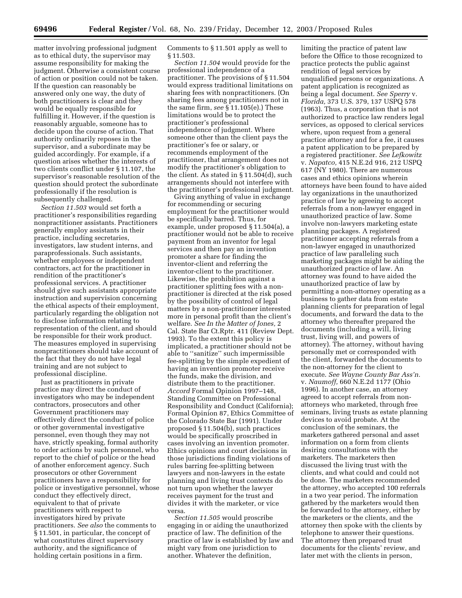matter involving professional judgment as to ethical duty, the supervisor may assume responsibility for making the judgment. Otherwise a consistent course of action or position could not be taken. If the question can reasonably be answered only one way, the duty of both practitioners is clear and they would be equally responsible for fulfilling it. However, if the question is reasonably arguable, someone has to decide upon the course of action. That authority ordinarily reposes in the supervisor, and a subordinate may be guided accordingly. For example, if a question arises whether the interests of two clients conflict under § 11.107, the supervisor's reasonable resolution of the question should protect the subordinate professionally if the resolution is subsequently challenged.

*Section 11.503* would set forth a practitioner's responsibilities regarding nonpractitioner assistants. Practitioners generally employ assistants in their practice, including secretaries, investigators, law student interns, and paraprofessionals. Such assistants, whether employees or independent contractors, act for the practitioner in rendition of the practitioner's professional services. A practitioner should give such assistants appropriate instruction and supervision concerning the ethical aspects of their employment, particularly regarding the obligation not to disclose information relating to representation of the client, and should be responsible for their work product. The measures employed in supervising nonpractitioners should take account of the fact that they do not have legal training and are not subject to professional discipline.

Just as practitioners in private practice may direct the conduct of investigators who may be independent contractors, prosecutors and other Government practitioners may effectively direct the conduct of police or other governmental investigative personnel, even though they may not have, strictly speaking, formal authority to order actions by such personnel, who report to the chief of police or the head of another enforcement agency. Such prosecutors or other Government practitioners have a responsibility for police or investigative personnel, whose conduct they effectively direct, equivalent to that of private practitioners with respect to investigators hired by private practitioners. *See also* the comments to § 11.501, in particular, the concept of what constitutes direct supervisory authority, and the significance of holding certain positions in a firm.

Comments to § 11.501 apply as well to § 11.503.

*Section 11.504* would provide for the professional independence of a practitioner. The provisions of § 11.504 would express traditional limitations on sharing fees with nonpractitioners. (On sharing fees among practitioners not in the same firm, *see* § 11.105(e).) These limitations would be to protect the practitioner's professional independence of judgment. Where someone other than the client pays the practitioner's fee or salary, or recommends employment of the practitioner, that arrangement does not modify the practitioner's obligation to the client. As stated in § 11.504(d), such arrangements should not interfere with the practitioner's professional judgment.

Giving anything of value in exchange for recommending or securing employment for the practitioner would be specifically barred. Thus, for example, under proposed § 11.504(a), a practitioner would not be able to receive payment from an inventor for legal services and then pay an invention promoter a share for finding the inventor-client and referring the inventor-client to the practitioner. Likewise, the prohibition against a practitioner splitting fees with a nonpractitioner is directed at the risk posed by the possibility of control of legal matters by a non-practitioner interested more in personal profit than the client's welfare. *See In the Matter of Jones,* 2 Cal. State Bar Ct.Rptr. 411 (Review Dept. 1993). To the extent this policy is implicated, a practitioner should not be able to ''sanitize'' such impermissible fee-splitting by the simple expedient of having an invention promoter receive the funds, make the division, and distribute them to the practitioner. *Accord* Formal Opinion 1997–148, Standing Committee on Professional Responsibility and Conduct (California); Formal Opinion 87, Ethics Committee of the Colorado State Bar (1991). Under proposed § 11.504(b), such practices would be specifically proscribed in cases involving an invention promoter. Ethics opinions and court decisions in those jurisdictions finding violations of rules barring fee-splitting between lawyers and non-lawyers in the estate planning and living trust contexts do not turn upon whether the lawyer receives payment for the trust and divides it with the marketer, or vice versa.

*Section 11.505* would proscribe engaging in or aiding the unauthorized practice of law. The definition of the practice of law is established by law and might vary from one jurisdiction to another. Whatever the definition,

limiting the practice of patent law before the Office to those recognized to practice protects the public against rendition of legal services by unqualified persons or organizations. A patent application is recognized as being a legal document. *See Sperry* v. *Florida,* 373 U.S. 379, 137 USPQ 578 (1963). Thus, a corporation that is not authorized to practice law renders legal services, as opposed to clerical services where, upon request from a general practice attorney and for a fee, it causes a patent application to be prepared by a registered practitioner. *See Lefkowitz* v. *Napatco,* 415 N.E.2d 916, 212 USPQ 617 (NY 1980). There are numerous cases and ethics opinions wherein attorneys have been found to have aided lay organizations in the unauthorized practice of law by agreeing to accept referrals from a non-lawyer engaged in unauthorized practice of law. Some involve non-lawyers marketing estate planning packages. A registered practitioner accepting referrals from a non-lawyer engaged in unauthorized practice of law paralleling such marketing packages might be aiding the unauthorized practice of law. An attorney was found to have aided the unauthorized practice of law by permitting a non-attorney operating as a business to gather data from estate planning clients for preparation of legal documents, and forward the data to the attorney who thereafter prepared the documents (including a will, living trust, living will, and powers of attorney). The attorney, without having personally met or corresponded with the client, forwarded the documents to the non-attorney for the client to execute. *See Wayne County Bar Ass'n.* v. *Naumoff,* 660 N.E.2d 1177 (Ohio 1996). In another case, an attorney agreed to accept referrals from nonattorneys who marketed, through free seminars, living trusts as estate planning devices to avoid probate. At the conclusion of the seminars, the marketers gathered personal and asset information on a form from clients desiring consultations with the marketers. The marketers then discussed the living trust with the clients, and what could and could not be done. The marketers recommended the attorney, who accepted 100 referrals in a two year period. The information gathered by the marketers would then be forwarded to the attorney, either by the marketers or the clients, and the attorney then spoke with the clients by telephone to answer their questions. The attorney then prepared trust documents for the clients' review, and later met with the clients in person,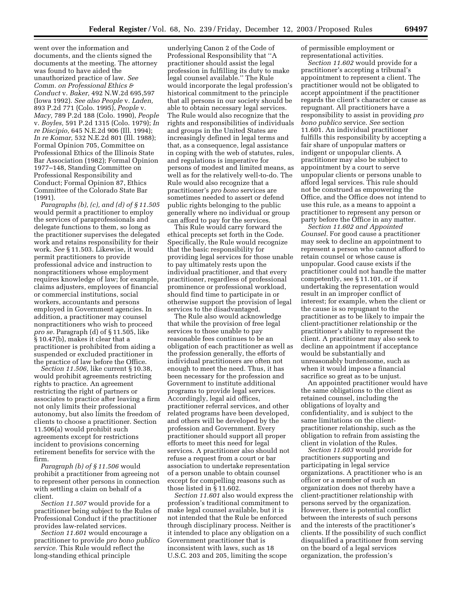went over the information and documents, and the clients signed the documents at the meeting. The attorney was found to have aided the unauthorized practice of law. *See Comm. on Professional Ethics & Conduct* v. *Baker,* 492 N.W.2d 695,597 (Iowa 1992). *See also People* v. *Laden,* 893 P.2d 771 (Colo. 1995), *People* v. *Macy,* 789 P.2d 188 (Colo. 1990), *People* v. *Boyles,* 591 P.2d 1315 (Colo. 1979); *In re Discipio,* 645 N.E.2d 906 (Ill. 1994); *In re Komar,* 532 N.E.2d 801 (Ill. 1988); Formal Opinion 705, Committee on Professional Ethics of the Illinois State Bar Association (1982); Formal Opinion 1977–148, Standing Committee on Professional Responsibility and Conduct; Formal Opinion 87, Ethics Committee of the Colorado State Bar (1991).

*Paragraphs (b), (c), and (d) of § 11.505* would permit a practitioner to employ the services of paraprofessionals and delegate functions to them, so long as the practitioner supervises the delegated work and retains responsibility for their work. *See* § 11.503. Likewise, it would permit practitioners to provide professional advice and instruction to nonpractitioners whose employment requires knowledge of law; for example, claims adjusters, employees of financial or commercial institutions, social workers, accountants and persons employed in Government agencies. In addition, a practitioner may counsel nonpractitioners who wish to proceed *pro se.* Paragraph (d) of § 11.505, like § 10.47(b), makes it clear that a practitioner is prohibited from aiding a suspended or excluded practitioner in the practice of law before the Office.

*Section 11.506,* like current § 10.38, would prohibit agreements restricting rights to practice. An agreement restricting the right of partners or associates to practice after leaving a firm not only limits their professional autonomy, but also limits the freedom of clients to choose a practitioner. Section 11.506(a) would prohibit such agreements except for restrictions incident to provisions concerning retirement benefits for service with the firm.

*Paragraph (b) of § 11.506* would prohibit a practitioner from agreeing not to represent other persons in connection with settling a claim on behalf of a client.

*Section 11.507* would provide for a practitioner being subject to the Rules of Professional Conduct if the practitioner provides law-related services.

*Section 11.601* would encourage a practitioner to provide *pro bono publico service.* This Rule would reflect the long-standing ethical principle

underlying Canon 2 of the Code of Professional Responsibility that ''A practitioner should assist the legal profession in fulfilling its duty to make legal counsel available.'' The Rule would incorporate the legal profession's historical commitment to the principle that all persons in our society should be able to obtain necessary legal services. The Rule would also recognize that the rights and responsibilities of individuals and groups in the United States are increasingly defined in legal terms and that, as a consequence, legal assistance in coping with the web of statutes, rules, and regulations is imperative for persons of modest and limited means, as well as for the relatively well-to-do. The Rule would also recognize that a practitioner's *pro bono* services are sometimes needed to assert or defend public rights belonging to the public generally where no individual or group can afford to pay for the services.

This Rule would carry forward the ethical precepts set forth in the Code. Specifically, the Rule would recognize that the basic responsibility for providing legal services for those unable to pay ultimately rests upon the individual practitioner, and that every practitioner, regardless of professional prominence or professional workload, should find time to participate in or otherwise support the provision of legal services to the disadvantaged.

The Rule also would acknowledge that while the provision of free legal services to those unable to pay reasonable fees continues to be an obligation of each practitioner as well as the profession generally, the efforts of individual practitioners are often not enough to meet the need. Thus, it has been necessary for the profession and Government to institute additional programs to provide legal services. Accordingly, legal aid offices, practitioner referral services, and other related programs have been developed, and others will be developed by the profession and Government. Every practitioner should support all proper efforts to meet this need for legal services. A practitioner also should not refuse a request from a court or bar association to undertake representation of a person unable to obtain counsel except for compelling reasons such as those listed in § 11.602.

*Section 11.601* also would express the profession's traditional commitment to make legal counsel available, but it is not intended that the Rule be enforced through disciplinary process. Neither is it intended to place any obligation on a Government practitioner that is inconsistent with laws, such as 18 U.S.C. 203 and 205, limiting the scope

of permissible employment or representational activities.

*Section 11.602* would provide for a practitioner's accepting a tribunal's appointment to represent a client. The practitioner would not be obligated to accept appointment if the practitioner regards the client's character or cause as repugnant. All practitioners have a responsibility to assist in providing *pro bono publico* service. *See* section 11.601. An individual practitioner fulfills this responsibility by accepting a fair share of unpopular matters or indigent or unpopular clients. A practitioner may also be subject to appointment by a court to serve unpopular clients or persons unable to afford legal services. This rule should not be construed as empowering the Office, and the Office does not intend to use this rule, as a means to appoint a practitioner to represent any person or party before the Office in any matter.

*Section 11.602 and Appointed Counsel.* For good cause a practitioner may seek to decline an appointment to represent a person who cannot afford to retain counsel or whose cause is unpopular. Good cause exists if the practitioner could not handle the matter competently, see § 11.101, or if undertaking the representation would result in an improper conflict of interest; for example, when the client or the cause is so repugnant to the practitioner as to be likely to impair the client-practitioner relationship or the practitioner's ability to represent the client. A practitioner may also seek to decline an appointment if acceptance would be substantially and unreasonably burdensome, such as when it would impose a financial sacrifice so great as to be unjust.

An appointed practitioner would have the same obligations to the client as retained counsel, including the obligations of loyalty and confidentiality, and is subject to the same limitations on the clientpractitioner relationship, such as the obligation to refrain from assisting the client in violation of the Rules.

*Section 11.603* would provide for practitioners supporting and participating in legal service organizations. A practitioner who is an officer or a member of such an organization does not thereby have a client-practitioner relationship with persons served by the organization. However, there is potential conflict between the interests of such persons and the interests of the practitioner's clients. If the possibility of such conflict disqualified a practitioner from serving on the board of a legal services organization, the profession's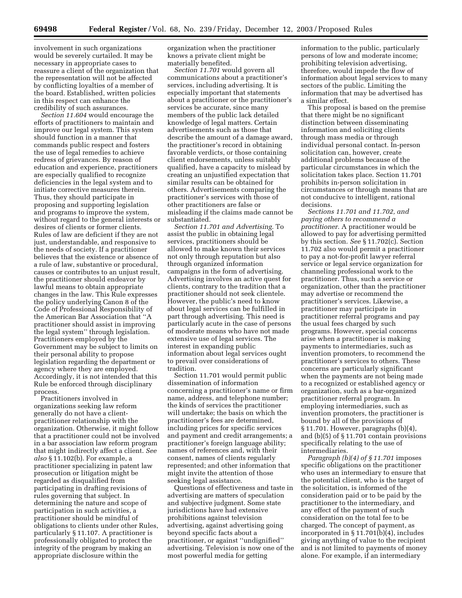involvement in such organizations would be severely curtailed. It may be necessary in appropriate cases to reassure a client of the organization that the representation will not be affected by conflicting loyalties of a member of the board. Established, written policies in this respect can enhance the credibility of such assurances.

*Section 11.604* would encourage the efforts of practitioners to maintain and improve our legal system. This system should function in a manner that commands public respect and fosters the use of legal remedies to achieve redress of grievances. By reason of education and experience, practitioners are especially qualified to recognize deficiencies in the legal system and to initiate corrective measures therein. Thus, they should participate in proposing and supporting legislation and programs to improve the system, without regard to the general interests or desires of clients or former clients. Rules of law are deficient if they are not just, understandable, and responsive to the needs of society. If a practitioner believes that the existence or absence of a rule of law, substantive or procedural, causes or contributes to an unjust result, the practitioner should endeavor by lawful means to obtain appropriate changes in the law. This Rule expresses the policy underlying Canon 8 of the Code of Professional Responsibility of the American Bar Association that ''A practitioner should assist in improving the legal system'' through legislation. Practitioners employed by the Government may be subject to limits on their personal ability to propose legislation regarding the department or agency where they are employed. Accordingly, it is not intended that this Rule be enforced through disciplinary process.

Practitioners involved in organizations seeking law reform generally do not have a clientpractitioner relationship with the organization. Otherwise, it might follow that a practitioner could not be involved in a bar association law reform program that might indirectly affect a client. *See also* § 11.102(b). For example, a practitioner specializing in patent law prosecution or litigation might be regarded as disqualified from participating in drafting revisions of rules governing that subject. In determining the nature and scope of participation in such activities, a practitioner should be mindful of obligations to clients under other Rules, particularly § 11.107. A practitioner is professionally obligated to protect the integrity of the program by making an appropriate disclosure within the

organization when the practitioner knows a private client might be materially benefited.

*Section 11.701* would govern all communications about a practitioner's services, including advertising. It is especially important that statements about a practitioner or the practitioner's services be accurate, since many members of the public lack detailed knowledge of legal matters. Certain advertisements such as those that describe the amount of a damage award, the practitioner's record in obtaining favorable verdicts, or those containing client endorsements, unless suitably qualified, have a capacity to mislead by creating an unjustified expectation that similar results can be obtained for others. Advertisements comparing the practitioner's services with those of other practitioners are false or misleading if the claims made cannot be substantiated.

*Section 11.701 and Advertising.* To assist the public in obtaining legal services, practitioners should be allowed to make known their services not only through reputation but also through organized information campaigns in the form of advertising. Advertising involves an active quest for clients, contrary to the tradition that a practitioner should not seek clientele. However, the public's need to know about legal services can be fulfilled in part through advertising. This need is particularly acute in the case of persons of moderate means who have not made extensive use of legal services. The interest in expanding public information about legal services ought to prevail over considerations of tradition.

Section 11.701 would permit public dissemination of information concerning a practitioner's name or firm name, address, and telephone number; the kinds of services the practitioner will undertake; the basis on which the practitioner's fees are determined, including prices for specific services and payment and credit arrangements; a practitioner's foreign language ability; names of references and, with their consent, names of clients regularly represented; and other information that might invite the attention of those seeking legal assistance.

Questions of effectiveness and taste in advertising are matters of speculation and subjective judgment. Some state jurisdictions have had extensive prohibitions against television advertising, against advertising going beyond specific facts about a practitioner, or against ''undignified'' advertising. Television is now one of the most powerful media for getting

information to the public, particularly persons of low and moderate income; prohibiting television advertising, therefore, would impede the flow of information about legal services to many sectors of the public. Limiting the information that may be advertised has a similar effect.

This proposal is based on the premise that there might be no significant distinction between disseminating information and soliciting clients through mass media or through individual personal contact. In-person solicitation can, however, create additional problems because of the particular circumstances in which the solicitation takes place. Section 11.701 prohibits in-person solicitation in circumstances or through means that are not conducive to intelligent, rational decisions.

*Sections 11.701 and 11.702, and paying others to recommend a practitioner.* A practitioner would be allowed to pay for advertising permitted by this section. *See* § 11.702(c). Section 11.702 also would permit a practitioner to pay a not-for-profit lawyer referral service or legal service organization for channeling professional work to the practitioner. Thus, such a service or organization, other than the practitioner may advertise or recommend the practitioner's services. Likewise, a practitioner may participate in practitioner referral programs and pay the usual fees charged by such programs. However, special concerns arise when a practitioner is making payments to intermediaries, such as invention promoters, to recommend the practitioner's services to others. These concerns are particularly significant when the payments are not being made to a recognized or established agency or organization, such as a bar-organized practitioner referral program. In employing intermediaries, such as invention promoters, the practitioner is bound by all of the provisions of § 11.701. However, paragraphs (b)(4), and (b)(5) of § 11.701 contain provisions specifically relating to the use of intermediaries.

*Paragraph (b)(4) of § 11.701* imposes specific obligations on the practitioner who uses an intermediary to ensure that the potential client, who is the target of the solicitation, is informed of the consideration paid or to be paid by the practitioner to the intermediary, and any effect of the payment of such consideration on the total fee to be charged. The concept of payment, as incorporated in § 11.701(b)(4), includes giving anything of value to the recipient and is not limited to payments of money alone. For example, if an intermediary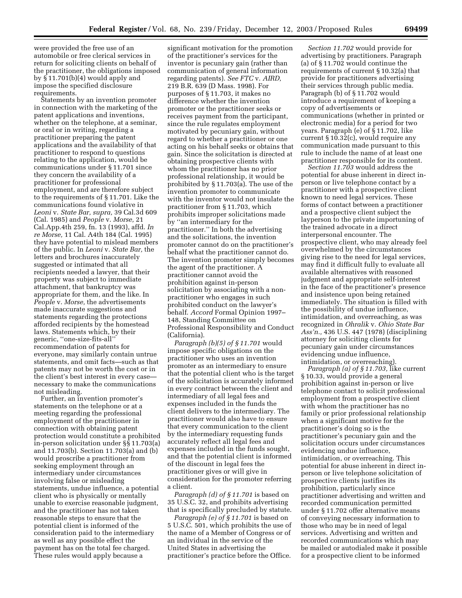were provided the free use of an automobile or free clerical services in return for soliciting clients on behalf of the practitioner, the obligations imposed by § 11.701(b)(4) would apply and impose the specified disclosure requirements.

Statements by an invention promoter in connection with the marketing of the patent applications and inventions, whether on the telephone, at a seminar, or oral or in writing, regarding a practitioner preparing the patent applications and the availability of that practitioner to respond to questions relating to the application, would be communications under § 11.701 since they concern the availability of a practitioner for professional employment, and are therefore subject to the requirements of § 11.701. Like the communications found violative in *Leoni* v. *State Bar, supra,* 39 Cal.3d 609 (Cal. 1985) and *People* v. *Morse,* 21 Cal.App.4th 259, fn. 13 (1993), affd. *In re Morse,* 11 Cal. A4th 184 (Cal. 1995) they have potential to mislead members of the public. In *Leoni* v. *State Bar,* the letters and brochures inaccurately suggested or intimated that all recipients needed a lawyer, that their property was subject to immediate attachment, that bankruptcy was appropriate for them, and the like. In *People* v. *Morse,* the advertisements made inaccurate suggestions and statements regarding the protections afforded recipients by the homestead laws. Statements which, by their generic, ''one-size-fits-all'' recommendation of patents for everyone, may similarly contain untrue statements, and omit facts—such as that patents may not be worth the cost or in the client's best interest in every case necessary to make the communications not misleading.

Further, an invention promoter's statements on the telephone or at a meeting regarding the professional employment of the practitioner in connection with obtaining patent protection would constitute a prohibited in-person solicitation under §§ 11.703(a) and 11.703(b). Section 11.703(a) and (b) would proscribe a practitioner from seeking employment through an intermediary under circumstances involving false or misleading statements, undue influence, a potential client who is physically or mentally unable to exercise reasonable judgment, and the practitioner has not taken reasonable steps to ensure that the potential client is informed of the consideration paid to the intermediary as well as any possible effect the payment has on the total fee charged. These rules would apply because a

significant motivation for the promotion of the practitioner's services for the inventor is pecuniary gain (rather than communication of general information regarding patents). *See FTC* v. *AIRD,* 219 B.R. 639 (D Mass. 1998). For purposes of § 11.703, it makes no difference whether the invention promoter or the practitioner seeks or receives payment from the participant, since the rule regulates employment motivated by pecuniary gain, without regard to whether a practitioner or one acting on his behalf seeks or obtains that gain. Since the solicitation is directed at obtaining prospective clients with whom the practitioner has no prior professional relationship, it would be prohibited by § 11.703(a). The use of the invention promoter to communicate with the inventor would not insulate the practitioner from § 11.703, which prohibits improper solicitations made by ''an intermediary for the practitioner.'' In both the advertising and the solicitations, the invention promoter cannot do on the practitioner's behalf what the practitioner cannot do. The invention promoter simply becomes the agent of the practitioner. A practitioner cannot avoid the prohibition against in-person solicitation by associating with a nonpractitioner who engages in such prohibited conduct on the lawyer's behalf. *Accord* Formal Opinion 1997– 148, Standing Committee on Professional Responsibility and Conduct (California).

*Paragraph (b)(5) of § 11.701* would impose specific obligations on the practitioner who uses an invention promoter as an intermediary to ensure that the potential client who is the target of the solicitation is accurately informed in every contract between the client and intermediary of all legal fees and expenses included in the funds the client delivers to the intermediary. The practitioner would also have to ensure that every communication to the client by the intermediary requesting funds accurately reflect all legal fees and expenses included in the funds sought, and that the potential client is informed of the discount in legal fees the practitioner gives or will give in consideration for the promoter referring a client.

*Paragraph (d) of § 11.701* is based on 35 U.S.C. 32, and prohibits advertising that is specifically precluded by statute.

*Paragraph (e) of § 11.701* is based on 5 U.S.C. 501, which prohibits the use of the name of a Member of Congress or of an individual in the service of the United States in advertising the practitioner's practice before the Office.

*Section 11.702* would provide for advertising by practitioners. Paragraph (a) of § 11.702 would continue the requirements of current § 10.32(a) that provide for practitioners advertising their services through public media. Paragraph (b) of § 11.702 would introduce a requirement of keeping a copy of advertisements or communications (whether in printed or electronic media) for a period for two years. Paragraph (e) of § 11.702, like current § 10.32(c), would require any communication made pursuant to this rule to include the name of at least one practitioner responsible for its content.

*Section 11.703* would address the potential for abuse inherent in direct inperson or live telephone contact by a practitioner with a prospective client known to need legal services. These forms of contact between a practitioner and a prospective client subject the layperson to the private importuning of the trained advocate in a direct interpersonal encounter. The prospective client, who may already feel overwhelmed by the circumstances giving rise to the need for legal services, may find it difficult fully to evaluate all available alternatives with reasoned judgment and appropriate self-interest in the face of the practitioner's presence and insistence upon being retained immediately. The situation is filled with the possibility of undue influence, intimidation, and overreaching, as was recognized in *Ohralik* v. *Ohio State Bar Ass'n.,* 436 U.S. 447 (1978) (disciplining attorney for soliciting clients for pecuniary gain under circumstances evidencing undue influence, intimidation, or overreaching).

*Paragraph (a) of § 11.703,* like current § 10.33, would provide a general prohibition against in-person or live telephone contact to solicit professional employment from a prospective client with whom the practitioner has no family or prior professional relationship when a significant motive for the practitioner's doing so is the practitioner's pecuniary gain and the solicitation occurs under circumstances evidencing undue influence, intimidation, or overreaching. This potential for abuse inherent in direct inperson or live telephone solicitation of prospective clients justifies its prohibition, particularly since practitioner advertising and written and recorded communication permitted under § 11.702 offer alternative means of conveying necessary information to those who may be in need of legal services. Advertising and written and recorded communications which may be mailed or autodialed make it possible for a prospective client to be informed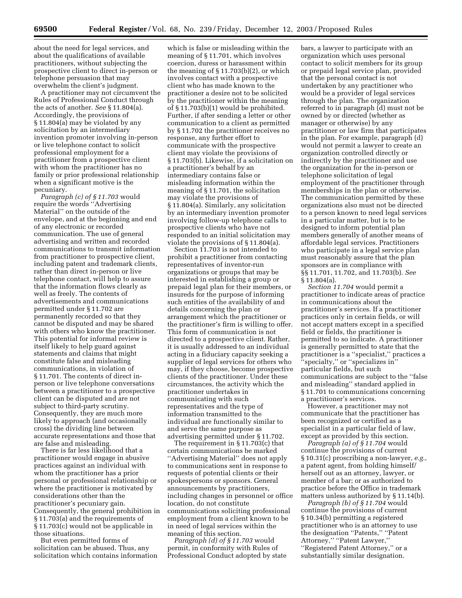about the need for legal services, and about the qualifications of available practitioners, without subjecting the prospective client to direct in-person or telephone persuasion that may overwhelm the client's judgment.

A practitioner may not circumvent the Rules of Professional Conduct through the acts of another. *See* § 11.804(a). Accordingly, the provisions of § 11.804(a) may be violated by any solicitation by an intermediary invention promoter involving in-person or live telephone contact to solicit professional employment for a practitioner from a prospective client with whom the practitioner has no family or prior professional relationship when a significant motive is the pecuniary.

*Paragraph (c) of § 11.703* would require the words ''Advertising Material'' on the outside of the envelope, and at the beginning and end of any electronic or recorded communication. The use of general advertising and written and recorded communications to transmit information from practitioner to prospective client, including patent and trademark clients, rather than direct in-person or live telephone contact, will help to assure that the information flows clearly as well as freely. The contents of advertisements and communications permitted under § 11.702 are permanently recorded so that they cannot be disputed and may be shared with others who know the practitioner. This potential for informal review is itself likely to help guard against statements and claims that might constitute false and misleading communications, in violation of § 11.701. The contents of direct inperson or live telephone conversations between a practitioner to a prospective client can be disputed and are not subject to third-party scrutiny. Consequently, they are much more likely to approach (and occasionally cross) the dividing line between accurate representations and those that are false and misleading.

There is far less likelihood that a practitioner would engage in abusive practices against an individual with whom the practitioner has a prior personal or professional relationship or where the practitioner is motivated by considerations other than the practitioner's pecuniary gain. Consequently, the general prohibition in § 11.703(a) and the requirements of § 11.703(c) would not be applicable in those situations.

But even permitted forms of solicitation can be abused. Thus, any solicitation which contains information

which is false or misleading within the meaning of § 11.701, which involves coercion, duress or harassment within the meaning of § 11.703(b)(2), or which involves contact with a prospective client who has made known to the practitioner a desire not to be solicited by the practitioner within the meaning of § 11.703(b)(1) would be prohibited. Further, if after sending a letter or other communication to a client as permitted by § 11.702 the practitioner receives no response, any further effort to communicate with the prospective client may violate the provisions of § 11.703(b). Likewise, if a solicitation on a practitioner's behalf by an intermediary contains false or misleading information within the meaning of § 11.701, the solicitation may violate the provisions of § 11.804(a). Similarly, any solicitation by an intermediary invention promoter involving follow-up telephone calls to prospective clients who have not responded to an initial solicitation may violate the provisions of § 11.804(a).

Section 11.703 is not intended to prohibit a practitioner from contacting representatives of inventor-run organizations or groups that may be interested in establishing a group or prepaid legal plan for their members, or insureds for the purpose of informing such entities of the availability of and details concerning the plan or arrangement which the practitioner or the practitioner's firm is willing to offer. This form of communication is not directed to a prospective client. Rather, it is usually addressed to an individual acting in a fiduciary capacity seeking a supplier of legal services for others who may, if they choose, become prospective clients of the practitioner. Under these circumstances, the activity which the practitioner undertakes in communicating with such representatives and the type of information transmitted to the individual are functionally similar to and serve the same purpose as advertising permitted under § 11.702.

The requirement in § 11.703(c) that certain communications be marked ''Advertising Material'' does not apply to communications sent in response to requests of potential clients or their spokespersons or sponsors. General announcements by practitioners, including changes in personnel or office location, do not constitute communications soliciting professional employment from a client known to be in need of legal services within the meaning of this section.

*Paragraph (d) of § 11.703* would permit, in conformity with Rules of Professional Conduct adopted by state bars, a lawyer to participate with an organization which uses personal contact to solicit members for its group or prepaid legal service plan, provided that the personal contact is not undertaken by any practitioner who would be a provider of legal services through the plan. The organization referred to in paragraph (d) must not be owned by or directed (whether as manager or otherwise) by any practitioner or law firm that participates in the plan. For example, paragraph (d) would not permit a lawyer to create an organization controlled directly or indirectly by the practitioner and use the organization for the in-person or telephone solicitation of legal employment of the practitioner through memberships in the plan or otherwise. The communication permitted by these organizations also must not be directed to a person known to need legal services in a particular matter, but is to be designed to inform potential plan members generally of another means of affordable legal services. Practitioners who participate in a legal service plan must reasonably assure that the plan sponsors are in compliance with §§ 11.701, 11.702, and 11.703(b). *See* § 11.804(a).

*Section 11.704* would permit a practitioner to indicate areas of practice in communications about the practitioner's services. If a practitioner practices only in certain fields, or will not accept matters except in a specified field or fields, the practitioner is permitted to so indicate. A practitioner is generally permitted to state that the practitioner is a ''specialist,'' practices a ''specialty,'' or ''specializes in'' particular fields, but such communications are subject to the ''false and misleading'' standard applied in § 11.701 to communications concerning a practitioner's services.

However, a practitioner may not communicate that the practitioner has been recognized or certified as a specialist in a particular field of law, except as provided by this section.

*Paragraph (a) of § 11.704* would continue the provisions of current § 10.31(c) proscribing a non-lawyer, *e.g.,* a patent agent, from holding himself/ herself out as an attorney, lawyer, or member of a bar; or as authorized to practice before the Office in trademark matters unless authorized by § 11.14(b).

*Paragraph (b) of § 11.704* would continue the provisions of current § 10.34(b) permitting a registered practitioner who is an attorney to use the designation ''Patents,'' ''Patent Attorney,'' ''Patent Lawyer,'' ''Registered Patent Attorney,'' or a substantially similar designation.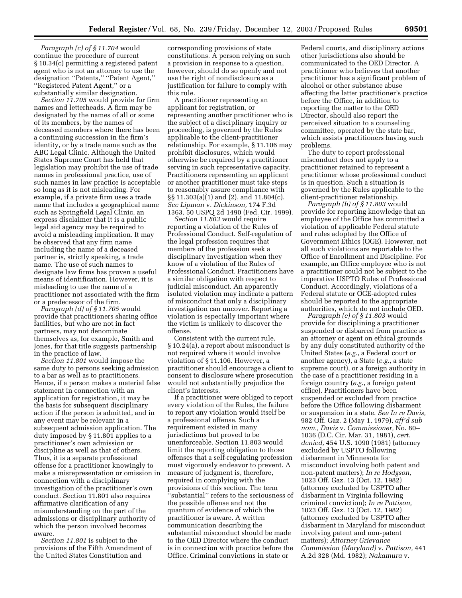*Paragraph (c) of § 11.704* would continue the procedure of current § 10.34(c) permitting a registered patent agent who is not an attorney to use the designation ''Patents,'' ''Patent Agent,'' ''Registered Patent Agent,'' or a substantially similar designation.

*Section 11.705* would provide for firm names and letterheads. A firm may be designated by the names of all or some of its members, by the names of deceased members where there has been a continuing succession in the firm's identity, or by a trade name such as the ABC Legal Clinic. Although the United States Supreme Court has held that legislation may prohibit the use of trade names in professional practice, use of such names in law practice is acceptable so long as it is not misleading. For example, if a private firm uses a trade name that includes a geographical name such as Springfield Legal Clinic, an express disclaimer that it is a public legal aid agency may be required to avoid a misleading implication. It may be observed that any firm name including the name of a deceased partner is, strictly speaking, a trade name. The use of such names to designate law firms has proven a useful means of identification. However, it is misleading to use the name of a practitioner not associated with the firm or a predecessor of the firm.

*Paragraph (d) of § 11.705* would provide that practitioners sharing office facilities, but who are not in fact partners, may not denominate themselves as, for example, Smith and Jones, for that title suggests partnership in the practice of law.

*Section 11.801* would impose the same duty to persons seeking admission to a bar as well as to practitioners. Hence, if a person makes a material false statement in connection with an application for registration, it may be the basis for subsequent disciplinary action if the person is admitted, and in any event may be relevant in a subsequent admission application. The duty imposed by § 11.801 applies to a practitioner's own admission or discipline as well as that of others. Thus, it is a separate professional offense for a practitioner knowingly to make a misrepresentation or omission in connection with a disciplinary investigation of the practitioner's own conduct. Section 11.801 also requires affirmative clarification of any misunderstanding on the part of the admissions or disciplinary authority of which the person involved becomes aware.

*Section 11.801* is subject to the provisions of the Fifth Amendment of the United States Constitution and

corresponding provisions of state constitutions. A person relying on such a provision in response to a question, however, should do so openly and not use the right of nondisclosure as a justification for failure to comply with this rule.

A practitioner representing an applicant for registration, or representing another practitioner who is the subject of a disciplinary inquiry or proceeding, is governed by the Rules applicable to the client-practitioner relationship. For example, § 11.106 may prohibit disclosures, which would otherwise be required by a practitioner serving in such representative capacity. Practitioners representing an applicant or another practitioner must take steps to reasonably assure compliance with §§ 11.303(a)(1) and (2), and 11.804(c). *See Lipman* v. *Dickinson,* 174 F.3d 1363, 50 USPQ 2d 1490 (Fed. Cir. 1999).

*Section 11.803* would require reporting a violation of the Rules of Professional Conduct. Self-regulation of the legal profession requires that members of the profession seek a disciplinary investigation when they know of a violation of the Rules of Professional Conduct. Practitioners have a similar obligation with respect to judicial misconduct. An apparently isolated violation may indicate a pattern of misconduct that only a disciplinary investigation can uncover. Reporting a violation is especially important where the victim is unlikely to discover the offense.

Consistent with the current rule, § 10.24(a), a report about misconduct is not required where it would involve violation of § 11.106. However, a practitioner should encourage a client to consent to disclosure where prosecution would not substantially prejudice the client's interests.

If a practitioner were obliged to report every violation of the Rules, the failure to report any violation would itself be a professional offense. Such a requirement existed in many jurisdictions but proved to be unenforceable. Section 11.803 would limit the reporting obligation to those offenses that a self-regulating profession must vigorously endeavor to prevent. A measure of judgment is, therefore, required in complying with the provisions of this section. The term ''substantial'' refers to the seriousness of the possible offense and not the quantum of evidence of which the practitioner is aware. A written communication describing the substantial misconduct should be made to the OED Director where the conduct is in connection with practice before the Office. Criminal convictions in state or

Federal courts, and disciplinary actions other jurisdictions also should be communicated to the OED Director. A practitioner who believes that another practitioner has a significant problem of alcohol or other substance abuse affecting the latter practitioner's practice before the Office, in addition to reporting the matter to the OED Director, should also report the perceived situation to a counseling committee, operated by the state bar, which assists practitioners having such problems.

The duty to report professional misconduct does not apply to a practitioner retained to represent a practitioner whose professional conduct is in question. Such a situation is governed by the Rules applicable to the client-practitioner relationship.

*Paragraph (b) of § 11.803* would provide for reporting knowledge that an employee of the Office has committed a violation of applicable Federal statute and rules adopted by the Office of Government Ethics (OGE). However, not all such violations are reportable to the Office of Enrollment and Discipline. For example, an Office employee who is not a practitioner could not be subject to the imperative USPTO Rules of Professional Conduct. Accordingly, violations of a Federal statute or OGE-adopted rules should be reported to the appropriate authorities, which do not include OED.

*Paragraph (e) of § 11.803* would provide for disciplining a practitioner suspended or disbarred from practice as an attorney or agent on ethical grounds by any duly constituted authority of the United States (*e.g.*, a Federal court or another agency), a State (*e.g.*, a state supreme court), or a foreign authority in the case of a practitioner residing in a foreign country (*e.g.*, a foreign patent office). Practitioners have been suspended or excluded from practice before the Office following disbarment or suspension in a state. *See In re Davis,* 982 Off. Gaz. 2 (May 1, 1979), *aff'd sub nom., Davis* v. *Commissioner,* No. 80– 1036 (D.C. Cir. Mar. 31, 1981), *cert. denied,* 454 U.S. 1090 (1981) (attorney excluded by USPTO following disbarment in Minnesota for misconduct involving both patent and non-patent matters); *In re Hodgson,* 1023 Off. Gaz. 13 (Oct. 12, 1982) (attorney excluded by USPTO after disbarment in Virginia following criminal conviction); *In re Pattison,* 1023 Off. Gaz. 13 (Oct. 12, 1982) (attorney excluded by USPTO after disbarment in Maryland for misconduct involving patent and non-patent matters); *Attorney Grievance Commission (Maryland)* v. *Pattison,* 441 A.2d 328 (Md. 1982); *Nakamura* v.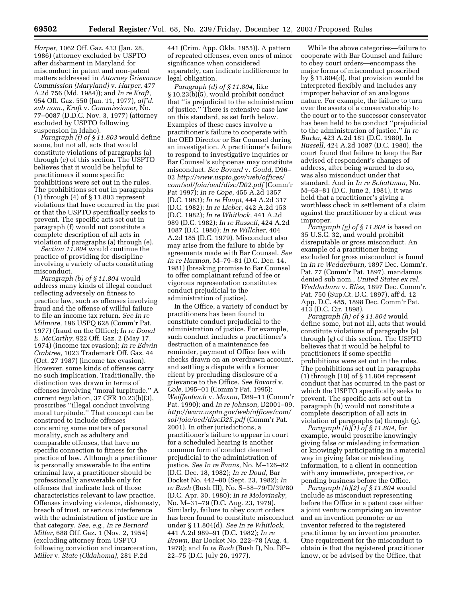*Harper,* 1062 Off. Gaz. 433 (Jan. 28, 1986) (attorney excluded by USPTO after disbarment in Maryland for misconduct in patent and non-patent matters addressed in *Attorney Grievance Commission (Maryland)* v. *Harper,* 477 A.2d 756 (Md. 1984)); and *In re Kraft,* 954 Off. Gaz. 550 (Jan. 11, 1977), *aff'd. sub nom., Kraft* v. *Commissioner,* No. 77–0087 (D.D.C. Nov. 3, 1977) (attorney excluded by USPTO following suspension in Idaho).

*Paragraph (f) of § 11.803* would define some, but not all, acts that would constitute violations of paragraphs (a) through (e) of this section. The USPTO believes that it would be helpful to practitioners if some specific prohibitions were set out in the rules. The prohibitions set out in paragraphs (1) through (4) of § 11.803 represent violations that have occurred in the past or that the USPTO specifically seeks to prevent. The specific acts set out in paragraph (f) would not constitute a complete description of all acts in violation of paragraphs (a) through (e).

*Section 11.804* would continue the practice of providing for discipline involving a variety of acts constituting misconduct.

*Paragraph (b) of § 11.804* would address many kinds of illegal conduct reflecting adversely on fitness to practice law, such as offenses involving fraud and the offense of willful failure to file an income tax return. *See In re Milmore,* 196 USPQ 628 (Comm'r Pat. 1977) (fraud on the Office); *In re Donal E. McCarthy,* 922 Off. Gaz. 2 (May 17, 1974) (income tax evasion); *In re Edwin Crabtree,* 1023 Trademark Off. Gaz. 44 (Oct. 27 1987) (income tax evasion). However, some kinds of offenses carry no such implication. Traditionally, the distinction was drawn in terms of offenses involving ''moral turpitude.'' A current regulation, 37 CFR 10.23(b)(3), proscribes ''illegal conduct involving moral turpitude.'' That concept can be construed to include offenses concerning some matters of personal morality, such as adultery and comparable offenses, that have no specific connection to fitness for the practice of law. Although a practitioner is personally answerable to the entire criminal law, a practitioner should be professionally answerable only for offenses that indicate lack of those characteristics relevant to law practice. Offenses involving violence, dishonesty, breach of trust, or serious interference with the administration of justice are in that category. *See, e.g., In re Bernard Miller,* 688 Off. Gaz. 1 (Nov. 2, 1954) (excluding attorney from USPTO following conviction and incarceration, *Miller* v. *State (Oklahoma),* 281 P.2d

441 (Crim. App. Okla. 1955)). A pattern of repeated offenses, even ones of minor significance when considered separately, can indicate indifference to legal obligation.

*Paragraph (d) of § 11.804,* like § 10.23(b)(5), would prohibit conduct that ''is prejudicial to the administration of justice.'' There is extensive case law on this standard, as set forth below. Examples of these cases involve a practitioner's failure to cooperate with the OED Director or Bar Counsel during an investigation. A practitioner's failure to respond to investigative inquiries or Bar Counsel's subpoenas may constitute misconduct. *See Bovard* v. *Gould,* D96– 02 *http://www.uspto.gov/web/offices/ com/sol/foia/oed/disc/D02.pdf* (Comm'r Pat 1997); *In re Cope,* 455 A.2d 1357 (D.C. 1983); *In re Haupt,* 444 A.2d 317 (D.C. 1982); *In re Lieber,* 442 A.2d 153 (D.C. 1982); *In re Whitlock,* 441 A.2d 989 (D.C. 1982); *In re Russell,* 424 A.2d 1087 (D.C. 1980); *In re Willcher,* 404 A.2d 185 (D.C. 1979). Misconduct also may arise from the failure to abide by agreements made with Bar Counsel. *See In re Harmon,* M–79–81 (D.C. Dec. 14, 1981) (breaking promise to Bar Counsel to offer complainant refund of fee or vigorous representation constitutes conduct prejudicial to the administration of justice).

In the Office, a variety of conduct by practitioners has been found to constitute conduct prejudicial to the administration of justice. For example, such conduct includes a practitioner's destruction of a maintenance fee reminder, payment of Office fees with checks drawn on an overdrawn account, and settling a dispute with a former client by precluding disclosure of a grievance to the Office. *See Bovard* v. *Cole,* D95–01 (Comm'r Pat. 1995); *Weiffenbach* v. *Maxon,* D89–11 (Comm'r Pat. 1990); and *In re Johnson,* D2001–09, *http://www.uspto.gov/web/offices/com/ sol/foia/oed/discD25.pdf* (Comm'r Pat. 2001). In other jurisdictions, a practitioner's failure to appear in court for a scheduled hearing is another common form of conduct deemed prejudicial to the administration of justice. *See In re Evans,* No. M–126–82 (D.C. Dec. 18, 1982); *In re Doud,* Bar Docket No. 442–80 (Sept. 23, 1982); *In re Bush* (Bush III), No. S–58–79/D/39/80 (D.C. Apr. 30, 1980); *In re Molovinsky,* No. M–31–79 (D.C. Aug. 23, 1979). Similarly, failure to obey court orders has been found to constitute misconduct under § 11.804(d). *See In re Whitlock,* 441 A.2d 989–91 (D.C. 1982); *In re Brown,* Bar Docket No. 222–78 (Aug. 4, 1978); and *In re Bush* (Bush I), No. DP– 22–75 (D.C. July 26, 1977).

While the above categories—failure to cooperate with Bar Counsel and failure to obey court orders—encompass the major forms of misconduct proscribed by § 11.804(d), that provision would be interpreted flexibly and includes any improper behavior of an analogous nature. For example, the failure to turn over the assets of a conservatorship to the court or to the successor conservator has been held to be conduct ''prejudicial to the administration of justice.'' *In re Burka,* 423 A.2d 181 (D.C. 1980). In *Russell,* 424 A.2d 1087 (D.C. 1980), the court found that failure to keep the Bar advised of respondent's changes of address, after being warned to do so, was also misconduct under that standard. And in *In re Schattman,* No. M–63–81 (D.C. June 2, 1981), it was held that a practitioner's giving a worthless check in settlement of a claim against the practitioner by a client was improper.

*Paragraph (g) of § 11.804* is based on 35 U.S.C. 32, and would prohibit disreputable or gross misconduct. An example of a practitioner being excluded for gross misconduct is found in *In re Wedderburn,* 1897 Dec. Comm'r. Pat. 77 (Comm'r Pat. 1897), mandamus denied sub nom., *United States ex rel. Wedderburn* v. *Bliss,* 1897 Dec. Comm'r. Pat. 750 (Sup.Ct. D.C. 1897), aff'd. 12 App. D.C. 485, 1898 Dec. Comm'r Pat. 413 (D.C. Cir. 1898).

*Paragraph (h) of § 11.804* would define some, but not all, acts that would constitute violations of paragraphs (a) through (g) of this section. The USPTO believes that it would be helpful to practitioners if some specific prohibitions were set out in the rules. The prohibitions set out in paragraphs (1) through (10) of § 11.804 represent conduct that has occurred in the past or which the USPTO specifically seeks to prevent. The specific acts set out in paragraph (h) would not constitute a complete description of all acts in violation of paragraphs (a) through (g).

*Paragraph (h)(1) of § 11.804,* for example, would proscribe knowingly giving false or misleading information or knowingly participating in a material way in giving false or misleading information, to a client in connection with any immediate, prospective, or pending business before the Office.

*Paragraph (h)(2) of § 11.804* would include as misconduct representing before the Office in a patent case either a joint venture comprising an inventor and an invention promoter or an inventor referred to the registered practitioner by an invention promoter. One requirement for the misconduct to obtain is that the registered practitioner know, or be advised by the Office, that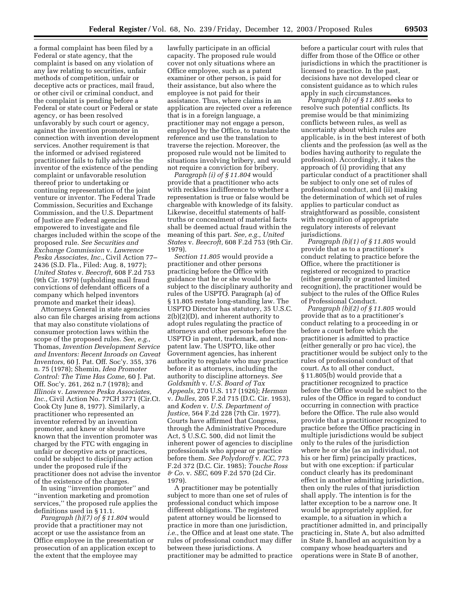a formal complaint has been filed by a Federal or state agency, that the complaint is based on any violation of any law relating to securities, unfair methods of competition, unfair or deceptive acts or practices, mail fraud, or other civil or criminal conduct, and the complaint is pending before a Federal or state court or Federal or state agency, or has been resolved unfavorably by such court or agency, against the invention promoter in connection with invention development services. Another requirement is that the informed or advised registered practitioner fails to fully advise the inventor of the existence of the pending complaint or unfavorable resolution thereof prior to undertaking or continuing representation of the joint venture or inventor. The Federal Trade Commission, Securities and Exchange Commission, and the U.S. Department of Justice are Federal agencies empowered to investigate and file charges included within the scope of the proposed rule. *See Securities and Exchange Commission* v. *Lawrence Peska Associates, Inc.,* Civil Action 77– 2436 (S.D. Fla., Filed: Aug. 8, 1977); *United States* v. *Beecroft,* 608 F.2d 753 (9th Cir. 1979) (upholding mail fraud convictions of defendant officers of a company which helped inventors promote and market their ideas).

Attorneys General in state agencies also can file charges arising from actions that may also constitute violations of consumer protection laws within the scope of the proposed rules. *See, e.g.*, Thomas, *Invention Development Service and Inventors: Recent Inroads on Caveat Inventors,* 60 J. Pat. Off. Soc'y. 355, 376 n. 75 (1978); Shemin, *Idea Promoter Control: The Time Has Come,* 60 J. Pat. Off. Soc'y. 261, 262 n.7 (1978); and *Illinois* v. *Lawrence Peska Associates, Inc.,* Civil Action No. 77CH 3771 (Cir.Ct. Cook Cty June 8, 1977). Similarly, a practitioner who represented an inventor referred by an invention promoter, and knew or should have known that the invention promoter was charged by the FTC with engaging in unfair or deceptive acts or practices, could be subject to disciplinary action under the proposed rule if the practitioner does not advise the inventor of the existence of the charges.

In using ''invention promoter'' and ''invention marketing and promotion services,'' the proposed rule applies the definitions used in § 11.1.

*Paragraph (h)(7) of § 11.804* would provide that a practitioner may not accept or use the assistance from an Office employee in the presentation or prosecution of an application except to the extent that the employee may

lawfully participate in an official capacity. The proposed rule would cover not only situations where an Office employee, such as a patent examiner or other person, is paid for their assistance, but also where the employee is not paid for their assistance. Thus, where claims in an application are rejected over a reference that is in a foreign language, a practitioner may not engage a person, employed by the Office, to translate the reference and use the translation to traverse the rejection. Moreover, the proposed rule would not be limited to situations involving bribery, and would not require a conviction for bribery.

*Paragraph (i) of § 11.804* would provide that a practitioner who acts with reckless indifference to whether a representation is true or false would be chargeable with knowledge of its falsity. Likewise, deceitful statements of halftruths or concealment of material facts shall be deemed actual fraud within the meaning of this part. *See, e.g., United States* v. *Beecroft,* 608 F.2d 753 (9th Cir. 1979).

*Section 11.805* would provide a practitioner and other persons practicing before the Office with guidance that he or she would be subject to the disciplinary authority and rules of the USPTO. Paragraph (a) of § 11.805 restate long-standing law. The USPTO Director has statutory, 35 U.S.C. 2(b)(2)(D), and inherent authority to adopt rules regulating the practice of attorneys and other persons before the USPTO in patent, trademark, and nonpatent law. The USPTO, like other Government agencies, has inherent authority to regulate who may practice before it as attorneys, including the authority to discipline attorneys. *See Goldsmith* v. *U.S. Board of Tax Appeals,* 270 U.S. 117 (1926); *Herman* v. *Dulles,* 205 F.2d 715 (D.C. Cir. 1953), and *Koden* v. *U.S. Department of Justice,* 564 F.2d 228 (7th Cir. 1977). Courts have affirmed that Congress, through the Administrative Procedure Act, 5 U.S.C. 500, did not limit the inherent power of agencies to discipline professionals who appear or practice before them. *See Polydoroff* v. *ICC,* 773 F.2d 372 (D.C. Cir. 1985); *Touche Ross & Co.* v. *SEC,* 609 F.2d 570 (2d Cir. 1979).

A practitioner may be potentially subject to more than one set of rules of professional conduct which impose different obligations. The registered patent attorney would be licensed to practice in more than one jurisdiction, *i.e.*, the Office and at least one state. The rules of professional conduct may differ between these jurisdictions. A practitioner may be admitted to practice

before a particular court with rules that differ from those of the Office or other jurisdictions in which the practitioner is licensed to practice. In the past, decisions have not developed clear or consistent guidance as to which rules apply in such circumstances.

*Paragraph (b) of § 11.805* seeks to resolve such potential conflicts. Its premise would be that minimizing conflicts between rules, as well as uncertainty about which rules are applicable, is in the best interest of both clients and the profession (as well as the bodies having authority to regulate the profession). Accordingly, it takes the approach of (i) providing that any particular conduct of a practitioner shall be subject to only one set of rules of professional conduct, and (ii) making the determination of which set of rules applies to particular conduct as straightforward as possible, consistent with recognition of appropriate regulatory interests of relevant jurisdictions.

*Paragraph (b)(1) of § 11.805* would provide that as to a practitioner's conduct relating to practice before the Office, where the practitioner is registered or recognized to practice (either generally or granted limited recognition), the practitioner would be subject to the rules of the Office Rules of Professional Conduct.

*Paragraph (b)(2) of § 11.805* would provide that as to a practitioner's conduct relating to a proceeding in or before a court before which the practitioner is admitted to practice (either generally or pro hac vice), the practitioner would be subject only to the rules of professional conduct of that court. As to all other conduct, § 11.805(b) would provide that a practitioner recognized to practice before the Office would be subject to the rules of the Office in regard to conduct occurring in connection with practice before the Office. The rule also would provide that a practitioner recognized to practice before the Office practicing in multiple jurisdictions would be subject only to the rules of the jurisdiction where he or she (as an individual, not his or her firm) principally practices, but with one exception: if particular conduct clearly has its predominant effect in another admitting jurisdiction, then only the rules of that jurisdiction shall apply. The intention is for the latter exception to be a narrow one. It would be appropriately applied, for example, to a situation in which a practitioner admitted in, and principally practicing in, State A, but also admitted in State B, handled an acquisition by a company whose headquarters and operations were in State B of another,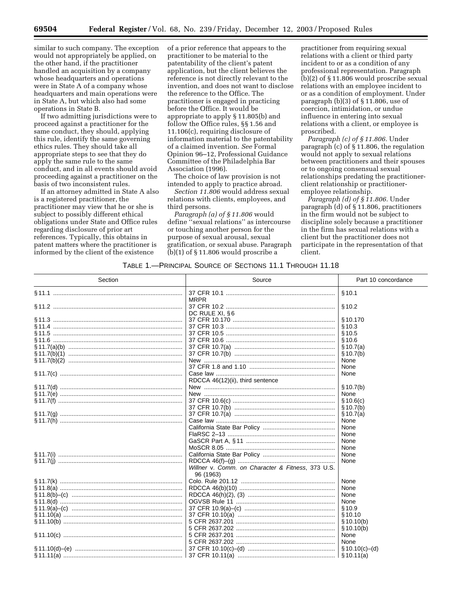similar to such company. The exception would not appropriately be applied, on the other hand, if the practitioner handled an acquisition by a company whose headquarters and operations were in State A of a company whose headquarters and main operations were in State A, but which also had some operations in State B.

If two admitting jurisdictions were to proceed against a practitioner for the same conduct, they should, applying this rule, identify the same governing ethics rules. They should take all appropriate steps to see that they do apply the same rule to the same conduct, and in all events should avoid proceeding against a practitioner on the basis of two inconsistent rules.

If an attorney admitted in State A also is a registered practitioner, the practitioner may view that he or she is subject to possibly different ethical obligations under State and Office rules regarding disclosure of prior art references. Typically, this obtains in patent matters where the practitioner is informed by the client of the existence

of a prior reference that appears to the practitioner to be material to the patentability of the client's patent application, but the client believes the reference is not directly relevant to the invention, and does not want to disclose the reference to the Office. The practitioner is engaged in practicing before the Office. It would be appropriate to apply § 11.805(b) and follow the Office rules, §§ 1.56 and 11.106(c), requiring disclosure of information material to the patentability of a claimed invention. *See* Formal Opinion 96–12, Professional Guidance Committee of the Philadelphia Bar Association (1996).

The choice of law provision is not intended to apply to practice abroad.

*Section 11.806* would address sexual relations with clients, employees, and third persons.

*Paragraph (a) of § 11.806* would define ''sexual relations'' as intercourse or touching another person for the purpose of sexual arousal, sexual gratification, or sexual abuse. Paragraph  $(b)(1)$  of  $§ 11.806$  would proscribe a

practitioner from requiring sexual relations with a client or third party incident to or as a condition of any professional representation. Paragraph (b)(2) of § 11.806 would proscribe sexual relations with an employee incident to or as a condition of employment. Under paragraph (b)(3) of § 11.806, use of coercion, intimidation, or undue influence in entering into sexual relations with a client, or employee is proscribed.

*Paragraph (c) of § 11.806.* Under paragraph (c) of § 11.806, the regulation would not apply to sexual relations between practitioners and their spouses or to ongoing consensual sexual relationships predating the practitionerclient relationship or practitioneremployee relationship.

*Paragraph (d) of § 11.806.* Under paragraph (d) of § 11.806, practitioners in the firm would not be subject to discipline solely because a practitioner in the firm has sexual relations with a client but the practitioner does not participate in the representation of that client.

# TABLE 1.—PRINCIPAL SOURCE OF SECTIONS 11.1 THROUGH 11.18

| Section | Source                                                                             | Part 10 concordance          |
|---------|------------------------------------------------------------------------------------|------------------------------|
|         |                                                                                    | § 10.1                       |
|         | <b>MRPR</b>                                                                        |                              |
|         |                                                                                    | § 10.2                       |
|         | DC RULE XI, §6                                                                     | §10.170                      |
|         |                                                                                    | § 10.3                       |
|         |                                                                                    | \$10.5                       |
|         |                                                                                    | \$10.6                       |
|         |                                                                                    | \$10.7(a)                    |
|         |                                                                                    | \$10.7(b)                    |
|         |                                                                                    | None                         |
|         |                                                                                    | None                         |
|         |                                                                                    | None                         |
|         | RDCCA 46(12)(ii), third sentence                                                   |                              |
|         |                                                                                    | § 10.7(b)                    |
|         |                                                                                    | None                         |
|         |                                                                                    | \$10.6(c)                    |
|         |                                                                                    | § 10.7(b)                    |
|         |                                                                                    | \$10.7(a)                    |
|         |                                                                                    | None                         |
|         |                                                                                    | None                         |
|         |                                                                                    | None                         |
|         |                                                                                    | None                         |
|         |                                                                                    | None                         |
|         |                                                                                    | None                         |
|         |                                                                                    | None                         |
|         | Willner v. Comm. on Character & Fitness, 373 U.S.                                  |                              |
|         | 96 (1963)                                                                          |                              |
|         |                                                                                    | None                         |
|         |                                                                                    | None                         |
|         |                                                                                    | None                         |
|         |                                                                                    | None                         |
|         |                                                                                    | § 10.9                       |
|         |                                                                                    | \$10.10                      |
|         |                                                                                    | \$10.10(b)                   |
|         |                                                                                    | \$10.10(b)                   |
|         |                                                                                    | None                         |
|         |                                                                                    | None                         |
|         |                                                                                    | $\frac{1}{2}$ \$10.10(c)–(d) |
|         | §11.11(a) ……………………………………………………………   37 CFR 10.11(a) ………………………………………………   §10.11(a) |                              |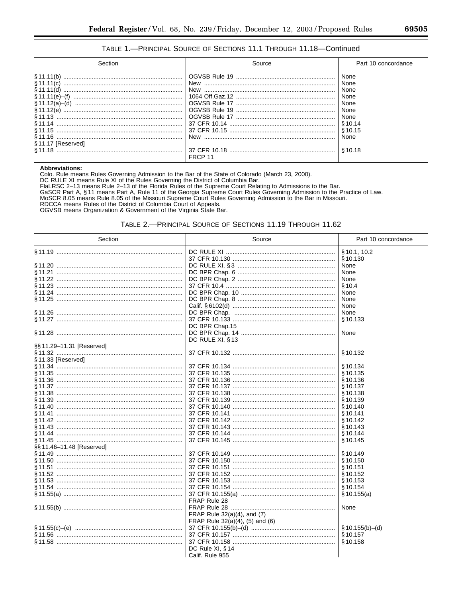# TABLE 1.-PRINCIPAL SOURCE OF SECTIONS 11.1 THROUGH 11.18-Continued

| Section                                           | Source                                                                                      | Part 10 concordance                                                                                    |
|---------------------------------------------------|---------------------------------------------------------------------------------------------|--------------------------------------------------------------------------------------------------------|
| \$11.11(c)<br>\$11.11(e)–(f)<br>§11.17 [Reserved] | § 11.12(e) …………………………………………………………………………! OGVSB Rule 19 …………………………………………………………………<br>FRCP 11 | None<br>None<br>None<br>None<br>None<br><b>None</b><br>None<br>§ 10.14<br>§ 10.15<br>None<br>଼\$ 10.18 |

Abbreviations:<br>
Colo. Rule means Rules Governing Admission to the Bar of the State of Colorado (March 23, 2000).<br>
DC RULE XI means Rule XI of the Rules Governing the District of Columbia Bar.<br>
FlaLRSC 2-13 means Rule 2-13

# TABLE 2.-PRINCIPAL SOURCE OF SECTIONS 11.19 THROUGH 11.62

| Section                   | Source                                 | Part 10 concordance |
|---------------------------|----------------------------------------|---------------------|
|                           |                                        | §10.1, 10.2         |
|                           |                                        | § 10.130            |
|                           |                                        | None                |
|                           |                                        | None                |
|                           |                                        | None                |
|                           |                                        |                     |
|                           |                                        | § 10.4              |
|                           |                                        | None                |
|                           |                                        | None                |
|                           |                                        | None                |
|                           |                                        | None                |
|                           |                                        | §10.133             |
|                           | DC BPR Chap.15                         |                     |
|                           |                                        | None                |
|                           | DC RULE XI, §13                        |                     |
| §§ 11.29-11.31 [Reserved] |                                        |                     |
|                           |                                        | §10.132             |
| §11.33 [Reserved]         |                                        |                     |
|                           |                                        | §10.134             |
|                           |                                        | § 10.135            |
|                           |                                        | §10.136             |
|                           |                                        |                     |
|                           |                                        | § 10.137            |
|                           |                                        | § 10.138            |
|                           |                                        | \$10.139            |
|                           |                                        | § 10.140            |
|                           |                                        | § 10.141            |
|                           |                                        | § 10.142            |
|                           |                                        | § 10.143            |
|                           |                                        | § 10.144            |
|                           |                                        | § 10.145            |
| §§ 11.46-11.48 [Reserved] |                                        |                     |
|                           |                                        | §10.149             |
|                           |                                        | § 10.150            |
|                           |                                        | § 10.151            |
|                           |                                        | § 10.152            |
|                           |                                        |                     |
|                           |                                        | § 10.153            |
|                           |                                        | § 10.154            |
|                           |                                        | \$10.155(a)         |
|                           | FRAP Rule 28                           |                     |
|                           |                                        | None                |
|                           | FRAP Rule $32(a)(4)$ , and $(7)$       |                     |
|                           | FRAP Rule $32(a)(4)$ , $(5)$ and $(6)$ |                     |
|                           |                                        | \$10.155(b)–(d)     |
|                           |                                        | § 10.157            |
|                           |                                        | § 10.158            |
|                           | DC Rule XI, $\S$ 14                    |                     |
|                           | Calif. Rule 955                        |                     |
|                           |                                        |                     |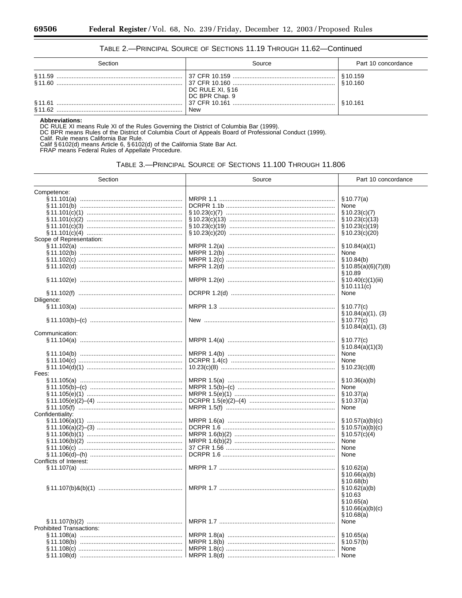# TABLE 2.-PRINCIPAL SOURCE OF SECTIONS 11.19 THROUGH 11.62-Continued

| Section | Source                                | Part 10 concordance |
|---------|---------------------------------------|---------------------|
|         | DC RULE XI, $\S$ 16<br>DC BPR Chap. 9 | S 10.159            |
|         | New                                   | \$10.161            |

Abbreviations:<br>
DC RULE XI means Rule XI of the Rules Governing the District of Columbia Bar (1999).<br>
DC BPR means Rules of the District of Columbia Court of Appeals Board of Professional Conduct (1999).<br>
Calif. Rule means

# TABLE 3.-PRINCIPAL SOURCE OF SECTIONS 11.100 THROUGH 11.806

| Section                          | Source | Part 10 concordance    |
|----------------------------------|--------|------------------------|
| Competence:                      |        |                        |
|                                  |        | § 10.77(a)             |
|                                  |        | None                   |
|                                  |        |                        |
|                                  |        | $\S$ 10.23(c)(7)       |
|                                  |        | \$10.23(c)(13)         |
|                                  |        | $\S 10.23(c)(19)$      |
|                                  |        | \$10.23(c)(20)         |
| Scope of Representation:         |        |                        |
|                                  |        | \$10.84(a)(1)          |
|                                  |        | None                   |
|                                  |        | \$10.84(b)             |
|                                  |        | $\S$ 10.85(a)(6)(7)(8) |
|                                  |        | §10.89                 |
|                                  |        | § 10.40(c)(1)(iii)     |
|                                  |        | § 10.111(c)            |
|                                  |        | None                   |
|                                  |        |                        |
| Diligence:                       |        |                        |
|                                  |        | § 10.77(c)             |
|                                  |        | $\S$ 10.84(a)(1), (3)  |
|                                  |        | § 10.77(c)             |
|                                  |        | $\S$ 10.84(a)(1), (3)  |
| Communication:                   |        |                        |
|                                  |        | § 10.77(c)             |
|                                  |        | \$10.84(a)(1)(3)       |
|                                  |        | None                   |
|                                  |        | None                   |
|                                  |        | \$10.23(c)(8)          |
| Fees:                            |        |                        |
|                                  |        | \$10.36(a)(b)          |
|                                  |        | None                   |
|                                  |        | § 10.37(a)             |
|                                  |        | \$10.37(a)             |
| § 11.105(f) …………………………………………………… |        | None                   |
| Confidentiality:                 |        |                        |
|                                  |        | \$10.57(a)(b)(c)       |
|                                  |        | $\S$ 10.57(a)(b)(c)    |
|                                  |        | $\S 10.57(c)(4)$       |
|                                  |        | None                   |
|                                  |        |                        |
|                                  |        | None                   |
|                                  |        | None                   |
| Conflicts of Interest:           |        |                        |
|                                  |        | \$10.62(a)             |
|                                  |        | § 10.66(a)(b)          |
|                                  |        | \$10.68(b)             |
|                                  |        | \$10.62(a)(b)          |
|                                  |        | \$10.63                |
|                                  |        | \$10.65(a)             |
|                                  |        | \$10.66(a)(b)(c)       |
|                                  |        | \$10.68(a)             |
|                                  |        | None                   |
| <b>Prohibited Transactions:</b>  |        |                        |
|                                  |        | \$10.65(a)             |
|                                  |        | § 10.57(b)             |
|                                  |        | None                   |
|                                  |        |                        |
|                                  |        |                        |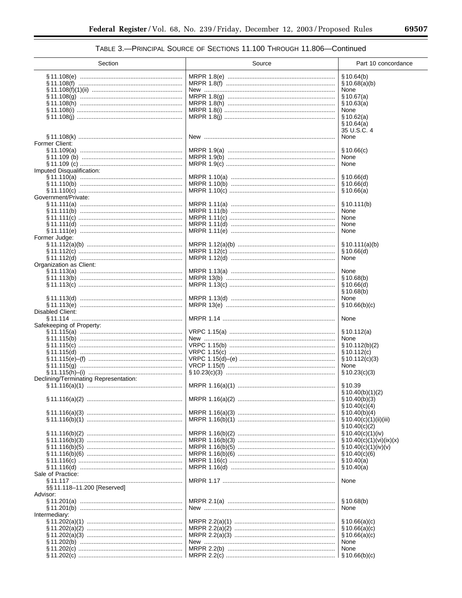$\equiv$ 

# TABLE 3.-PRINCIPAL SOURCE OF SECTIONS 11.100 THROUGH 11.806-Continued

| Section                               | Source | Part 10 concordance         |
|---------------------------------------|--------|-----------------------------|
|                                       |        | \$10.64(b)                  |
| § 11.108(f) ……………………………………………………      |        | \$10.68(a)(b)               |
|                                       |        | None                        |
|                                       |        | § 10.67(a)                  |
|                                       |        | \$10.63(a)                  |
| § 11.108(i) ………………………………………………………     |        | None                        |
|                                       |        | \$10.62(a)                  |
|                                       |        | § 10.64(a)                  |
|                                       |        | 35 U.S.C. 4                 |
|                                       |        | None                        |
| Former Client:                        |        |                             |
|                                       |        | \$10.66(c)                  |
|                                       |        | None                        |
|                                       |        | None                        |
| Imputed Disqualification:             |        |                             |
|                                       |        | \$10.66(d)                  |
|                                       |        | \$10.66(d)                  |
|                                       |        | § 10.66(a)                  |
| Government/Private:                   |        |                             |
|                                       |        | \$10.111(b)                 |
|                                       |        | None                        |
| §11.111(c) ……………………………………………………       |        | None                        |
| § 11.111(d) ……………………………………………………      |        | None                        |
|                                       |        | None                        |
| Former Judge:                         |        |                             |
| § 11.112(a)(b) ………………………………………………     |        | \$10.111(a)(b)              |
|                                       |        | \$10.66(d)                  |
|                                       |        | None                        |
| Organization as Client:               |        |                             |
|                                       |        | None                        |
|                                       |        | \$10.68(b)                  |
|                                       |        | \$10.66(d)                  |
|                                       |        | \$10.68(b)                  |
| § 11.113(d) ……………………………………………………      |        | None                        |
|                                       |        | \$10.66(b)(c)               |
| Disabled Client:                      |        | None                        |
| Safekeeping of Property:              |        |                             |
|                                       |        | \$10.112(a)                 |
|                                       |        | None                        |
|                                       |        | $\S$ 10.112(b)(2)           |
|                                       |        | \$10.112(c)                 |
|                                       |        | \$10.112(c)(3)              |
|                                       |        | None                        |
|                                       |        | \$10.23(c)(3)               |
| Declining/Terminating Representation: |        |                             |
|                                       |        | §10.39                      |
|                                       |        | $\S$ 10.40(b)(1)(2)         |
|                                       |        | § 10.40(b)(3)               |
|                                       |        | \$10.40(c)(4)               |
|                                       |        | $\S 10.40(b)(4)$            |
|                                       |        | § 10.40(c)(1)(ii)(iii)      |
|                                       |        | \$10.40(c)(2)               |
|                                       |        | \$10.40(c)(1)(iv)           |
|                                       |        | $\S 10.40(c)(1)(vi)(ix)(x)$ |
|                                       |        | \$10.40(c)(1)(iv)(v)        |
|                                       |        | \$10.40(c)(6)               |
|                                       |        | \$10.40(a)                  |
|                                       |        | \$10.40(a)                  |
| Sale of Practice:                     |        |                             |
| §§ 11.118-11.200 [Reserved]           |        | None                        |
| Advisor:                              |        |                             |
|                                       |        | \$10.68(b)                  |
|                                       |        | None                        |
|                                       |        |                             |
| Intermediary:                         |        | \$10.66(a)(c)               |
|                                       |        | \$10.66(a)(c)               |
|                                       |        | \$10.66(a)(c)               |
|                                       |        | None                        |
|                                       |        | None                        |
|                                       |        | \$10.66(b)(c)               |
|                                       |        |                             |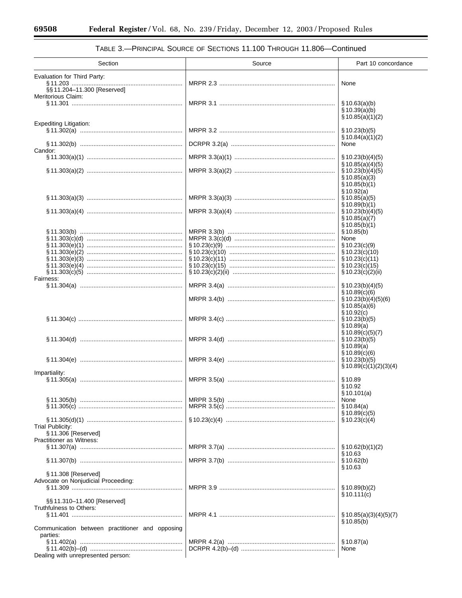$\equiv$ 

| Section                                         | Source | Part 10 concordance                  |
|-------------------------------------------------|--------|--------------------------------------|
| Evaluation for Third Party:                     |        |                                      |
| §§ 11.204-11.300 [Reserved]                     |        | None                                 |
| Meritorious Claim:                              |        |                                      |
|                                                 |        | \$10.63(a)(b)<br>\$10.39(a)(b)       |
|                                                 |        | $\S$ 10.85(a)(1)(2)                  |
| <b>Expediting Litigation:</b>                   |        |                                      |
|                                                 |        | \$10.23(b)(5)                        |
|                                                 |        | $\S$ 10.84(a)(1)(2)<br>None          |
| Candor:                                         |        |                                      |
|                                                 |        | \$10.23(b)(4)(5)                     |
|                                                 |        | $\S$ 10.85(a)(4)(5)                  |
|                                                 |        | $\S 10.23(b)(4)(5)$<br>\$10.85(a)(3) |
|                                                 |        | $\S$ 10.85(b)(1)                     |
|                                                 |        | \$10.92(a)                           |
|                                                 |        | \$10.85(a)(5)                        |
|                                                 |        | \$10.89(b)(1)<br>$\S 10.23(b)(4)(5)$ |
|                                                 |        | \$10.85(a)(7)                        |
|                                                 |        | \$10.85(b)(1)                        |
| § 11.303(b) ……………………………………………………                |        | § 10.85(b)                           |
|                                                 |        | None                                 |
|                                                 |        | $\S 10.23(c)(9)$                     |
|                                                 |        | $\S$ 10.23(c)(10)                    |
|                                                 |        | $\S$ 10.23(c)(11)                    |
|                                                 |        | \$10.23(c)(15)                       |
|                                                 |        | § 10.23(c)(2)(ii)                    |
| Fairness:                                       |        | \$10.23(b)(4)(5)<br>\$10.89(c)(6)    |
|                                                 |        | \$10.23(b)(4)(5)(6)                  |
|                                                 |        | $\S$ 10.85(a)(6)                     |
|                                                 |        | § 10.92(c)                           |
|                                                 |        | $\S$ 10.23(b)(5)                     |
|                                                 |        | \$10.89(a)<br>$\S 10.89(c)(5)(7)$    |
|                                                 |        | \$10.23(b)(5)                        |
|                                                 |        | \$10.89(a)                           |
|                                                 |        | $\S 10.89(c)(6)$                     |
|                                                 |        | \$10.23(b)(5)                        |
|                                                 |        | $\S 10.89(c)(1)(2)(3)(4)$            |
| Impartiality:                                   |        | §10.89                               |
|                                                 |        | § 10.92                              |
|                                                 |        | \$10.101(a)                          |
|                                                 |        | None                                 |
|                                                 |        | \$10.84(a)                           |
|                                                 |        | \$10.89(c)(5)                        |
| Trial Publicity:                                |        | \$10.23(c)(4)                        |
| §11.306 [Reserved]                              |        |                                      |
| Practitioner as Witness:                        |        |                                      |
|                                                 |        | $\S$ 10.62(b)(1)(2)                  |
|                                                 |        | §10.63                               |
|                                                 |        | \$10.62(b)                           |
| §11.308 [Reserved]                              |        | §10.63                               |
| Advocate on Nonjudicial Proceeding:             |        |                                      |
|                                                 |        | $\S 10.89(b)(2)$                     |
|                                                 |        | § 10.111(c)                          |
| §§ 11.310-11.400 [Reserved]                     |        |                                      |
| Truthfulness to Others:                         |        |                                      |
|                                                 |        | \$10.85(a)(3)(4)(5)(7)               |
|                                                 |        | § 10.85(b)                           |
| Communication between practitioner and opposing |        |                                      |
| parties:                                        |        |                                      |
|                                                 |        | \$10.87(a)                           |
|                                                 |        | None                                 |
| Dealing with unrepresented person:              |        |                                      |

# TABLE 3.-PRINCIPAL SOURCE OF SECTIONS 11.100 THROUGH 11.806-Continued

L.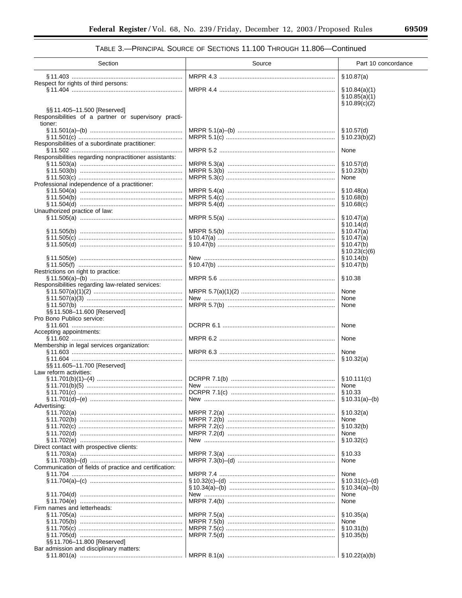$\equiv$ 

# TABLE 3.-PRINCIPAL SOURCE OF SECTIONS 11.100 THROUGH 11.806-Continued

| Section                                                         | Source | Part 10 concordance            |
|-----------------------------------------------------------------|--------|--------------------------------|
|                                                                 |        | \$10.87(a)                     |
| Respect for rights of third persons:                            |        |                                |
|                                                                 |        | \$10.84(a)(1)<br>§ 10.85(a)(1) |
|                                                                 |        | \$10.89(c)(2)                  |
| §§ 11.405-11.500 [Reserved]                                     |        |                                |
| Responsibilities of a partner or supervisory practi-<br>tioner: |        |                                |
|                                                                 |        | § 10.57(d)                     |
|                                                                 |        | $\S$ 10.23(b)(2)               |
| Responsibilities of a subordinate practitioner:                 |        |                                |
| Responsibilities regarding nonpractitioner assistants:          |        | None                           |
|                                                                 |        | § 10.57(d)                     |
|                                                                 |        | § 10.23(b)                     |
| Professional independence of a practitioner:                    |        | None                           |
|                                                                 |        | \$10.48(a)                     |
|                                                                 |        | \$10.68(b)                     |
|                                                                 |        | \$10.68(c)                     |
| Unauthorized practice of law:                                   |        | § 10.47(a)                     |
|                                                                 |        | $§ 10.14$ (d)                  |
|                                                                 |        | § 10.47(a)                     |
|                                                                 |        | \$10.47(a)<br>$\S 10.47(b)$    |
|                                                                 |        | \$10.23(c)(6)                  |
|                                                                 |        | § 10.14(b)                     |
| Restrictions on right to practice:                              |        | § 10.47(b)                     |
|                                                                 |        | §10.38                         |
| Responsibilities regarding law-related services:                |        |                                |
|                                                                 |        | None                           |
|                                                                 |        | None<br>None                   |
| §§ 11.508-11.600 [Reserved]                                     |        |                                |
| Pro Bono Publico service:                                       |        |                                |
| Accepting appointments:                                         |        | None                           |
|                                                                 |        | None                           |
| Membership in legal services organization:                      |        |                                |
|                                                                 |        | None<br>§ 10.32(a)             |
| §§ 11.605-11.700 [Reserved]                                     |        |                                |
| Law reform activities:                                          |        |                                |
|                                                                 |        | § 10.111(c)<br>None            |
|                                                                 |        | §10.33                         |
|                                                                 |        | \$10.31(a)–(b)                 |
| Advertising:                                                    |        |                                |
|                                                                 |        | § 10.32(a)<br>None             |
|                                                                 |        | § 10.32(b)                     |
|                                                                 |        | None                           |
| Direct contact with prospective clients:                        |        | $\S 10.32(c)$                  |
|                                                                 |        | §10.33                         |
|                                                                 |        | None                           |
| Communication of fields of practice and certification:          |        | None                           |
|                                                                 |        | $\S 10.31(c)$ –(d)             |
|                                                                 |        | § 10.34(a)–(b)                 |
|                                                                 |        | None                           |
| Firm names and letterheads:                                     |        | None                           |
|                                                                 |        | \$10.35(a)                     |
|                                                                 |        | None                           |
|                                                                 |        | § 10.31(b)                     |
| §§ 11.706-11.800 [Reserved]                                     |        | § 10.35(b)                     |
| Bar admission and disciplinary matters:                         |        |                                |
|                                                                 |        |                                |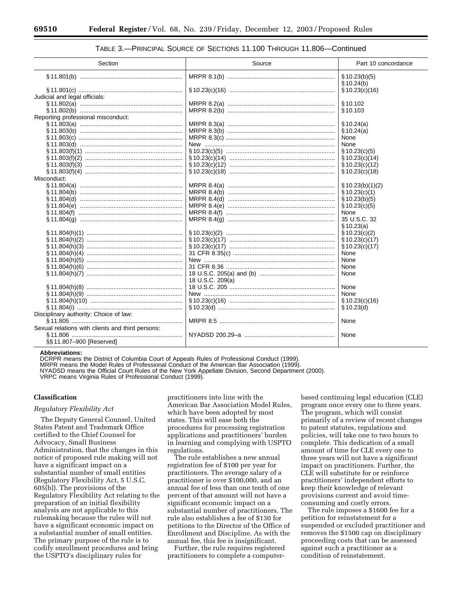| TABLE 3.-PRINCIPAL SOURCE OF SECTIONS 11.100 THROUGH 11.806-Continued |  |
|-----------------------------------------------------------------------|--|
|-----------------------------------------------------------------------|--|

| Section                                          | Source           | Part 10 concordance |
|--------------------------------------------------|------------------|---------------------|
|                                                  |                  | \$10.23(b)(5)       |
|                                                  |                  | \$10.24(b)          |
|                                                  |                  | \$10.23(c)(16)      |
| Judicial and legal officials:                    |                  |                     |
|                                                  |                  | §10.102             |
|                                                  |                  | §10.103             |
| Reporting professional misconduct:               |                  |                     |
|                                                  |                  | \$10.24(a)          |
|                                                  |                  | \$10.24(a)          |
|                                                  |                  | None                |
|                                                  |                  | None                |
|                                                  |                  | § 10.23(c)(5)       |
|                                                  |                  | $\S$ 10.23(c)(14)   |
|                                                  |                  |                     |
|                                                  |                  | $\S$ 10.23(c)(12)   |
|                                                  |                  | \$10.23(c)(18)      |
| Misconduct:                                      |                  |                     |
|                                                  |                  | \$10.23(b)(1)(2)    |
|                                                  |                  | \$10.23(c)(1)       |
|                                                  |                  | § 10.23(b)(5)       |
|                                                  |                  | § 10.23(c)(5)       |
|                                                  |                  | None                |
|                                                  |                  | 35 U.S.C. 32        |
|                                                  |                  | \$10.23(a)          |
|                                                  |                  | \$10.23(c)(2)       |
|                                                  |                  | § 10.23(c)(17)      |
|                                                  |                  | $\S$ 10.23(c)(17)   |
|                                                  |                  | None                |
|                                                  |                  | None                |
|                                                  |                  | None                |
|                                                  |                  | None                |
|                                                  | 18 U.S.C. 209(a) |                     |
|                                                  |                  | None                |
|                                                  |                  | None                |
|                                                  |                  | $\S 10.23(c)(16)$   |
|                                                  |                  | § 10.23(d)          |
| Disciplinary authority: Choice of law:           |                  |                     |
|                                                  |                  | None                |
| Sexual relations with clients and third persons: |                  |                     |
|                                                  |                  | None                |
| §§ 11.807-900 [Reserved]                         |                  |                     |
|                                                  |                  |                     |

#### **Abbreviations:**

DCRPR means the District of Columbia Court of Appeals Rules of Professional Conduct (1999).

MRPR means the Model Rules of Professional Conduct of the American Bar Association (1999).

NYADSD means the Official Court Rules of the New York Appellate Division, Second Department (2000). VRPC means Virginia Rules of Professional Conduct (1999).

# **Classification**

#### *Regulatory Flexibility Act*

The Deputy General Counsel, United States Patent and Trademark Office certified to the Chief Counsel for Advocacy, Small Business Administration, that the changes in this notice of proposed rule making will not have a significant impact on a substantial number of small entities (Regulatory Flexibility Act, 5 U.S.C. 605(b)). The provisions of the Regulatory Flexibility Act relating to the preparation of an initial flexibility analysis are not applicable to this rulemaking because the rules will not have a significant economic impact on a substantial number of small entities. The primary purpose of the rule is to codify enrollment procedures and bring the USPTO's disciplinary rules for

practitioners into line with the American Bar Association Model Rules, which have been adopted by most states. This will ease both the procedures for processing registration applications and practitioners' burden in learning and complying with USPTO regulations.

The rule establishes a new annual registration fee of \$100 per year for practitioners. The average salary of a practitioner is over \$100,000, and an annual fee of less than one tenth of one percent of that amount will not have a significant economic impact on a substantial number of practitioners. The rule also establishes a fee of \$130 for petitions to the Director of the Office of Enrollment and Discipline. As with the annual fee, this fee is insignificant.

Further, the rule requires registered practitioners to complete a computerbased continuing legal education (CLE) program once every one to three years. The program, which will consist primarily of a review of recent changes to patent statutes, regulations and policies, will take one to two hours to complete. This dedication of a small amount of time for CLE every one to three years will not have a significant impact on practitioners. Further, the CLE will substitute for or reinforce practitioners' independent efforts to keep their knowledge of relevant provisions current and avoid timeconsuming and costly errors.

The rule imposes a \$1600 fee for a petition for reinstatement for a suspended or excluded practitioner and removes the \$1500 cap on disciplinary proceeding costs that can be assessed against such a practitioner as a condition of reinstatement.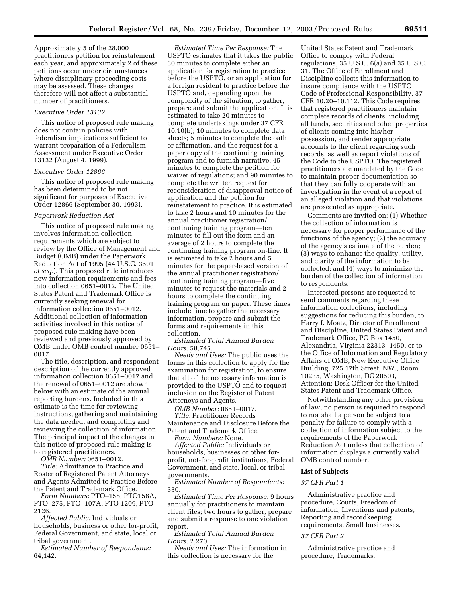Approximately 5 of the 28,000 practitioners petition for reinstatement each year, and approximately 2 of these petitions occur under circumstances where disciplinary proceeding costs may be assessed. These changes therefore will not affect a substantial number of practitioners.

#### *Executive Order 13132*

This notice of proposed rule making does not contain policies with federalism implications sufficient to warrant preparation of a Federalism Assessment under Executive Order 13132 (August 4, 1999).

#### *Executive Order 12866*

This notice of proposed rule making has been determined to be not significant for purposes of Executive Order 12866 (September 30, 1993).

#### *Paperwork Reduction Act*

This notice of proposed rule making involves information collection requirements which are subject to review by the Office of Management and Budget (OMB) under the Paperwork Reduction Act of 1995 (44 U.S.C. 3501 *et seq.*). This proposed rule introduces new information requirements and fees into collection 0651–0012. The United States Patent and Trademark Office is currently seeking renewal for information collection 0651–0012. Additional collection of information activities involved in this notice of proposed rule making have been reviewed and previously approved by OMB under OMB control number 0651– 0017.

The title, description, and respondent description of the currently approved information collection 0651–0017 and the renewal of 0651–0012 are shown below with an estimate of the annual reporting burdens. Included in this estimate is the time for reviewing instructions, gathering and maintaining the data needed, and completing and reviewing the collection of information. The principal impact of the changes in this notice of proposed rule making is to registered practitioners.

*OMB Number:* 0651–0012.

*Title:* Admittance to Practice and Roster of Registered Patent Attorneys and Agents Admitted to Practice Before the Patent and Trademark Office.

*Form Numbers:* PTO–158, PTO158A, PTO–275, PTO–107A, PTO 1209, PTO 2126.

*Affected Public:* Individuals or households, business or other for-profit, Federal Government, and state, local or tribal government.

*Estimated Number of Respondents:* 64,142.

*Estimated Time Per Response:* The USPTO estimates that it takes the public 30 minutes to complete either an application for registration to practice before the USPTO, or an application for a foreign resident to practice before the USPTO and, depending upon the complexity of the situation, to gather, prepare and submit the application. It is estimated to take 20 minutes to complete undertakings under 37 CFR 10.10(b); 10 minutes to complete data sheets; 5 minutes to complete the oath or affirmation, and the request for a paper copy of the continuing training program and to furnish narrative; 45 minutes to complete the petition for waiver of regulations; and 90 minutes to complete the written request for reconsideration of disapproval notice of application and the petition for reinstatement to practice. It is estimated to take 2 hours and 10 minutes for the annual practitioner registration/ continuing training program—ten minutes to fill out the form and an average of 2 hours to complete the continuing training program on-line. It is estimated to take 2 hours and 5 minutes for the paper-based version of the annual practitioner registration/ continuing training program—five minutes to request the materials and 2 hours to complete the continuing training program on paper. These times include time to gather the necessary information, prepare and submit the forms and requirements in this collection.

*Estimated Total Annual Burden Hours:* 58,745.

*Needs and Uses:* The public uses the forms in this collection to apply for the examination for registration, to ensure that all of the necessary information is provided to the USPTO and to request inclusion on the Register of Patent Attorneys and Agents.

*OMB Number:* 0651–0017. *Title:* Practitioner Records Maintenance and Disclosure Before the Patent and Trademark Office.

*Form Numbers:* None. *Affected Public:* Individuals or households, businesses or other forprofit, not-for-profit institutions, Federal Government, and state, local, or tribal

governments. *Estimated Number of Respondents:* 330.

*Estimated Time Per Response:* 9 hours annually for practitioners to maintain client files; two hours to gather, prepare and submit a response to one violation report.

*Estimated Total Annual Burden Hours:* 2,270.

*Needs and Uses:* The information in this collection is necessary for the

United States Patent and Trademark Office to comply with Federal regulations, 35 U.S.C. 6(a) and 35 U.S.C. 31. The Office of Enrollment and Discipline collects this information to insure compliance with the USPTO Code of Professional Responsibility, 37 CFR 10.20–10.112. This Code requires that registered practitioners maintain complete records of clients, including all funds, securities and other properties of clients coming into his/her possession, and render appropriate accounts to the client regarding such records, as well as report violations of the Code to the USPTO. The registered practitioners are mandated by the Code to maintain proper documentation so that they can fully cooperate with an investigation in the event of a report of an alleged violation and that violations are prosecuted as appropriate.

Comments are invited on: (1) Whether the collection of information is necessary for proper performance of the functions of the agency; (2) the accuracy of the agency's estimate of the burden; (3) ways to enhance the quality, utility, and clarity of the information to be collected; and (4) ways to minimize the burden of the collection of information to respondents.

Interested persons are requested to send comments regarding these information collections, including suggestions for reducing this burden, to Harry I. Moatz, Director of Enrollment and Discipline, United States Patent and Trademark Office, PO Box 1450, Alexandria, Virginia 22313–1450, or to the Office of Information and Regulatory Affairs of OMB, New Executive Office Building, 725 17th Street, NW., Room 10235, Washington, DC 20503, Attention: Desk Officer for the United States Patent and Trademark Office.

Notwithstanding any other provision of law, no person is required to respond to nor shall a person be subject to a penalty for failure to comply with a collection of information subject to the requirements of the Paperwork Reduction Act unless that collection of information displays a currently valid OMB control number.

#### **List of Subjects**

#### *37 CFR Part 1*

Administrative practice and procedure, Courts, Freedom of information, Inventions and patents, Reporting and recordkeeping requirements, Small businesses.

### *37 CFR Part 2*

Administrative practice and procedure, Trademarks.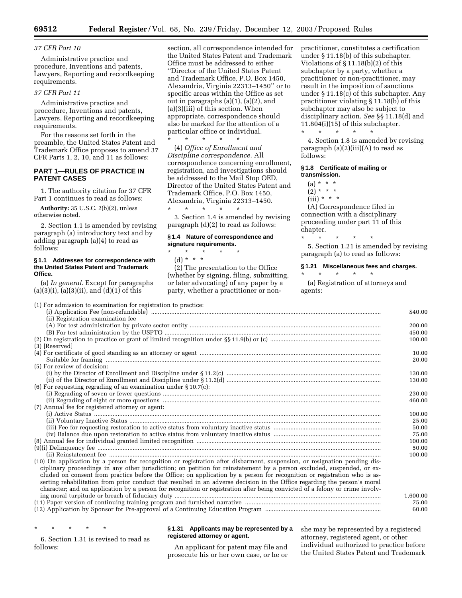### *37 CFR Part 10*

Administrative practice and procedure, Inventions and patents, Lawyers, Reporting and recordkeeping requirements.

## *37 CFR Part 11*

Administrative practice and procedure, Inventions and patents, Lawyers, Reporting and recordkeeping requirements.

For the reasons set forth in the preamble, the United States Patent and Trademark Office proposes to amend 37 CFR Parts 1, 2, 10, and 11 as follows:

## **PART 1—RULES OF PRACTICE IN PATENT CASES**

1. The authority citation for 37 CFR Part 1 continues to read as follows:

**Authority:** 35 U.S.C. 2(b)(2), unless otherwise noted.

2. Section 1.1 is amended by revising paragraph (a) introductory text and by adding paragraph (a)(4) to read as follows:

## **§ 1.1 Addresses for correspondence with the United States Patent and Trademark Office.**

(a) *In general.* Except for paragraphs  $(a)(3)(i)$ ,  $(a)(3)(ii)$ , and  $(d)(1)$  of this

section, all correspondence intended for the United States Patent and Trademark Office must be addressed to either ''Director of the United States Patent and Trademark Office, P.O. Box 1450, Alexandria, Virginia 22313–1450'' or to specific areas within the Office as set out in paragraphs (a)(1), (a)(2), and (a)(3)(iii) of this section. When appropriate, correspondence should also be marked for the attention of a particular office or individual.

(4) *Office of Enrollment and Discipline correspondence.* All correspondence concerning enrollment, registration, and investigations should be addressed to the Mail Stop OED, Director of the United States Patent and Trademark Office, P.O. Box 1450, Alexandria, Virginia 22313–1450. \* \* \* \* \*

\* \* \* \* \*

3. Section 1.4 is amended by revising paragraph (d)(2) to read as follows:

# **§ 1.4 Nature of correspondence and signature requirements.**

\* \* \* \* \* (d) \* \* \*

(2) The presentation to the Office (whether by signing, filing, submitting, or later advocating) of any paper by a party, whether a practitioner or non-

practitioner, constitutes a certification under § 11.18(b) of this subchapter. Violations of § 11.18(b)(2) of this subchapter by a party, whether a practitioner or non-practitioner, may result in the imposition of sanctions under § 11.18(c) of this subchapter. Any practitioner violating § 11.18(b) of this subchapter may also be subject to disciplinary action. *See* §§ 11.18(d) and 11.804(i)(15) of this subchapter.

4. Section 1.8 is amended by revising paragraph (a)(2)(iii)(A) to read as follows:

### **§ 1.8 Certificate of mailing or transmission.**

\* \* \* \* \*

- $(a) * * * *$
- $(2) * * * *$
- $(iii) * * * *$

(A) Correspondence filed in connection with a disciplinary proceeding under part 11 of this chapter.

\* \* \* \* \* 5. Section 1.21 is amended by revising paragraph (a) to read as follows:

#### **§ 1.21 Miscellaneous fees and charges.**

\* \* \* \* \*

(a) Registration of attorneys and agents:

| (1) For admission to examination for registration to practice:                                                                                                                            |          |
|-------------------------------------------------------------------------------------------------------------------------------------------------------------------------------------------|----------|
|                                                                                                                                                                                           | \$40.00  |
| (ii) Registration examination fee                                                                                                                                                         |          |
|                                                                                                                                                                                           | 200.00   |
|                                                                                                                                                                                           | 450.00   |
|                                                                                                                                                                                           | 100.00   |
| (3) [Reserved]                                                                                                                                                                            |          |
| (4) For certificate of good standing as an attorney or agent manufactured contains and contained and standing as an attorney or agent manufactured contains and contained and standing as | 10.00    |
|                                                                                                                                                                                           | 20.00    |
| (5) For review of decision:                                                                                                                                                               |          |
|                                                                                                                                                                                           | 130.00   |
|                                                                                                                                                                                           | 130.00   |
| (6) For requesting regrading of an examination under $\S 10.7(c)$ :                                                                                                                       |          |
|                                                                                                                                                                                           | 230.00   |
|                                                                                                                                                                                           | 460.00   |
| (7) Annual fee for registered attorney or agent:                                                                                                                                          |          |
|                                                                                                                                                                                           | 100.00   |
|                                                                                                                                                                                           | 25.00    |
|                                                                                                                                                                                           | 50.00    |
|                                                                                                                                                                                           | 75.00    |
|                                                                                                                                                                                           | 100.00   |
|                                                                                                                                                                                           | 50.00    |
|                                                                                                                                                                                           | 100.00   |
| (10) On application by a person for recognition or registration after disbarment, suspension, or resignation pending dis-                                                                 |          |
| ciplinary proceedings in any other jurisdiction; on petition for reinstatement by a person excluded, suspended, or ex-                                                                    |          |
| cluded on consent from practice before the Office; on application by a person for recognition or registration who is as-                                                                  |          |
| serting rehabilitation from prior conduct that resulted in an adverse decision in the Office regarding the person's moral                                                                 |          |
| character; and on application by a person for recognition or registration after being convicted of a felony or crime involv-                                                              |          |
|                                                                                                                                                                                           | 1,600.00 |
|                                                                                                                                                                                           | 75.00    |
|                                                                                                                                                                                           | 60.00    |

\* \* \* \* \*

6. Section 1.31 is revised to read as follows:

# **§ 1.31 Applicants may be represented by a registered attorney or agent.**

An applicant for patent may file and prosecute his or her own case, or he or

she may be represented by a registered attorney, registered agent, or other individual authorized to practice before the United States Patent and Trademark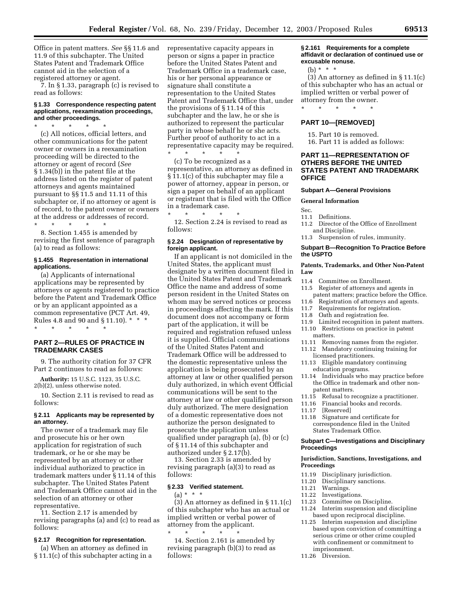Office in patent matters. *See* §§ 11.6 and 11.9 of this subchapter. The United States Patent and Trademark Office cannot aid in the selection of a registered attorney or agent.

7. In § 1.33, paragraph (c) is revised to read as follows:

# **§ 1.33 Correspondence respecting patent applications, reexamination proceedings, and other proceedings.**

\* \* \* \* \* (c) All notices, official letters, and other communications for the patent owner or owners in a reexamination proceeding will be directed to the attorney or agent of record (*See* § 1.34(b)) in the patent file at the address listed on the register of patent attorneys and agents maintained pursuant to §§ 11.5 and 11.11 of this subchapter or, if no attorney or agent is of record, to the patent owner or owners at the address or addresses of record. \* \* \* \* \*

8. Section 1.455 is amended by revising the first sentence of paragraph (a) to read as follows:

# **§ 1.455 Representation in international applications.**

(a) Applicants of international applications may be represented by attorneys or agents registered to practice before the Patent and Trademark Office or by an applicant appointed as a common representative (PCT Art. 49, Rules 4.8 and 90 and § 11.10). \* \* \*

# \* \* \* \* \*

# **PART 2—RULES OF PRACTICE IN TRADEMARK CASES**

9. The authority citation for 37 CFR Part 2 continues to read as follows:

**Authority:** 15 U.S.C. 1123, 35 U.S.C. 2(b)(2), unless otherwise noted.

10. Section 2.11 is revised to read as follows:

# **§ 2.11 Applicants may be represented by an attorney.**

The owner of a trademark may file and prosecute his or her own application for registration of such trademark, or he or she may be represented by an attorney or other individual authorized to practice in trademark matters under § 11.14 of this subchapter. The United States Patent and Trademark Office cannot aid in the selection of an attorney or other representative.

11. Section 2.17 is amended by revising paragraphs (a) and (c) to read as follows:

# **§ 2.17 Recognition for representation.**

(a) When an attorney as defined in § 11.1(c) of this subchapter acting in a representative capacity appears in person or signs a paper in practice before the United States Patent and Trademark Office in a trademark case, his or her personal appearance or signature shall constitute a representation to the United States Patent and Trademark Office that, under the provisions of § 11.14 of this subchapter and the law, he or she is authorized to represent the particular party in whose behalf he or she acts. Further proof of authority to act in a representative capacity may be required.

\* \* \* \* \* (c) To be recognized as a representative, an attorney as defined in § 11.1(c) of this subchapter may file a power of attorney, appear in person, or sign a paper on behalf of an applicant or registrant that is filed with the Office in a trademark case.

\* \* \* \* \* 12. Section 2.24 is revised to read as follows:

# **§ 2.24 Designation of representative by foreign applicant.**

If an applicant is not domiciled in the United States, the applicant must designate by a written document filed in the United States Patent and Trademark Office the name and address of some person resident in the United States on whom may be served notices or process in proceedings affecting the mark. If this document does not accompany or form part of the application, it will be required and registration refused unless it is supplied. Official communications of the United States Patent and Trademark Office will be addressed to the domestic representative unless the application is being prosecuted by an attorney at law or other qualified person duly authorized, in which event Official communications will be sent to the attorney at law or other qualified person duly authorized. The mere designation of a domestic representative does not authorize the person designated to prosecute the application unless qualified under paragraph (a), (b) or (c) of § 11.14 of this subchapter and authorized under § 2.17(b).

13. Section 2.33 is amended by revising paragraph (a)(3) to read as follows:

# **§ 2.33 Verified statement.**

 $(a) * * * *$ (3) An attorney as defined in § 11.1(c) of this subchapter who has an actual or implied written or verbal power of attorney from the applicant.

\* \* \* \* \* 14. Section 2.161 is amended by revising paragraph (b)(3) to read as follows:

# **§ 2.161 Requirements for a complete affidavit or declaration of continued use or excusable nonuse.**

(b) \* \* \*

(3) An attorney as defined in § 11.1(c) of this subchapter who has an actual or implied written or verbal power of attorney from the owner.

\* \* \* \* \*

# **PART 10—[REMOVED]**

- 15. Part 10 is removed.
- 16. Part 11 is added as follows:

# **PART 11—REPRESENTATION OF OTHERS BEFORE THE UNITED STATES PATENT AND TRADEMARK OFFICE**

### **Subpart A—General Provisions**

#### **General Information**

- Sec.
- 11.1 Definitions.
- 11.2 Director of the Office of Enrollment and Discipline.
- 11.3 Suspension of rules, immunity.

# **Subpart B—Recognition To Practice Before the USPTO**

# **Patents, Trademarks, and Other Non-Patent Law**

- 11.4 Committee on Enrollment.
- 11.5 Register of attorneys and agents in patent matters; practice before the Office.
- 11.6 Registration of attorneys and agents.<br>11.7 Requirements for registration.
- 
- 11.7 Requirements for registration.<br>11.8 Oath and registration fee. Oath and registration fee.
- 11.9 Limited recognition in patent matters.
- 11.10 Restrictions on practice in patent matters.
- 11.11 Removing names from the register.
- 11.12 Mandatory continuing training for licensed practitioners.
- 11.13 Eligible mandatory continuing education programs.
- 11.14 Individuals who may practice before the Office in trademark and other nonpatent matters.
- 11.15 Refusal to recognize a practitioner.
- 11.16 Financial books and records.
- 11.17 [Reserved]<br>11.18 Signature
- Signature and certificate for correspondence filed in the United States Trademark Office.

### **Subpart C—Investigations and Disciplinary Proceedings**

# **Jurisdiction, Sanctions, Investigations, and Proceedings**

- 11.19 Disciplinary jurisdiction.<br>11.20 Disciplinary sanctions
- 11.20 Disciplinary sanctions.<br>11.21 Warnings.
- 
- 11.21 Warnings.<br>11.22 Investigati
- 11.22 Investigations.<br>11.23 Committee on Committee on Discipline.
- 11.24 Interim suspension and discipline
- based upon reciprocal discipline.<br>11.25 Interim suspension and discip Interim suspension and discipline based upon conviction of committing a serious crime or other crime coupled with confinement or commitment to imprisonment.
- 11.26 Diversion.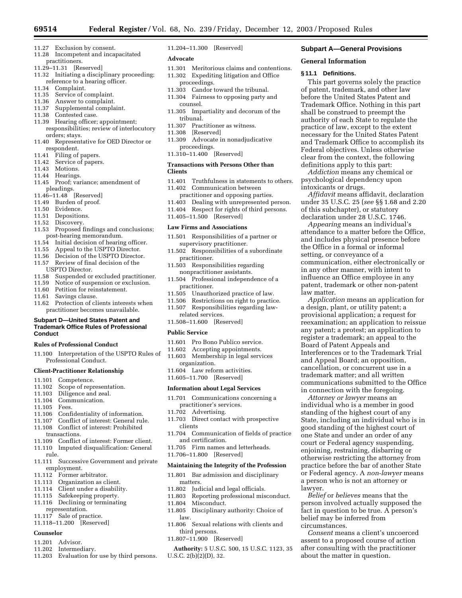**Subpart A—General Provisions** 

This part governs solely the practice of patent, trademark, and other law before the United States Patent and Trademark Office. Nothing in this part shall be construed to preempt the authority of each State to regulate the practice of law, except to the extent necessary for the United States Patent and Trademark Office to accomplish its Federal objectives. Unless otherwise clear from the context, the following definitions apply to this part:

*Addiction* means any chemical or psychological dependency upon

of this subchapter), or statutory declaration under 28 U.S.C. 1746. *Appearing* means an individual's attendance to a matter before the Office, and includes physical presence before the Office in a formal or informal setting, or conveyance of a

*Affidavit* means affidavit, declaration under 35 U.S.C. 25 (*see* §§ 1.68 and 2.20

communication, either electronically or in any other manner, with intent to influence an Office employee in any patent, trademark or other non-patent

*Application* means an application for a design, plant, or utility patent; a provisional application; a request for reexamination; an application to reissue any patent; a protest; an application to register a trademark; an appeal to the Board of Patent Appeals and

Interferences or to the Trademark Trial and Appeal Board; an opposition, cancellation, or concurrent use in a trademark matter; and all written communications submitted to the Office in connection with the foregoing. *Attorney or lawyer* means an individual who is a member in good standing of the highest court of any State, including an individual who is in good standing of the highest court of one State and under an order of any court or Federal agency suspending, enjoining, restraining, disbarring or otherwise restricting the attorney from practice before the bar of another State or Federal agency. A *non-lawyer* means a person who is not an attorney or

*Belief* or *believes* means that the person involved actually supposed the fact in question to be true. A person's

*Consent* means a client's uncoerced assent to a proposed course of action after consulting with the practitioner about the matter in question.

belief may be inferred from

**General Information § 11.1 Definitions.** 

intoxicants or drugs.

law matter.

lawyer.

circumstances.

- 11.27 Exclusion by consent.
- 11.28 Incompetent and incapacitated practitioners.
- 11.29–11.31 [Reserved]
- 11.32 Initiating a disciplinary proceeding; reference to a hearing officer.
- 11.34 Complaint.
- 11.35 Service of complaint.
- 11.36 Answer to complaint.
- 11.37 Supplemental complaint. 11.38 Contested case.
- 
- 11.39 Hearing officer; appointment; responsibilities; review of interlocutory orders; stays.
- 11.40 Representative for OED Director or respondent.
- 11.41 Filing of papers.
- 11.42 Service of papers.
- 
- 11.43 Motions.<br>11.44 Hearings Hearings.
- 11.45 Proof; variance; amendment of pleadings.
- 11.46–11.48 [Reserved]
- 11.49 Burden of proof.
- 11.50 Evidence.
- 11.51 Depositions.
- 11.52 Discovery<br>11.53 Proposed
- Proposed findings and conclusions; post-hearing memorandum.
- 11.54 Initial decision of hearing officer.
- 11.55 Appeal to the USPTO Director.
- 11.56 Decision of the USPTO Director.
- 11.57 Review of final decision of the USPTO Director.
- 11.58 Suspended or excluded practitioner.<br>11.59 Notice of suspension or exclusion.
- 11.59 Notice of suspension or exclusion.<br>11.60 Petition for reinstatement.
- Petition for reinstatement.
- 11.61 Savings clause.
- 11.62 Protection of clients interests when practitioner becomes unavailable.

#### **Subpart D—United States Patent and Trademark Office Rules of Professional Conduct**

### **Rules of Professional Conduct**

11.100 Interpretation of the USPTO Rules of Professional Conduct.

# **Client-Practitioner Relationship**

- 11.101 Competence.<br>11.102 Scope of repr
- Scope of representation.
- 11.103 Diligence and zeal.
- 11.104 Communication.
- 11.105 Fees.
- 11.106 Confidentiality of information.
- 11.107 Conflict of interest: General rule.
- 11.108 Conflict of interest: Prohibited transactions.
- 11.109 Conflict of interest: Former client.
- 11.110 Imputed disqualification: General rule.
- 11.111 Successive Government and private employment.
- 11.112 Former arbitrator.
- 11.113 Organization as client.
- 11.114 Client under a disability.
- 11.115 Safekeeping property.
- 11.116 Declining or terminating representation.
- 11.117 Sale of practice.
- 11.118–11.200 [Reserved]
- **Counselor**

# 11.201 Advisor.

- 11.202 Intermediary.
- 11.203 Evaluation for use by third persons.

# 11.204–11.300 [Reserved]

#### **Advocate**

- 
- 11.301 Meritorious claims and contentions. 11.302 Expediting litigation and Office proceedings.
- 11.303 Candor toward the tribunal.
- 11.304 Fairness to opposing party and counsel.
- 11.305 Impartiality and decorum of the tribunal.
- 11.307 Practitioner as witness.
- 11.308 [Reserved]
- 11.309 Advocate in nonadjudicative proceedings.
- 11.310–11.400 [Reserved]

# **Transactions with Persons Other than Clients**

- 11.401 Truthfulness in statements to others. 11.402 Communication between
- practitioner and opposing parties.
- 11.403 Dealing with unrepresented person.
- 11.404 Respect for rights of third persons.
- 11.405–11.500 [Reserved]

### **Law Firms and Associations**

- 11.501 Responsibilities of a partner or supervisory practitioner.
- 11.502 Responsibilities of a subordinate practitioner.
- 11.503 Responsibilities regarding nonpractitioner assistants.
- 11.504 Professional independence of a practitioner.
- 11.505 Unauthorized practice of law.<br>11.506 Restrictions on right to practic
- Restrictions on right to practice.
- 11.507 Responsibilities regarding lawrelated services. 11.508–11.600 [Reserved]

# **Public Service**

- 11.601 Pro Bono Publico service.
- 11.602 Accepting appointments.
- 11.603 Membership in legal services organization.
- 11.604 Law reform activities.
- 11.605–11.700 [Reserved]

### **Information about Legal Services**

- 11.701 Communications concerning a practitioner's services.
- 11.702 Advertising.

11.804 Misconduct.

third persons. 11.807–11.900 [Reserved]

U.S.C. 2(b)(2)(D), 32.

law.

- 11.703 Direct contact with prospective clients
- 11.704 Communication of fields of practice and certification.
- 11.705 Firm names and letterheads.

11.802 Judicial and legal officials. 11.803 Reporting professional misconduct.

11.706–11.800 [Reserved]

#### **Maintaining the Integrity of the Profession**

11.801 Bar admission and disciplinary matters.

11.805 Disciplinary authority: Choice of

11.806 Sexual relations with clients and

**Authority:** 5 U.S.C. 500, 15 U.S.C. 1123, 35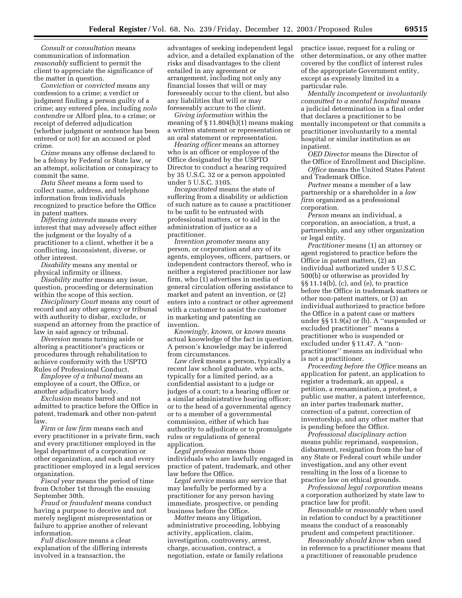*Consult* or *consultation* means communication of information *reasonably* sufficient to permit the client to appreciate the significance of the matter in question.

*Conviction* or *convicted* means any confession to a crime; a verdict or judgment finding a person guilty of a crime; any entered plea, including *nolo contendre* or Alford plea, to a crime; or receipt of deferred adjudication (whether judgment or sentence has been entered or not) for an accused or pled crime.

*Crime* means any offense declared to be a felony by Federal or State law, or an attempt, solicitation or conspiracy to commit the same.

*Data Sheet* means a form used to collect name, address, and telephone information from individuals recognized to practice before the Office in patent matters.

*Differing interests* means every interest that may adversely affect either the judgment or the loyalty of a practitioner to a client, whether it be a conflicting, inconsistent, diverse, or other interest.

*Disability* means any mental or physical infirmity or illness.

*Disability matter* means any issue, question, proceeding or determination within the scope of this section.

*Disciplinary Court* means any court of record and any other agency or tribunal with authority to disbar, exclude, or suspend an attorney from the practice of law in said agency or tribunal.

*Diversion* means turning aside or altering a practitioner's practices or procedures through rehabilitation to achieve conformity with the USPTO Rules of Professional Conduct.

*Employee of a tribunal* means an employee of a court, the Office, or another adjudicatory body.

*Exclusion* means barred and not admitted to practice before the Office in patent, trademark and other non-patent law.

*Firm* or *law firm* means each and every practitioner in a private firm, each and every practitioner employed in the legal department of a corporation or other organization, and each and every practitioner employed in a legal services organization.

*Fiscal year* means the period of time from October 1st through the ensuing September 30th.

*Fraud* or *fraudulent* means conduct having a purpose to deceive and not merely negligent misrepresentation or failure to apprise another of relevant information.

*Full disclosure* means a clear explanation of the differing interests involved in a transaction, the

advantages of seeking independent legal advice, and a detailed explanation of the risks and disadvantages to the client entailed in any agreement or arrangement, including not only any financial losses that will or may foreseeably occur to the client, but also any liabilities that will or may foreseeably accure to the client.

*Giving information* within the meaning of  $\S 11.804(h)(1)$  means making a written statement or representation or an oral statement or representation.

*Hearing officer* means an attorney who is an officer or employee of the Office designated by the USPTO Director to conduct a hearing required by 35 U.S.C. 32 or a person appointed under 5 U.S.C. 3105.

*Incapacitated* means the state of suffering from a disability or addiction of such nature as to cause a practitioner to be unfit to be entrusted with professional matters, or to aid in the administration of justice as a practitioner.

*Invention promoter* means any person, or corporation and any of its agents, employees, officers, partners, or independent contractors thereof, who is neither a registered practitioner nor law firm, who (1) advertises in media of general circulation offering assistance to market and patent an invention, or (2) enters into a contract or other agreement with a customer to assist the customer in marketing and patenting an invention.

*Knowingly, known,* or *knows* means actual knowledge of the fact in question. A person's knowledge may be inferred from circumstances.

*Law clerk* means a person, typically a recent law school graduate, who acts, typically for a limited period, as a confidential assistant to a judge or judges of a court; to a hearing officer or a similar administrative hearing officer; or to the head of a governmental agency or to a member of a governmental commission, either of which has authority to adjudicate or to promulgate rules or regulations of general application.

*Legal profession* means those individuals who are lawfully engaged in practice of patent, trademark, and other law before the Office.

*Legal service* means any service that may lawfully be performed by a practitioner for any person having immediate, prospective, or pending business before the Office.

*Matter* means any litigation, administrative proceeding, lobbying activity, application, claim, investigation, controversy, arrest, charge, accusation, contract, a negotiation, estate or family relations practice issue, request for a ruling or other determination, or any other matter covered by the conflict of interest rules of the appropriate Government entity, except as expressly limited in a particular rule.

*Mentally incompetent* or *involuntarily committed to a mental hospital* means a judicial determination in a final order that declares a practitioner to be mentally incompetent or that commits a practitioner involuntarily to a mental hospital or similar institution as an inpatient.

*OED Director* means the Director of the Office of Enrollment and Discipline.

*Office* means the United States Patent and Trademark Office.

*Partner* means a member of a law partnership or a shareholder in a *law firm* organized as a professional corporation.

*Person* means an individual, a corporation, an association, a trust, a partnership, and any other organization or legal entity.

*Practitioner* means (1) an attorney or agent registered to practice before the Office in patent matters, (2) an individual authorized under 5 U.S.C. 500(b) or otherwise as provided by §§ 11.14(b), (c), and (e), to practice before the Office in trademark matters or other non-patent matters, or (3) an individual authorized to practice before the Office in a patent case or matters under §§ 11.9(a) or (b). A ''suspended or excluded practitioner'' means a practitioner who is suspended or excluded under § 11.47. A ''nonpractitioner'' means an individual who is not a practitioner.

*Proceeding before the Office* means an application for patent, an application to register a trademark, an appeal, a petition, a reexamination, a protest, a public use matter, a patent interference, an inter partes trademark matter, correction of a patent, correction of inventorship, and any other matter that is pending before the Office.

*Professional disciplinary action* means public reprimand, suspension, disbarment, resignation from the bar of any State or Federal court while under investigation, and any other event resulting in the loss of a license to practice law on ethical grounds.

*Professional legal corporation* means a corporation authorized by state law to practice law for profit.

*Reasonable* or *reasonably* when used in relation to conduct by a practitioner means the conduct of a reasonably prudent and competent practitioner.

*Reasonably should know* when used in reference to a practitioner means that a practitioner of reasonable prudence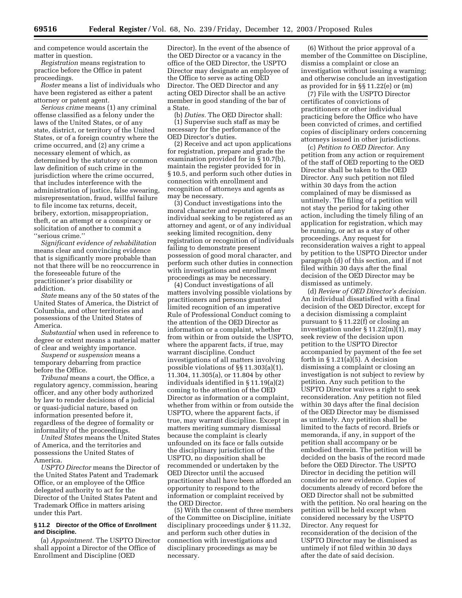and competence would ascertain the matter in question.

*Registration* means registration to practice before the Office in patent proceedings.

*Roster* means a list of individuals who have been registered as either a patent attorney or patent agent.

*Serious crime* means (1) any criminal offense classified as a felony under the laws of the United States, or of any state, district, or territory of the United States, or of a foreign country where the crime occurred, and (2) any crime a necessary element of which, as determined by the statutory or common law definition of such crime in the jurisdiction where the crime occurred, that includes interference with the administration of justice, false swearing, misrepresentation, fraud, willful failure to file income tax returns, deceit, bribery, extortion, misappropriation, theft, or an attempt or a conspiracy or solicitation of another to commit a ''serious crime.''

*Significant evidence of rehabilitation* means clear and convincing evidence that is significantly more probable than not that there will be no reoccurrence in the foreseeable future of the practitioner's prior disability or addiction.

*State* means any of the 50 states of the United States of America, the District of Columbia, and other territories and possessions of the United States of America.

*Substantial* when used in reference to degree or extent means a material matter of clear and weighty importance.

*Suspend* or *suspension* means a temporary debarring from practice before the Office.

*Tribunal* means a court, the Office, a regulatory agency, commission, hearing officer, and any other body authorized by law to render decisions of a judicial or quasi-judicial nature, based on information presented before it, regardless of the degree of formality or informality of the proceedings.

*United States* means the United States of America, and the territories and possessions the United States of America.

*USPTO Director* means the Director of the United States Patent and Trademark Office, or an employee of the Office delegated authority to act for the Director of the United States Patent and Trademark Office in matters arising under this Part.

# **§ 11.2 Director of the Office of Enrollment and Discipline.**

(a) *Appointment.* The USPTO Director shall appoint a Director of the Office of Enrollment and Discipline (OED

Director). In the event of the absence of the OED Director or a vacancy in the office of the OED Director, the USPTO Director may designate an employee of the Office to serve as acting OED Director. The OED Director and any acting OED Director shall be an active member in good standing of the bar of a State.

(b) *Duties.* The OED Director shall: (1) Supervise such staff as may be necessary for the performance of the OED Director's duties.

(2) Receive and act upon applications for registration, prepare and grade the examination provided for in § 10.7(b), maintain the register provided for in § 10.5, and perform such other duties in connection with enrollment and recognition of attorneys and agents as may be necessary.

(3) Conduct investigations into the moral character and reputation of any individual seeking to be registered as an attorney and agent, or of any individual seeking limited recognition, deny registration or recognition of individuals failing to demonstrate present possession of good moral character, and perform such other duties in connection with investigations and enrollment proceedings as may be necessary.

(4) Conduct investigations of all matters involving possible violations by practitioners and persons granted limited recognition of an imperative Rule of Professional Conduct coming to the attention of the OED Director as information or a complaint, whether from within or from outside the USPTO, where the apparent facts, if true, may warrant discipline. Conduct investigations of all matters involving possible violations of §§ 11.303(a)(1), 11.304, 11.305(a), or 11.804 by other individuals identified in § 11.19(a)(2) coming to the attention of the OED Director as information or a complaint, whether from within or from outside the USPTO, where the apparent facts, if true, may warrant discipline. Except in matters meriting summary dismissal because the complaint is clearly unfounded on its face or falls outside the disciplinary jurisdiction of the USPTO, no disposition shall be recommended or undertaken by the OED Director until the accused practitioner shall have been afforded an opportunity to respond to the information or complaint received by the OED Director.

(5) With the consent of three members of the Committee on Discipline, initiate disciplinary proceedings under § 11.32, and perform such other duties in connection with investigations and disciplinary proceedings as may be necessary.

(6) Without the prior approval of a member of the Committee on Discipline, dismiss a complaint or close an investigation without issuing a warning; and otherwise conclude an investigation as provided for in §§ 11.22(e) or (m)

(7) File with the USPTO Director certificates of convictions of practitioners or other individual practicing before the Office who have been convicted of crimes, and certified copies of disciplinary orders concerning attorneys issued in other jurisdictions.

(c) *Petition to OED Director.* Any petition from any action or requirement of the staff of OED reporting to the OED Director shall be taken to the OED Director. Any such petition not filed within 30 days from the action complained of may be dismissed as untimely. The filing of a petition will not stay the period for taking other action, including the timely filing of an application for registration, which may be running, or act as a stay of other proceedings. Any request for reconsideration waives a right to appeal by petition to the USPTO Director under paragraph (d) of this section, and if not filed within 30 days after the final decision of the OED Director may be dismissed as untimely.

(d) *Review of OED Director's decision.* An individual dissatisfied with a final decision of the OED Director, except for a decision dismissing a complaint pursuant to § 11.22(f) or closing an investigation under § 11.22(m)(1), may seek review of the decision upon petition to the USPTO Director accompanied by payment of the fee set forth in  $\S 1.21(a)(5)$ . A decision dismissing a complaint or closing an investigation is not subject to review by petition. Any such petition to the USPTO Director waives a right to seek reconsideration. Any petition not filed within 30 days after the final decision of the OED Director may be dismissed as untimely. Any petition shall be limited to the facts of record. Briefs or memoranda, if any, in support of the petition shall accompany or be embodied therein. The petition will be decided on the basis of the record made before the OED Director. The USPTO Director in deciding the petition will consider no new evidence. Copies of documents already of record before the OED Director shall not be submitted with the petition. No oral hearing on the petition will be held except when considered necessary by the USPTO Director. Any request for reconsideration of the decision of the USPTO Director may be dismissed as untimely if not filed within 30 days after the date of said decision.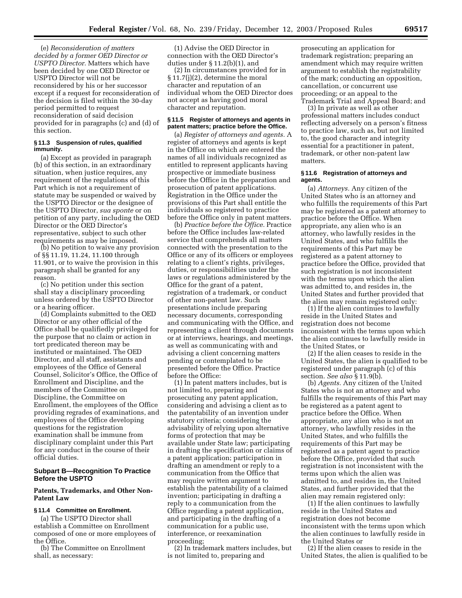(e) *Reconsideration of matters decided by a former OED Director or USPTO Director.* Matters which have been decided by one OED Director or USPTO Director will not be reconsidered by his or her successor except if a request for reconsideration of the decision is filed within the 30-day period permitted to request reconsideration of said decision provided for in paragraphs (c) and (d) of this section.

# **§ 11.3 Suspension of rules, qualified immunity.**

(a) Except as provided in paragraph (b) of this section, in an extraordinary situation, when justice requires, any requirement of the regulations of this Part which is not a requirement of statute may be suspended or waived by the USPTO Director or the designee of the USPTO Director, *sua sponte* or on petition of any party, including the OED Director or the OED Director's representative, subject to such other requirements as may be imposed.

(b) No petition to waive any provision of §§ 11.19, 11.24, 11.100 through 11.901, or to waive the provision in this paragraph shall be granted for any reason.

(c) No petition under this section shall stay a disciplinary proceeding unless ordered by the USPTO Director or a hearing officer.

(d) Complaints submitted to the OED Director or any other official of the Office shall be qualifiedly privileged for the purpose that no claim or action in tort predicated thereon may be instituted or maintained. The OED Director, and all staff, assistants and employees of the Office of General Counsel, Solicitor's Office, the Office of Enrollment and Discipline, and the members of the Committee on Discipline, the Committee on Enrollment, the employees of the Office providing regrades of examinations, and employees of the Office developing questions for the registration examination shall be immune from disciplinary complaint under this Part for any conduct in the course of their official duties.

# **Subpart B—Recognition To Practice Before the USPTO**

# **Patents, Trademarks, and Other Non-Patent Law**

# **§ 11.4 Committee on Enrollment.**

(a) The USPTO Director shall establish a Committee on Enrollment composed of one or more employees of the Office.

(b) The Committee on Enrollment shall, as necessary:

(1) Advise the OED Director in connection with the OED Director's duties under § 11.2(b)(1), and

(2) In circumstances provided for in § 11.7(j)(2), determine the moral character and reputation of an individual whom the OED Director does not accept as having good moral character and reputation.

# **§ 11.5 Register of attorneys and agents in patent matters; practice before the Office.**

(a) *Register of attorneys and agents.* A register of attorneys and agents is kept in the Office on which are entered the names of all individuals recognized as entitled to represent applicants having prospective or immediate business before the Office in the preparation and prosecution of patent applications. Registration in the Office under the provisions of this Part shall entitle the individuals so registered to practice before the Office only in patent matters.

(b) *Practice before the Office.* Practice before the Office includes law-related service that comprehends all matters connected with the presentation to the Office or any of its officers or employees relating to a client's rights, privileges, duties, or responsibilities under the laws or regulations administered by the Office for the grant of a patent, registration of a trademark, or conduct of other non-patent law. Such presentations include preparing necessary documents, corresponding and communicating with the Office, and representing a client through documents or at interviews, hearings, and meetings, as well as communicating with and advising a client concerning matters pending or contemplated to be presented before the Office. Practice before the Office:

(1) In patent matters includes, but is not limited to, preparing and prosecuting any patent application, considering and advising a client as to the patentability of an invention under statutory criteria; considering the advisability of relying upon alternative forms of protection that may be available under State law; participating in drafting the specification or claims of a patent application; participation in drafting an amendment or reply to a communication from the Office that may require written argument to establish the patentability of a claimed invention; participating in drafting a reply to a communication from the Office regarding a patent application, and participating in the drafting of a communication for a public use, interference, or reexamination proceeding;

(2) In trademark matters includes, but is not limited to, preparing and

prosecuting an application for trademark registration; preparing an amendment which may require written argument to establish the registrability of the mark; conducting an opposition, cancellation, or concurrent use proceeding; or an appeal to the Trademark Trial and Appeal Board; and

(3) In private as well as other professional matters includes conduct reflecting adversely on a person's fitness to practice law, such as, but not limited to, the good character and integrity essential for a practitioner in patent, trademark, or other non-patent law matters.

### **§ 11.6 Registration of attorneys and agents.**

(a) *Attorneys.* Any citizen of the United States who is an attorney and who fulfills the requirements of this Part may be registered as a patent attorney to practice before the Office. When appropriate, any alien who is an attorney, who lawfully resides in the United States, and who fulfills the requirements of this Part may be registered as a patent attorney to practice before the Office, provided that such registration is not inconsistent with the terms upon which the alien was admitted to, and resides in, the United States and further provided that the alien may remain registered only:

(1) If the alien continues to lawfully reside in the United States and registration does not become inconsistent with the terms upon which the alien continues to lawfully reside in the United States, or

(2) If the alien ceases to reside in the United States, the alien is qualified to be registered under paragraph (c) of this section. *See also* § 11.9(b).

(b) *Agents.* Any citizen of the United States who is not an attorney and who fulfills the requirements of this Part may be registered as a patent agent to practice before the Office. When appropriate, any alien who is not an attorney, who lawfully resides in the United States, and who fulfills the requirements of this Part may be registered as a patent agent to practice before the Office, provided that such registration is not inconsistent with the terms upon which the alien was admitted to, and resides in, the United States, and further provided that the alien may remain registered only:

(1) If the alien continues to lawfully reside in the United States and registration does not become inconsistent with the terms upon which the alien continues to lawfully reside in the United States or

(2) If the alien ceases to reside in the United States, the alien is qualified to be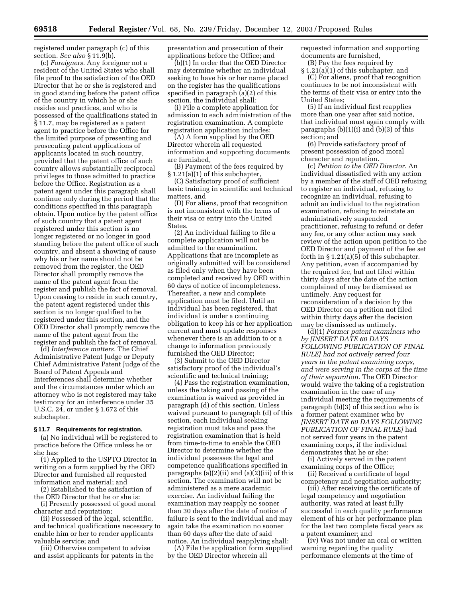registered under paragraph (c) of this section. *See also* § 11.9(b).

(c) *Foreigners.* Any foreigner not a resident of the United States who shall file proof to the satisfaction of the OED Director that he or she is registered and in good standing before the patent office of the country in which he or she resides and practices, and who is possessed of the qualifications stated in § 11.7, may be registered as a patent agent to practice before the Office for the limited purpose of presenting and prosecuting patent applications of applicants located in such country, provided that the patent office of such country allows substantially reciprocal privileges to those admitted to practice before the Office. Registration as a patent agent under this paragraph shall continue only during the period that the conditions specified in this paragraph obtain. Upon notice by the patent office of such country that a patent agent registered under this section is no longer registered or no longer in good standing before the patent office of such country, and absent a showing of cause why his or her name should not be removed from the register, the OED Director shall promptly remove the name of the patent agent from the register and publish the fact of removal. Upon ceasing to reside in such country, the patent agent registered under this section is no longer qualified to be registered under this section, and the OED Director shall promptly remove the name of the patent agent from the register and publish the fact of removal.

(d) *Interference matters.* The Chief Administrative Patent Judge or Deputy Chief Administrative Patent Judge of the Board of Patent Appeals and Interferences shall determine whether and the circumstances under which an attorney who is not registered may take testimony for an interference under 35 U.S.C. 24, or under § 1.672 of this subchapter.

#### **§ 11.7 Requirements for registration.**

(a) No individual will be registered to practice before the Office unless he or she has:

(1) Applied to the USPTO Director in writing on a form supplied by the OED Director and furnished all requested information and material; and

(2) Established to the satisfaction of the OED Director that he or she is:

(i) Presently possessed of good moral character and reputation;

(ii) Possessed of the legal, scientific, and technical qualifications necessary to enable him or her to render applicants valuable service; and

(iii) Otherwise competent to advise and assist applicants for patents in the presentation and prosecution of their applications before the Office; and

(b)(1) In order that the OED Director may determine whether an individual seeking to have his or her name placed on the register has the qualifications specified in paragraph (a)(2) of this section, the individual shall:

(i) File a complete application for admission to each administration of the registration examination. A complete registration application includes:

(A) A form supplied by the OED Director wherein all requested information and supporting documents are furnished,

(B) Payment of the fees required by § 1.21(a)(1) of this subchapter,

(C) Satisfactory proof of sufficient basic training in scientific and technical matters, and

(D) For aliens, proof that recognition is not inconsistent with the terms of their visa or entry into the United States.

(2) An individual failing to file a complete application will not be admitted to the examination. Applications that are incomplete as originally submitted will be considered as filed only when they have been completed and received by OED within 60 days of notice of incompleteness. Thereafter, a new and complete application must be filed. Until an individual has been registered, that individual is under a continuing obligation to keep his or her application current and must update responses whenever there is an addition to or a change to information previously furnished the OED Director;

(3) Submit to the OED Director satisfactory proof of the individual's scientific and technical training;

(4) Pass the registration examination, unless the taking and passing of the examination is waived as provided in paragraph (d) of this section. Unless waived pursuant to paragraph (d) of this section, each individual seeking registration must take and pass the registration examination that is held from time-to-time to enable the OED Director to determine whether the individual possesses the legal and competence qualifications specified in paragraphs (a)(2)(ii) and (a)(2)(iii) of this section. The examination will not be administered as a mere academic exercise. An individual failing the examination may reapply no sooner than 30 days after the date of notice of failure is sent to the individual and may again take the examination no sooner than 60 days after the date of said notice. An individual reapplying shall:

(A) File the application form supplied by the OED Director wherein all

requested information and supporting documents are furnished,

(B) Pay the fees required by § 1.21(a)(1) of this subchapter, and

(C) For aliens, proof that recognition continues to be not inconsistent with the terms of their visa or entry into the United States;

(5) If an individual first reapplies more than one year after said notice, that individual must again comply with paragraphs  $(b)(1)(i)$  and  $(b)(3)$  of this section; and

(6) Provide satisfactory proof of present possession of good moral character and reputation.

(c) *Petition to the OED Director.* An individual dissatisfied with any action by a member of the staff of OED refusing to register an individual, refusing to recognize an individual, refusing to admit an individual to the registration examination, refusing to reinstate an administratively suspended practitioner, refusing to refund or defer any fee, or any other action may seek review of the action upon petition to the OED Director and payment of the fee set forth in § 1.21(a)(5) of this subchapter. Any petition, even if accompanied by the required fee, but not filed within thirty days after the date of the action complained of may be dismissed as untimely. Any request for reconsideration of a decision by the OED Director on a petition not filed within thirty days after the decision may be dismissed as untimely.

(d)(1) *Former patent examiners who by [INSERT DATE 60 DAYS FOLLOWING PUBLICATION OF FINAL RULE] had not actively served four years in the patent examining corps, and were serving in the corps at the time of their separation.* The OED Director would waive the taking of a registration examination in the case of any individual meeting the requirements of paragraph (b)(3) of this section who is a former patent examiner who by *[INSERT DATE 60 DAYS FOLLOWING PUBLICATION OF FINAL RULE]* had not served four years in the patent examining corps, if the individual demonstrates that he or she:

(i) Actively served in the patent examining corps of the Office;

(ii) Received a certificate of legal competency and negotiation authority;

(iii) After receiving the certificate of legal competency and negotiation authority, was rated at least fully successful in each quality performance element of his or her performance plan for the last two complete fiscal years as a patent examiner; and

(iv) Was not under an oral or written warning regarding the quality performance elements at the time of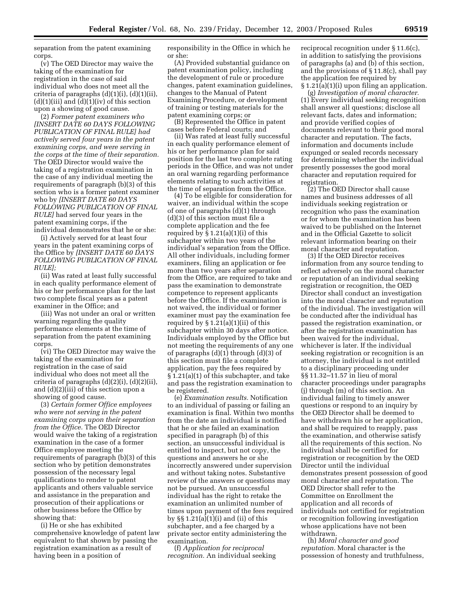separation from the patent examining corps.

(v) The OED Director may waive the taking of the examination for registration in the case of said individual who does not meet all the criteria of paragraphs (d)(1)(i), (d)(1)(ii),  $(d)(1)(iii)$  and  $(d)(1)(iv)$  of this section upon a showing of good cause.

(2) *Former patent examiners who [INSERT DATE 60 DAYS FOLLOWING PUBLICATION OF FINAL RULE] had actively served four years in the patent examining corps, and were serving in the corps at the time of their separation.* The OED Director would waive the taking of a registration examination in the case of any individual meeting the requirements of paragraph (b)(3) of this section who is a former patent examiner who by *[INSERT DATE 60 DAYS FOLLOWING PUBLICATION OF FINAL RULE]* had served four years in the patent examining corps, if the individual demonstrates that he or she:

(i) Actively served for at least four years in the patent examining corps of the Office by *[INSERT DATE 60 DAYS FOLLOWING PUBLICATION OF FINAL RULE];*

(ii) Was rated at least fully successful in each quality performance element of his or her performance plan for the last two complete fiscal years as a patent examiner in the Office; and

(iii) Was not under an oral or written warning regarding the quality performance elements at the time of separation from the patent examining corps.

(vi) The OED Director may waive the taking of the examination for registration in the case of said individual who does not meet all the criteria of paragraphs (d)(2)(i), (d)(2)(ii), and (d)(2)(iii) of this section upon a showing of good cause.

(3) *Certain former Office employees who were not serving in the patent examining corps upon their separation from the Office.* The OED Director would waive the taking of a registration examination in the case of a former Office employee meeting the requirements of paragraph (b)(3) of this section who by petition demonstrates possession of the necessary legal qualifications to render to patent applicants and others valuable service and assistance in the preparation and prosecution of their applications or other business before the Office by showing that:

(i) He or she has exhibited comprehensive knowledge of patent law equivalent to that shown by passing the registration examination as a result of having been in a position of

responsibility in the Office in which he or she:

(A) Provided substantial guidance on patent examination policy, including the development of rule or procedure changes, patent examination guidelines, changes to the Manual of Patent Examining Procedure, or development of training or testing materials for the patent examining corps; or

(B) Represented the Office in patent cases before Federal courts; and

(ii) Was rated at least fully successful in each quality performance element of his or her performance plan for said position for the last two complete rating periods in the Office, and was not under an oral warning regarding performance elements relating to such activities at the time of separation from the Office.

(4) To be eligible for consideration for waiver, an individual within the scope of one of paragraphs (d)(1) through (d)(3) of this section must file a complete application and the fee required by  $\S 1.21(a)(1)(i)$  of this subchapter within two years of the individual's separation from the Office. All other individuals, including former examiners, filing an application or fee more than two years after separation from the Office, are required to take and pass the examination to demonstrate competence to represent applicants before the Office. If the examination is not waived, the individual or former examiner must pay the examination fee required by  $\S 1.21(a)(1)(ii)$  of this subchapter within 30 days after notice. Individuals employed by the Office but not meeting the requirements of any one of paragraphs  $(d)(1)$  through  $(d)(3)$  of this section must file a complete application, pay the fees required by § 1.21(a)(1) of this subchapter, and take and pass the registration examination to be registered.

(e) *Examination results.* Notification to an individual of passing or failing an examination is final. Within two months from the date an individual is notified that he or she failed an examination specified in paragraph (b) of this section, an unsuccessful individual is entitled to inspect, but not copy, the questions and answers he or she incorrectly answered under supervision and without taking notes. Substantive review of the answers or questions may not be pursued. An unsuccessful individual has the right to retake the examination an unlimited number of times upon payment of the fees required by §§ 1.21(a)(1)(i) and (ii) of this subchapter, and a fee charged by a private sector entity administering the examination.

(f) *Application for reciprocal recognition.* An individual seeking reciprocal recognition under § 11.6(c), in addition to satisfying the provisions of paragraphs (a) and (b) of this section, and the provisions of § 11.8(c), shall pay the application fee required by § 1.21(a)(1)(i) upon filing an application.

(g) *Investigation of moral character.* (1) Every individual seeking recognition shall answer all questions; disclose all relevant facts, dates and information; and provide verified copies of documents relevant to their good moral character and reputation. The facts, information and documents include expunged or sealed records necessary for determining whether the individual presently possesses the good moral character and reputation required for registration.

(2) The OED Director shall cause names and business addresses of all individuals seeking registration or recognition who pass the examination or for whom the examination has been waived to be published on the Internet and in the Official Gazette to solicit relevant information bearing on their moral character and reputation.

(3) If the OED Director receives information from any source tending to reflect adversely on the moral character or reputation of an individual seeking registration or recognition, the OED Director shall conduct an investigation into the moral character and reputation of the individual. The investigation will be conducted after the individual has passed the registration examination, or after the registration examination has been waived for the individual, whichever is later. If the individual seeking registration or recognition is an attorney, the individual is not entitled to a disciplinary proceeding under §§ 11.32–11.57 in lieu of moral character proceedings under paragraphs (j) through (m) of this section. An individual failing to timely answer questions or respond to an inquiry by the OED Director shall be deemed to have withdrawn his or her application, and shall be required to reapply, pass the examination, and otherwise satisfy all the requirements of this section. No individual shall be certified for registration or recognition by the OED Director until the individual demonstrates present possession of good moral character and reputation. The OED Director shall refer to the Committee on Enrollment the application and all records of individuals not certified for registration or recognition following investigation whose applications have not been withdrawn.

(h) *Moral character and good reputation.* Moral character is the possession of honesty and truthfulness,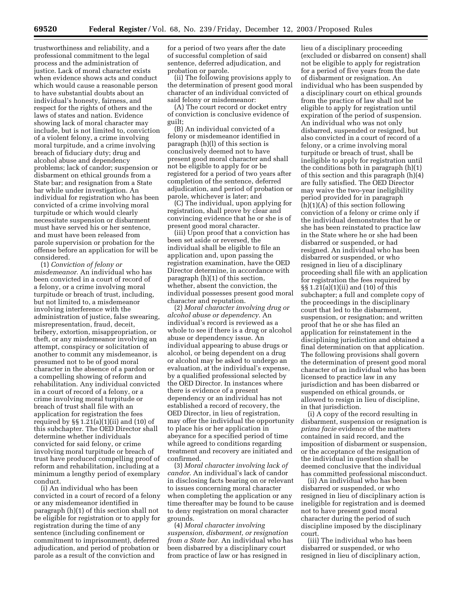trustworthiness and reliability, and a professional commitment to the legal process and the administration of justice. Lack of moral character exists when evidence shows acts and conduct which would cause a reasonable person to have substantial doubts about an individual's honesty, fairness, and respect for the rights of others and the laws of states and nation. Evidence showing lack of moral character may include, but is not limited to, conviction of a violent felony, a crime involving moral turpitude, and a crime involving breach of fiduciary duty; drug and alcohol abuse and dependency problems; lack of candor; suspension or disbarment on ethical grounds from a State bar; and resignation from a State bar while under investigation. An individual for registration who has been convicted of a crime involving moral turpitude or which would clearly necessitate suspension or disbarment must have served his or her sentence, and must have been released from parole supervision or probation for the offense before an application for will be considered.

(1) *Conviction of felony or misdemeanor.* An individual who has been convicted in a court of record of a felony, or a crime involving moral turpitude or breach of trust, including, but not limited to, a misdemeanor involving interference with the administration of justice, false swearing, misrepresentation, fraud, deceit, bribery, extortion, misappropriation, or theft, or any misdemeanor involving an attempt, conspiracy or solicitation of another to commit any misdemeanor, is presumed not to be of good moral character in the absence of a pardon or a compelling showing of reform and rehabilitation. Any individual convicted in a court of record of a felony, or a crime involving moral turpitude or breach of trust shall file with an application for registration the fees required by  $\S$  1.21(a)(1)(ii) and (10) of this subchapter. The OED Director shall determine whether individuals convicted for said felony, or crime involving moral turpitude or breach of trust have produced compelling proof of reform and rehabilitation, including at a minimum a lengthy period of exemplary conduct.

(i) An individual who has been convicted in a court of record of a felony or any misdemeanor identified in paragraph (h)(1) of this section shall not be eligible for registration or to apply for registration during the time of any sentence (including confinement or commitment to imprisonment), deferred adjudication, and period of probation or parole as a result of the conviction and

for a period of two years after the date of successful completion of said sentence, deferred adjudication, and probation or parole.

(ii) The following provisions apply to the determination of present good moral character of an individual convicted of said felony or misdemeanor:

(A) The court record or docket entry of conviction is conclusive evidence of guilt;

(B) An individual convicted of a felony or misdemeanor identified in paragraph (h)(l) of this section is conclusively deemed not to have present good moral character and shall not be eligible to apply for or be registered for a period of two years after completion of the sentence, deferred adjudication, and period of probation or parole, whichever is later; and

(C) The individual, upon applying for registration, shall prove by clear and convincing evidence that he or she is of present good moral character.

(iii) Upon proof that a conviction has been set aside or reversed, the individual shall be eligible to file an application and, upon passing the registration examination, have the OED Director determine, in accordance with paragraph (h)(1) of this section, whether, absent the conviction, the individual possesses present good moral character and reputation.

(2) *Moral character involving drug or alcohol abuse or dependency.* An individual's record is reviewed as a whole to see if there is a drug or alcohol abuse or dependency issue. An individual appearing to abuse drugs or alcohol, or being dependent on a drug or alcohol may be asked to undergo an evaluation, at the individual's expense, by a qualified professional selected by the OED Director. In instances where there is evidence of a present dependency or an individual has not established a record of recovery, the OED Director, in lieu of registration, may offer the individual the opportunity to place his or her application in abeyance for a specified period of time while agreed to conditions regarding treatment and recovery are initiated and confirmed.

(3) *Moral character involving lack of candor.* An individual's lack of candor in disclosing facts bearing on or relevant to issues concerning moral character when completing the application or any time thereafter may be found to be cause to deny registration on moral character grounds.

(4) *Moral character involving suspension, disbarment, or resignation from a State bar.* An individual who has been disbarred by a disciplinary court from practice of law or has resigned in

lieu of a disciplinary proceeding (excluded or disbarred on consent) shall not be eligible to apply for registration for a period of five years from the date of disbarment or resignation. An individual who has been suspended by a disciplinary court on ethical grounds from the practice of law shall not be eligible to apply for registration until expiration of the period of suspension. An individual who was not only disbarred, suspended or resigned, but also convicted in a court of record of a felony, or a crime involving moral turpitude or breach of trust, shall be ineligible to apply for registration until the conditions both in paragraph (h)(1) of this section and this paragraph (h)(4) are fully satisfied. The OED Director may waive the two-year ineligibility period provided for in paragraph (h)(1)(A) of this section following conviction of a felony or crime only if the individual demonstrates that he or she has been reinstated to practice law in the State where he or she had been disbarred or suspended, or had resigned. An individual who has been disbarred or suspended, or who resigned in lieu of a disciplinary proceeding shall file with an application for registration the fees required by §§ 1.21(a)(1)(ii) and (10) of this subchapter; a full and complete copy of the proceedings in the disciplinary court that led to the disbarment, suspension, or resignation; and written proof that he or she has filed an application for reinstatement in the disciplining jurisdiction and obtained a final determination on that application. The following provisions shall govern the determination of present good moral character of an individual who has been licensed to practice law in any jurisdiction and has been disbarred or suspended on ethical grounds, or allowed to resign in lieu of discipline, in that jurisdiction.

(i) A copy of the record resulting in disbarment, suspension or resignation is *prima facie* evidence of the matters contained in said record, and the imposition of disbarment or suspension, or the acceptance of the resignation of the individual in question shall be deemed conclusive that the individual has committed professional misconduct.

(ii) An individual who has been disbarred or suspended, or who resigned in lieu of disciplinary action is ineligible for registration and is deemed not to have present good moral character during the period of such discipline imposed by the disciplinary court.

(iii) The individual who has been disbarred or suspended, or who resigned in lieu of disciplinary action,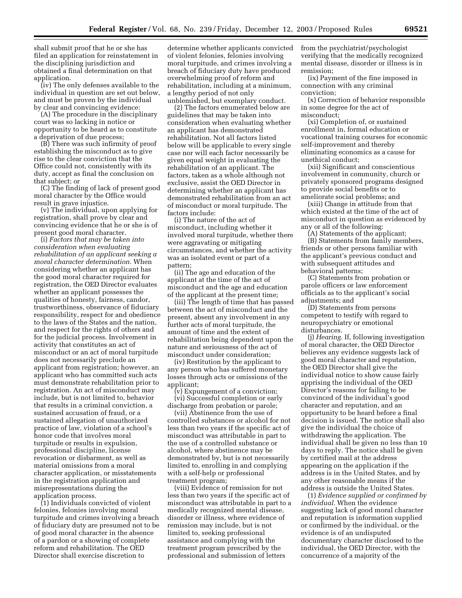shall submit proof that he or she has filed an application for reinstatement in the disciplining jurisdiction and obtained a final determination on that application.

(iv) The only defenses available to the individual in question are set out below, and must be proven by the individual by clear and convincing evidence:

(A) The procedure in the disciplinary court was so lacking in notice or opportunity to be heard as to constitute a deprivation of due process;

(B) There was such infirmity of proof establishing the misconduct as to give rise to the clear conviction that the Office could not, consistently with its duty, accept as final the conclusion on that subject; or

(C) The finding of lack of present good moral character by the Office would result in grave injustice.

(v) The individual, upon applying for registration, shall prove by clear and convincing evidence that he or she is of present good moral character.

(i) *Factors that may be taken into consideration when evaluating rehabilitation of an applicant seeking a moral character determination.* When considering whether an applicant has the good moral character required for registration, the OED Director evaluates whether an applicant possesses the qualities of honesty, fairness, candor, trustworthiness, observance of fiduciary responsibility, respect for and obedience to the laws of the States and the nation, and respect for the rights of others and for the judicial process. Involvement in activity that constitutes an act of misconduct or an act of moral turpitude does not necessarily preclude an applicant from registration; however, an applicant who has committed such acts must demonstrate rehabilitation prior to registration. An act of misconduct may include, but is not limited to, behavior that results in a criminal conviction, a sustained accusation of fraud, or a sustained allegation of unauthorized practice of law, violation of a school's honor code that involves moral turpitude or results in expulsion, professional discipline, license revocation or disbarment, as well as material omissions from a moral character application, or misstatements in the registration application and misrepresentations during the application process.

(1) Individuals convicted of violent felonies, felonies involving moral turpitude and crimes involving a breach of fiduciary duty are presumed not to be of good moral character in the absence of a pardon or a showing of complete reform and rehabilitation. The OED Director shall exercise discretion to

determine whether applicants convicted of violent felonies, felonies involving moral turpitude, and crimes involving a breach of fiduciary duty have produced overwhelming proof of reform and rehabilitation, including at a minimum, a lengthy period of not only unblemished, but exemplary conduct.

(2) The factors enumerated below are guidelines that may be taken into consideration when evaluating whether an applicant has demonstrated rehabilitation. Not all factors listed below will be applicable to every single case nor will each factor necessarily be given equal weight in evaluating the rehabilitation of an applicant. The factors, taken as a whole although not exclusive, assist the OED Director in determining whether an applicant has demonstrated rehabilitation from an act of misconduct or moral turpitude. The factors include:

(i) The nature of the act of misconduct, including whether it involved moral turpitude, whether there were aggravating or mitigating circumstances, and whether the activity was an isolated event or part of a pattern;

(ii) The age and education of the applicant at the time of the act of misconduct and the age and education of the applicant at the present time;

(iii) The length of time that has passed between the act of misconduct and the present, absent any involvement in any further acts of moral turpitude, the amount of time and the extent of rehabilitation being dependent upon the nature and seriousness of the act of misconduct under consideration;

(iv) Restitution by the applicant to any person who has suffered monetary losses through acts or omissions of the applicant;

(v) Expungement of a conviction; (vi) Successful completion or early discharge from probation or parole;

(vii) Abstinence from the use of controlled substances or alcohol for not less than two years if the specific act of misconduct was attributable in part to the use of a controlled substance or alcohol, where abstinence may be demonstrated by, but is not necessarily limited to, enrolling in and complying with a self-help or professional treatment program;

(viii) Evidence of remission for not less than two years if the specific act of misconduct was attributable in part to a medically recognized mental disease, disorder or illness, where evidence of remission may include, but is not limited to, seeking professional assistance and complying with the treatment program prescribed by the professional and submission of letters

from the psychiatrist/psychologist verifying that the medically recognized mental disease, disorder or illness is in remission;

(ix) Payment of the fine imposed in connection with any criminal conviction;

(x) Correction of behavior responsible in some degree for the act of misconduct;

(xi) Completion of, or sustained enrollment in, formal education or vocational training courses for economic self-improvement and thereby eliminating economics as a cause for unethical conduct;

(xii) Significant and conscientious involvement in community, church or privately sponsored programs designed to provide social benefits or to ameliorate social problems; and

(xiii) Change in attitude from that which existed at the time of the act of misconduct in question as evidenced by any or all of the following:

(A) Statements of the applicant; (B) Statements from family members, friends or other persons familiar with the applicant's previous conduct and with subsequent attitudes and behavioral patterns;

(C) Statements from probation or parole officers or law enforcement officials as to the applicant's social adjustments; and

(D) Statements from persons competent to testify with regard to neuropsychiatry or emotional disturbances.

(j) *Hearing.* If, following investigation of moral character, the OED Director believes any evidence suggests lack of good moral character and reputation, the OED Director shall give the individual notice to show cause fairly apprising the individual of the OED Director's reasons for failing to be convinced of the individual's good character and reputation, and an opportunity to be heard before a final decision is issued. The notice shall also give the individual the choice of withdrawing the application. The individual shall be given no less than 10 days to reply. The notice shall be given by certified mail at the address appearing on the application if the address is in the United States, and by any other reasonable means if the address is outside the United States.

(1) *Evidence supplied or confirmed by individual.* When the evidence suggesting lack of good moral character and reputation is information supplied or confirmed by the individual, or the evidence is of an undisputed documentary character disclosed to the individual, the OED Director, with the concurrence of a majority of the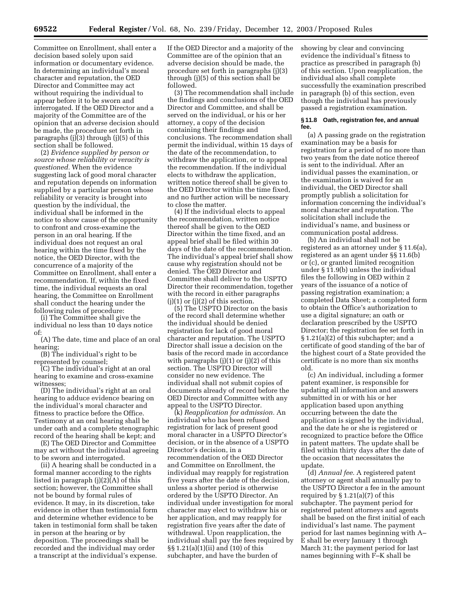Committee on Enrollment, shall enter a decision based solely upon said information or documentary evidence. In determining an individual's moral character and reputation, the OED Director and Committee may act without requiring the individual to appear before it to be sworn and interrogated. If the OED Director and a majority of the Committee are of the opinion that an adverse decision should be made, the procedure set forth in paragraphs (j)(3) through (j)(5) of this section shall be followed.

(2) *Evidence supplied by person or source whose reliability or veracity is questioned.* When the evidence suggesting lack of good moral character and reputation depends on information supplied by a particular person whose reliability or veracity is brought into question by the individual, the individual shall be informed in the notice to show cause of the opportunity to confront and cross-examine the person in an oral hearing. If the individual does not request an oral hearing within the time fixed by the notice, the OED Director, with the concurrence of a majority of the Committee on Enrollment, shall enter a recommendation. If, within the fixed time, the individual requests an oral hearing, the Committee on Enrollment shall conduct the hearing under the following rules of procedure:

(i) The Committee shall give the individual no less than 10 days notice of:

(A) The date, time and place of an oral hearing;

(B) The individual's right to be represented by counsel;

(C) The individual's right at an oral hearing to examine and cross-examine witnesses;

(D) The individual's right at an oral hearing to adduce evidence bearing on the individual's moral character and fitness to practice before the Office. Testimony at an oral hearing shall be under oath and a complete stenographic record of the hearing shall be kept; and

(E) The OED Director and Committee may act without the individual agreeing to be sworn and interrogated.

(ii) A hearing shall be conducted in a formal manner according to the rights listed in paragraph (j)(2)(A) of this section; however, the Committee shall not be bound by formal rules of evidence. It may, in its discretion, take evidence in other than testimonial form and determine whether evidence to be taken in testimonial form shall be taken in person at the hearing or by deposition. The proceedings shall be recorded and the individual may order a transcript at the individual's expense.

If the OED Director and a majority of the Committee are of the opinion that an adverse decision should be made, the procedure set forth in paragraphs (j)(3) through (j)(5) of this section shall be followed.

(3) The recommendation shall include the findings and conclusions of the OED Director and Committee, and shall be served on the individual, or his or her attorney, a copy of the decision containing their findings and conclusions. The recommendation shall permit the individual, within 15 days of the date of the recommendation, to withdraw the application, or to appeal the recommendation. If the individual elects to withdraw the application, written notice thereof shall be given to the OED Director within the time fixed, and no further action will be necessary to close the matter.

(4) If the individual elects to appeal the recommendation, written notice thereof shall be given to the OED Director within the time fixed, and an appeal brief shall be filed within 30 days of the date of the recommendation. The individual's appeal brief shall show cause why registration should not be denied. The OED Director and Committee shall deliver to the USPTO Director their recommendation, together with the record in either paragraphs  $(j)(1)$  or  $(j)(2)$  of this section.

(5) The USPTO Director on the basis of the record shall determine whether the individual should be denied registration for lack of good moral character and reputation. The USPTO Director shall issue a decision on the basis of the record made in accordance with paragraphs  $(i)(1)$  or  $(i)(2)$  of this section. The USPTO Director will consider no new evidence. The individual shall not submit copies of documents already of record before the OED Director and Committee with any appeal to the USPTO Director.

(k) *Reapplication for admission.* An individual who has been refused registration for lack of present good moral character in a USPTO Director's decision, or in the absence of a USPTO Director's decision, in a recommendation of the OED Director and Committee on Enrollment, the individual may reapply for registration five years after the date of the decision, unless a shorter period is otherwise ordered by the USPTO Director. An individual under investigation for moral character may elect to withdraw his or her application, and may reapply for registration five years after the date of withdrawal. Upon reapplication, the individual shall pay the fees required by §§ 1.21(a)(1)(ii) and (10) of this subchapter, and have the burden of

showing by clear and convincing evidence the individual's fitness to practice as prescribed in paragraph (b) of this section. Upon reapplication, the individual also shall complete successfully the examination prescribed in paragraph (b) of this section, even though the individual has previously passed a registration examination.

# **§ 11.8 Oath, registration fee, and annual fee.**

(a) A passing grade on the registration examination may be a basis for registration for a period of no more than two years from the date notice thereof is sent to the individual. After an individual passes the examination, or the examination is waived for an individual, the OED Director shall promptly publish a solicitation for information concerning the individual's moral character and reputation. The solicitation shall include the individual's name, and business or communication postal address.

(b) An individual shall not be registered as an attorney under § 11.6(a), registered as an agent under §§ 11.6(b) or (c), or granted limited recognition under § 11.9(b) unless the individual files the following in OED within 2 years of the issuance of a notice of passing registration examination; a completed Data Sheet; a completed form to obtain the Office's authorization to use a digital signature; an oath or declaration prescribed by the USPTO Director; the registration fee set forth in § 1.21(a)(2) of this subchapter; and a certificate of good standing of the bar of the highest court of a State provided the certificate is no more than six months old.

(c) An individual, including a former patent examiner, is responsible for updating all information and answers submitted in or with his or her application based upon anything occurring between the date the application is signed by the individual, and the date he or she is registered or recognized to practice before the Office in patent matters. The update shall be filed within thirty days after the date of the occasion that necessitates the update.

(d) *Annual fee.* A registered patent attorney or agent shall annually pay to the USPTO Director a fee in the amount required by  $\S 1.21(a)(7)$  of this subchapter. The payment period for registered patent attorneys and agents shall be based on the first initial of each individual's last name. The payment period for last names beginning with A– E shall be every January 1 through March 31; the payment period for last names beginning with F–K shall be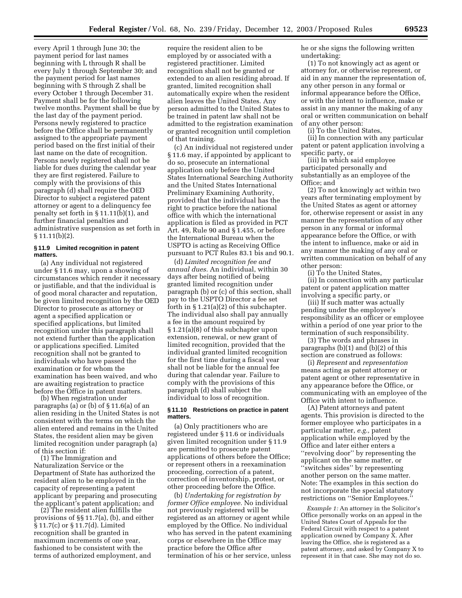every April 1 through June 30; the payment period for last names beginning with L through R shall be every July 1 through September 30; and the payment period for last names beginning with S through Z shall be every October 1 through December 31. Payment shall be for the following twelve months. Payment shall be due by the last day of the payment period. Persons newly registered to practice before the Office shall be permanently assigned to the appropriate payment period based on the first initial of their last name on the date of recognition. Persons newly registered shall not be liable for dues during the calendar year they are first registered. Failure to comply with the provisions of this paragraph (d) shall require the OED Director to subject a registered patent attorney or agent to a delinquency fee penalty set forth in § 11.11(b)(1), and further financial penalties and administrative suspension as set forth in  $§ 11.11(b)(2).$ 

#### **§ 11.9 Limited recognition in patent matters.**

(a) Any individual not registered under § 11.6 may, upon a showing of circumstances which render it necessary or justifiable, and that the individual is of good moral character and reputation, be given limited recognition by the OED Director to prosecute as attorney or agent a specified application or specified applications, but limited recognition under this paragraph shall not extend further than the application or applications specified. Limited recognition shall not be granted to individuals who have passed the examination or for whom the examination has been waived, and who are awaiting registration to practice before the Office in patent matters.

(b) When registration under paragraphs (a) or (b) of § 11.6(a) of an alien residing in the United States is not consistent with the terms on which the alien entered and remains in the United States, the resident alien may be given limited recognition under paragraph (a) of this section if:

(1) The Immigration and Naturalization Service or the Department of State has authorized the resident alien to be employed in the capacity of representing a patent applicant by preparing and prosecuting the applicant's patent application; and

(2) The resident alien fulfills the provisions of §§ 11.7(a), (b), and either § 11.7(c) or § 11.7(d). Limited recognition shall be granted in maximum increments of one year, fashioned to be consistent with the terms of authorized employment, and

require the resident alien to be employed by or associated with a registered practitioner. Limited recognition shall not be granted or extended to an alien residing abroad. If granted, limited recognition shall automatically expire when the resident alien leaves the United States. Any person admitted to the United States to be trained in patent law shall not be admitted to the registration examination or granted recognition until completion of that training.

(c) An individual not registered under § 11.6 may, if appointed by applicant to do so, prosecute an international application only before the United States International Searching Authority and the United States International Preliminary Examining Authority, provided that the individual has the right to practice before the national office with which the international application is filed as provided in PCT Art. 49, Rule 90 and § 1.455, or before the International Bureau when the USPTO is acting as Receiving Office pursuant to PCT Rules 83.1 bis and 90.1.

(d) *Limited recognition fee and annual dues.* An individual, within 30 days after being notified of being granted limited recognition under paragraph (b) or (c) of this section, shall pay to the USPTO Director a fee set forth in  $\S 1.21(a)(2)$  of this subchapter. The individual also shall pay annually a fee in the amount required by § 1.21(a)(8) of this subchapter upon extension, renewal, or new grant of limited recognition, provided that the individual granted limited recognition for the first time during a fiscal year shall not be liable for the annual fee during that calendar year. Failure to comply with the provisions of this paragraph (d) shall subject the individual to loss of recognition.

# **§ 11.10 Restrictions on practice in patent matters.**

(a) Only practitioners who are registered under § 11.6 or individuals given limited recognition under § 11.9 are permitted to prosecute patent applications of others before the Office; or represent others in a reexamination proceeding, correction of a patent, correction of inventorship, protest, or other proceeding before the Office.

(b) *Undertaking for registration by former Office employee.* No individual not previously registered will be registered as an attorney or agent while employed by the Office. No individual who has served in the patent examining corps or elsewhere in the Office may practice before the Office after termination of his or her service, unless

he or she signs the following written undertaking:

(1) To not knowingly act as agent or attorney for, or otherwise represent, or aid in any manner the representation of, any other person in any formal or informal appearance before the Office, or with the intent to influence, make or assist in any manner the making of any oral or written communication on behalf of any other person:

(i) To the United States,

(ii) In connection with any particular patent or patent application involving a specific party, or

(iii) In which said employee participated personally and substantially as an employee of the Office; and

(2) To not knowingly act within two years after terminating employment by the United States as agent or attorney for, otherwise represent or assist in any manner the representation of any other person in any formal or informal appearance before the Office, or with the intent to influence, make or aid in any manner the making of any oral or written communication on behalf of any other person:

(i) To the United States,

(ii) In connection with any particular patent or patent application matter involving a specific party, or

(iii) If such matter was actually pending under the employee's responsibility as an officer or employee within a period of one year prior to the termination of such responsibility.

(3) The words and phrases in paragraphs (b)(1) and (b)(2) of this section are construed as follows:

(i) *Represent* and *representation* means acting as patent attorney or patent agent or other representative in any appearance before the Office, or communicating with an employee of the Office with intent to influence.

(A) Patent attorneys and patent agents. This provision is directed to the former employee who participates in a particular matter, *e.g.,* patent application while employed by the Office and later either enters a ''revolving door'' by representing the applicant on the same matter, or ''switches sides'' by representing another person on the same matter. Note: The examples in this section do not incorporate the special statutory restrictions on ''Senior Employees.''

*Example 1:* An attorney in the Solicitor's Office personally works on an appeal in the United States Court of Appeals for the Federal Circuit with respect to a patent application owned by Company X. After leaving the Office, she is registered as a patent attorney, and asked by Company X to represent it in that case. She may not do so.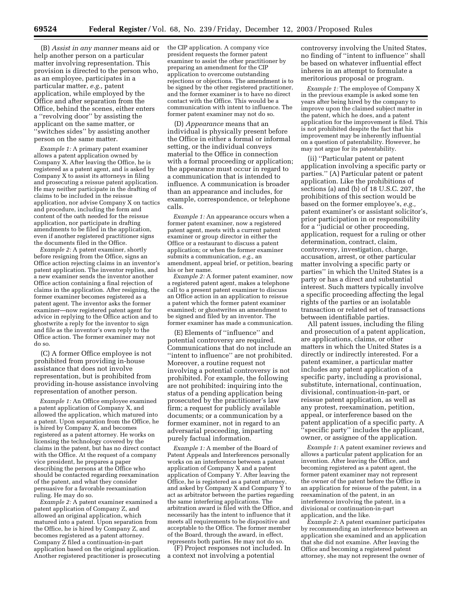(B) *Assist in any manner* means aid or help another person on a particular matter involving representation. This provision is directed to the person who, as an employee, participates in a particular matter, *e.g.,* patent application, while employed by the Office and after separation from the Office, behind the scenes, either enters a ''revolving door'' by assisting the applicant on the same matter, or ''switches sides'' by assisting another person on the same matter.

*Example 1:* A primary patent examiner allows a patent application owned by Company X. After leaving the Office, he is registered as a patent agent, and is asked by Company X to assist its attorneys in filing and prosecuting a reissue patent application. He may neither participate in the drafting of claims to be included in the reissue application, nor advise Company X on tactics and procedure, including the form and content of the oath needed for the reissue application, nor participate in drafting amendments to be filed in the application, even if another registered practitioner signs the documents filed in the Office.

*Example 2:* A patent examiner, shortly before resigning from the Office, signs an Office action rejecting claims in an inventor's patent application. The inventor replies, and a new examiner sends the inventor another Office action containing a final rejection of claims in the application. After resigning, the former examiner becomes registered as a patent agent. The inventor asks the former examiner—now registered patent agent for advice in replying to the Office action and to ghostwrite a reply for the inventor to sign and file as the inventor's own reply to the Office action. The former examiner may not do so.

(C) A former Office employee is not prohibited from providing in-house assistance that does not involve representation, but is prohibited from providing in-house assistance involving representation of another person.

*Example 1:* An Office employee examined a patent application of Company X, and allowed the application, which matured into a patent. Upon separation from the Office, he is hired by Company X, and becomes registered as a patent attorney. He works on licensing the technology covered by the claims in the patent, but has no direct contact with the Office. At the request of a company vice president, he prepares a paper describing the persons at the Office who should be contacted regarding reexamination of the patent, and what they consider persuasive for a favorable reexamination ruling. He may do so.

*Example 2:* A patent examiner examined a patent application of Company Z, and allowed an original application, which matured into a patent. Upon separation from the Office, he is hired by Company Z, and becomes registered as a patent attorney. Company Z filed a continuation-in-part application based on the original application. Another registered practitioner is prosecuting the CIP application. A company vice president requests the former patent examiner to assist the other practitioner by preparing an amendment for the CIP application to overcome outstanding rejections or objections. The amendment is to be signed by the other registered practitioner, and the former examiner is to have no direct contact with the Office. This would be a communication with intent to influence. The former patent examiner may not do so.

(D) *Appearance* means that an individual is physically present before the Office in either a formal or informal setting, or the individual conveys material to the Office in connection with a formal proceeding or application; the appearance must occur in regard to a communication that is intended to influence. A communication is broader than an appearance and includes, for example, correspondence, or telephone calls.

*Example 1:* An appearance occurs when a former patent examiner, now a registered patent agent, meets with a current patent examiner or group director in either the Office or a restaurant to discuss a patent application; or when the former examiner submits a communication, *e.g.,* an amendment, appeal brief, or petition, bearing his or her name.

*Example 2:* A former patent examiner, now a registered patent agent, makes a telephone call to a present patent examiner to discuss an Office action in an application to reissue a patent which the former patent examiner examined; or ghostwrites an amendment to be signed and filed by an inventor. The former examiner has made a communication.

(E) Elements of ''influence'' and potential controversy are required. Communications that do not include an ''intent to influence'' are not prohibited. Moreover, a routine request not involving a potential controversy is not prohibited. For example, the following are not prohibited: inquiring into the status of a pending application being prosecuted by the practitioner's law firm; a request for publicly available documents; or a communication by a former examiner, not in regard to an adversarial proceeding, imparting purely factual information.

*Example 1:* A member of the Board of Patent Appeals and Interferences personally works on an interference between a patent application of Company X and a patent application of Company Y. After leaving the Office, he is registered as a patent attorney, and asked by Company X and Company Y to act as arbitrator between the parties regarding the same interfering applications. The arbitration award is filed with the Office, and necessarily has the intent to influence that it meets all requirements to be dispositive and acceptable to the Office. The former member of the Board, through the award, in effect, represents both parties. He may not do so.

(F) Project responses not included. In a context not involving a potential

controversy involving the United States, no finding of ''intent to influence'' shall be based on whatever influential effect inheres in an attempt to formulate a meritorious proposal or program.

*Example 1:* The employee of Company X in the previous example is asked some ten years after being hired by the company to improve upon the claimed subject matter in the patent, which he does, and a patent application for the improvement is filed. This is not prohibited despite the fact that his improvement may be inherently influential on a question of patentability. However, he may not argue for its patentability.

(ii) ''Particular patent or patent application involving a specific party or parties.'' (A) Particular patent or patent application. Like the prohibitions of sections (a) and (b) of 18 U.S.C. 207, the prohibitions of this section would be based on the former employee's, *e.g.,* patent examiner's or assistant solicitor's, prior participation in or responsibility for a ''judicial or other proceeding, application, request for a ruling or other determination, contract, claim, controversy, investigation, charge, accusation, arrest, or other particular matter involving a specific party or parties'' in which the United States is a party or has a direct and substantial interest. Such matters typically involve a specific proceeding affecting the legal rights of the parties or an isolatable transaction or related set of transactions between identifiable parties.

All patent issues, including the filing and prosecution of a patent application, are applications, claims, or other matters in which the United States is a directly or indirectly interested. For a patent examiner, a particular matter includes any patent application of a specific party, including a provisional, substitute, international, continuation, divisional, continuation-in-part, or reissue patent application, as well as any protest, reexamination, petition, appeal, or interference based on the patent application of a specific party. A ''specific party'' includes the applicant, owner, or assignee of the application.

*Example 1:* A patent examiner reviews and allows a particular patent application for an invention. After leaving the Office, and becoming registered as a patent agent, the former patent examiner may not represent the owner of the patent before the Office in an application for reissue of the patent, in a reexamination of the patent, in an interference involving the patent, in a divisional or continuation-in-part application, and the like.

*Example 2:* A patent examiner participates by recommending an interference between an application she examined and an application that she did not examine. After leaving the Office and becoming a registered patent attorney, she may not represent the owner of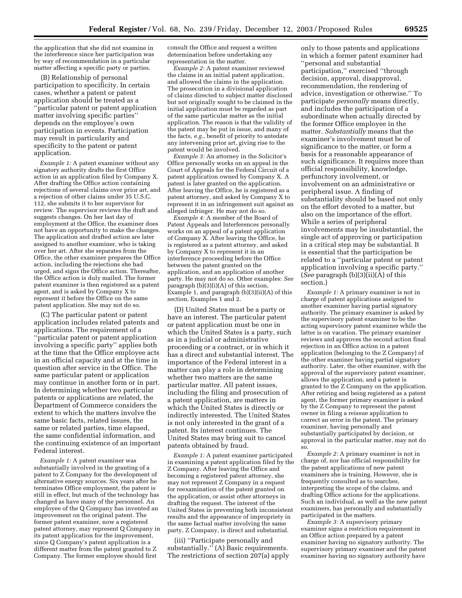the application that she did not examine in the interference since her participation was by way of recommendation in a particular matter affecting a specific party or parties.

(B) Relationship of personal participation to specificity. In certain cases, whether a patent or patent application should be treated as a ''particular patent or patent application matter involving specific parties'' depends on the employee's own participation in events. Participation may result in particularity and specificity to the patent or patent application.

*Example 1:* A patent examiner without any signatory authority drafts the first Office action in an application filed by Company X. After drafting the Office action containing rejections of several claims over prior art, and a rejection of other claims under 35 U.S.C. 112, she submits it to her supervisor for review. The supervisor reviews the draft and suggests changes. On her last day of employment at the Office, the examiner does not have an opportunity to make the changes. The application and drafted action are later assigned to another examiner, who is taking over her art. After she separates from the Office, the other examiner prepares the Office action, including the rejections she had urged, and signs the Office action. Thereafter, the Office action is duly mailed. The former patent examiner is then registered as a patent agent, and is asked by Company X to represent it before the Office on the same patent application. She may not do so.

(C) The particular patent or patent application includes related patents and applications. The requirement of a ''particular patent or patent application involving a specific party'' applies both at the time that the Office employee acts in an official capacity and at the time in question after service in the Office. The same particular patent or application may continue in another form or in part. In determining whether two particular patents or applications are related, the Department of Commerce considers the extent to which the matters involve the same basic facts, related issues, the same or related parties, time elapsed, the same confidential information, and the continuing existence of an important Federal interest.

*Example 1:* A patent examiner was substantially involved in the granting of a patent to Z Company for the development of alternative energy sources. Six years after he terminates Office employment, the patent is still in effect, but much of the technology has changed as have many of the personnel. An employee of the Q Company has invented an improvement on the original patent. The former patent examiner, now a registered patent attorney, may represent Q Company in its patent application for the improvement, since Q Company's patent application is a different matter from the patent granted to Z Company. The former employee should first

consult the Office and request a written determination before undertaking any representation in the matter.

*Example 2:* A patent examiner reviewed the claims in an initial patent application, and allowed the claims in the application. The prosecution in a divisional application of claims directed to subject matter disclosed but not originally sought to be claimed in the initial application must be regarded as part of the same particular matter as the initial application. The reason is that the validity of the patent may be put in issue, and many of the facts, *e.g.,* benefit of priority to antedate any intervening prior art, giving rise to the patent would be involved.

*Example 3:* An attorney in the Solicitor's Office personally works on an appeal in the Court of Appeals for the Federal Circuit of a patent application owned by Company X. A patent is later granted on the application. After leaving the Office, he is registered as a patent attorney, and asked by Company X to represent it in an infringement suit against an alleged infringer. He may not do so.

*Example 4:* A member of the Board of Patent Appeals and Interferences personally works on an appeal of a patent application of Company X. After leaving the Office, he is registered as a patent attorney, and asked by Company X to represent it in an interference proceeding before the Office between the patent granted on the application, and an application of another party. He may not do so. Other examples: *See* paragraph (b)(3)(i)(A) of this section, Example 1, and paragraph (b)(3)(ii)(A) of this section, Examples 1 and 2.

(D) United States must be a party or have an interest. The particular patent or patent application must be one in which the United States is a party, such as in a judicial or administrative proceeding or a contract, or in which it has a direct and substantial interest. The importance of the Federal interest in a matter can play a role in determining whether two matters are the same particular matter. All patent issues, including the filing and prosecution of a patent application, are matters in which the United States is directly or indirectly interested. The United States is not only interested in the grant of a patent. Its interest continues. The United States may bring suit to cancel patents obtained by fraud.

*Example 1:* A patent examiner participated in examining a patent application filed by the Z Company. After leaving the Office and becoming a registered patent attorney, she may not represent Z Company in a request for reexamination of the patent granted on the application, or assist other attorneys in drafting the request. The interest of the United States in preventing both inconsistent results and the appearance of impropriety in the same factual matter involving the same party, Z Company, is direct and substantial.

(iii) ''Participate personally and substantially.'' (A) Basic requirements. The restrictions of section 207(a) apply

only to those patents and applications in which a former patent examiner had ''personal and substantial participation,'' exercised ''through decision, approval, disapproval, recommendation, the rendering of advice, investigation or otherwise.'' To participate *personally* means directly, and includes the participation of a subordinate when actually directed by the former Office employee in the matter. *Substantially* means that the examiner's involvement must be of significance to the matter, or form a basis for a reasonable appearance of such significance. It requires more than official responsibility, knowledge, perfunctory involvement, or involvement on an administrative or peripheral issue. A finding of substantiality should be based not only on the effort devoted to a matter, but also on the importance of the effort. While a series of peripheral involvements may be insubstantial, the single act of approving or participation in a critical step may be substantial. It is essential that the participation be related to a ''particular patent or patent application involving a specific party.'' (*See* paragraph (b)(3)(ii)(A) of this section.)

*Example 1:* A primary examiner is not in charge of patent applications assigned to another examiner having partial signatory authority. The primary examiner is asked by the supervisory patent examiner to be the acting supervisory patent examiner while the latter is on vacation. The primary examiner reviews and approves the second action final rejection in an Office action in a patent application (belonging to the Z Company) of the other examiner having partial signatory authority. Later, the other examiner, with the approval of the supervisory patent examiner, allows the application, and a patent is granted to the Z Company on the application. After retiring and being registered as a patent agent, the former primary examiner is asked by the Z Company to represent the patent owner in filing a reissue application to correct an error in the patent. The primary examiner, having personally and substantially participated by decision, or approval in the particular matter, may not do so.

*Example 2:* A primary examiner is not in charge of, nor has official responsibility for the patent applications of new patent examiners she is training. However, she is frequently consulted as to searches, interpreting the scope of the claims, and drafting Office actions for the applications. Such an individual, as well as the new patent examiners, has personally and substantially participated in the matters.

*Example 3:* A supervisory primary examiner signs a restriction requirement in an Office action prepared by a patent examiner having no signatory authority. The supervisory primary examiner and the patent examiner having no signatory authority have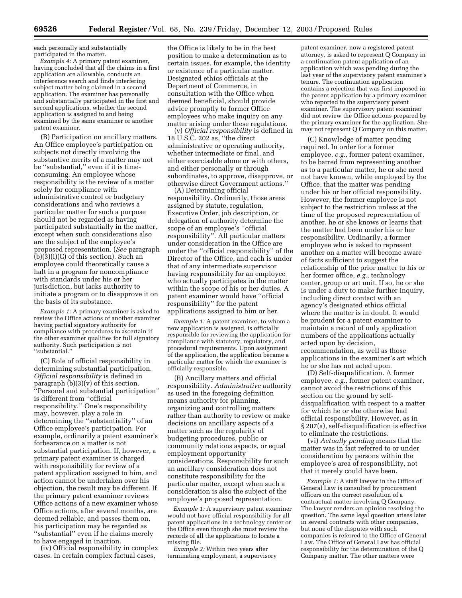each personally and substantially participated in the matter.

*Example 4:* A primary patent examiner, having concluded that all the claims in a first application are allowable, conducts an interference search and finds interfering subject matter being claimed in a second application. The examiner has personally and substantially participated in the first and second applications, whether the second application is assigned to and being examined by the same examiner or another patent examiner.

(B) Participation on ancillary matters. An Office employee's participation on subjects not directly involving the substantive merits of a matter may not be ''substantial,'' even if it is timeconsuming. An employee whose responsibility is the review of a matter solely for compliance with administrative control or budgetary considerations and who reviews a particular matter for such a purpose should not be regarded as having participated substantially in the matter, except when such considerations also are the subject of the employee's proposed representation. (*See* paragraph (b)(3)(i)(C) of this section). Such an employee could theoretically cause a halt in a program for noncompliance with standards under his or her jurisdiction, but lacks authority to initiate a program or to disapprove it on the basis of its substance.

*Example 1:* A primary examiner is asked to review the Office actions of another examiner having partial signatory authority for compliance with procedures to ascertain if the other examiner qualifies for full signatory authority. Such participation is not ''substantial.''

(C) Role of official responsibility in determining substantial participation. *Official responsibility* is defined in paragraph  $(b)(3)(v)$  of this section. ''Personal and substantial participation'' is different from ''official responsibility.'' One's responsibility may, however, play a role in determining the ''substantiality'' of an Office employee's participation. For example, ordinarily a patent examiner's forbearance on a matter is not substantial participation. If, however, a primary patent examiner is charged with responsibility for review of a patent application assigned to him, and action cannot be undertaken over his objection, the result may be different. If the primary patent examiner reviews Office actions of a new examiner whose Office actions, after several months, are deemed reliable, and passes them on, his participation may be regarded as ''substantial'' even if he claims merely to have engaged in inaction.

(iv) Official responsibility in complex cases. In certain complex factual cases,

the Office is likely to be in the best position to make a determination as to certain issues, for example, the identity or existence of a particular matter. Designated ethics officials at the Department of Commerce, in consultation with the Office when deemed beneficial, should provide advice promptly to former Office employees who make inquiry on any matter arising under these regulations.

(v) *Official responsibility* is defined in 18 U.S.C. 202 as, ''the direct administrative or operating authority, whether intermediate or final, and either exercisable alone or with others, and either personally or through subordinates, to approve, disapprove, or otherwise direct Government actions.''

(A) Determining official responsibility. Ordinarily, those areas assigned by statute, regulation, Executive Order, job description, or delegation of authority determine the scope of an employee's ''official responsibility''. All particular matters under consideration in the Office are under the ''official responsibility'' of the Director of the Office, and each is under that of any intermediate supervisor having responsibility for an employee who actually participates in the matter within the scope of his or her duties. A patent examiner would have ''official responsibility'' for the patent applications assigned to him or her.

*Example 1:* A patent examiner, to whom a new application is assigned, is officially responsible for reviewing the application for compliance with statutory, regulatory, and procedural requirements. Upon assignment of the application, the application became a particular matter for which the examiner is officially responsible.

(B) Ancillary matters and official responsibility. *Administrative* authority as used in the foregoing definition means authority for planning, organizing and controlling matters rather than authority to review or make decisions on ancillary aspects of a matter such as the regularity of budgeting procedures, public or community relations aspects, or equal employment opportunity considerations. Responsibility for such an ancillary consideration does not constitute responsibility for the particular matter, except when such a consideration is also the subject of the employee's proposed representation.

*Example 1:* A supervisory patent examiner would not have official responsibility for all patent applications in a technology center or the Office even though she must review the records of all the applications to locate a missing file.

*Example 2:* Within two years after terminating employment, a supervisory

patent examiner, now a registered patent attorney, is asked to represent Q Company in a continuation patent application of an application which was pending during the last year of the supervisory patent examiner's tenure. The continuation application contains a rejection that was first imposed in the parent application by a primary examiner who reported to the supervisory patent examiner. The supervisory patent examiner did not review the Office actions prepared by the primary examiner for the application. She may not represent Q Company on this matter.

(C) Knowledge of matter pending required. In order for a former employee, *e.g.,* former patent examiner, to be barred from representing another as to a particular matter, he or she need not have known, while employed by the Office, that the matter was pending under his or her official responsibility. However, the former employee is not subject to the restriction unless at the time of the proposed representation of another, he or she knows or learns that the matter had been under his or her responsibility. Ordinarily, a former employee who is asked to represent another on a matter will become aware of facts sufficient to suggest the relationship of the prior matter to his or her former office, *e.g.,* technology center, group or art unit. If so, he or she is under a duty to make further inquiry, including direct contact with an agency's designated ethics official where the matter is in doubt. It would be prudent for a patent examiner to maintain a record of only application numbers of the applications actually acted upon by decision, recommendation, as well as those applications in the examiner's art which he or she has not acted upon.

(D) Self-disqualification. A former employee, *e.g.,* former patent examiner, cannot avoid the restrictions of this section on the ground by selfdisqualification with respect to a matter for which he or she otherwise had official responsibility. However, as in § 207(a), self-disqualification is effective to eliminate the restrictions.

(vi) *Actually pending* means that the matter was in fact referred to or under consideration by persons within the employee's area of responsibility, not that it merely could have been.

*Example 1:* A staff lawyer in the Office of General Law is consulted by procurement officers on the correct resolution of a contractual matter involving Q Company. The lawyer renders an opinion resolving the question. The same legal question arises later in several contracts with other companies, but none of the disputes with such companies is referred to the Office of General Law. The Office of General Law has official responsibility for the determination of the Q Company matter. The other matters were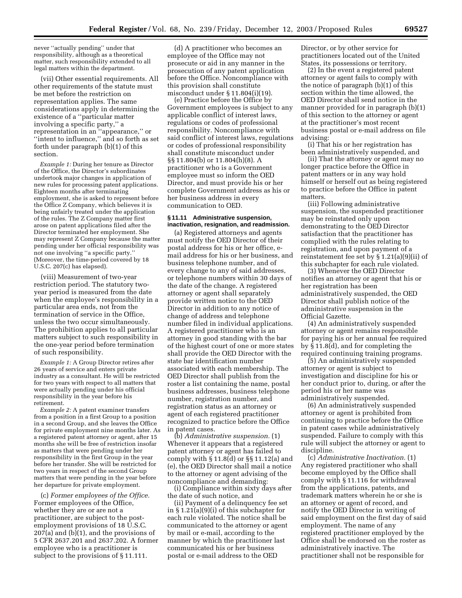never ''actually pending'' under that responsibility, although as a theoretical matter, such responsibility extended to all legal matters within the department.

(vii) Other essential requirements. All other requirements of the statute must be met before the restriction on representation applies. The same considerations apply in determining the existence of a ''particular matter involving a specific party,'' a representation in an ''appearance,'' or ''intent to influence,'' and so forth as set forth under paragraph (b)(1) of this section.

*Example 1:* During her tenure as Director of the Office, the Director's subordinates undertook major changes in application of new rules for processing patent applications. Eighteen months after terminating employment, she is asked to represent before the Office Z Company, which believes it is being unfairly treated under the application of the rules. The Z Company matter first arose on patent applications filed after the Director terminated her employment. She may represent Z Company because the matter pending under her official responsibility was not one involving ''a specific party.'' (Moreover, the time-period covered by 18 U.S.C. 207(c) has elapsed).

(viii) Measurement of two-year restriction period. The statutory twoyear period is measured from the date when the employee's responsibility in a particular area ends, not from the termination of service in the Office, unless the two occur simultaneously. The prohibition applies to all particular matters subject to such responsibility in the one-year period before termination of such responsibility.

*Example 1:* A Group Director retires after 26 years of service and enters private industry as a consultant. He will be restricted for two years with respect to all matters that were actually pending under his official responsibility in the year before his retirement.

*Example 2:* A patent examiner transfers from a position in a first Group to a position in a second Group, and she leaves the Office for private employment nine months later. As a registered patent attorney or agent, after 15 months she will be free of restriction insofar as matters that were pending under her responsibility in the first Group in the year before her transfer. She will be restricted for two years in respect of the second Group matters that were pending in the year before her departure for private employment.

(c) *Former employees of the Office.* Former employees of the Office, whether they are or are not a practitioner, are subject to the postemployment provisions of 18 U.S.C. 207(a) and (b)(1), and the provisions of 5 CFR 2637.201 and 2637.202. A former employee who is a practitioner is subject to the provisions of § 11.111.

(d) A practitioner who becomes an employee of the Office may not prosecute or aid in any manner in the prosecution of any patent application before the Office. Noncompliance with this provision shall constitute misconduct under § 11.804(i)(19).

(e) Practice before the Office by Government employees is subject to any applicable conflict of interest laws, regulations or codes of professional responsibility. Noncompliance with said conflict of interest laws, regulations or codes of professional responsibility shall constitute misconduct under §§ 11.804(b) or 11.804(h)(8). A practitioner who is a Government employee must so inform the OED Director, and must provide his or her complete Government address as his or her business address in every communication to OED.

# **§ 11.11 Administrative suspension, inactivation, resignation, and readmission.**

(a) Registered attorneys and agents must notify the OED Director of their postal address for his or her office, email address for his or her business, and business telephone number, and of every change to any of said addresses, or telephone numbers within 30 days of the date of the change. A registered attorney or agent shall separately provide written notice to the OED Director in addition to any notice of change of address and telephone number filed in individual applications. A registered practitioner who is an attorney in good standing with the bar of the highest court of one or more states shall provide the OED Director with the state bar identification number associated with each membership. The OED Director shall publish from the roster a list containing the name, postal business addresses, business telephone number, registration number, and registration status as an attorney or agent of each registered practitioner recognized to practice before the Office in patent cases.

(b) *Administrative suspension.* (1) Whenever it appears that a registered patent attorney or agent has failed to comply with § 11.8(d) or §§ 11.12(a) and (e), the OED Director shall mail a notice to the attorney or agent advising of the noncompliance and demanding:

(i) Compliance within sixty days after the date of such notice, and

(ii) Payment of a delinquency fee set in § 1.21(a)(9)(i) of this subchapter for each rule violated. The notice shall be communicated to the attorney or agent by mail or e-mail, according to the manner by which the practitioner last communicated his or her business postal or e-mail address to the OED

Director, or by other service for practitioners located out of the United States, its possessions or territory.

(2) In the event a registered patent attorney or agent fails to comply with the notice of paragraph (b)(1) of this section within the time allowed, the OED Director shall send notice in the manner provided for in paragraph (b)(1) of this section to the attorney or agent at the practitioner's most recent business postal or e-mail address on file advising:

(i) That his or her registration has been administratively suspended, and

(ii) That the attorney or agent may no longer practice before the Office in patent matters or in any way hold himself or herself out as being registered to practice before the Office in patent matters.

(iii) Following administrative suspension, the suspended practitioner may be reinstated only upon demonstrating to the OED Director satisfaction that the practitioner has complied with the rules relating to registration, and upon payment of a reinstatement fee set by § 1.21(a)(9)(ii) of this subchapter for each rule violated.

(3) Whenever the OED Director notifies an attorney or agent that his or her registration has been administratively suspended, the OED Director shall publish notice of the administrative suspension in the Official Gazette.

(4) An administratively suspended attorney or agent remains responsible for paying his or her annual fee required by § 11.8(d), and for completing the required continuing training programs.

(5) An administratively suspended attorney or agent is subject to investigation and discipline for his or her conduct prior to, during, or after the period his or her name was administratively suspended.

(6) An administratively suspended attorney or agent is prohibited from continuing to practice before the Office in patent cases while administratively suspended. Failure to comply with this rule will subject the attorney or agent to discipline.

(c) *Administrative Inactivation.* (1) Any registered practitioner who shall become employed by the Office shall comply with § 11.116 for withdrawal from the applications, patents, and trademark matters wherein he or she is an attorney or agent of record, and notify the OED Director in writing of said employment on the first day of said employment. The name of any registered practitioner employed by the Office shall be endorsed on the roster as administratively inactive. The practitioner shall not be responsible for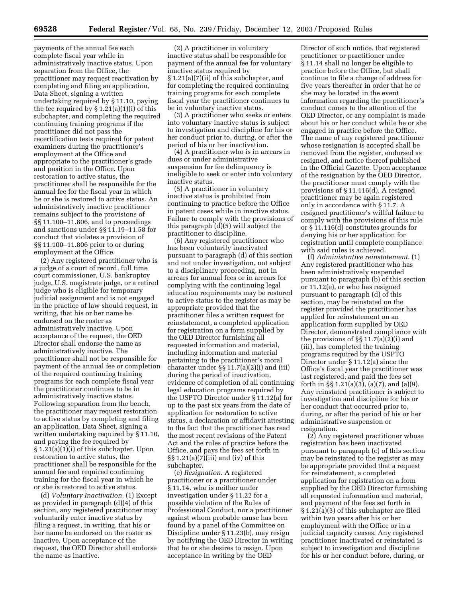payments of the annual fee each complete fiscal year while in administratively inactive status. Upon separation from the Office, the practitioner may request reactivation by completing and filing an application, Data Sheet, signing a written undertaking required by § 11.10, paying the fee required by § 1.21(a)(1)(i) of this subchapter, and completing the required continuing training programs if the practitioner did not pass the recertification tests required for patent examiners during the practitioner's employment at the Office and appropriate to the practitioner's grade and position in the Office. Upon restoration to active status, the practitioner shall be responsible for the annual fee for the fiscal year in which he or she is restored to active status. An administratively inactive practitioner remains subject to the provisions of §§ 11.100–11.806, and to proceedings and sanctions under §§ 11.19–11.58 for conduct that violates a provision of §§ 11.100–11.806 prior to or during employment at the Office.

(2) Any registered practitioner who is a judge of a court of record, full time court commissioner, U.S. bankruptcy judge, U.S. magistrate judge, or a retired judge who is eligible for temporary judicial assignment and is not engaged in the practice of law should request, in writing, that his or her name be endorsed on the roster as administratively inactive. Upon acceptance of the request, the OED Director shall endorse the name as administratively inactive. The practitioner shall not be responsible for payment of the annual fee or completion of the required continuing training programs for each complete fiscal year the practitioner continues to be in administratively inactive status. Following separation from the bench, the practitioner may request restoration to active status by completing and filing an application, Data Sheet, signing a written undertaking required by § 11.10, and paying the fee required by § 1.21(a)(1)(i) of this subchapter. Upon restoration to active status, the practitioner shall be responsible for the annual fee and required continuing training for the fiscal year in which he or she is restored to active status.

(d) *Voluntary Inactivation.* (1) Except as provided in paragraph (d)(4) of this section, any registered practitioner may voluntarily enter inactive status by filing a request, in writing, that his or her name be endorsed on the roster as inactive. Upon acceptance of the request, the OED Director shall endorse the name as inactive.

(2) A practitioner in voluntary inactive status shall be responsible for payment of the annual fee for voluntary inactive status required by § 1.21(a)(7)(ii) of this subchapter, and for completing the required continuing training programs for each complete fiscal year the practitioner continues to be in voluntary inactive status.

(3) A practitioner who seeks or enters into voluntary inactive status is subject to investigation and discipline for his or her conduct prior to, during, or after the period of his or her inactivation.

(4) A practitioner who is in arrears in dues or under administrative suspension for fee delinquency is ineligible to seek or enter into voluntary inactive status.

(5) A practitioner in voluntary inactive status is prohibited from continuing to practice before the Office in patent cases while in inactive status. Failure to comply with the provisions of this paragraph (d)(5) will subject the practitioner to discipline.

(6) Any registered practitioner who has been voluntarily inactivated pursuant to paragraph (d) of this section and not under investigation, not subject to a disciplinary proceeding, not in arrears for annual fees or in arrears for complying with the continuing legal education requirements may be restored to active status to the register as may be appropriate provided that the practitioner files a written request for reinstatement, a completed application for registration on a form supplied by the OED Director furnishing all requested information and material, including information and material pertaining to the practitioner's moral character under §§ 11.7(a)(2)(i) and (iii) during the period of inactivation, evidence of completion of all continuing legal education programs required by the USPTO Director under § 11.12(a) for up to the past six years from the date of application for restoration to active status, a declaration or affidavit attesting to the fact that the practitioner has read the most recent revisions of the Patent Act and the rules of practice before the Office, and pays the fees set forth in §§ 1.21(a)(7)(iii) and (iv) of this subchapter.

(e) *Resignation.* A registered practitioner or a practitioner under § 11.14, who is neither under investigation under § 11.22 for a possible violation of the Rules of Professional Conduct, nor a practitioner against whom probable cause has been found by a panel of the Committee on Discipline under § 11.23(b), may resign by notifying the OED Director in writing that he or she desires to resign. Upon acceptance in writing by the OED

Director of such notice, that registered practitioner or practitioner under § 11.14 shall no longer be eligible to practice before the Office, but shall continue to file a change of address for five years thereafter in order that he or she may be located in the event information regarding the practitioner's conduct comes to the attention of the OED Director, or any complaint is made about his or her conduct while he or she engaged in practice before the Office. The name of any registered practitioner whose resignation is accepted shall be removed from the register, endorsed as resigned, and notice thereof published in the Official Gazette. Upon acceptance of the resignation by the OED Director, the practitioner must comply with the provisions of § 11.116(d). A resigned practitioner may be again registered only in accordance with § 11.7. A resigned practitioner's willful failure to comply with the provisions of this rule or § 11.116(d) constitutes grounds for denying his or her application for registration until complete compliance with said rules is achieved.

(f) *Administrative reinstatement.* (1) Any registered practitioner who has been administratively suspended pursuant to paragraph (b) of this section or 11.12(e), or who has resigned pursuant to paragraph (d) of this section, may be reinstated on the register provided the practitioner has applied for reinstatement on an application form supplied by OED Director, demonstrated compliance with the provisions of §§ 11.7(a)(2)(i) and (iii), has completed the training programs required by the USPTO Director under § 11.12(a) since the Office's fiscal year the practitioner was last registered, and paid the fees set forth in  $\S$  1.21(a)(3), (a)(7), and (a)(9). Any reinstated practitioner is subject to investigation and discipline for his or her conduct that occurred prior to, during, or after the period of his or her administrative suspension or resignation.

(2) Any registered practitioner whose registration has been inactivated pursuant to paragraph (c) of this section may be reinstated to the register as may be appropriate provided that a request for reinstatement, a completed application for registration on a form supplied by the OED Director furnishing all requested information and material, and payment of the fees set forth in § 1.21(a)(3) of this subchapter are filed within two years after his or her employment with the Office or in a judicial capacity ceases. Any registered practitioner inactivated or reinstated is subject to investigation and discipline for his or her conduct before, during, or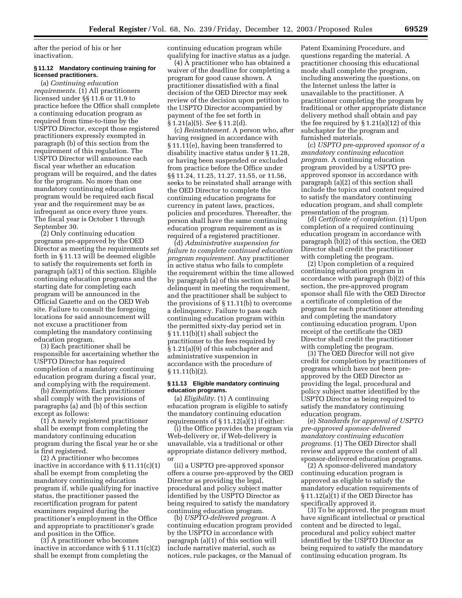after the period of his or her inactivation.

# **§ 11.12 Mandatory continuing training for licensed practitioners.**

(a) *Continuing education requirements.* (1) All practitioners licensed under §§ 11.6 or 11.9 to practice before the Office shall complete a continuing education program as required from time-to-time by the USPTO Director, except those registered practitioners expressly exempted in paragraph (b) of this section from the requirement of this regulation. The USPTO Director will announce each fiscal year whether an education program will be required, and the dates for the program. No more than one mandatory continuing education program would be required each fiscal year and the requirement may be as infrequent as once every three years. The fiscal year is October 1 through September 30.

(2) Only continuing education programs pre-approved by the OED Director as meeting the requirements set forth in § 11.13 will be deemed eligible to satisfy the requirements set forth in paragraph (a)(1) of this section. Eligible continuing education programs and the starting date for completing each program will be announced in the Official Gazette and on the OED Web site. Failure to consult the foregoing locations for said announcement will not excuse a practitioner from completing the mandatory continuing education program.

(3) Each practitioner shall be responsible for ascertaining whether the USPTO Director has required completion of a mandatory continuing education program during a fiscal year, and complying with the requirement.

(b) *Exemptions.* Each practitioner shall comply with the provisions of paragraphs (a) and (b) of this section except as follows:

(1) A newly registered practitioner shall be exempt from completing the mandatory continuing education program during the fiscal year he or she is first registered.

(2) A practitioner who becomes inactive in accordance with § 11.11(c)(1) shall be exempt from completing the mandatory continuing education program if, while qualifying for inactive status, the practitioner passed the recertification program for patent examiners required during the practitioner's employment in the Office and appropriate to practitioner's grade and position in the Office.

(3) A practitioner who becomes inactive in accordance with § 11.11(c)(2) shall be exempt from completing the

continuing education program while qualifying for inactive status as a judge.

(4) A practitioner who has obtained a waiver of the deadline for completing a program for good cause shown. A practitioner dissatisfied with a final decision of the OED Director may seek review of the decision upon petition to the USPTO Director accompanied by payment of the fee set forth in § 1.21(a)(5). *See* § 11.2(d).

(c) *Reinstatement.* A person who, after having resigned in accordance with § 11.11(e), having been transferred to disability inactive status under § 11.28, or having been suspended or excluded from practice before the Office under §§ 11.24, 11.25, 11.27, 11.55, or 11.56, seeks to be reinstated shall arrange with the OED Director to complete the continuing education programs for currency in patent laws, practices, policies and procedures. Thereafter, the person shall have the same continuing education program requirement as is required of a registered practitioner.

(d) *Administrative suspension for failure to complete continued education program requirement.* Any practitioner in active status who fails to complete the requirement within the time allowed by paragraph (a) of this section shall be delinquent in meeting the requirement, and the practitioner shall be subject to the provisions of § 11.11(b) to overcome a delinquency. Failure to pass each continuing education program within the permitted sixty-day period set in § 11.11(b)(1) shall subject the practitioner to the fees required by § 1.21(a)(9) of this subchapter and administrative suspension in accordance with the procedure of  $§ 11.11(b)(2).$ 

# **§ 11.13 Eligible mandatory continuing education programs.**

(a) *Eligibility.* (1) A continuing education program is eligible to satisfy the mandatory continuing education requirements of § 11.12(a)(1) if either:

(i) the Office provides the program via Web-delivery or, if Web-delivery is unavailable, via a traditional or other appropriate distance delivery method, or

(ii) a USPTO pre-approved sponsor offers a course pre-approved by the OED Director as providing the legal, procedural and policy subject matter identified by the USPTO Director as being required to satisfy the mandatory continuing education program.

(b) *USPTO-delivered program.* A continuing education program provided by the USPTO in accordance with paragraph (a)(1) of this section will include narrative material, such as notices, rule packages, or the Manual of

Patent Examining Procedure, and questions regarding the material. A practitioner choosing this educational mode shall complete the program, including answering the questions, on the Internet unless the latter is unavailable to the practitioner. A practitioner completing the program by traditional or other appropriate distance delivery method shall obtain and pay the fee required by  $\S 1.21(a)(12)$  of this subchapter for the program and furnished materials.

(c) *USPTO pre-approved sponsor of a mandatory continuing education program.* A continuing education program provided by a USPTO preapproved sponsor in accordance with paragraph (a)(2) of this section shall include the topics and content required to satisfy the mandatory continuing education program, and shall complete presentation of the program.

(d) *Certificate of completion.* (1) Upon completion of a required continuing education program in accordance with paragraph (b)(2) of this section, the OED Director shall credit the practitioner with completing the program.

(2) Upon completion of a required continuing education program in accordance with paragraph (b)(2) of this section, the pre-approved program sponsor shall file with the OED Director a certificate of completion of the program for each practitioner attending and completing the mandatory continuing education program. Upon receipt of the certificate the OED Director shall credit the practitioner with completing the program.

(3) The OED Director will not give credit for completion by practitioners of programs which have not been preapproved by the OED Director as providing the legal, procedural and policy subject matter identified by the USPTO Director as being required to satisfy the mandatory continuing education program.

(e) *Standards for approval of USPTO pre-approved sponsor-delivered mandatory continuing education programs.* (1) The OED Director shall review and approve the content of all sponsor-delivered education programs.

(2) A sponsor-delivered mandatory continuing education program is approved as eligible to satisfy the mandatory education requirements of § 11.12(a)(1) if the OED Director has specifically approved it.

(3) To be approved, the program must have significant intellectual or practical content and be directed to legal, procedural and policy subject matter identified by the USPTO Director as being required to satisfy the mandatory continuing education program. Its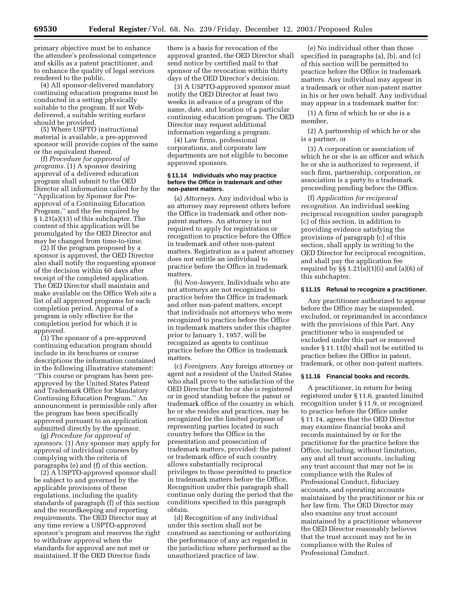primary objective must be to enhance the attendee's professional competence and skills as a patent practitioner, and to enhance the quality of legal services rendered to the public.

(4) All sponsor-delivered mandatory continuing education programs must be conducted in a setting physically suitable to the program. If not Webdelivered, a suitable writing surface should be provided.

(5) Where USPTO instructional material is available, a pre-approved sponsor will provide copies of the same or the equivalent thereof.

(f) *Procedure for approval of programs.* (1) A sponsor desiring approval of a delivered education program shall submit to the OED Director all information called for by the ''Application by Sponsor for Preapproval of a Continuing Education Program,'' and the fee required by § 1.21(a)(13) of this subchapter. The content of this application will be promulgated by the OED Director and may be changed from time-to-time.

(2) If the program proposed by a sponsor is approved, the OED Director also shall notify the requesting sponsor of the decision within 60 days after receipt of the completed application. The OED Director shall maintain and make available on the Office Web site a list of all approved programs for each completion period. Approval of a program is only effective for the completion period for which it is approved.

(3) The sponsor of a pre-approved continuing education program should include in its brochures or course descriptions the information contained in the following illustrative statement: ''This course or program has been preapproved by the United States Patent and Trademark Office for Mandatory Continuing Education Program.'' An announcement is permissible only after the program has been specifically approved pursuant to an application submitted directly by the sponsor.

(g) *Procedure for approval of sponsors.* (1) Any sponsor may apply for approval of individual courses by complying with the criteria of paragraphs (e) and (f) of this section.

(2) A USPTO-approved sponsor shall be subject to and governed by the applicable provisions of these regulations, including the quality standards of paragraph (f) of this section and the recordkeeping and reporting requirements. The OED Director may at any time review a USPTO-approved sponsor's program and reserves the right to withdraw approval when the standards for approval are not met or maintained. If the OED Director finds

there is a basis for revocation of the approval granted, the OED Director shall send notice by certified mail to that sponsor of the revocation within thirty days of the OED Director's decision.

(3) A USPTO-approved sponsor must notify the OED Director at least two weeks in advance of a program of the name, date, and location of a particular continuing education program. The OED Director may request additional information regarding a program.

(4) Law firms, professional corporations, and corporate law departments are not eligible to become approved sponsors.

#### **§ 11.14 Individuals who may practice before the Office in trademark and other non-patent matters.**

(a) *Attorneys.* Any individual who is an attorney may represent others before the Office in trademark and other nonpatent matters. An attorney is not required to apply for registration or recognition to practice before the Office in trademark and other non-patent matters. Registration as a patent attorney does not entitle an individual to practice before the Office in trademark matters.

(b) *Non-lawyers.* Individuals who are not attorneys are not recognized to practice before the Office in trademark and other non-patent matters, except that individuals not attorneys who were recognized to practice before the Office in trademark matters under this chapter prior to January 1, 1957, will be recognized as agents to continue practice before the Office in trademark matters.

(c) *Foreigners.* Any foreign attorney or agent not a resident of the United States who shall prove to the satisfaction of the OED Director that he or she is registered or in good standing before the patent or trademark office of the country in which he or she resides and practices, may be recognized for the limited purpose of representing parties located in such country before the Office in the presentation and prosecution of trademark matters, provided: the patent or trademark office of such country allows substantially reciprocal privileges to those permitted to practice in trademark matters before the Office. Recognition under this paragraph shall continue only during the period that the conditions specified in this paragraph obtain.

(d) Recognition of any individual under this section shall not be construed as sanctioning or authorizing the performance of any act regarded in the jurisdiction where performed as the unauthorized practice of law.

(e) No individual other than those specified in paragraphs (a), (b), and (c) of this section will be permitted to practice before the Office in trademark matters. Any individual may appear in a trademark or other non-patent matter in his or her own behalf. Any individual may appear in a trademark matter for:

(1) A firm of which he or she is a member,

(2) A partnership of which he or she is a partner, or

(3) A corporation or association of which he or she is an officer and which he or she is authorized to represent, if such firm, partnership, corporation, or association is a party to a trademark proceeding pending before the Office.

(f) *Application for reciprocal recognition.* An individual seeking reciprocal recognition under paragraph (c) of this section, in addition to providing evidence satisfying the provisions of paragraph (c) of this section, shall apply in writing to the OED Director for reciprocal recognition, and shall pay the application fee required by  $\S\S 1.21(a)(1)(i)$  and  $(a)(6)$  of this subchapter.

# **§ 11.15 Refusal to recognize a practitioner.**

Any practitioner authorized to appear before the Office may be suspended, excluded, or reprimanded in accordance with the provisions of this Part. Any practitioner who is suspended or excluded under this part or removed under § 11.11(b) shall not be entitled to practice before the Office in patent, trademark, or other non-patent matters.

#### **§ 11.16 Financial books and records.**

A practitioner, in return for being registered under § 11.6, granted limited recognition under § 11.9, or recognized to practice before the Office under § 11.14, agrees that the OED Director may examine financial books and records maintained by or for the practitioner for the practice before the Office, including, without limitation, any and all trust accounts, including any trust account that may not be in compliance with the Rules of Professional Conduct, fiduciary accounts, and operating accounts maintained by the practitioner or his or her law firm. The OED Director may also examine any trust account maintained by a practitioner whenever the OED Director reasonably believes that the trust account may not be in compliance with the Rules of Professional Conduct.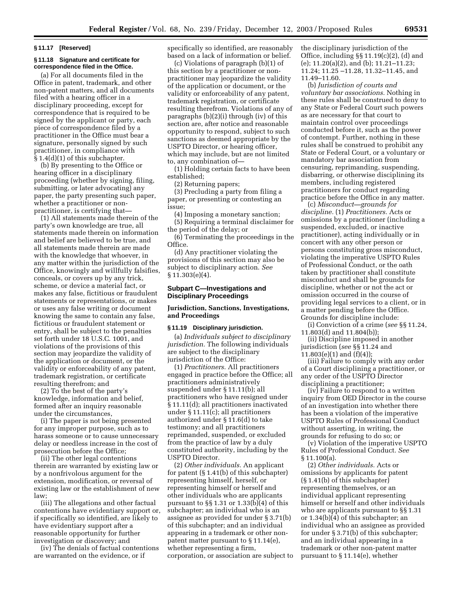#### **§ 11.17 [Reserved]**

# **§ 11.18 Signature and certificate for correspondence filed in the Office.**

(a) For all documents filed in the Office in patent, trademark, and other non-patent matters, and all documents filed with a hearing officer in a disciplinary proceeding, except for correspondence that is required to be signed by the applicant or party, each piece of correspondence filed by a practitioner in the Office must bear a signature, personally signed by such practitioner, in compliance with § 1.4(d)(1) of this subchapter.

(b) By presenting to the Office or hearing officer in a disciplinary proceeding (whether by signing, filing, submitting, or later advocating) any paper, the party presenting such paper, whether a practitioner or nonpractitioner, is certifying that—

(1) All statements made therein of the party's own knowledge are true, all statements made therein on information and belief are believed to be true, and all statements made therein are made with the knowledge that whoever, in any matter within the jurisdiction of the Office, knowingly and willfully falsifies, conceals, or covers up by any trick, scheme, or device a material fact, or makes any false, fictitious or fraudulent statements or representations, or makes or uses any false writing or document knowing the same to contain any false, fictitious or fraudulent statement or entry, shall be subject to the penalties set forth under 18 U.S.C. 1001, and violations of the provisions of this section may jeopardize the validity of the application or document, or the validity or enforceability of any patent, trademark registration, or certificate resulting therefrom; and

(2) To the best of the party's knowledge, information and belief, formed after an inquiry reasonable under the circumstances,

(i) The paper is not being presented for any improper purpose, such as to harass someone or to cause unnecessary delay or needless increase in the cost of prosecution before the Office;

(ii) The other legal contentions therein are warranted by existing law or by a nonfrivolous argument for the extension, modification, or reversal of existing law or the establishment of new law;

(iii) The allegations and other factual contentions have evidentiary support or, if specifically so identified, are likely to have evidentiary support after a reasonable opportunity for further investigation or discovery; and

(iv) The denials of factual contentions are warranted on the evidence, or if

specifically so identified, are reasonably based on a lack of information or belief.

(c) Violations of paragraph (b)(1) of this section by a practitioner or nonpractitioner may jeopardize the validity of the application or document, or the validity or enforceability of any patent, trademark registration, or certificate resulting therefrom. Violations of any of paragraphs (b)(2)(i) through (iv) of this section are, after notice and reasonable opportunity to respond, subject to such sanctions as deemed appropriate by the USPTO Director, or hearing officer, which may include, but are not limited to, any combination of—

(1) Holding certain facts to have been established;

(2) Returning papers;

(3) Precluding a party from filing a paper, or presenting or contesting an issue;

(4) Imposing a monetary sanction; (5) Requiring a terminal disclaimer for

the period of the delay; or (6) Terminating the proceedings in the

Office.

(d) Any practitioner violating the provisions of this section may also be subject to disciplinary action. *See* § 11.303(e)(4).

### **Subpart C—Investigations and Disciplinary Proceedings**

# **Jurisdiction, Sanctions, Investigations, and Proceedings**

#### **§ 11.19 Disciplinary jurisdiction.**

(a) *Individuals subject to disciplinary jurisdiction.* The following individuals are subject to the disciplinary jurisdiction of the Office:

(1) *Practitioners.* All practitioners engaged in practice before the Office; all practitioners administratively suspended under § 11.11(b); all practitioners who have resigned under § 11.11(d); all practitioners inactivated under § 11.11(c); all practitioners authorized under § 11.6(d) to take testimony; and all practitioners reprimanded, suspended, or excluded from the practice of law by a duly constituted authority, including by the USPTO Director.

(2) *Other individuals.* An applicant for patent (§ 1.41(b) of this subchapter) representing himself, herself, or representing himself or herself and other individuals who are applicants pursuant to §§ 1.31 or 1.33(b)(4) of this subchapter; an individual who is an assignee as provided for under § 3.71(b) of this subchapter; and an individual appearing in a trademark or other nonpatent matter pursuant to § 11.14(e), whether representing a firm, corporation, or association are subject to the disciplinary jurisdiction of the Office, including  $\S$  11.19(c)(2), (d) and (e); 11.20(a)(2), and (b); 11.21–11.23; 11.24; 11.25 –11.28, 11.32–11.45, and 11.49–11.60.

(b) *Jurisdiction of courts and voluntary bar associations.* Nothing in these rules shall be construed to deny to any State or Federal Court such powers as are necessary for that court to maintain control over proceedings conducted before it, such as the power of contempt. Further, nothing in these rules shall be construed to prohibit any State or Federal Court, or a voluntary or mandatory bar association from censuring, reprimanding, suspending, disbarring, or otherwise disciplining its members, including registered practitioners for conduct regarding practice before the Office in any matter.

(c) *Misconduct—grounds for discipline.* (1) *Practitioners.* Acts or omissions by a practitioner (including a suspended, excluded, or inactive practitioner), acting individually or in concert with any other person or persons constituting gross misconduct, violating the imperative USPTO Rules of Professional Conduct, or the oath taken by practitioner shall constitute misconduct and shall be grounds for discipline, whether or not the act or omission occurred in the course of providing legal services to a client, or in a matter pending before the Office. Grounds for discipline include:

(i) Conviction of a crime (*see* §§ 11.24, 11.803(d) and 11.804(b));

(ii) Discipline imposed in another jurisdiction (*see* §§ 11.24 and 11.803(e)(1) and (f)(4));

(iii) Failure to comply with any order of a Court disciplining a practitioner, or any order of the USPTO Director disciplining a practitioner;

(iv) Failure to respond to a written inquiry from OED Director in the course of an investigation into whether there has been a violation of the imperative USPTO Rules of Professional Conduct without asserting, in writing, the grounds for refusing to do so; or

(v) Violation of the imperative USPTO Rules of Professional Conduct. *See* § 11.100(a).

(2) *Other individuals.* Acts or omissions by applicants for patent (§ 1.41(b) of this subchapter) representing themselves, or an individual applicant representing himself or herself and other individuals who are applicants pursuant to §§1.31 or  $1.34(b)\overline{4}$  of this subchapter; an individual who an assignee as provided for under § 3.71(b) of this subchapter; and an individual appearing in a trademark or other non-patent matter pursuant to § 11.14(e), whether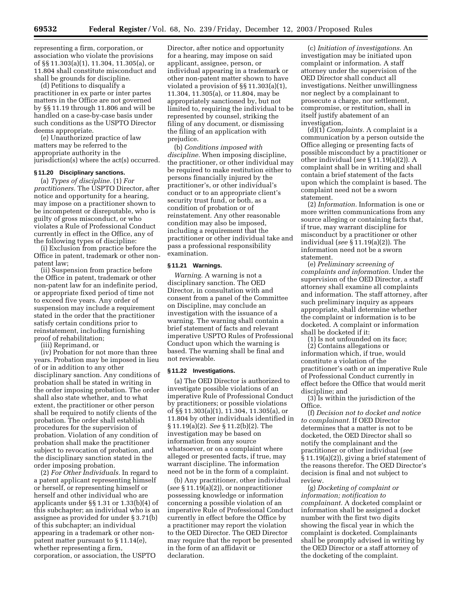representing a firm, corporation, or association who violate the provisions of §§ 11.303(a)(1), 11.304, 11.305(a), or 11.804 shall constitute misconduct and shall be grounds for discipline.

(d) Petitions to disqualify a practitioner in ex parte or inter partes matters in the Office are not governed by §§ 11.19 through 11.806 and will be handled on a case-by-case basis under such conditions as the USPTO Director deems appropriate.

(e) Unauthorized practice of law matters may be referred to the appropriate authority in the jurisdiction(s) where the act(s) occurred.

# **§ 11.20 Disciplinary sanctions.**

(a) *Types of discipline.* (1) *For practitioners.* The USPTO Director, after notice and opportunity for a hearing, may impose on a practitioner shown to be incompetent or disreputable, who is guilty of gross misconduct, or who violates a Rule of Professional Conduct currently in effect in the Office, any of the following types of discipline:

(i) Exclusion from practice before the Office in patent, trademark or other nonpatent law;

(ii) Suspension from practice before the Office in patent, trademark or other non-patent law for an indefinite period, or appropriate fixed period of time not to exceed five years. Any order of suspension may include a requirement stated in the order that the practitioner satisfy certain conditions prior to reinstatement, including furnishing proof of rehabilitation;

(iii) Reprimand, or

(iv) Probation for not more than three years. Probation may be imposed in lieu of or in addition to any other disciplinary sanction. Any conditions of probation shall be stated in writing in the order imposing probation. The order shall also state whether, and to what extent, the practitioner or other person shall be required to notify clients of the probation. The order shall establish procedures for the supervision of probation. Violation of any condition of probation shall make the practitioner subject to revocation of probation, and the disciplinary sanction stated in the order imposing probation.

(2) *For Other Individuals.* In regard to a patent applicant representing himself or herself, or representing himself or herself and other individual who are applicants under §§ 1.31 or 1.33(b)(4) of this subchapter; an individual who is an assignee as provided for under § 3.71(b) of this subchapter; an individual appearing in a trademark or other nonpatent matter pursuant to § 11.14(e), whether representing a firm, corporation, or association, the USPTO

Director, after notice and opportunity for a hearing, may impose on said applicant, assignee, person, or individual appearing in a trademark or other non-patent matter shown to have violated a provision of §§ 11.303(a)(1), 11.304, 11.305(a), or 11.804, may be appropriately sanctioned by, but not limited to, requiring the individual to be represented by counsel, striking the filing of any document, or dismissing the filing of an application with prejudice.

(b) *Conditions imposed with discipline.* When imposing discipline, the practitioner, or other individual may be required to make restitution either to persons financially injured by the practitioner's, or other individual's conduct or to an appropriate client's security trust fund, or both, as a condition of probation or of reinstatement. Any other reasonable condition may also be imposed, including a requirement that the practitioner or other individual take and pass a professional responsibility examination.

# **§ 11.21 Warnings.**

*Warning.* A warning is not a disciplinary sanction. The OED Director, in consultation with and consent from a panel of the Committee on Discipline, may conclude an investigation with the issuance of a warning. The warning shall contain a brief statement of facts and relevant imperative USPTO Rules of Professional Conduct upon which the warning is based. The warning shall be final and not reviewable.

# **§ 11.22 Investigations.**

(a) The OED Director is authorized to investigate possible violations of an imperative Rule of Professional Conduct by practitioners; or possible violations of §§ 11.303(a)(1), 11.304, 11.305(a), or 11.804 by other individuals identified in § 11.19(a)(2). *See* § 11.2(b)(2). The investigation may be based on information from any source whatsoever, or on a complaint where alleged or presented facts, if true, may warrant discipline. The information need not be in the form of a complaint.

(b) Any practitioner, other individual (*see* § 11.19(a)(2)), or nonpractitioner possessing knowledge or information concerning a possible violation of an imperative Rule of Professional Conduct currently in effect before the Office by a practitioner may report the violation to the OED Director. The OED Director may require that the report be presented in the form of an affidavit or declaration.

(c) *Initiation of investigations.* An investigation may be initiated upon complaint or information. A staff attorney under the supervision of the OED Director shall conduct all investigations. Neither unwillingness nor neglect by a complainant to prosecute a charge, nor settlement, compromise, or restitution, shall in itself justify abatement of an investigation.

(d)(1) *Complaints.* A complaint is a communication by a person outside the Office alleging or presenting facts of possible misconduct by a practitioner or other individual (*see* § 11.19(a)(2)). A complaint shall be in writing and shall contain a brief statement of the facts upon which the complaint is based. The complaint need not be a sworn statement.

(2) *Information.* Information is one or more written communications from any source alleging or containing facts that, if true, may warrant discipline for misconduct by a practitioner or other individual (*see* § 11.19(a)(2)). The information need not be a sworn statement.

(e) *Preliminary screening of complaints and information.* Under the supervision of the OED Director, a staff attorney shall examine all complaints and information. The staff attorney, after such preliminary inquiry as appears appropriate, shall determine whether the complaint or information is to be docketed. A complaint or information shall be docketed if it:

(1) Is not unfounded on its face;

(2) Contains allegations or information which, if true, would constitute a violation of the practitioner's oath or an imperative Rule of Professional Conduct currently in effect before the Office that would merit discipline; and

(3) Is within the jurisdiction of the Office.

(f) *Decision not to docket and notice to complainant.* If OED Director determines that a matter is not to be docketed, the OED Director shall so notify the complainant and the practitioner or other individual (*see* § 11.19(a)(2)), giving a brief statement of the reasons therefor. The OED Director's decision is final and not subject to review.

(g) *Docketing of complaint or information; notification to complainant.* A docketed complaint or information shall be assigned a docket number with the first two digits showing the fiscal year in which the complaint is docketed. Complainants shall be promptly advised in writing by the OED Director or a staff attorney of the docketing of the complaint.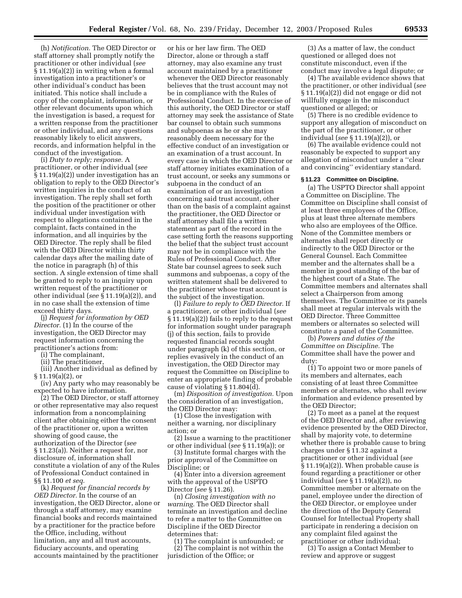(h) *Notification.* The OED Director or staff attorney shall promptly notify the practitioner or other individual (*see* § 11.19(a)(2)) in writing when a formal investigation into a practitioner's or other individual's conduct has been initiated. This notice shall include a copy of the complaint, information, or other relevant documents upon which the investigation is based, a request for a written response from the practitioner or other individual, and any questions reasonably likely to elicit answers, records, and information helpful in the conduct of the investigation.

(i) *Duty to reply; response.* A practitioner, or other individual (*see* § 11.19(a)(2)) under investigation has an obligation to reply to the OED Director's written inquiries in the conduct of an investigation. The reply shall set forth the position of the practitioner or other individual under investigation with respect to allegations contained in the complaint, facts contained in the information, and all inquiries by the OED Director. The reply shall be filed with the OED Director within thirty calendar days after the mailing date of the notice in paragraph (h) of this section. A single extension of time shall be granted to reply to an inquiry upon written request of the practitioner or other individual (*see* § 11.19(a)(2)), and in no case shall the extension of time exceed thirty days.

(j) *Request for information by OED Director.* (1) In the course of the investigation, the OED Director may request information concerning the practitioner's actions from:

(i) The complainant,

(ii) The practitioner,

(iii) Another individual as defined by  $§ 11.19(a)(2)$ , or

(iv) Any party who may reasonably be expected to have information.

(2) The OED Director, or staff attorney or other representative may also request information from a noncomplaining client after obtaining either the consent of the practitioner or, upon a written showing of good cause, the authorization of the Director (*see* § 11.23(a)). Neither a request for, nor disclosure of, information shall constitute a violation of any of the Rules of Professional Conduct contained in §§ 11.100 *et seq.*

(k) *Request for financial records by OED Director.* In the course of an investigation, the OED Director, alone or through a staff attorney, may examine financial books and records maintained by a practitioner for the practice before the Office, including, without limitation, any and all trust accounts, fiduciary accounts, and operating accounts maintained by the practitioner

or his or her law firm. The OED Director, alone or through a staff attorney, may also examine any trust account maintained by a practitioner whenever the OED Director reasonably believes that the trust account may not be in compliance with the Rules of Professional Conduct. In the exercise of this authority, the OED Director or staff attorney may seek the assistance of State bar counsel to obtain such summons and subpoenas as he or she may reasonably deem necessary for the effective conduct of an investigation or an examination of a trust account. In every case in which the OED Director or staff attorney initiates examination of a trust account, or seeks any summons or subpoena in the conduct of an examination of or an investigation concerning said trust account, other than on the basis of a complaint against the practitioner, the OED Director or staff attorney shall file a written statement as part of the record in the case setting forth the reasons supporting the belief that the subject trust account may not be in compliance with the Rules of Professional Conduct. After State bar counsel agrees to seek such summons and subpoenas, a copy of the written statement shall be delivered to the practitioner whose trust account is the subject of the investigation.

(l) *Failure to reply to OED Director.* If a practitioner, or other individual (*see* § 11.19(a)(2)) fails to reply to the request for information sought under paragraph (j) of this section, fails to provide requested financial records sought under paragraph (k) of this section, or replies evasively in the conduct of an investigation, the OED Director may request the Committee on Discipline to enter an appropriate finding of probable cause of violating § 11.804(d).

(m) *Disposition of investigation.* Upon the consideration of an investigation, the OED Director may:

(1) Close the investigation with neither a warning, nor disciplinary action; or

(2) Issue a warning to the practitioner or other individual (*see* § 11.19(a)); or

(3) Institute formal charges with the prior approval of the Committee on Discipline; or

(4) Enter into a diversion agreement with the approval of the USPTO Director (*see* § 11.26).

(n) *Closing investigation with no warning.* The OED Director shall terminate an investigation and decline to refer a matter to the Committee on Discipline if the OED Director determines that:

(1) The complaint is unfounded; or (2) The complaint is not within the jurisdiction of the Office; or

(3) As a matter of law, the conduct questioned or alleged does not constitute misconduct, even if the conduct may involve a legal dispute; or

(4) The available evidence shows that the practitioner, or other individual (*see* § 11.19(a)(2)) did not engage or did not willfully engage in the misconduct questioned or alleged; or

(5) There is no credible evidence to support any allegation of misconduct on the part of the practitioner, or other individual (*see* § 11.19(a)(2)), or

(6) The available evidence could not reasonably be expected to support any allegation of misconduct under a ''clear and convincing'' evidentiary standard.

# **§ 11.23 Committee on Discipline.**

(a) The USPTO Director shall appoint a Committee on Discipline. The Committee on Discipline shall consist of at least three employees of the Office, plus at least three alternate members who also are employees of the Office. None of the Committee members or alternates shall report directly or indirectly to the OED Director or the General Counsel. Each Committee member and the alternates shall be a member in good standing of the bar of the highest court of a State. The Committee members and alternates shall select a Chairperson from among themselves. The Committee or its panels shall meet at regular intervals with the OED Director. Three Committee members or alternates so selected will constitute a panel of the Committee.

(b) *Powers and duties of the Committee on Discipline.* The Committee shall have the power and duty:

(1) To appoint two or more panels of its members and alternates, each consisting of at least three Committee members or alternates, who shall review information and evidence presented by the OED Director;

(2) To meet as a panel at the request of the OED Director and, after reviewing evidence presented by the OED Director, shall by majority vote, to determine whether there is probable cause to bring charges under § 11.32 against a practitioner or other individual (*see* § 11.19(a)(2)). When probable cause is found regarding a practitioner or other individual (*see* § 11.19(a)(2)), no Committee member or alternate on the panel, employee under the direction of the OED Director, or employee under the direction of the Deputy General Counsel for Intellectual Property shall participate in rendering a decision on any complaint filed against the practitioner or other individual;

(3) To assign a Contact Member to review and approve or suggest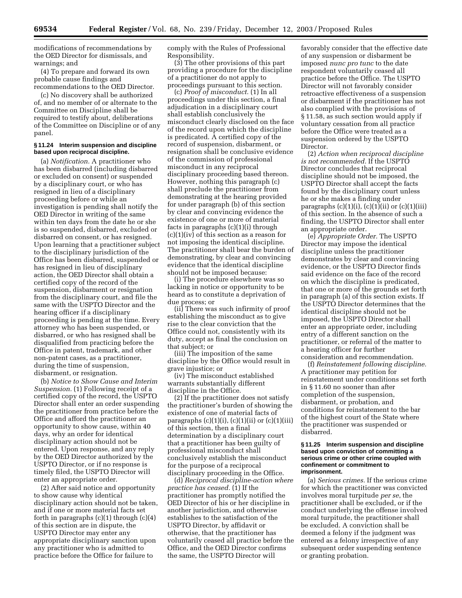modifications of recommendations by the OED Director for dismissals, and warnings; and

(4) To prepare and forward its own probable cause findings and recommendations to the OED Director.

(c) No discovery shall be authorized of, and no member of or alternate to the Committee on Discipline shall be required to testify about, deliberations of the Committee on Discipline or of any panel.

# **§ 11.24 Interim suspension and discipline based upon reciprocal discipline.**

(a) *Notification.* A practitioner who has been disbarred (including disbarred or excluded on consent) or suspended by a disciplinary court, or who has resigned in lieu of a disciplinary proceeding before or while an investigation is pending shall notify the OED Director in writing of the same within ten days from the date he or she is so suspended, disbarred, excluded or disbarred on consent, or has resigned. Upon learning that a practitioner subject to the disciplinary jurisdiction of the Office has been disbarred, suspended or has resigned in lieu of disciplinary action, the OED Director shall obtain a certified copy of the record of the suspension, disbarment or resignation from the disciplinary court, and file the same with the USPTO Director and the hearing officer if a disciplinary proceeding is pending at the time. Every attorney who has been suspended, or disbarred, or who has resigned shall be disqualified from practicing before the Office in patent, trademark, and other non-patent cases, as a practitioner, during the time of suspension, disbarment, or resignation.

(b) *Notice to Show Cause and Interim Suspension.* (1) Following receipt of a certified copy of the record, the USPTO Director shall enter an order suspending the practitioner from practice before the Office and afford the practitioner an opportunity to show cause, within 40 days, why an order for identical disciplinary action should not be entered. Upon response, and any reply by the OED Director authorized by the USPTO Director, or if no response is timely filed, the USPTO Director will enter an appropriate order.

(2) After said notice and opportunity to show cause why identical disciplinary action should not be taken, and if one or more material facts set forth in paragraphs (c)(1) through (c)(4) of this section are in dispute, the USPTO Director may enter any appropriate disciplinary sanction upon any practitioner who is admitted to practice before the Office for failure to

comply with the Rules of Professional Responsibility.

(3) The other provisions of this part providing a procedure for the discipline of a practitioner do not apply to proceedings pursuant to this section.

(c) *Proof of misconduct.* (1) In all proceedings under this section, a final adjudication in a disciplinary court shall establish conclusively the misconduct clearly disclosed on the face of the record upon which the discipline is predicated. A certified copy of the record of suspension, disbarment, or resignation shall be conclusive evidence of the commission of professional misconduct in any reciprocal disciplinary proceeding based thereon. However, nothing this paragraph (c) shall preclude the practitioner from demonstrating at the hearing provided for under paragraph (b) of this section by clear and convincing evidence the existence of one or more of material facts in paragraphs  $(c)(1)(i)$  through  $(c)(1)(iv)$  of this section as a reason for not imposing the identical discipline. The practitioner shall bear the burden of demonstrating, by clear and convincing evidence that the identical discipline should not be imposed because:

(i) The procedure elsewhere was so lacking in notice or opportunity to be heard as to constitute a deprivation of due process; or

(ii) There was such infirmity of proof establishing the misconduct as to give rise to the clear conviction that the Office could not, consistently with its duty, accept as final the conclusion on that subject; or

(iii) The imposition of the same discipline by the Office would result in grave injustice; or

(iv) The misconduct established warrants substantially different discipline in the Office.

(2) If the practitioner does not satisfy the practitioner's burden of showing the existence of one of material facts of paragraphs  $(c)(1)(i)$ ,  $(c)(1)(ii)$  or  $(c)(1)(iii)$ of this section, then a final determination by a disciplinary court that a practitioner has been guilty of professional misconduct shall conclusively establish the misconduct for the purpose of a reciprocal disciplinary proceeding in the Office.

(d) *Reciprocal discipline-action where practice has ceased.* (1) If the practitioner has promptly notified the OED Director of his or her discipline in another jurisdiction, and otherwise establishes to the satisfaction of the USPTO Director, by affidavit or otherwise, that the practitioner has voluntarily ceased all practice before the Office, and the OED Director confirms the same, the USPTO Director will

favorably consider that the effective date of any suspension or disbarment be imposed *nunc pro tunc* to the date respondent voluntarily ceased all practice before the Office. The USPTO Director will not favorably consider retroactive effectiveness of a suspension or disbarment if the practitioner has not also complied with the provisions of § 11.58, as such section would apply if voluntary cessation from all practice before the Office were treated as a suspension ordered by the USPTO Director.

(2) *Action when reciprocal discipline is not recommended.* If the USPTO Director concludes that reciprocal discipline should not be imposed, the USPTO Director shall accept the facts found by the disciplinary court unless he or she makes a finding under paragraphs  $(c)(1)(i)$ ,  $(c)(1)(ii)$  or  $(c)(1)(iii)$ of this section. In the absence of such a finding, the USPTO Director shall enter an appropriate order.

(e) *Appropriate Order.* The USPTO Director may impose the identical discipline unless the practitioner demonstrates by clear and convincing evidence, or the USPTO Director finds said evidence on the face of the record on which the discipline is predicated, that one or more of the grounds set forth in paragraph (a) of this section exists. If the USPTO Director determines that the identical discipline should not be imposed, the USPTO Director shall enter an appropriate order, including entry of a different sanction on the practitioner, or referral of the matter to a hearing officer for further consideration and recommendation.

(f) *Reinstatement following discipline.* A practitioner may petition for reinstatement under conditions set forth in § 11.60 no sooner than after completion of the suspension, disbarment, or probation, and conditions for reinstatement to the bar of the highest court of the State where the practitioner was suspended or disbarred.

#### **§ 11.25 Interim suspension and discipline based upon conviction of committing a serious crime or other crime coupled with confinement or commitment to imprisonment.**

(a) *Serious crimes.* If the serious crime for which the practitioner was convicted involves moral turpitude *per se*, the practitioner shall be excluded, or if the conduct underlying the offense involved moral turpitude, the practitioner shall be excluded. A conviction shall be deemed a felony if the judgment was entered as a felony irrespective of any subsequent order suspending sentence or granting probation.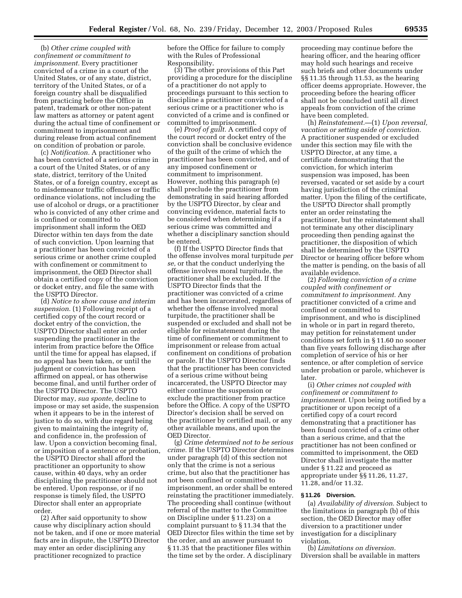(b) *Other crime coupled with confinement or commitment to imprisonment.* Every practitioner convicted of a crime in a court of the United States, or of any state, district, territory of the United States, or of a foreign country shall be disqualified from practicing before the Office in patent, trademark or other non-patent law matters as attorney or patent agent during the actual time of confinement or commitment to imprisonment and during release from actual confinement on condition of probation or parole.

(c) *Notification.* A practitioner who has been convicted of a serious crime in a court of the United States, or of any state, district, territory of the United States, or of a foreign country, except as to misdemeanor traffic offenses or traffic ordinance violations, not including the use of alcohol or drugs, or a practitioner who is convicted of any other crime and is confined or committed to imprisonment shall inform the OED Director within ten days from the date of such conviction. Upon learning that a practitioner has been convicted of a serious crime or another crime coupled with confinement or commitment to imprisonment, the OED Director shall obtain a certified copy of the conviction or docket entry, and file the same with the USPTO Director.

(d) *Notice to show cause and interim suspension.* (1) Following receipt of a certified copy of the court record or docket entry of the conviction, the USPTO Director shall enter an order suspending the practitioner in the interim from practice before the Office until the time for appeal has elapsed, if no appeal has been taken, or until the judgment or conviction has been affirmed on appeal, or has otherwise become final, and until further order of the USPTO Director. The USPTO Director may, *sua sponte,* decline to impose or may set aside, the suspension when it appears to be in the interest of justice to do so, with due regard being given to maintaining the integrity of, and confidence in, the profession of law. Upon a conviction becoming final, or imposition of a sentence or probation, the USPTO Director shall afford the practitioner an opportunity to show cause, within 40 days, why an order disciplining the practitioner should not be entered. Upon response, or if no response is timely filed, the USPTO Director shall enter an appropriate order.

(2) After said opportunity to show cause why disciplinary action should not be taken, and if one or more material facts are in dispute, the USPTO Director may enter an order disciplining any practitioner recognized to practice

before the Office for failure to comply with the Rules of Professional Responsibility.

(3) The other provisions of this Part providing a procedure for the discipline of a practitioner do not apply to proceedings pursuant to this section to discipline a practitioner convicted of a serious crime or a practitioner who is convicted of a crime and is confined or committed to imprisonment.

(e) *Proof of guilt.* A certified copy of the court record or docket entry of the conviction shall be conclusive evidence of the guilt of the crime of which the practitioner has been convicted, and of any imposed confinement or commitment to imprisonment. However, nothing this paragraph (e) shall preclude the practitioner from demonstrating in said hearing afforded by the USPTO Director, by clear and convincing evidence, material facts to be considered when determining if a serious crime was committed and whether a disciplinary sanction should be entered.

(f) If the USPTO Director finds that the offense involves moral turpitude *per se,* or that the conduct underlying the offense involves moral turpitude, the practitioner shall be excluded. If the USPTO Director finds that the practitioner was convicted of a crime and has been incarcerated, regardless of whether the offense involved moral turpitude, the practitioner shall be suspended or excluded and shall not be eligible for reinstatement during the time of confinement or commitment to imprisonment or release from actual confinement on conditions of probation or parole. If the USPTO Director finds that the practitioner has been convicted of a serious crime without being incarcerated, the USPTO Director may either continue the suspension or exclude the practitioner from practice before the Office. A copy of the USPTO Director's decision shall be served on the practitioner by certified mail, or any other available means, and upon the OED Director.

(g) *Crime determined not to be serious crime.* If the USPTO Director determines under paragraph (d) of this section not only that the crime is not a serious crime, but also that the practitioner has not been confined or committed to imprisonment, an order shall be entered reinstating the practitioner immediately. The proceeding shall continue (without referral of the matter to the Committee on Discipline under § 11.23) on a complaint pursuant to § 11.34 that the OED Director files within the time set by the order, and an answer pursuant to § 11.35 that the practitioner files within the time set by the order. A disciplinary

proceeding may continue before the hearing officer, and the hearing officer may hold such hearings and receive such briefs and other documents under §§ 11.35 through 11.53, as the hearing officer deems appropriate. However, the proceeding before the hearing officer shall not be concluded until all direct appeals from conviction of the crime have been completed.

(h) *Reinstatement.*—(1) *Upon reversal, vacation or setting aside of conviction.* A practitioner suspended or excluded under this section may file with the USPTO Director, at any time, a certificate demonstrating that the conviction, for which interim suspension was imposed, has been reversed, vacated or set aside by a court having jurisdiction of the criminal matter. Upon the filing of the certificate, the USPTO Director shall promptly enter an order reinstating the practitioner, but the reinstatement shall not terminate any other disciplinary proceeding then pending against the practitioner, the disposition of which shall be determined by the USPTO Director or hearing officer before whom the matter is pending, on the basis of all available evidence.

(2) *Following conviction of a crime coupled with confinement or commitment to imprisonment.* Any practitioner convicted of a crime and confined or committed to imprisonment, and who is disciplined in whole or in part in regard thereto, may petition for reinstatement under conditions set forth in § 11.60 no sooner than five years following discharge after completion of service of his or her sentence, or after completion of service under probation or parole, whichever is later.

(i) *Other crimes not coupled with confinement or commitment to imprisonment.* Upon being notified by a practitioner or upon receipt of a certified copy of a court record demonstrating that a practitioner has been found convicted of a crime other than a serious crime, and that the practitioner has not been confined or committed to imprisonment, the OED Director shall investigate the matter under § 11.22 and proceed as appropriate under §§ 11.26, 11.27, 11.28, and/or 11.32.

#### **§ 11.26 Diversion.**

(a) *Availability of diversion.* Subject to the limitations in paragraph (b) of this section, the OED Director may offer diversion to a practitioner under investigation for a disciplinary violation.

(b) *Limitations on diversion.* Diversion shall be available in matters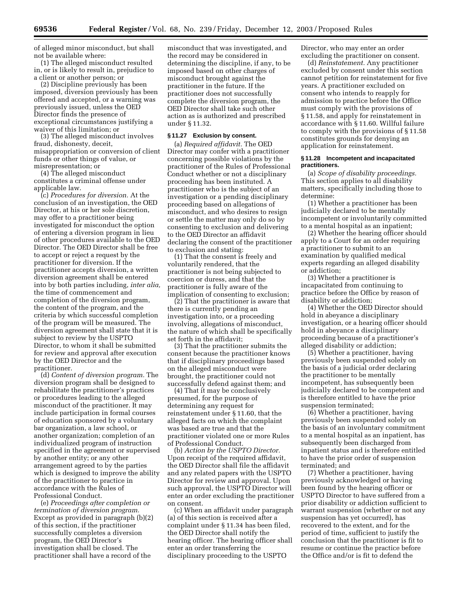of alleged minor misconduct, but shall not be available where:

(1) The alleged misconduct resulted in, or is likely to result in, prejudice to a client or another person; or

(2) Discipline previously has been imposed, diversion previously has been offered and accepted, or a warning was previously issued, unless the OED Director finds the presence of exceptional circumstances justifying a waiver of this limitation; or

(3) The alleged misconduct involves fraud, dishonesty, deceit, misappropriation or conversion of client funds or other things of value, or misrepresentation; or

(4) The alleged misconduct constitutes a criminal offense under applicable law.

(c) *Procedures for diversion.* At the conclusion of an investigation, the OED Director, at his or her sole discretion, may offer to a practitioner being investigated for misconduct the option of entering a diversion program in lieu of other procedures available to the OED Director. The OED Director shall be free to accept or reject a request by the practitioner for diversion. If the practitioner accepts diversion, a written diversion agreement shall be entered into by both parties including, *inter alia,* the time of commencement and completion of the diversion program, the content of the program, and the criteria by which successful completion of the program will be measured. The diversion agreement shall state that it is subject to review by the USPTO Director, to whom it shall be submitted for review and approval after execution by the OED Director and the practitioner.

(d) *Content of diversion program.* The diversion program shall be designed to rehabilitate the practitioner's practices or procedures leading to the alleged misconduct of the practitioner. It may include participation in formal courses of education sponsored by a voluntary bar organization, a law school, or another organization; completion of an individualized program of instruction specified in the agreement or supervised by another entity; or any other arrangement agreed to by the parties which is designed to improve the ability of the practitioner to practice in accordance with the Rules of Professional Conduct.

(e) *Proceedings after completion or termination of diversion program.* Except as provided in paragraph (b)(2) of this section, if the practitioner successfully completes a diversion program, the OED Director's investigation shall be closed. The practitioner shall have a record of the

misconduct that was investigated, and the record may be considered in determining the discipline, if any, to be imposed based on other charges of misconduct brought against the practitioner in the future. If the practitioner does not successfully complete the diversion program, the OED Director shall take such other action as is authorized and prescribed under § 11.32.

# **§ 11.27 Exclusion by consent.**

(a) *Required affidavit.* The OED Director may confer with a practitioner concerning possible violations by the practitioner of the Rules of Professional Conduct whether or not a disciplinary proceeding has been instituted. A practitioner who is the subject of an investigation or a pending disciplinary proceeding based on allegations of misconduct, and who desires to resign or settle the matter may only do so by consenting to exclusion and delivering to the OED Director an affidavit declaring the consent of the practitioner to exclusion and stating:

(1) That the consent is freely and voluntarily rendered, that the practitioner is not being subjected to coercion or duress, and that the practitioner is fully aware of the implication of consenting to exclusion;

(2) That the practitioner is aware that there is currently pending an investigation into, or a proceeding involving, allegations of misconduct, the nature of which shall be specifically set forth in the affidavit;

(3) That the practitioner submits the consent because the practitioner knows that if disciplinary proceedings based on the alleged misconduct were brought, the practitioner could not successfully defend against them; and

(4) That it may be conclusively presumed, for the purpose of determining any request for reinstatement under § 11.60, that the alleged facts on which the complaint was based are true and that the practitioner violated one or more Rules of Professional Conduct.

(b) *Action by the USPTO Director.* Upon receipt of the required affidavit, the OED Director shall file the affidavit and any related papers with the USPTO Director for review and approval. Upon such approval, the USPTO Director will enter an order excluding the practitioner on consent.

(c) When an affidavit under paragraph (a) of this section is received after a complaint under § 11.34 has been filed, the OED Director shall notify the hearing officer. The hearing officer shall enter an order transferring the disciplinary proceeding to the USPTO

Director, who may enter an order excluding the practitioner on consent.

(d) *Reinstatement.* Any practitioner excluded by consent under this section cannot petition for reinstatement for five years. A practitioner excluded on consent who intends to reapply for admission to practice before the Office must comply with the provisions of § 11.58, and apply for reinstatement in accordance with § 11.60. Willful failure to comply with the provisions of § 11.58 constitutes grounds for denying an application for reinstatement.

# **§ 11.28 Incompetent and incapacitated practitioners.**

(a) *Scope of disability proceedings.* This section applies to all disability matters, specifically including those to determine:

(1) Whether a practitioner has been judicially declared to be mentally incompetent or involuntarily committed to a mental hospital as an inpatient;

(2) Whether the hearing officer should apply to a Court for an order requiring a practitioner to submit to an examination by qualified medical experts regarding an alleged disability or addiction;

(3) Whether a practitioner is incapacitated from continuing to practice before the Office by reason of disability or addiction;

(4) Whether the OED Director should hold in abeyance a disciplinary investigation, or a hearing officer should hold in abeyance a disciplinary proceeding because of a practitioner's alleged disability or addiction;

(5) Whether a practitioner, having previously been suspended solely on the basis of a judicial order declaring the practitioner to be mentally incompetent, has subsequently been judicially declared to be competent and is therefore entitled to have the prior suspension terminated;

(6) Whether a practitioner, having previously been suspended solely on the basis of an involuntary commitment to a mental hospital as an inpatient, has subsequently been discharged from inpatient status and is therefore entitled to have the prior order of suspension terminated; and

(7) Whether a practitioner, having previously acknowledged or having been found by the hearing officer or USPTO Director to have suffered from a prior disability or addiction sufficient to warrant suspension (whether or not any suspension has yet occurred), has recovered to the extent, and for the period of time, sufficient to justify the conclusion that the practitioner is fit to resume or continue the practice before the Office and/or is fit to defend the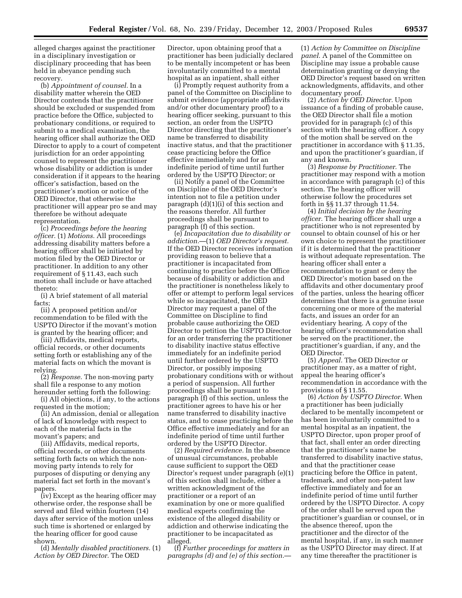alleged charges against the practitioner in a disciplinary investigation or disciplinary proceeding that has been held in abeyance pending such recovery.

(b) *Appointment of counsel.* In a disability matter wherein the OED Director contends that the practitioner should be excluded or suspended from practice before the Office, subjected to probationary conditions, or required to submit to a medical examination, the hearing officer shall authorize the OED Director to apply to a court of competent jurisdiction for an order appointing counsel to represent the practitioner whose disability or addiction is under consideration if it appears to the hearing officer's satisfaction, based on the practitioner's motion or notice of the OED Director, that otherwise the practitioner will appear pro se and may therefore be without adequate representation.

(c) *Proceedings before the hearing officer.* (1) *Motions.* All proceedings addressing disability matters before a hearing officer shall be initiated by motion filed by the OED Director or practitioner. In addition to any other requirement of § 11.43, each such motion shall include or have attached thereto:

(i) A brief statement of all material facts;

(ii) A proposed petition and/or recommendation to be filed with the USPTO Director if the movant's motion is granted by the hearing officer; and

(iii) Affidavits, medical reports, official records, or other documents setting forth or establishing any of the material facts on which the movant is relying.

(2) *Response.* The non-moving party shall file a response to any motion hereunder setting forth the following:

(i) All objections, if any, to the actions requested in the motion;

(ii) An admission, denial or allegation of lack of knowledge with respect to each of the material facts in the movant's papers; and

(iii) Affidavits, medical reports, official records, or other documents setting forth facts on which the nonmoving party intends to rely for purposes of disputing or denying any material fact set forth in the movant's papers.

(iv) Except as the hearing officer may otherwise order, the response shall be served and filed within fourteen (14) days after service of the motion unless such time is shortened or enlarged by the hearing officer for good cause shown.

(d) *Mentally disabled practitioners.* (1) *Action by OED Director.* The OED

Director, upon obtaining proof that a practitioner has been judicially declared to be mentally incompetent or has been involuntarily committed to a mental hospital as an inpatient, shall either

(i) Promptly request authority from a panel of the Committee on Discipline to submit evidence (appropriate affidavits and/or other documentary proof) to a hearing officer seeking, pursuant to this section, an order from the USPTO Director directing that the practitioner's name be transferred to disability inactive status, and that the practitioner cease practicing before the Office effective immediately and for an indefinite period of time until further ordered by the USPTO Director; or

(ii) Notify a panel of the Committee on Discipline of the OED Director's intention not to file a petition under paragraph (d)(1)(i) of this section and the reasons therefor. All further proceedings shall be pursuant to paragraph (f) of this section.

(e) *Incapacitation due to disability or addiction.*—(1) *OED Director's request.* If the OED Director receives information providing reason to believe that a practitioner is incapacitated from continuing to practice before the Office because of disability or addiction and the practitioner is nonetheless likely to offer or attempt to perform legal services while so incapacitated, the OED Director may request a panel of the Committee on Discipline to find probable cause authorizing the OED Director to petition the USPTO Director for an order transferring the practitioner to disability inactive status effective immediately for an indefinite period until further ordered by the USPTO Director, or possibly imposing probationary conditions with or without a period of suspension. All further proceedings shall be pursuant to paragraph (f) of this section, unless the practitioner agrees to have his or her name transferred to disability inactive status, and to cease practicing before the Office effective immediately and for an indefinite period of time until further ordered by the USPTO Director.

(2) *Required evidence.* In the absence of unusual circumstances, probable cause sufficient to support the OED Director's request under paragraph (e)(1) of this section shall include, either a written acknowledgment of the practitioner or a report of an examination by one or more qualified medical experts confirming the existence of the alleged disability or addiction and otherwise indicating the practitioner to be incapacitated as alleged.

(f) *Further proceedings for matters in paragraphs (d) and (e) of this section.*—

(1) *Action by Committee on Discipline panel.* A panel of the Committee on Discipline may issue a probable cause determination granting or denying the OED Director's request based on written acknowledgments, affidavits, and other documentary proof.

(2) *Action by OED Director.* Upon issuance of a finding of probable cause, the OED Director shall file a motion provided for in paragraph (c) of this section with the hearing officer. A copy of the motion shall be served on the practitioner in accordance with § 11.35, and upon the practitioner's guardian, if any and known.

(3) *Response by Practitioner.* The practitioner may respond with a motion in accordance with paragraph (c) of this section. The hearing officer will otherwise follow the procedures set forth in §§ 11.37 through 11.54.

(4) *Initial decision by the hearing officer.* The hearing officer shall urge a practitioner who is not represented by counsel to obtain counsel of his or her own choice to represent the practitioner if it is determined that the practitioner is without adequate representation. The hearing officer shall enter a recommendation to grant or deny the OED Director's motion based on the affidavits and other documentary proof of the parties, unless the hearing officer determines that there is a genuine issue concerning one or more of the material facts, and issues an order for an evidentiary hearing. A copy of the hearing officer's recommendation shall be served on the practitioner, the practitioner's guardian, if any, and the OED Director.

(5) *Appeal.* The OED Director or practitioner may, as a matter of right, appeal the hearing officer's recommendation in accordance with the provisions of § 11.55.

(6) *Action by USPTO Director.* When a practitioner has been judicially declared to be mentally incompetent or has been involuntarily committed to a mental hospital as an inpatient, the USPTO Director, upon proper proof of that fact, shall enter an order directing that the practitioner's name be transferred to disability inactive status, and that the practitioner cease practicing before the Office in patent, trademark, and other non-patent law effective immediately and for an indefinite period of time until further ordered by the USPTO Director. A copy of the order shall be served upon the practitioner's guardian or counsel, or in the absence thereof, upon the practitioner and the director of the mental hospital, if any, in such manner as the USPTO Director may direct. If at any time thereafter the practitioner is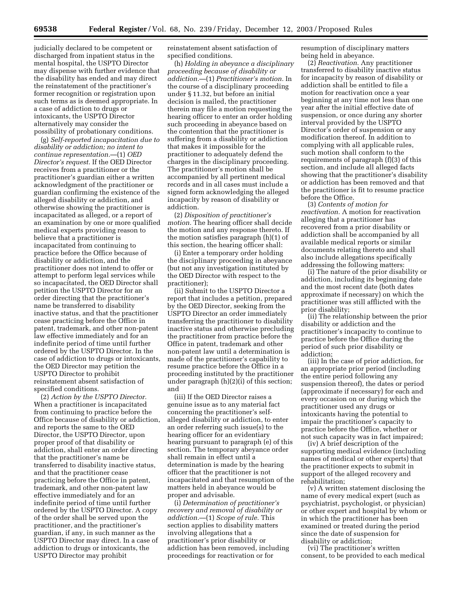judicially declared to be competent or discharged from inpatient status in the mental hospital, the USPTO Director may dispense with further evidence that the disability has ended and may direct the reinstatement of the practitioner's former recognition or registration upon such terms as is deemed appropriate. In a case of addiction to drugs or intoxicants, the USPTO Director alternatively may consider the possibility of probationary conditions.

(g) *Self-reported incapacitation due to disability or addiction; no intent to continue representation.*—(1) *OED Director's request.* If the OED Director receives from a practitioner or the practitioner's guardian either a written acknowledgment of the practitioner or guardian confirming the existence of the alleged disability or addiction, and otherwise showing the practitioner is incapacitated as alleged, or a report of an examination by one or more qualified medical experts providing reason to believe that a practitioner is incapacitated from continuing to practice before the Office because of disability or addiction, and the practitioner does not intend to offer or attempt to perform legal services while so incapacitated, the OED Director shall petition the USPTO Director for an order directing that the practitioner's name be transferred to disability inactive status, and that the practitioner cease practicing before the Office in patent, trademark, and other non-patent law effective immediately and for an indefinite period of time until further ordered by the USPTO Director. In the case of addiction to drugs or intoxicants, the OED Director may petition the USPTO Director to prohibit reinstatement absent satisfaction of specified conditions.

(2) *Action by the USPTO Director.* When a practitioner is incapacitated from continuing to practice before the Office because of disability or addiction, and reports the same to the OED Director, the USPTO Director, upon proper proof of that disability or addiction, shall enter an order directing that the practitioner's name be transferred to disability inactive status, and that the practitioner cease practicing before the Office in patent, trademark, and other non-patent law effective immediately and for an indefinite period of time until further ordered by the USPTO Director. A copy of the order shall be served upon the practitioner, and the practitioner's guardian, if any, in such manner as the USPTO Director may direct. In a case of addiction to drugs or intoxicants, the USPTO Director may prohibit

reinstatement absent satisfaction of specified conditions.

(h) *Holding in abeyance a disciplinary proceeding because of disability or addiction.*—(1) *Practitioner's motion.* In the course of a disciplinary proceeding under § 11.32, but before an initial decision is mailed, the practitioner therein may file a motion requesting the hearing officer to enter an order holding such proceeding in abeyance based on the contention that the practitioner is suffering from a disability or addiction that makes it impossible for the practitioner to adequately defend the charges in the disciplinary proceeding. The practitioner's motion shall be accompanied by all pertinent medical records and in all cases must include a signed form acknowledging the alleged incapacity by reason of disability or addiction.

(2) *Disposition of practitioner's motion.* The hearing officer shall decide the motion and any response thereto. If the motion satisfies paragraph (h)(1) of this section, the hearing officer shall:

(i) Enter a temporary order holding the disciplinary proceeding in abeyance (but not any investigation instituted by the OED Director with respect to the practitioner);

(ii) Submit to the USPTO Director a report that includes a petition, prepared by the OED Director, seeking from the USPTO Director an order immediately transferring the practitioner to disability inactive status and otherwise precluding the practitioner from practice before the Office in patent, trademark and other non-patent law until a determination is made of the practitioner's capability to resume practice before the Office in a proceeding instituted by the practitioner under paragraph (h)(2)(i) of this section; and

(iii) If the OED Director raises a genuine issue as to any material fact concerning the practitioner's selfalleged disability or addiction, to enter an order referring such issue(s) to the hearing officer for an evidentiary hearing pursuant to paragraph (e) of this section. The temporary abeyance order shall remain in effect until a determination is made by the hearing officer that the practitioner is not incapacitated and that resumption of the matters held in abeyance would be proper and advisable.

(i) *Determination of practitioner's recovery and removal of disability or addiction.*—(1) *Scope of rule.* This section applies to disability matters involving allegations that a practitioner's prior disability or addiction has been removed, including proceedings for reactivation or for

resumption of disciplinary matters being held in abeyance.

(2) *Reactivation.* Any practitioner transferred to disability inactive status for incapacity by reason of disability or addiction shall be entitled to file a motion for reactivation once a year beginning at any time not less than one year after the initial effective date of suspension, or once during any shorter interval provided by the USPTO Director's order of suspension or any modification thereof. In addition to complying with all applicable rules, such motion shall conform to the requirements of paragraph (f)(3) of this section, and include all alleged facts showing that the practitioner's disability or addiction has been removed and that the practitioner is fit to resume practice before the Office.

(3) *Contents of motion for reactivation.* A motion for reactivation alleging that a practitioner has recovered from a prior disability or addiction shall be accompanied by all available medical reports or similar documents relating thereto and shall also include allegations specifically addressing the following matters:

(i) The nature of the prior disability or addiction, including its beginning date and the most recent date (both dates approximate if necessary) on which the practitioner was still afflicted with the prior disability;

(ii) The relationship between the prior disability or addiction and the practitioner's incapacity to continue to practice before the Office during the period of such prior disability or addiction;

(iii) In the case of prior addiction, for an appropriate prior period (including the entire period following any suspension thereof), the dates or period (approximate if necessary) for each and every occasion on or during which the practitioner used any drugs or intoxicants having the potential to impair the practitioner's capacity to practice before the Office, whether or not such capacity was in fact impaired;

(iv) A brief description of the supporting medical evidence (including names of medical or other experts) that the practitioner expects to submit in support of the alleged recovery and rehabilitation;

(v) A written statement disclosing the name of every medical expert (such as psychiatrist, psychologist, or physician) or other expert and hospital by whom or in which the practitioner has been examined or treated during the period since the date of suspension for disability or addiction;

(vi) The practitioner's written consent, to be provided to each medical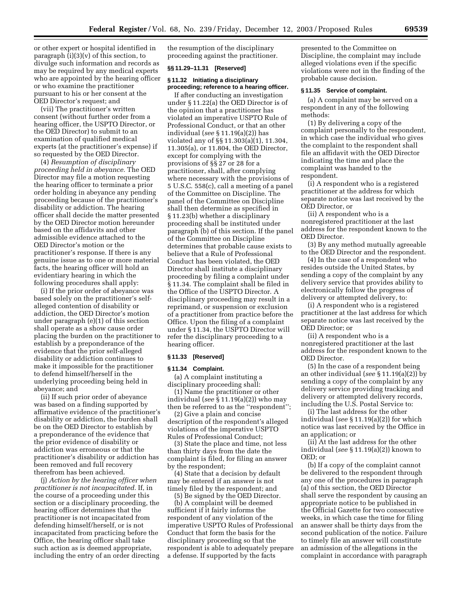or other expert or hospital identified in paragraph (i)(3)(v) of this section, to divulge such information and records as may be required by any medical experts who are appointed by the hearing officer or who examine the practitioner pursuant to his or her consent at the OED Director's request; and

(vii) The practitioner's written consent (without further order from a hearing officer, the USPTO Director, or the OED Director) to submit to an examination of qualified medical experts (at the practitioner's expense) if so requested by the OED Director.

(4) *Resumption of disciplinary proceeding held in abeyance.* The OED Director may file a motion requesting the hearing officer to terminate a prior order holding in abeyance any pending proceeding because of the practitioner's disability or addiction. The hearing officer shall decide the matter presented by the OED Director motion hereunder based on the affidavits and other admissible evidence attached to the OED Director's motion or the practitioner's response. If there is any genuine issue as to one or more material facts, the hearing officer will hold an evidentiary hearing in which the following procedures shall apply:

(i) If the prior order of abeyance was based solely on the practitioner's selfalleged contention of disability or addiction, the OED Director's motion under paragraph (e)(1) of this section shall operate as a show cause order placing the burden on the practitioner to establish by a preponderance of the evidence that the prior self-alleged disability or addiction continues to make it impossible for the practitioner to defend himself/herself in the underlying proceeding being held in abeyance; and

(ii) If such prior order of abeyance was based on a finding supported by affirmative evidence of the practitioner's disability or addiction, the burden shall be on the OED Director to establish by a preponderance of the evidence that the prior evidence of disability or addiction was erroneous or that the practitioner's disability or addiction has been removed and full recovery therefrom has been achieved.

(j) *Action by the hearing officer when practitioner is not incapacitated.* If, in the course of a proceeding under this section or a disciplinary proceeding, the hearing officer determines that the practitioner is not incapacitated from defending himself/herself, or is not incapacitated from practicing before the Office, the hearing officer shall take such action as is deemed appropriate, including the entry of an order directing the resumption of the disciplinary proceeding against the practitioner.

# **§§ 11.29–11.31 [Reserved]**

# **§ 11.32 Initiating a disciplinary proceeding; reference to a hearing officer.**

If after conducting an investigation under § 11.22(a) the OED Director is of the opinion that a practitioner has violated an imperative USPTO Rule of Professional Conduct, or that an other individual (*see* § 11.19(a)(2)) has violated any of §§ 11.303(a)(1), 11.304, 11.305(a), or 11.804, the OED Director, except for complying with the provisions of §§ 27 or 28 for a practitioner, shall, after complying where necessary with the provisions of 5 U.S.C. 558(c), call a meeting of a panel of the Committee on Discipline. The panel of the Committee on Discipline shall then determine as specified in § 11.23(b) whether a disciplinary proceeding shall be instituted under paragraph (b) of this section. If the panel of the Committee on Discipline determines that probable cause exists to believe that a Rule of Professional Conduct has been violated, the OED Director shall institute a disciplinary proceeding by filing a complaint under § 11.34. The complaint shall be filed in the Office of the USPTO Director. A disciplinary proceeding may result in a reprimand, or suspension or exclusion of a practitioner from practice before the Office. Upon the filing of a complaint under § 11.34, the USPTO Director will refer the disciplinary proceeding to a hearing officer.

# **§ 11.33 [Reserved]**

#### **§ 11.34 Complaint.**

(a) A complaint instituting a disciplinary proceeding shall:

(1) Name the practitioner or other individual (*see* § 11.19(a)(2)) who may then be referred to as the ''respondent'';

(2) Give a plain and concise description of the respondent's alleged violations of the imperative USPTO Rules of Professional Conduct;

(3) State the place and time, not less than thirty days from the date the complaint is filed, for filing an answer by the respondent;

(4) State that a decision by default may be entered if an answer is not timely filed by the respondent; and

(5) Be signed by the OED Director.

(b) A complaint will be deemed sufficient if it fairly informs the respondent of any violation of the imperative USPTO Rules of Professional Conduct that form the basis for the disciplinary proceeding so that the respondent is able to adequately prepare a defense. If supported by the facts

presented to the Committee on Discipline, the complaint may include alleged violations even if the specific violations were not in the finding of the probable cause decision.

# **§ 11.35 Service of complaint.**

(a) A complaint may be served on a respondent in any of the following methods:

(1) By delivering a copy of the complaint personally to the respondent, in which case the individual who gives the complaint to the respondent shall file an affidavit with the OED Director indicating the time and place the complaint was handed to the respondent.

(i) A respondent who is a registered practitioner at the address for which separate notice was last received by the OED Director, or

(ii) A respondent who is a nonregistered practitioner at the last address for the respondent known to the OED Director.

(3) By any method mutually agreeable to the OED Director and the respondent.

(4) In the case of a respondent who resides outside the United States, by sending a copy of the complaint by any delivery service that provides ability to electronically follow the progress of delivery or attempted delivery, to:

(i) A respondent who is a registered practitioner at the last address for which separate notice was last received by the OED Director; or

(ii) A respondent who is a nonregistered practitioner at the last address for the respondent known to the OED Director.

(5) In the case of a respondent being an other individual (*see* § 11.19(a)(2)) by sending a copy of the complaint by any delivery service providing tracking and delivery or attempted delivery records, including the U.S. Postal Service to:

(i) The last address for the other individual (*see* § 11.19(a)(2)) for which notice was last received by the Office in an application; or

(ii) At the last address for the other individual (*see* § 11.19(a)(2)) known to OED; or

(b) If a copy of the complaint cannot be delivered to the respondent through any one of the procedures in paragraph (a) of this section, the OED Director shall serve the respondent by causing an appropriate notice to be published in the Official Gazette for two consecutive weeks, in which case the time for filing an answer shall be thirty days from the second publication of the notice. Failure to timely file an answer will constitute an admission of the allegations in the complaint in accordance with paragraph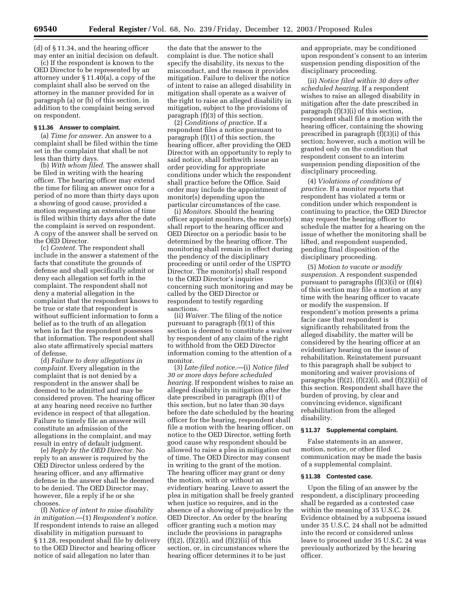(d) of § 11.34, and the hearing officer may enter an initial decision on default.

(c) If the respondent is known to the OED Director to be represented by an attorney under § 11.40(a), a copy of the complaint shall also be served on the attorney in the manner provided for in paragraph (a) or (b) of this section, in addition to the complaint being served on respondent.

# **§ 11.36 Answer to complaint.**

(a) *Time for answer.* An answer to a complaint shall be filed within the time set in the complaint that shall be not less than thirty days.

(b) *With whom filed.* The answer shall be filed in writing with the hearing officer. The hearing officer may extend the time for filing an answer once for a period of no more than thirty days upon a showing of good cause, provided a motion requesting an extension of time is filed within thirty days after the date the complaint is served on respondent. A copy of the answer shall be served on the OED Director.

(c) *Content.* The respondent shall include in the answer a statement of the facts that constitute the grounds of defense and shall specifically admit or deny each allegation set forth in the complaint. The respondent shall not deny a material allegation in the complaint that the respondent knows to be true or state that respondent is without sufficient information to form a belief as to the truth of an allegation when in fact the respondent possesses that information. The respondent shall also state affirmatively special matters of defense.

(d) *Failure to deny allegations in complaint.* Every allegation in the complaint that is not denied by a respondent in the answer shall be deemed to be admitted and may be considered proven. The hearing officer at any hearing need receive no further evidence in respect of that allegation. Failure to timely file an answer will constitute an admission of the allegations in the complaint, and may result in entry of default judgment.

(e) *Reply by the OED Director.* No reply to an answer is required by the OED Director unless ordered by the hearing officer, and any affirmative defense in the answer shall be deemed to be denied. The OED Director may, however, file a reply if he or she chooses.

(f) *Notice of intent to raise disability in mitigation.*—(1) *Respondent's notice.* If respondent intends to raise an alleged disability in mitigation pursuant to § 11.28, respondent shall file by delivery to the OED Director and hearing officer notice of said allegation no later than

the date that the answer to the complaint is due. The notice shall specify the disability, its nexus to the misconduct, and the reason it provides mitigation. Failure to deliver the notice of intent to raise an alleged disability in mitigation shall operate as a waiver of the right to raise an alleged disability in mitigation, subject to the provisions of paragraph (f)(3) of this section.

(2) *Conditions of practice.* If a respondent files a notice pursuant to paragraph (f)(1) of this section, the hearing officer, after providing the OED Director with an opportunity to reply to said notice, shall forthwith issue an order providing for appropriate conditions under which the respondent shall practice before the Office. Said order may include the appointment of monitor(s) depending upon the particular circumstances of the case.

(i) *Monitors.* Should the hearing officer appoint monitors, the monitor(s) shall report to the hearing officer and OED Director on a periodic basis to be determined by the hearing officer. The monitoring shall remain in effect during the pendency of the disciplinary proceeding or until order of the USPTO Director. The monitor(s) shall respond to the OED Director's inquiries concerning such monitoring and may be called by the OED Director or respondent to testify regarding sanctions.

(ii) *Waiver.* The filing of the notice pursuant to paragraph (f)(1) of this section is deemed to constitute a waiver by respondent of any claim of the right to withhold from the OED Director information coming to the attention of a monitor.

(3) *Late-filed notice.*—(i) *Notice filed 30 or more days before scheduled hearing.* If respondent wishes to raise an alleged disability in mitigation after the date prescribed in paragraph (f)(1) of this section, but no later than 30 days before the date scheduled by the hearing officer for the hearing, respondent shall file a motion with the hearing officer, on notice to the OED Director, setting forth good cause why respondent should be allowed to raise a plea in mitigation out of time. The OED Director may consent in writing to the grant of the motion. The hearing officer may grant or deny the motion, with or without an evidentiary hearing. Leave to assert the plea in mitigation shall be freely granted when justice so requires, and in the absence of a showing of prejudice by the OED Director. An order by the hearing officer granting such a motion may include the provisions in paragraphs (f)(2), (f)(2)(i), and (f)(2)(ii) of this section, or, in circumstances where the hearing officer determines it to be just

and appropriate, may be conditioned upon respondent's consent to an interim suspension pending disposition of the disciplinary proceeding.

(ii) *Notice filed within 30 days after scheduled hearing.* If a respondent wishes to raise an alleged disability in mitigation after the date prescribed in paragraph (f)(3)(i) of this section, respondent shall file a motion with the hearing officer, containing the showing prescribed in paragraph (f)(3)(i) of this section; however, such a motion will be granted only on the condition that respondent consent to an interim suspension pending disposition of the disciplinary proceeding.

(4) *Violations of conditions of practice.* If a monitor reports that respondent has violated a term or condition under which respondent is continuing to practice, the OED Director may request the hearing officer to schedule the matter for a hearing on the issue of whether the monitoring shall be lifted, and respondent suspended, pending final disposition of the disciplinary proceeding.

(5) *Motion to vacate or modify suspension.* A respondent suspended pursuant to paragraphs  $(f)(3)(i)$  or  $(f)(4)$ of this section may file a motion at any time with the hearing officer to vacate or modify the suspension. If respondent's motion presents a prima facie case that respondent is significantly rehabilitated from the alleged disability, the matter will be considered by the hearing officer at an evidentiary hearing on the issue of rehabilitation. Reinstatement pursuant to this paragraph shall be subject to monitoring and waiver provisions of paragraphs  $(f)(2)$ ,  $(f)(2)(i)$ , and  $(f)(2)(ii)$  of this section. Respondent shall have the burden of proving, by clear and convincing evidence, significant rehabilitation from the alleged disability.

# **§ 11.37 Supplemental complaint.**

False statements in an answer, motion, notice, or other filed communication may be made the basis of a supplemental complaint.

# **§ 11.38 Contested case.**

Upon the filing of an answer by the respondent, a disciplinary proceeding shall be regarded as a contested case within the meaning of 35 U.S.C. 24. Evidence obtained by a subpoena issued under 35 U.S.C. 24 shall not be admitted into the record or considered unless leave to proceed under 35 U.S.C. 24 was previously authorized by the hearing officer.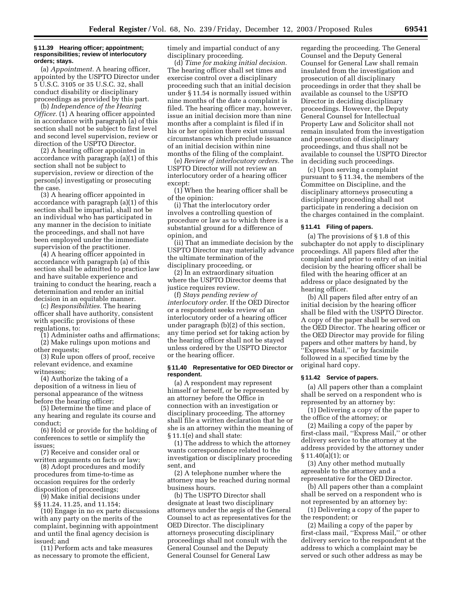#### **§ 11.39 Hearing officer; appointment; responsibilities; review of interlocutory orders; stays.**

(a) *Appointment.* A hearing officer, appointed by the USPTO Director under 5 U.S.C. 3105 or 35 U.S.C. 32, shall conduct disability or disciplinary proceedings as provided by this part.

(b) *Independence of the Hearing Officer.* (1) A hearing officer appointed in accordance with paragraph (a) of this section shall not be subject to first level and second level supervision, review or direction of the USPTO Director.

(2) A hearing officer appointed in accordance with paragraph (a)(1) of this section shall not be subject to supervision, review or direction of the person(s) investigating or prosecuting the case.

(3) A hearing officer appointed in accordance with paragraph (a)(1) of this section shall be impartial, shall not be an individual who has participated in any manner in the decision to initiate the proceedings, and shall not have been employed under the immediate supervision of the practitioner.

(4) A hearing officer appointed in accordance with paragraph (a) of this section shall be admitted to practice law and have suitable experience and training to conduct the hearing, reach a determination and render an initial decision in an equitable manner.

(c) *Responsibilities.* The hearing officer shall have authority, consistent with specific provisions of these regulations, to:

(1) Administer oaths and affirmations;

(2) Make rulings upon motions and

other requests; (3) Rule upon offers of proof, receive relevant evidence, and examine witnesses;

(4) Authorize the taking of a deposition of a witness in lieu of personal appearance of the witness before the hearing officer;

(5) Determine the time and place of any hearing and regulate its course and conduct;

(6) Hold or provide for the holding of conferences to settle or simplify the issues;

(7) Receive and consider oral or written arguments on facts or law;

(8) Adopt procedures and modify procedures from time-to-time as occasion requires for the orderly disposition of proceedings;

(9) Make initial decisions under §§ 11.24, 11.25, and 11.154;

(10) Engage in no ex parte discussions with any party on the merits of the complaint, beginning with appointment and until the final agency decision is issued; and

(11) Perform acts and take measures as necessary to promote the efficient,

timely and impartial conduct of any disciplinary proceeding.

(d) *Time for making initial decision.* The hearing officer shall set times and exercise control over a disciplinary proceeding such that an initial decision under § 11.54 is normally issued within nine months of the date a complaint is filed. The hearing officer may, however, issue an initial decision more than nine months after a complaint is filed if in his or her opinion there exist unusual circumstances which preclude issuance of an initial decision within nine months of the filing of the complaint.

(e) *Review of interlocutory orders.* The USPTO Director will not review an interlocutory order of a hearing officer except:

(1) When the hearing officer shall be of the opinion:

(i) That the interlocutory order involves a controlling question of procedure or law as to which there is a substantial ground for a difference of opinion, and

(ii) That an immediate decision by the USPTO Director may materially advance the ultimate termination of the disciplinary proceeding, or

(2) In an extraordinary situation where the USPTO Director deems that justice requires review.

(f) *Stays pending review of interlocutory order.* If the OED Director or a respondent seeks review of an interlocutory order of a hearing officer under paragraph (b)(2) of this section, any time period set for taking action by the hearing officer shall not be stayed unless ordered by the USPTO Director or the hearing officer.

#### **§ 11.40 Representative for OED Director or respondent.**

(a) A respondent may represent himself or herself, or be represented by an attorney before the Office in connection with an investigation or disciplinary proceeding. The attorney shall file a written declaration that he or she is an attorney within the meaning of § 11.1(e) and shall state:

(1) The address to which the attorney wants correspondence related to the investigation or disciplinary proceeding sent, and

(2) A telephone number where the attorney may be reached during normal business hours.

(b) The USPTO Director shall designate at least two disciplinary attorneys under the aegis of the General Counsel to act as representatives for the OED Director. The disciplinary attorneys prosecuting disciplinary proceedings shall not consult with the General Counsel and the Deputy General Counsel for General Law

regarding the proceeding. The General Counsel and the Deputy General Counsel for General Law shall remain insulated from the investigation and prosecution of all disciplinary proceedings in order that they shall be available as counsel to the USPTO Director in deciding disciplinary proceedings. However, the Deputy General Counsel for Intellectual Property Law and Solicitor shall not remain insulated from the investigation and prosecution of disciplinary proceedings, and thus shall not be available to counsel the USPTO Director in deciding such proceedings.

(c) Upon serving a complaint pursuant to § 11.34, the members of the Committee on Discipline, and the disciplinary attorneys prosecuting a disciplinary proceeding shall not participate in rendering a decision on the charges contained in the complaint.

# **§ 11.41 Filing of papers.**

(a) The provisions of § 1.8 of this subchapter do not apply to disciplinary proceedings. All papers filed after the complaint and prior to entry of an initial decision by the hearing officer shall be filed with the hearing officer at an address or place designated by the hearing officer.

(b) All papers filed after entry of an initial decision by the hearing officer shall be filed with the USPTO Director. A copy of the paper shall be served on the OED Director. The hearing officer or the OED Director may provide for filing papers and other matters by hand, by ''Express Mail,'' or by facsimile followed in a specified time by the original hard copy.

# **§ 11.42 Service of papers.**

(a) All papers other than a complaint shall be served on a respondent who is represented by an attorney by:

(1) Delivering a copy of the paper to the office of the attorney; or

(2) Mailing a copy of the paper by first-class mail, ''Express Mail,'' or other delivery service to the attorney at the address provided by the attorney under  $§ 11.40(a)(1);$  or

(3) Any other method mutually agreeable to the attorney and a representative for the OED Director.

(b) All papers other than a complaint shall be served on a respondent who is not represented by an attorney by:

(1) Delivering a copy of the paper to the respondent; or

(2) Mailing a copy of the paper by first-class mail, ''Express Mail,'' or other delivery service to the respondent at the address to which a complaint may be served or such other address as may be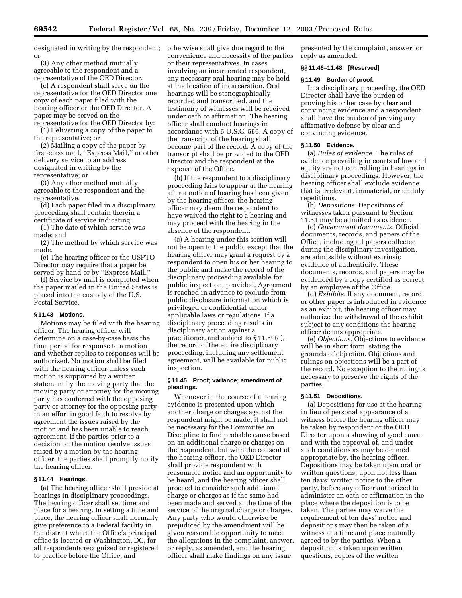designated in writing by the respondent; or

(3) Any other method mutually agreeable to the respondent and a representative of the OED Director.

(c) A respondent shall serve on the representative for the OED Director one copy of each paper filed with the hearing officer or the OED Director. A paper may be served on the representative for the OED Director by:

(1) Delivering a copy of the paper to the representative; or

(2) Mailing a copy of the paper by first-class mail, ''Express Mail,'' or other delivery service to an address designated in writing by the representative; or

(3) Any other method mutually agreeable to the respondent and the representative.

(d) Each paper filed in a disciplinary proceeding shall contain therein a certificate of service indicating:

(1) The date of which service was made; and

(2) The method by which service was made.

(e) The hearing officer or the USPTO Director may require that a paper be served by hand or by "Express Mail."

(f) Service by mail is completed when the paper mailed in the United States is placed into the custody of the U.S. Postal Service.

### **§ 11.43 Motions.**

Motions may be filed with the hearing officer. The hearing officer will determine on a case-by-case basis the time period for response to a motion and whether replies to responses will be authorized. No motion shall be filed with the hearing officer unless such motion is supported by a written statement by the moving party that the moving party or attorney for the moving party has conferred with the opposing party or attorney for the opposing party in an effort in good faith to resolve by agreement the issues raised by the motion and has been unable to reach agreement. If the parties prior to a decision on the motion resolve issues raised by a motion by the hearing officer, the parties shall promptly notify the hearing officer.

#### **§ 11.44 Hearings.**

(a) The hearing officer shall preside at hearings in disciplinary proceedings. The hearing officer shall set time and place for a hearing. In setting a time and place, the hearing officer shall normally give preference to a Federal facility in the district where the Office's principal office is located or Washington, DC, for all respondents recognized or registered to practice before the Office, and

otherwise shall give due regard to the convenience and necessity of the parties or their representatives. In cases involving an incarcerated respondent, any necessary oral hearing may be held at the location of incarceration. Oral hearings will be stenographically recorded and transcribed, and the testimony of witnesses will be received under oath or affirmation. The hearing officer shall conduct hearings in accordance with 5 U.S.C. 556. A copy of the transcript of the hearing shall become part of the record. A copy of the transcript shall be provided to the OED Director and the respondent at the expense of the Office.

(b) If the respondent to a disciplinary proceeding fails to appear at the hearing after a notice of hearing has been given by the hearing officer, the hearing officer may deem the respondent to have waived the right to a hearing and may proceed with the hearing in the absence of the respondent.

(c) A hearing under this section will not be open to the public except that the hearing officer may grant a request by a respondent to open his or her hearing to the public and make the record of the disciplinary proceeding available for public inspection, provided, Agreement is reached in advance to exclude from public disclosure information which is privileged or confidential under applicable laws or regulations. If a disciplinary proceeding results in disciplinary action against a practitioner, and subject to § 11.59(c), the record of the entire disciplinary proceeding, including any settlement agreement, will be available for public inspection.

### **§ 11.45 Proof; variance; amendment of pleadings.**

Whenever in the course of a hearing evidence is presented upon which another charge or charges against the respondent might be made, it shall not be necessary for the Committee on Discipline to find probable cause based on an additional charge or charges on the respondent, but with the consent of the hearing officer, the OED Director shall provide respondent with reasonable notice and an opportunity to be heard, and the hearing officer shall proceed to consider such additional charge or charges as if the same had been made and served at the time of the service of the original charge or charges. Any party who would otherwise be prejudiced by the amendment will be given reasonable opportunity to meet the allegations in the complaint, answer, or reply, as amended, and the hearing officer shall make findings on any issue

presented by the complaint, answer, or reply as amended.

# **§§ 11.46–11.48 [Reserved]**

### **§ 11.49 Burden of proof.**

In a disciplinary proceeding, the OED Director shall have the burden of proving his or her case by clear and convincing evidence and a respondent shall have the burden of proving any affirmative defense by clear and convincing evidence.

# **§ 11.50 Evidence.**

(a) *Rules of evidence.* The rules of evidence prevailing in courts of law and equity are not controlling in hearings in disciplinary proceedings. However, the hearing officer shall exclude evidence that is irrelevant, immaterial, or unduly repetitious.

(b) *Depositions.* Depositions of witnesses taken pursuant to Section 11.51 may be admitted as evidence.

(c) *Government documents.* Official documents, records, and papers of the Office, including all papers collected during the disciplinary investigation, are admissible without extrinsic evidence of authenticity. These documents, records, and papers may be evidenced by a copy certified as correct by an employee of the Office.

(d) *Exhibits.* If any document, record, or other paper is introduced in evidence as an exhibit, the hearing officer may authorize the withdrawal of the exhibit subject to any conditions the hearing officer deems appropriate.

(e) *Objections.* Objections to evidence will be in short form, stating the grounds of objection. Objections and rulings on objections will be a part of the record. No exception to the ruling is necessary to preserve the rights of the parties.

# **§ 11.51 Depositions.**

(a) Depositions for use at the hearing in lieu of personal appearance of a witness before the hearing officer may be taken by respondent or the OED Director upon a showing of good cause and with the approval of, and under such conditions as may be deemed appropriate by, the hearing officer. Depositions may be taken upon oral or written questions, upon not less than ten days' written notice to the other party, before any officer authorized to administer an oath or affirmation in the place where the deposition is to be taken. The parties may waive the requirement of ten days' notice and depositions may then be taken of a witness at a time and place mutually agreed to by the parties. When a deposition is taken upon written questions, copies of the written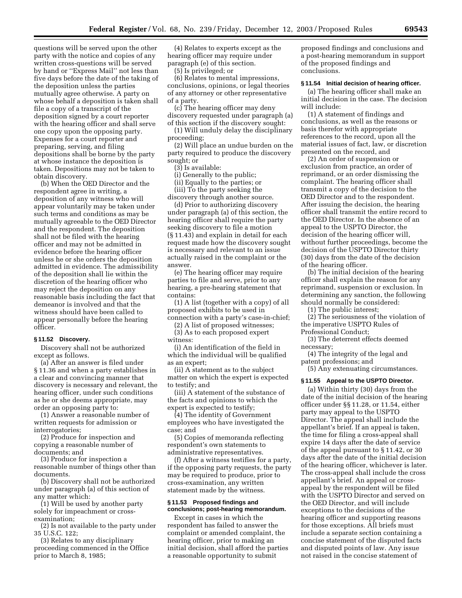questions will be served upon the other party with the notice and copies of any written cross-questions will be served by hand or ''Express Mail'' not less than five days before the date of the taking of the deposition unless the parties mutually agree otherwise. A party on whose behalf a deposition is taken shall file a copy of a transcript of the deposition signed by a court reporter with the hearing officer and shall serve one copy upon the opposing party. Expenses for a court reporter and preparing, serving, and filing depositions shall be borne by the party at whose instance the deposition is taken. Depositions may not be taken to obtain discovery.

(b) When the OED Director and the respondent agree in writing, a deposition of any witness who will appear voluntarily may be taken under such terms and conditions as may be mutually agreeable to the OED Director and the respondent. The deposition shall not be filed with the hearing officer and may not be admitted in evidence before the hearing officer unless he or she orders the deposition admitted in evidence. The admissibility of the deposition shall lie within the discretion of the hearing officer who may reject the deposition on any reasonable basis including the fact that demeanor is involved and that the witness should have been called to appear personally before the hearing officer.

# **§ 11.52 Discovery.**

Discovery shall not be authorized except as follows.

(a) After an answer is filed under § 11.36 and when a party establishes in a clear and convincing manner that discovery is necessary and relevant, the hearing officer, under such conditions as he or she deems appropriate, may order an opposing party to:

(1) Answer a reasonable number of written requests for admission or interrogatories;

(2) Produce for inspection and copying a reasonable number of documents; and

(3) Produce for inspection a reasonable number of things other than documents.

(b) Discovery shall not be authorized under paragraph (a) of this section of any matter which:

(1) Will be used by another party solely for impeachment or crossexamination;

(2) Is not available to the party under 35 U.S.C. 122;

(3) Relates to any disciplinary proceeding commenced in the Office prior to March 8, 1985;

(4) Relates to experts except as the hearing officer may require under paragraph (e) of this section.

(5) Is privileged; or

(6) Relates to mental impressions, conclusions, opinions, or legal theories of any attorney or other representative of a party.

(c) The hearing officer may deny discovery requested under paragraph (a) of this section if the discovery sought:

(1) Will unduly delay the disciplinary proceeding;

(2) Will place an undue burden on the party required to produce the discovery sought; or

(3) Is available:

(i) Generally to the public;

(ii) Equally to the parties; or

(iii) To the party seeking the discovery through another source.

(d) Prior to authorizing discovery under paragraph (a) of this section, the hearing officer shall require the party seeking discovery to file a motion (§ 11.43) and explain in detail for each request made how the discovery sought is necessary and relevant to an issue actually raised in the complaint or the answer.

(e) The hearing officer may require parties to file and serve, prior to any hearing, a pre-hearing statement that contains:

(1) A list (together with a copy) of all proposed exhibits to be used in connection with a party's case-in-chief;

(2) A list of proposed witnesses;

(3) As to each proposed expert witness:

(i) An identification of the field in which the individual will be qualified as an expert;

(ii) A statement as to the subject matter on which the expert is expected to testify; and

(iii) A statement of the substance of the facts and opinions to which the expert is expected to testify;

(4) The identity of Government employees who have investigated the case; and

(5) Copies of memoranda reflecting respondent's own statements to administrative representatives.

(f) After a witness testifies for a party, if the opposing party requests, the party may be required to produce, prior to cross-examination, any written statement made by the witness.

# **§ 11.53 Proposed findings and conclusions; post-hearing memorandum.**

Except in cases in which the respondent has failed to answer the complaint or amended complaint, the hearing officer, prior to making an initial decision, shall afford the parties a reasonable opportunity to submit

proposed findings and conclusions and a post-hearing memorandum in support of the proposed findings and conclusions.

# **§ 11.54 Initial decision of hearing officer.**

(a) The hearing officer shall make an initial decision in the case. The decision will include:

(1) A statement of findings and conclusions, as well as the reasons or basis therefor with appropriate references to the record, upon all the material issues of fact, law, or discretion presented on the record, and

(2) An order of suspension or exclusion from practice, an order of reprimand, or an order dismissing the complaint. The hearing officer shall transmit a copy of the decision to the OED Director and to the respondent. After issuing the decision, the hearing officer shall transmit the entire record to the OED Director. In the absence of an appeal to the USPTO Director, the decision of the hearing officer will, without further proceedings, become the decision of the USPTO Director thirty (30) days from the date of the decision of the hearing officer.

(b) The initial decision of the hearing officer shall explain the reason for any reprimand, suspension or exclusion. In determining any sanction, the following should normally be considered:

(1) The public interest;

(2) The seriousness of the violation of the imperative USPTO Rules of Professional Conduct;

(3) The deterrent effects deemed necessary;

(4) The integrity of the legal and patent professions; and

(5) Any extenuating circumstances.

### **§ 11.55 Appeal to the USPTO Director.**

(a) Within thirty (30) days from the date of the initial decision of the hearing officer under §§ 11.28, or 11.54, either party may appeal to the USPTO Director. The appeal shall include the appellant's brief. If an appeal is taken, the time for filing a cross-appeal shall expire 14 days after the date of service of the appeal pursuant to § 11.42, or 30 days after the date of the initial decision of the hearing officer, whichever is later. The cross-appeal shall include the cross appellant's brief. An appeal or crossappeal by the respondent will be filed with the USPTO Director and served on the OED Director, and will include exceptions to the decisions of the hearing officer and supporting reasons for those exceptions. All briefs must include a separate section containing a concise statement of the disputed facts and disputed points of law. Any issue not raised in the concise statement of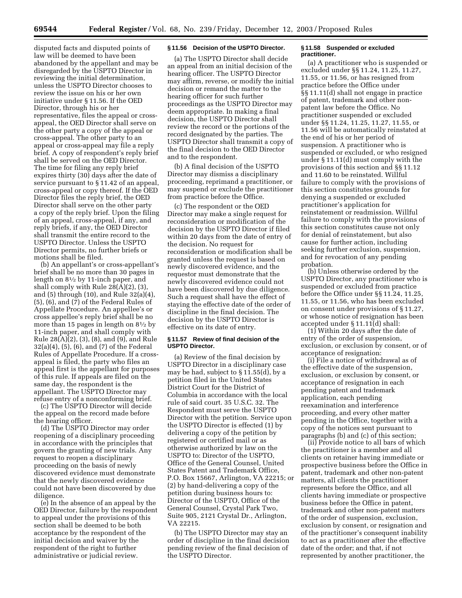disputed facts and disputed points of law will be deemed to have been abandoned by the appellant and may be disregarded by the USPTO Director in reviewing the initial determination, unless the USPTO Director chooses to review the issue on his or her own initiative under § 11.56. If the OED Director, through his or her representative, files the appeal or crossappeal, the OED Director shall serve on the other party a copy of the appeal or cross-appeal. The other party to an appeal or cross-appeal may file a reply brief. A copy of respondent's reply brief shall be served on the OED Director. The time for filing any reply brief expires thirty (30) days after the date of service pursuant to § 11.42 of an appeal, cross-appeal or copy thereof. If the OED Director files the reply brief, the OED Director shall serve on the other party a copy of the reply brief. Upon the filing of an appeal, cross-appeal, if any, and reply briefs, if any, the OED Director shall transmit the entire record to the USPTO Director. Unless the USPTO Director permits, no further briefs or motions shall be filed.

(b) An appellant's or cross-appellant's brief shall be no more than 30 pages in length on 81⁄2 by 11-inch paper, and shall comply with Rule 28(A)(2), (3), and (5) through (10), and Rule 32(a)(4), (5), (6), and (7) of the Federal Rules of Appellate Procedure. An appellee's or cross appellee's reply brief shall be no more than 15 pages in length on  $8\frac{1}{2}$  by 11-inch paper, and shall comply with Rule 28(A)(2), (3), (8), and (9), and Rule 32(a)(4), (5), (6), and (7) of the Federal Rules of Appellate Procedure. If a crossappeal is filed, the party who files an appeal first is the appellant for purposes of this rule. If appeals are filed on the same day, the respondent is the appellant. The USPTO Director may refuse entry of a nonconforming brief.

(c) The USPTO Director will decide the appeal on the record made before the hearing officer.

(d) The USPTO Director may order reopening of a disciplinary proceeding in accordance with the principles that govern the granting of new trials. Any request to reopen a disciplinary proceeding on the basis of newly discovered evidence must demonstrate that the newly discovered evidence could not have been discovered by due diligence.

(e) In the absence of an appeal by the OED Director, failure by the respondent to appeal under the provisions of this section shall be deemed to be both acceptance by the respondent of the initial decision and waiver by the respondent of the right to further administrative or judicial review.

# **§ 11.56 Decision of the USPTO Director.**

(a) The USPTO Director shall decide an appeal from an initial decision of the hearing officer. The USPTO Director may affirm, reverse, or modify the initial decision or remand the matter to the hearing officer for such further proceedings as the USPTO Director may deem appropriate. In making a final decision, the USPTO Director shall review the record or the portions of the record designated by the parties. The USPTO Director shall transmit a copy of the final decision to the OED Director and to the respondent.

(b) A final decision of the USPTO Director may dismiss a disciplinary proceeding, reprimand a practitioner, or may suspend or exclude the practitioner from practice before the Office.

(c) The respondent or the OED Director may make a single request for reconsideration or modification of the decision by the USPTO Director if filed within 20 days from the date of entry of the decision. No request for reconsideration or modification shall be granted unless the request is based on newly discovered evidence, and the requestor must demonstrate that the newly discovered evidence could not have been discovered by due diligence. Such a request shall have the effect of staying the effective date of the order of discipline in the final decision. The decision by the USPTO Director is effective on its date of entry.

# **§ 11.57 Review of final decision of the USPTO Director.**

(a) Review of the final decision by USPTO Director in a disciplinary case may be had, subject to § 11.55(d), by a petition filed in the United States District Court for the District of Columbia in accordance with the local rule of said court. 35 U.S.C. 32. The Respondent must serve the USPTO Director with the petition. Service upon the USPTO Director is effected (1) by delivering a copy of the petition by registered or certified mail or as otherwise authorized by law on the USPTO to: Director of the USPTO, Office of the General Counsel, United States Patent and Trademark Office, P.O. Box 15667, Arlington, VA 22215; or (2) by hand-delivering a copy of the petition during business hours to: Director of the USPTO, Office of the General Counsel, Crystal Park Two, Suite 905, 2121 Crystal Dr., Arlington, VA 22215.

(b) The USPTO Director may stay an order of discipline in the final decision pending review of the final decision of the USPTO Director.

# **§ 11.58 Suspended or excluded practitioner.**

(a) A practitioner who is suspended or excluded under §§ 11.24, 11.25, 11.27, 11.55, or 11.56, or has resigned from practice before the Office under §§ 11.11(d) shall not engage in practice of patent, trademark and other nonpatent law before the Office. No practitioner suspended or excluded under §§ 11.24, 11.25, 11.27, 11.55, or 11.56 will be automatically reinstated at the end of his or her period of suspension. A practitioner who is suspended or excluded, or who resigned under § 11.11(d) must comply with the provisions of this section and §§ 11.12 and 11.60 to be reinstated. Willful failure to comply with the provisions of this section constitutes grounds for denying a suspended or excluded practitioner's application for reinstatement or readmission. Willful failure to comply with the provisions of this section constitutes cause not only for denial of reinstatement, but also cause for further action, including seeking further exclusion, suspension, and for revocation of any pending probation.

(b) Unless otherwise ordered by the USPTO Director, any practitioner who is suspended or excluded from practice before the Office under §§ 11.24, 11.25, 11.55, or 11.56, who has been excluded on consent under provisions of § 11.27, or whose notice of resignation has been accepted under § 11.11(d) shall:

(1) Within 20 days after the date of entry of the order of suspension, exclusion, or exclusion by consent, or of acceptance of resignation:

(i) File a notice of withdrawal as of the effective date of the suspension, exclusion, or exclusion by consent, or acceptance of resignation in each pending patent and trademark application, each pending reexamination and interference proceeding, and every other matter pending in the Office, together with a copy of the notices sent pursuant to paragraphs (b) and (c) of this section;

(ii) Provide notice to all bars of which the practitioner is a member and all clients on retainer having immediate or prospective business before the Office in patent, trademark and other non-patent matters, all clients the practitioner represents before the Office, and all clients having immediate or prospective business before the Office in patent, trademark and other non-patent matters of the order of suspension, exclusion, exclusion by consent, or resignation and of the practitioner's consequent inability to act as a practitioner after the effective date of the order; and that, if not represented by another practitioner, the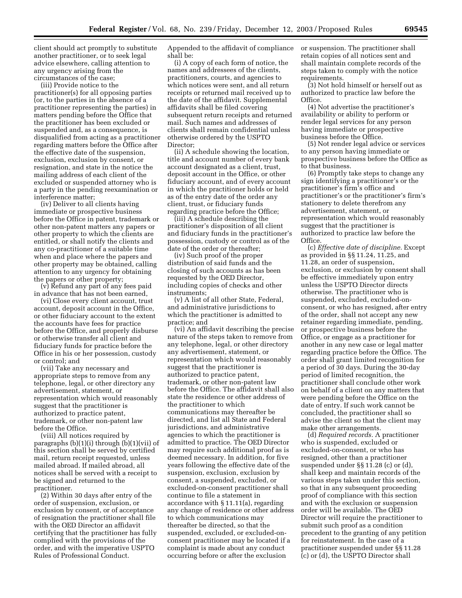client should act promptly to substitute another practitioner, or to seek legal advice elsewhere, calling attention to any urgency arising from the circumstances of the case;

(iii) Provide notice to the practitioner(s) for all opposing parties (or, to the parties in the absence of a practitioner representing the parties) in matters pending before the Office that the practitioner has been excluded or suspended and, as a consequence, is disqualified from acting as a practitioner regarding matters before the Office after the effective date of the suspension, exclusion, exclusion by consent, or resignation, and state in the notice the mailing address of each client of the excluded or suspended attorney who is a party in the pending reexamination or interference matter;

(iv) Deliver to all clients having immediate or prospective business before the Office in patent, trademark or other non-patent matters any papers or other property to which the clients are entitled, or shall notify the clients and any co-practitioner of a suitable time when and place where the papers and other property may be obtained, calling attention to any urgency for obtaining the papers or other property;

(v) Refund any part of any fees paid in advance that has not been earned,

(vi) Close every client account, trust account, deposit account in the Office, or other fiduciary account to the extent the accounts have fees for practice before the Office, and properly disburse or otherwise transfer all client and fiduciary funds for practice before the Office in his or her possession, custody or control; and

(vii) Take any necessary and appropriate steps to remove from any telephone, legal, or other directory any advertisement, statement, or representation which would reasonably suggest that the practitioner is authorized to practice patent, trademark, or other non-patent law before the Office.

(viii) All notices required by paragraphs (b)(1)(i) through (b)(1)(vii) of this section shall be served by certified mail, return receipt requested, unless mailed abroad. If mailed abroad, all notices shall be served with a receipt to be signed and returned to the practitioner.

(2) Within 30 days after entry of the order of suspension, exclusion, or exclusion by consent, or of acceptance of resignation the practitioner shall file with the OED Director an affidavit certifying that the practitioner has fully complied with the provisions of the order, and with the imperative USPTO Rules of Professional Conduct.

Appended to the affidavit of compliance shall be:

(i) A copy of each form of notice, the names and addressees of the clients, practitioners, courts, and agencies to which notices were sent, and all return receipts or returned mail received up to the date of the affidavit. Supplemental affidavits shall be filed covering subsequent return receipts and returned mail. Such names and addresses of clients shall remain confidential unless otherwise ordered by the USPTO Director;

(ii) A schedule showing the location, title and account number of every bank account designated as a client, trust, deposit account in the Office, or other fiduciary account, and of every account in which the practitioner holds or held as of the entry date of the order any client, trust, or fiduciary funds regarding practice before the Office;

(iii) A schedule describing the practitioner's disposition of all client and fiduciary funds in the practitioner's possession, custody or control as of the date of the order or thereafter;

(iv) Such proof of the proper distribution of said funds and the closing of such accounts as has been requested by the OED Director, including copies of checks and other instruments;

(v) A list of all other State, Federal, and administrative jurisdictions to which the practitioner is admitted to practice; and

(vi) An affidavit describing the precise nature of the steps taken to remove from any telephone, legal, or other directory any advertisement, statement, or representation which would reasonably suggest that the practitioner is authorized to practice patent, trademark, or other non-patent law before the Office. The affidavit shall also state the residence or other address of the practitioner to which communications may thereafter be directed, and list all State and Federal jurisdictions, and administrative agencies to which the practitioner is admitted to practice. The OED Director may require such additional proof as is deemed necessary. In addition, for five years following the effective date of the suspension, exclusion, exclusion by consent, a suspended, excluded, or excluded-on-consent practitioner shall continue to file a statement in accordance with § 11.11(a), regarding any change of residence or other address to which communications may thereafter be directed, so that the suspended, excluded, or excluded-onconsent practitioner may be located if a complaint is made about any conduct occurring before or after the exclusion

or suspension. The practitioner shall retain copies of all notices sent and shall maintain complete records of the steps taken to comply with the notice requirements.

(3) Not hold himself or herself out as authorized to practice law before the Office.

(4) Not advertise the practitioner's availability or ability to perform or render legal services for any person having immediate or prospective business before the Office.

(5) Not render legal advice or services to any person having immediate or prospective business before the Office as to that business.

(6) Promptly take steps to change any sign identifying a practitioner's or the practitioner's firm's office and practitioner's or the practitioner's firm's stationery to delete therefrom any advertisement, statement, or representation which would reasonably suggest that the practitioner is authorized to practice law before the Office.

(c) *Effective date of discipline.* Except as provided in §§ 11.24, 11.25, and 11.28, an order of suspension, exclusion, or exclusion by consent shall be effective immediately upon entry unless the USPTO Director directs otherwise. The practitioner who is suspended, excluded, excluded-onconsent, or who has resigned, after entry of the order, shall not accept any new retainer regarding immediate, pending, or prospective business before the Office, or engage as a practitioner for another in any new case or legal matter regarding practice before the Office. The order shall grant limited recognition for a period of 30 days. During the 30-day period of limited recognition, the practitioner shall conclude other work on behalf of a client on any matters that were pending before the Office on the date of entry. If such work cannot be concluded, the practitioner shall so advise the client so that the client may make other arrangements.

(d) *Required records.* A practitioner who is suspended, excluded or excluded-on-consent, or who has resigned, other than a practitioner suspended under §§ 11.28 (c) or (d), shall keep and maintain records of the various steps taken under this section, so that in any subsequent proceeding proof of compliance with this section and with the exclusion or suspension order will be available. The OED Director will require the practitioner to submit such proof as a condition precedent to the granting of any petition for reinstatement. In the case of a practitioner suspended under §§ 11.28 (c) or (d), the USPTO Director shall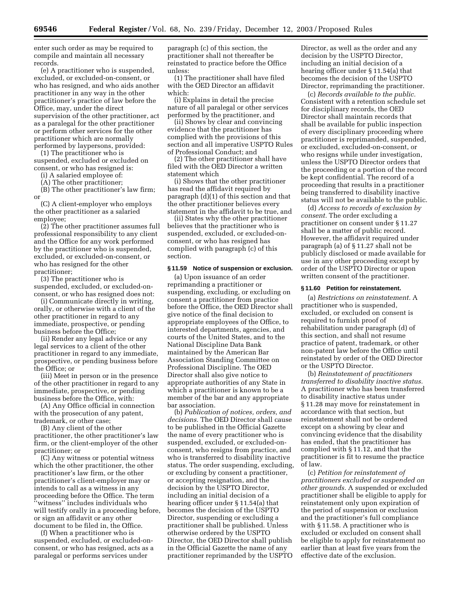enter such order as may be required to compile and maintain all necessary records.

(e) A practitioner who is suspended, excluded, or excluded-on-consent, or who has resigned, and who aids another practitioner in any way in the other practitioner's practice of law before the Office, may, under the direct supervision of the other practitioner, act as a paralegal for the other practitioner or perform other services for the other practitioner which are normally performed by laypersons, provided:

(1) The practitioner who is suspended, excluded or excluded on consent, or who has resigned is:

(i) A salaried employee of:

(A) The other practitioner;

(B) The other practitioner's law firm; or

(C) A client-employer who employs the other practitioner as a salaried employee;

(2) The other practitioner assumes full professional responsibility to any client and the Office for any work performed by the practitioner who is suspended, excluded, or excluded-on-consent, or who has resigned for the other practitioner;

(3) The practitioner who is suspended, excluded, or excluded-onconsent, or who has resigned does not:

(i) Communicate directly in writing, orally, or otherwise with a client of the other practitioner in regard to any immediate, prospective, or pending business before the Office;

(ii) Render any legal advice or any legal services to a client of the other practitioner in regard to any immediate, prospective, or pending business before the Office; or

(iii) Meet in person or in the presence of the other practitioner in regard to any immediate, prospective, or pending business before the Office, with:

(A) Any Office official in connection with the prosecution of any patent, trademark, or other case;

(B) Any client of the other practitioner, the other practitioner's law firm, or the client-employer of the other practitioner; or

(C) Any witness or potential witness which the other practitioner, the other practitioner's law firm, or the other practitioner's client-employer may or intends to call as a witness in any proceeding before the Office. The term ''witness'' includes individuals who will testify orally in a proceeding before, or sign an affidavit or any other document to be filed in, the Office.

(f) When a practitioner who is suspended, excluded, or excluded-onconsent, or who has resigned, acts as a paralegal or performs services under

paragraph (c) of this section, the practitioner shall not thereafter be reinstated to practice before the Office unless:

(1) The practitioner shall have filed with the OED Director an affidavit which:

(i) Explains in detail the precise nature of all paralegal or other services performed by the practitioner, and

(ii) Shows by clear and convincing evidence that the practitioner has complied with the provisions of this section and all imperative USPTO Rules of Professional Conduct; and

(2) The other practitioner shall have filed with the OED Director a written statement which

(i) Shows that the other practitioner has read the affidavit required by paragraph (d)(1) of this section and that the other practitioner believes every statement in the affidavit to be true, and

(ii) States why the other practitioner believes that the practitioner who is suspended, excluded, or excluded-onconsent, or who has resigned has complied with paragraph (c) of this section.

# **§ 11.59 Notice of suspension or exclusion.**

(a) Upon issuance of an order reprimanding a practitioner or suspending, excluding, or excluding on consent a practitioner from practice before the Office, the OED Director shall give notice of the final decision to appropriate employees of the Office, to interested departments, agencies, and courts of the United States, and to the National Discipline Data Bank maintained by the American Bar Association Standing Committee on Professional Discipline. The OED Director shall also give notice to appropriate authorities of any State in which a practitioner is known to be a member of the bar and any appropriate bar association.

(b) *Publication of notices, orders, and decisions.* The OED Director shall cause to be published in the Official Gazette the name of every practitioner who is suspended, excluded, or excluded-onconsent, who resigns from practice, and who is transferred to disability inactive status. The order suspending, excluding, or excluding by consent a practitioner, or accepting resignation, and the decision by the USPTO Director, including an initial decision of a hearing officer under § 11.54(a) that becomes the decision of the USPTO Director, suspending or excluding a practitioner shall be published. Unless otherwise ordered by the USPTO Director, the OED Director shall publish in the Official Gazette the name of any practitioner reprimanded by the USPTO

Director, as well as the order and any decision by the USPTO Director, including an initial decision of a hearing officer under § 11.54(a) that becomes the decision of the USPTO Director, reprimanding the practitioner.

(c) *Records available to the public.* Consistent with a retention schedule set for disciplinary records, the OED Director shall maintain records that shall be available for public inspection of every disciplinary proceeding where practitioner is reprimanded, suspended, or excluded, excluded-on-consent, or who resigns while under investigation, unless the USPTO Director orders that the proceeding or a portion of the record be kept confidential. The record of a proceeding that results in a practitioner being transferred to disability inactive status will not be available to the public.

(d) *Access to records of exclusion by consent.* The order excluding a practitioner on consent under § 11.27 shall be a matter of public record. However, the affidavit required under paragraph (a) of § 11.27 shall not be publicly disclosed or made available for use in any other proceeding except by order of the USPTO Director or upon written consent of the practitioner.

#### **§ 11.60 Petition for reinstatement.**

(a) *Restrictions on reinstatement.* A practitioner who is suspended, excluded, or excluded on consent is required to furnish proof of rehabilitation under paragraph (d) of this section, and shall not resume practice of patent, trademark, or other non-patent law before the Office until reinstated by order of the OED Director or the USPTO Director.

(b) *Reinstatement of practitioners transferred to disability inactive status.* A practitioner who has been transferred to disability inactive status under § 11.28 may move for reinstatement in accordance with that section, but reinstatement shall not be ordered except on a showing by clear and convincing evidence that the disability has ended, that the practitioner has complied with § 11.12, and that the practitioner is fit to resume the practice of law.

(c) *Petition for reinstatement of practitioners excluded or suspended on other grounds.* A suspended or excluded practitioner shall be eligible to apply for reinstatement only upon expiration of the period of suspension or exclusion and the practitioner's full compliance with § 11.58. A practitioner who is excluded or excluded on consent shall be eligible to apply for reinstatement no earlier than at least five years from the effective date of the exclusion.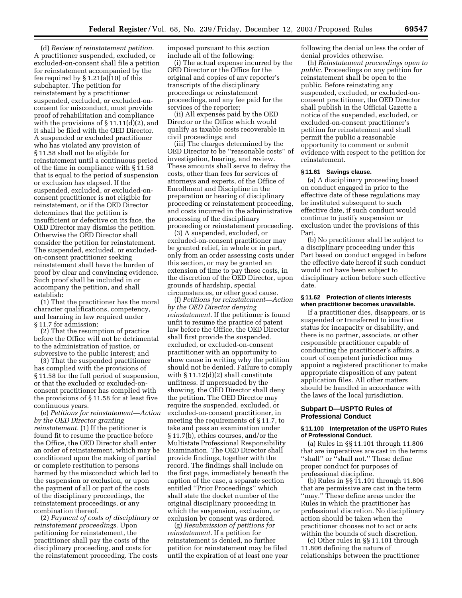(d) *Review of reinstatement petition.* A practitioner suspended, excluded, or excluded-on-consent shall file a petition for reinstatement accompanied by the fee required by § 1.21(a)(10) of this subchapter. The petition for reinstatement by a practitioner suspended, excluded, or excluded-onconsent for misconduct, must provide proof of rehabilitation and compliance with the provisions of § 11.11(d)(2), and it shall be filed with the OED Director. A suspended or excluded practitioner who has violated any provision of § 11.58 shall not be eligible for reinstatement until a continuous period of the time in compliance with § 11.58 that is equal to the period of suspension or exclusion has elapsed. If the suspended, excluded, or excluded-onconsent practitioner is not eligible for reinstatement, or if the OED Director determines that the petition is insufficient or defective on its face, the OED Director may dismiss the petition. Otherwise the OED Director shall consider the petition for reinstatement. The suspended, excluded, or excludedon-consent practitioner seeking reinstatement shall have the burden of proof by clear and convincing evidence. Such proof shall be included in or accompany the petition, and shall establish:

(1) That the practitioner has the moral character qualifications, competency, and learning in law required under § 11.7 for admission;

(2) That the resumption of practice before the Office will not be detrimental to the administration of justice, or subversive to the public interest; and

(3) That the suspended practitioner has complied with the provisions of § 11.58 for the full period of suspension, or that the excluded or excluded-onconsent practitioner has complied with the provisions of § 11.58 for at least five continuous years.

(e) *Petitions for reinstatement—Action by the OED Director granting reinstatement.* (1) If the petitioner is found fit to resume the practice before the Office, the OED Director shall enter an order of reinstatement, which may be conditioned upon the making of partial or complete restitution to persons harmed by the misconduct which led to the suspension or exclusion, or upon the payment of all or part of the costs of the disciplinary proceedings, the reinstatement proceedings, or any combination thereof.

(2) *Payment of costs of disciplinary or reinstatement proceedings.* Upon petitioning for reinstatement, the practitioner shall pay the costs of the disciplinary proceeding, and costs for the reinstatement proceeding. The costs

imposed pursuant to this section include all of the following:

(i) The actual expense incurred by the OED Director or the Office for the original and copies of any reporter's transcripts of the disciplinary proceedings or reinstatement proceedings, and any fee paid for the services of the reporter;

(ii) All expenses paid by the OED Director or the Office which would qualify as taxable costs recoverable in civil proceedings; and

(iii) The charges determined by the OED Director to be ''reasonable costs'' of investigation, hearing, and review. These amounts shall serve to defray the costs, other than fees for services of attorneys and experts, of the Office of Enrollment and Discipline in the preparation or hearing of disciplinary proceeding or reinstatement proceeding, and costs incurred in the administrative processing of the disciplinary proceeding or reinstatement proceeding.

(3) A suspended, excluded, or excluded-on-consent practitioner may be granted relief, in whole or in part, only from an order assessing costs under this section, or may be granted an extension of time to pay these costs, in the discretion of the OED Director, upon grounds of hardship, special circumstances, or other good cause.

(f) *Petitions for reinstatement—Action by the OED Director denying reinstatement.* If the petitioner is found unfit to resume the practice of patent law before the Office, the OED Director shall first provide the suspended, excluded, or excluded-on-consent practitioner with an opportunity to show cause in writing why the petition should not be denied. Failure to comply with § 11.12(d)(2) shall constitute unfitness. If unpersuaded by the showing, the OED Director shall deny the petition. The OED Director may require the suspended, excluded, or excluded-on-consent practitioner, in meeting the requirements of § 11.7, to take and pass an examination under § 11.7(b), ethics courses, and/or the Multistate Professional Responsibility Examination. The OED Director shall provide findings, together with the record. The findings shall include on the first page, immediately beneath the caption of the case, a separate section entitled ''Prior Proceedings'' which shall state the docket number of the original disciplinary proceeding in which the suspension, exclusion, or exclusion by consent was ordered.

(g) *Resubmission of petitions for reinstatement.* If a petition for reinstatement is denied, no further petition for reinstatement may be filed until the expiration of at least one year following the denial unless the order of denial provides otherwise.

(h) *Reinstatement proceedings open to public.* Proceedings on any petition for reinstatement shall be open to the public. Before reinstating any suspended, excluded, or excluded-onconsent practitioner, the OED Director shall publish in the Official Gazette a notice of the suspended, excluded, or excluded-on-consent practitioner's petition for reinstatement and shall permit the public a reasonable opportunity to comment or submit evidence with respect to the petition for reinstatement.

# **§ 11.61 Savings clause.**

(a) A disciplinary proceeding based on conduct engaged in prior to the effective date of these regulations may be instituted subsequent to such effective date, if such conduct would continue to justify suspension or exclusion under the provisions of this Part.

(b) No practitioner shall be subject to a disciplinary proceeding under this Part based on conduct engaged in before the effective date hereof if such conduct would not have been subject to disciplinary action before such effective date.

# **§ 11.62 Protection of clients interests when practitioner becomes unavailable.**

If a practitioner dies, disappears, or is suspended or transferred to inactive status for incapacity or disability, and there is no partner, associate, or other responsible practitioner capable of conducting the practitioner's affairs, a court of competent jurisdiction may appoint a registered practitioner to make appropriate disposition of any patent application files. All other matters should be handled in accordance with the laws of the local jurisdiction.

# **Subpart D—USPTO Rules of Professional Conduct**

# **§ 11.100 Interpretation of the USPTO Rules of Professional Conduct.**

(a) Rules in §§ 11.101 through 11.806 that are imperatives are cast in the terms ''shall'' or ''shall not.'' These define proper conduct for purposes of professional discipline.

(b) Rules in §§ 11.101 through 11.806 that are permissive are cast in the term ''may.'' These define areas under the Rules in which the practitioner has professional discretion. No disciplinary action should be taken when the practitioner chooses not to act or acts within the bounds of such discretion.

(c) Other rules in §§ 11.101 through 11.806 defining the nature of relationships between the practitioner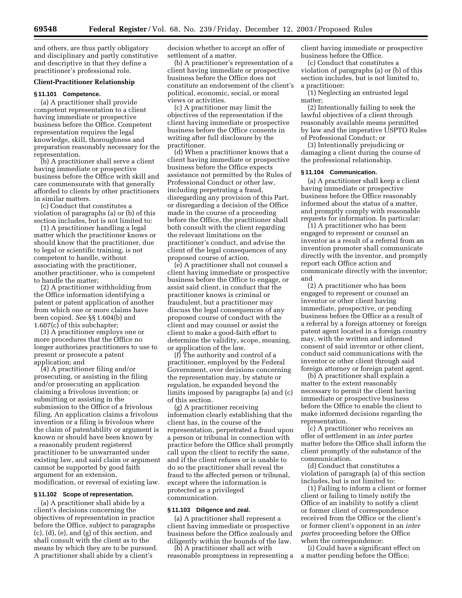and others, are thus partly obligatory and disciplinary and partly constitutive and descriptive in that they define a practitioner's professional role.

# **Client-Practitioner Relationship**

# **§ 11.101 Competence.**

(a) A practitioner shall provide competent representation to a client having immediate or prospective business before the Office. Competent representation requires the legal knowledge, skill, thoroughness and preparation reasonably necessary for the representation.

(b) A practitioner shall serve a client having immediate or prospective business before the Office with skill and care commensurate with that generally afforded to clients by other practitioners in similar matters.

(c) Conduct that constitutes a violation of paragraphs (a) or (b) of this section includes, but is not limited to:

(1) A practitioner handling a legal matter which the practitioner knows or should know that the practitioner, due to legal or scientific training, is not competent to handle, without associating with the practitioner, another practitioner, who is competent to handle the matter;

(2) A practitioner withholding from the Office information identifying a patent or patent application of another from which one or more claims have been copied. *See* §§ 1.604(b) and 1.607(c) of this subchapter;

(3) A practitioner employs one or more procedures that the Office no longer authorizes practitioners to use to present or prosecute a patent application; and

(4) A practitioner filing and/or prosecuting, or assisting in the filing and/or prosecuting an application claiming a frivolous invention; or submitting or assisting in the submission to the Office of a frivolous filing. An application claims a frivolous invention or a filing is frivolous where the claim of patentability or argument is known or should have been known by a reasonably prudent registered practitioner to be unwarranted under existing law, and said claim or argument cannot be supported by good faith argument for an extension, modification, or reversal of existing law.

# **§ 11.102 Scope of representation.**

(a) A practitioner shall abide by a client's decisions concerning the objectives of representation in practice before the Office, subject to paragraphs (c), (d), (e), and (g) of this section, and shall consult with the client as to the means by which they are to be pursued. A practitioner shall abide by a client's

decision whether to accept an offer of settlement of a matter.

(b) A practitioner's representation of a client having immediate or prospective business before the Office does not constitute an endorsement of the client's political, economic, social, or moral views or activities.

(c) A practitioner may limit the objectives of the representation if the client having immediate or prospective business before the Office consents in writing after full disclosure by the practitioner.

(d) When a practitioner knows that a client having immediate or prospective business before the Office expects assistance not permitted by the Rules of Professional Conduct or other law, including perpetrating a fraud, disregarding any provision of this Part, or disregarding a decision of the Office made in the course of a proceeding before the Office, the practitioner shall both consult with the client regarding the relevant limitations on the practitioner's conduct, and advise the client of the legal consequences of any proposed course of action.

(e) A practitioner shall not counsel a client having immediate or prospective business before the Office to engage, or assist said client, in conduct that the practitioner knows is criminal or fraudulent, but a practitioner may discuss the legal consequences of any proposed course of conduct with the client and may counsel or assist the client to make a good-faith effort to determine the validity, scope, meaning, or application of the law.

(f) The authority and control of a practitioner, employed by the Federal Government, over decisions concerning the representation may, by statute or regulation, be expanded beyond the limits imposed by paragraphs (a) and (c) of this section.

(g) A practitioner receiving information clearly establishing that the client has, in the course of the representation, perpetrated a fraud upon a person or tribunal in connection with practice before the Office shall promptly call upon the client to rectify the same, and if the client refuses or is unable to do so the practitioner shall reveal the fraud to the affected person or tribunal, except where the information is protected as a privileged communication.

### **§ 11.103 Diligence and zeal.**

(a) A practitioner shall represent a client having immediate or prospective business before the Office zealously and diligently within the bounds of the law.

(b) A practitioner shall act with reasonable promptness in representing a client having immediate or prospective business before the Office.

(c) Conduct that constitutes a violation of paragraphs (a) or (b) of this section includes, but is not limited to, a practitioner:

(1) Neglecting an entrusted legal matter;

(2) Intentionally failing to seek the lawful objectives of a client through reasonably available means permitted by law and the imperative USPTO Rules of Professional Conduct; or

(3) Intentionally prejudicing or damaging a client during the course of the professional relationship.

#### **§ 11.104 Communication.**

(a) A practitioner shall keep a client having immediate or prospective business before the Office reasonably informed about the status of a matter, and promptly comply with reasonable requests for information. In particular:

(1) A practitioner who has been engaged to represent or counsel an inventor as a result of a referral from an invention promoter shall communicate directly with the inventor, and promptly report each Office action and communicate directly with the inventor; and

(2) A practitioner who has been engaged to represent or counsel an inventor or other client having immediate, prospective, or pending business before the Office as a result of a referral by a foreign attorney or foreign patent agent located in a foreign country may, with the written and informed consent of said inventor or other client, conduct said communications with the inventor or other client through said foreign attorney or foreign patent agent.

(b) A practitioner shall explain a matter to the extent reasonably necessary to permit the client having immediate or prospective business before the Office to enable the client to make informed decisions regarding the representation.

(c) A practitioner who receives an offer of settlement in an *inter partes* matter before the Office shall inform the client promptly of the substance of the communication.

(d) Conduct that constitutes a violation of paragraph (a) of this section includes, but is not limited to:

(1) Failing to inform a client or former client or failing to timely notify the Office of an inability to notify a client or former client of correspondence received from the Office or the client's or former client's opponent in an *inter partes* proceeding before the Office when the correspondence:

(i) Could have a significant effect on a matter pending before the Office;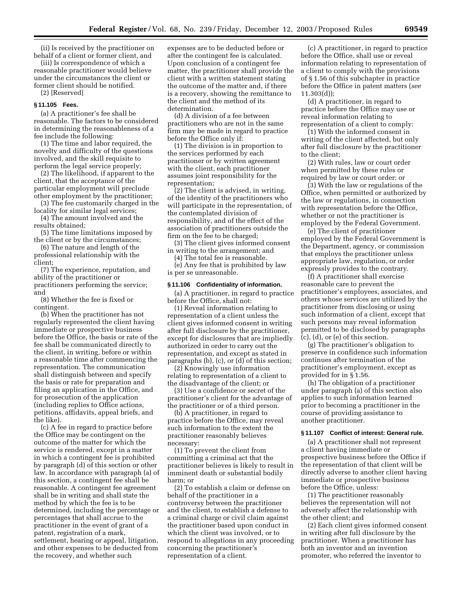(ii) Is received by the practitioner on behalf of a client or former client, and

(iii) Is correspondence of which a reasonable practitioner would believe under the circumstances the client or former client should be notified.

(2) [Reserved]

### **§ 11.105 Fees.**

(a) A practitioner's fee shall be reasonable. The factors to be considered in determining the reasonableness of a fee include the following:

(1) The time and labor required, the novelty and difficulty of the questions involved, and the skill requisite to perform the legal service properly;

(2) The likelihood, if apparent to the client, that the acceptance of the particular employment will preclude other employment by the practitioner;

(3) The fee customarily charged in the locality for similar legal services;

(4) The amount involved and the results obtained;

(5) The time limitations imposed by the client or by the circumstances;

(6) The nature and length of the professional relationship with the client;

(7) The experience, reputation, and ability of the practitioner or practitioners performing the service; and

(8) Whether the fee is fixed or contingent.

(b) When the practitioner has not regularly represented the client having immediate or prospective business before the Office, the basis or rate of the fee shall be communicated directly to the client, in writing, before or within a reasonable time after commencing the representation. The communication shall distinguish between and specify the basis or rate for preparation and filing an application in the Office, and for prosecution of the application (including replies to Office actions, petitions, affidavits, appeal briefs, and the like).

(c) A fee in regard to practice before the Office may be contingent on the outcome of the matter for which the service is rendered, except in a matter in which a contingent fee is prohibited by paragraph (d) of this section or other law. In accordance with paragraph (a) of this section, a contingent fee shall be reasonable. A contingent fee agreement shall be in writing and shall state the method by which the fee is to be determined, including the percentage or percentages that shall accrue to the practitioner in the event of grant of a patent, registration of a mark, settlement, hearing or appeal, litigation, and other expenses to be deducted from the recovery, and whether such

expenses are to be deducted before or after the contingent fee is calculated. Upon conclusion of a contingent fee matter, the practitioner shall provide the client with a written statement stating the outcome of the matter and, if there is a recovery, showing the remittance to the client and the method of its determination.

(d) A division of a fee between practitioners who are not in the same firm may be made in regard to practice before the Office only if:

(1) The division is in proportion to the services performed by each practitioner or by written agreement with the client, each practitioner assumes joint responsibility for the representation;

(2) The client is advised, in writing, of the identity of the practitioners who will participate in the representation, of the contemplated division of responsibility, and of the effect of the association of practitioners outside the firm on the fee to be charged;

(3) The client gives informed consent in writing to the arrangement; and

(4) The total fee is reasonable.

(e) Any fee that is prohibited by law is per se unreasonable.

### **§ 11.106 Confidentiality of information.**

(a) A practitioner, in regard to practice before the Office, shall not:

(1) Reveal information relating to representation of a client unless the client gives informed consent in writing after full disclosure by the practitioner, except for disclosures that are impliedly authorized in order to carry out the representation, and except as stated in paragraphs (b), (c), or (d) of this section;

(2) Knowingly use information relating to representation of a client to the disadvantage of the client; or

(3) Use a confidence or secret of the practitioner's client for the advantage of the practitioner or of a third person.

(b) A practitioner, in regard to practice before the Office, may reveal such information to the extent the practitioner reasonably believes necessary:

(1) To prevent the client from committing a criminal act that the practitioner believes is likely to result in imminent death or substantial bodily harm; or

(2) To establish a claim or defense on behalf of the practitioner in a controversy between the practitioner and the client, to establish a defense to a criminal charge or civil claim against the practitioner based upon conduct in which the client was involved, or to respond to allegations in any proceeding concerning the practitioner's representation of a client.

(c) A practitioner, in regard to practice before the Office, shall use or reveal information relating to representation of a client to comply with the provisions of § 1.56 of this subchapter in practice before the Office in patent matters (*see* 11.303(d));

(d) A practitioner, in regard to practice before the Office may use or reveal information relating to representation of a client to comply:

(1) With the informed consent in writing of the client affected, but only after full disclosure by the practitioner to the client;

(2) With rules, law or court order when permitted by these rules or required by law or court order; or

(3) With the law or regulations of the Office, when permitted or authorized by the law or regulations, in connection with representation before the Office, whether or not the practitioner is employed by the Federal Government.

(e) The client of practitioner employed by the Federal Government is the Department, agency, or commission that employs the practitioner unless appropriate law, regulation, or order expressly provides to the contrary.

(f) A practitioner shall exercise reasonable care to prevent the practitioner's employees, associates, and others whose services are utilized by the practitioner from disclosing or using such information of a client, except that such persons may reveal information permitted to be disclosed by paragraphs (c), (d), or (e) of this section.

(g) The practitioner's obligation to preserve in confidence such information continues after termination of the practitioner's employment, except as provided for in § 1.56.

(h) The obligation of a practitioner under paragraph (a) of this section also applies to such information learned prior to becoming a practitioner in the course of providing assistance to another practitioner.

### **§ 11.107 Conflict of interest: General rule.**

(a) A practitioner shall not represent a client having immediate or prospective business before the Office if the representation of that client will be directly adverse to another client having immediate or prospective business before the Office, unless:

(1) The practitioner reasonably believes the representation will not adversely affect the relationship with the other client; and

(2) Each client gives informed consent in writing after full disclosure by the practitioner. When a practitioner has both an inventor and an invention promoter, who referred the inventor to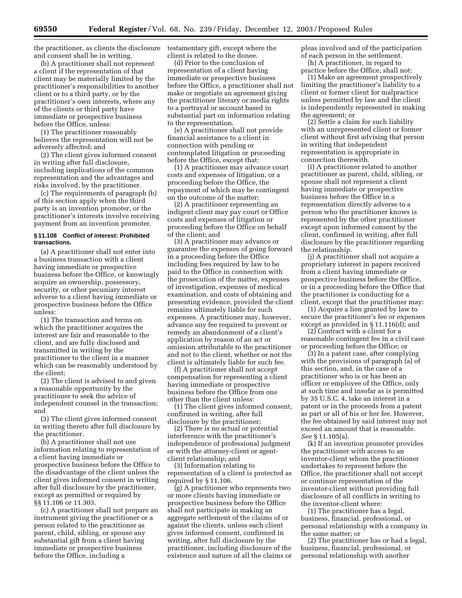the practitioner, as clients the disclosure and consent shall be in writing.

(b) A practitioner shall not represent a client if the representation of that client may be materially limited by the practitioner's responsibilities to another client or to a third party, or by the practitioner's own interests, where any of the clients or third party have immediate or prospective business before the Office, unless:

(1) The practitioner reasonably believes the representation will not be adversely affected; and

(2) The client gives informed consent in writing after full disclosure, including implications of the common representation and the advantages and risks involved, by the practitioner.

(c) The requirements of paragraph (b) of this section apply when the third party is an invention promoter, or the practitioner's interests involve receiving payment from an invention promoter.

### **§ 11.108 Conflict of interest: Prohibited transactions.**

(a) A practitioner shall not enter into a business transaction with a client having immediate or prospective business before the Office, or knowingly acquire an ownership, possessory, security, or other pecuniary interest adverse to a client having immediate or prospective business before the Office unless:

(1) The transaction and terms on which the practitioner acquires the interest are fair and reasonable to the client, and are fully disclosed and transmitted in writing by the practitioner to the client in a manner which can be reasonably understood by the client;

(2) The client is advised to and given a reasonable opportunity by the practitioner to seek the advice of independent counsel in the transaction; and

(3) The client gives informed consent in writing thereto after full disclosure by the practitioner.

(b) A practitioner shall not use information relating to representation of a client having immediate or prospective business before the Office to the disadvantage of the client unless the client gives informed consent in writing after full disclosure by the practitioner, except as permitted or required by §§ 11.106 or 11.303.

(c) A practitioner shall not prepare an instrument giving the practitioner or a person related to the practitioner as parent, child, sibling, or spouse any substantial gift from a client having immediate or prospective business before the Office, including a

testamentary gift, except where the client is related to the donee.

(d) Prior to the conclusion of representation of a client having immediate or prospective business before the Office, a practitioner shall not make or negotiate an agreement giving the practitioner literary or media rights to a portrayal or account based in substantial part on information relating to the representation.

(e) A practitioner shall not provide financial assistance to a client in connection with pending or contemplated litigation or proceeding before the Office, except that:

(1) A practitioner may advance court costs and expenses of litigation, or a proceeding before the Office, the repayment of which may be contingent on the outcome of the matter;

(2) A practitioner representing an indigent client may pay court or Office costs and expenses of litigation or proceeding before the Office on behalf of the client; and

(3) A practitioner may advance or guarantee the expenses of going forward in a proceeding before the Office including fees required by law to be paid to the Office in connection with the prosecution of the matter, expenses of investigation, expenses of medical examination, and costs of obtaining and presenting evidence, provided the client remains ultimately liable for such expenses. A practitioner may, however, advance any fee required to prevent or remedy an abandonment of a client's application by reason of an act or omission attributable to the practitioner and not to the client, whether or not the client is ultimately liable for such fee.

(f) A practitioner shall not accept compensation for representing a client having immediate or prospective business before the Office from one other than the client unless:

(1) The client gives informed consent, confirmed in writing, after full disclosure by the practitioner;

(2) There is no actual or potential interference with the practitioner's independence of professional judgment or with the attorney-client or agentclient relationship; and

(3) Information relating to representation of a client is protected as required by § 11.106.

(g) A practitioner who represents two or more clients having immediate or prospective business before the Office shall not participate in making an aggregate settlement of the claims of or against the clients, unless each client gives informed consent, confirmed in writing, after full disclosure by the practitioner, including disclosure of the existence and nature of all the claims or pleas involved and of the participation of each person in the settlement.

(h) A practitioner, in regard to practice before the Office, shall not:

(1) Make an agreement prospectively limiting the practitioner's liability to a client or former client for malpractice unless permitted by law and the client is independently represented in making the agreement; or

(2) Settle a claim for such liability with an unrepresented client or former client without first advising that person in writing that independent representation is appropriate in connection therewith.

(i) A practitioner related to another practitioner as parent, child, sibling, or spouse shall not represent a client having immediate or prospective business before the Office in a representation directly adverse to a person who the practitioner knows is represented by the other practitioner except upon informed consent by the client, confirmed in writing, after full disclosure by the practitioner regarding the relationship.

(j) A practitioner shall not acquire a proprietary interest in papers received from a client having immediate or prospective business before the Office, or in a proceeding before the Office that the practitioner is conducting for a client, except that the practitioner may:

(1) Acquire a lien granted by law to secure the practitioner's fee or expenses except as provided in § 11.116(d); and

(2) Contract with a client for a reasonable contingent fee in a civil case or proceeding before the Office; or

(3) In a patent case, after complying with the provisions of paragraph (a) of this section, and, in the case of a practitioner who is or has been an officer or employee of the Office, only at such time and insofar as is permitted by 35 U.S.C. 4, take an interest in a patent or in the proceeds from a patent as part or all of his or her fee. However, the fee obtained by said interest may not exceed an amount that is reasonable. *See* § 11.105(a).

(k) If an invention promoter provides the practitioner with access to an inventor-client whom the practitioner undertakes to represent before the Office, the practitioner shall not accept or continue representation of the inventor-client without providing full disclosure of all conflicts in writing to the inventor-client where:

(1) The practitioner has a legal, business, financial, professional, or personal relationship with a company in the same matter; or

(2) The practitioner has or had a legal, business, financial, professional, or personal relationship with another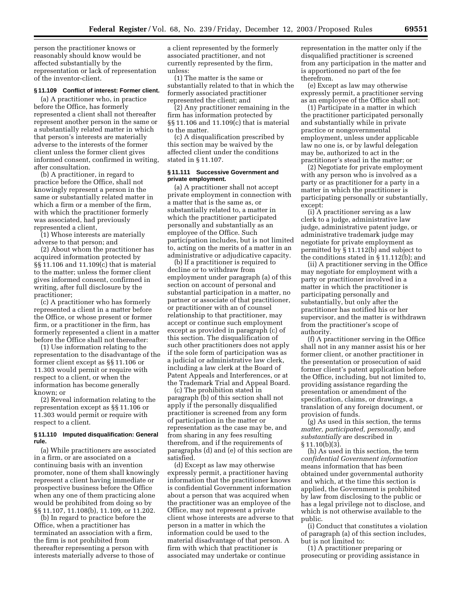person the practitioner knows or reasonably should know would be affected substantially by the representation or lack of representation of the inventor-client.

### **§ 11.109 Conflict of interest: Former client.**

(a) A practitioner who, in practice before the Office, has formerly represented a client shall not thereafter represent another person in the same or a substantially related matter in which that person's interests are materially adverse to the interests of the former client unless the former client gives informed consent, confirmed in writing, after consultation.

(b) A practitioner, in regard to practice before the Office, shall not knowingly represent a person in the same or substantially related matter in which a firm or a member of the firm, with which the practitioner formerly was associated, had previously represented a client,

(1) Whose interests are materially adverse to that person; and

(2) About whom the practitioner has acquired information protected by §§ 11.106 and 11.109(c) that is material to the matter; unless the former client gives informed consent, confirmed in writing, after full disclosure by the practitioner;

(c) A practitioner who has formerly represented a client in a matter before the Office, or whose present or former firm, or a practitioner in the firm, has formerly represented a client in a matter before the Office shall not thereafter:

(1) Use information relating to the representation to the disadvantage of the former client except as §§ 11.106 or 11.303 would permit or require with respect to a client, or when the information has become generally known; or

(2) Reveal information relating to the representation except as §§ 11.106 or 11.303 would permit or require with respect to a client.

### **§ 11.110 Imputed disqualification: General rule.**

(a) While practitioners are associated in a firm, or are associated on a continuing basis with an invention promoter, none of them shall knowingly represent a client having immediate or prospective business before the Office when any one of them practicing alone would be prohibited from doing so by §§ 11.107, 11.108(b), 11.109, or 11.202.

(b) In regard to practice before the Office, when a practitioner has terminated an association with a firm, the firm is not prohibited from thereafter representing a person with interests materially adverse to those of a client represented by the formerly associated practitioner, and not currently represented by the firm, unless:

(1) The matter is the same or substantially related to that in which the formerly associated practitioner represented the client; and

(2) Any practitioner remaining in the firm has information protected by §§ 11.106 and 11.109(c) that is material to the matter.

(c) A disqualification prescribed by this section may be waived by the affected client under the conditions stated in § 11.107.

## **§ 11.111 Successive Government and private employment.**

(a) A practitioner shall not accept private employment in connection with a matter that is the same as, or substantially related to, a matter in which the practitioner participated personally and substantially as an employee of the Office. Such participation includes, but is not limited to, acting on the merits of a matter in an administrative or adjudicative capacity.

(b) If a practitioner is required to decline or to withdraw from employment under paragraph (a) of this section on account of personal and substantial participation in a matter, no partner or associate of that practitioner, or practitioner with an of counsel relationship to that practitioner, may accept or continue such employment except as provided in paragraph (c) of this section. The disqualification of such other practitioners does not apply if the sole form of participation was as a judicial or administrative law clerk, including a law clerk at the Board of Patent Appeals and Interferences, or at the Trademark Trial and Appeal Board.

(c) The prohibition stated in paragraph (b) of this section shall not apply if the personally disqualified practitioner is screened from any form of participation in the matter or representation as the case may be, and from sharing in any fees resulting therefrom, and if the requirements of paragraphs (d) and (e) of this section are satisfied.

(d) Except as law may otherwise expressly permit, a practitioner having information that the practitioner knows is confidential Government information about a person that was acquired when the practitioner was an employee of the Office, may not represent a private client whose interests are adverse to that person in a matter in which the information could be used to the material disadvantage of that person. A firm with which that practitioner is associated may undertake or continue

representation in the matter only if the disqualified practitioner is screened from any participation in the matter and is apportioned no part of the fee therefrom.

(e) Except as law may otherwise expressly permit, a practitioner serving as an employee of the Office shall not:

(1) Participate in a matter in which the practitioner participated personally and substantially while in private practice or nongovernmental employment, unless under applicable law no one is, or by lawful delegation may be, authorized to act in the practitioner's stead in the matter; or

(2) Negotiate for private employment with any person who is involved as a party or as practitioner for a party in a matter in which the practitioner is participating personally or substantially, except:

(i) A practitioner serving as a law clerk to a judge, administrative law judge, administrative patent judge, or administrative trademark judge may negotiate for private employment as permitted by § 11.112(b) and subject to the conditions stated in § 11.112(b); and

(ii) A practitioner serving in the Office may negotiate for employment with a party or practitioner involved in a matter in which the practitioner is participating personally and substantially, but only after the practitioner has notified his or her supervisor, and the matter is withdrawn from the practitioner's scope of authority.

(f) A practitioner serving in the Office shall not in any manner assist his or her former client, or another practitioner in the presentation or prosecution of said former client's patent application before the Office, including, but not limited to, providing assistance regarding the presentation or amendment of the specification, claims, or drawings, a translation of any foreign document, or provision of funds.

(g) As used in this section, the terms *matter, participated, personally,* and *substantially* are described in § 11.10(b)(3).

(h) As used in this section, the term *confidential Government information* means information that has been obtained under governmental authority and which, at the time this section is applied, the Government is prohibited by law from disclosing to the public or has a legal privilege not to disclose, and which is not otherwise available to the public.

(i) Conduct that constitutes a violation of paragraph (a) of this section includes, but is not limited to:

(1) A practitioner preparing or prosecuting or providing assistance in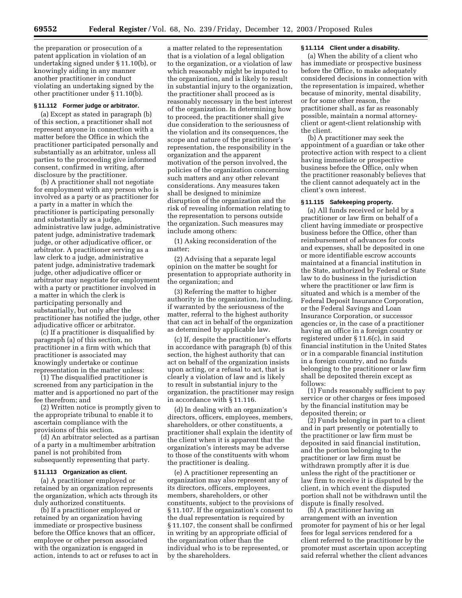the preparation or prosecution of a patent application in violation of an undertaking signed under § 11.10(b), or knowingly aiding in any manner another practitioner in conduct violating an undertaking signed by the other practitioner under § 11.10(b).

#### **§ 11.112 Former judge or arbitrator.**

(a) Except as stated in paragraph (b) of this section, a practitioner shall not represent anyone in connection with a matter before the Office in which the practitioner participated personally and substantially as an arbitrator, unless all parties to the proceeding give informed consent, confirmed in writing, after disclosure by the practitioner.

(b) A practitioner shall not negotiate for employment with any person who is involved as a party or as practitioner for a party in a matter in which the practitioner is participating personally and substantially as a judge, administrative law judge, administrative patent judge, administrative trademark judge, or other adjudicative officer, or arbitrator. A practitioner serving as a law clerk to a judge, administrative patent judge, administrative trademark judge, other adjudicative officer or arbitrator may negotiate for employment with a party or practitioner involved in a matter in which the clerk is participating personally and substantially, but only after the practitioner has notified the judge, other adjudicative officer or arbitrator.

(c) If a practitioner is disqualified by paragraph (a) of this section, no practitioner in a firm with which that practitioner is associated may knowingly undertake or continue representation in the matter unless:

(1) The disqualified practitioner is screened from any participation in the matter and is apportioned no part of the fee therefrom; and

(2) Written notice is promptly given to the appropriate tribunal to enable it to ascertain compliance with the provisions of this section.

(d) An arbitrator selected as a partisan of a party in a multimember arbitration panel is not prohibited from subsequently representing that party.

## **§ 11.113 Organization as client.**

(a) A practitioner employed or retained by an organization represents the organization, which acts through its duly authorized constituents.

(b) If a practitioner employed or retained by an organization having immediate or prospective business before the Office knows that an officer, employee or other person associated with the organization is engaged in action, intends to act or refuses to act in

a matter related to the representation that is a violation of a legal obligation to the organization, or a violation of law which reasonably might be imputed to the organization, and is likely to result in substantial injury to the organization, the practitioner shall proceed as is reasonably necessary in the best interest of the organization. In determining how to proceed, the practitioner shall give due consideration to the seriousness of the violation and its consequences, the scope and nature of the practitioner's representation, the responsibility in the organization and the apparent motivation of the person involved, the policies of the organization concerning such matters and any other relevant considerations. Any measures taken shall be designed to minimize disruption of the organization and the risk of revealing information relating to the representation to persons outside the organization. Such measures may include among others:

(1) Asking reconsideration of the matter;

(2) Advising that a separate legal opinion on the matter be sought for presentation to appropriate authority in the organization; and

(3) Referring the matter to higher authority in the organization, including, if warranted by the seriousness of the matter, referral to the highest authority that can act in behalf of the organization as determined by applicable law.

(c) If, despite the practitioner's efforts in accordance with paragraph (b) of this section, the highest authority that can act on behalf of the organization insists upon acting, or a refusal to act, that is clearly a violation of law and is likely to result in substantial injury to the organization, the practitioner may resign in accordance with § 11.116.

(d) In dealing with an organization's directors, officers, employees, members, shareholders, or other constituents, a practitioner shall explain the identity of the client when it is apparent that the organization's interests may be adverse to those of the constituents with whom the practitioner is dealing.

(e) A practitioner representing an organization may also represent any of its directors, officers, employees, members, shareholders, or other constituents, subject to the provisions of § 11.107. If the organization's consent to the dual representation is required by § 11.107, the consent shall be confirmed in writing by an appropriate official of the organization other than the individual who is to be represented, or by the shareholders.

#### **§ 11.114 Client under a disability.**

(a) When the ability of a client who has immediate or prospective business before the Office, to make adequately considered decisions in connection with the representation is impaired, whether because of minority, mental disability, or for some other reason, the practitioner shall, as far as reasonably possible, maintain a normal attorneyclient or agent-client relationship with the client.

(b) A practitioner may seek the appointment of a guardian or take other protective action with respect to a client having immediate or prospective business before the Office, only when the practitioner reasonably believes that the client cannot adequately act in the client's own interest.

### **§ 11.115 Safekeeping property.**

(a) All funds received or held by a practitioner or law firm on behalf of a client having immediate or prospective business before the Office, other than reimbursement of advances for costs and expenses, shall be deposited in one or more identifiable escrow accounts maintained at a financial institution in the State, authorized by Federal or State law to do business in the jurisdiction where the practitioner or law firm is situated and which is a member of the Federal Deposit Insurance Corporation, or the Federal Savings and Loan Insurance Corporation, or successor agencies or, in the case of a practitioner having an office in a foreign country or registered under § 11.6(c), in said financial institution in the United States or in a comparable financial institution in a foreign country, and no funds belonging to the practitioner or law firm shall be deposited therein except as follows:

(1) Funds reasonably sufficient to pay service or other charges or fees imposed by the financial institution may be deposited therein; or

(2) Funds belonging in part to a client and in part presently or potentially to the practitioner or law firm must be deposited in said financial institution, and the portion belonging to the practitioner or law firm must be withdrawn promptly after it is due unless the right of the practitioner or law firm to receive it is disputed by the client, in which event the disputed portion shall not be withdrawn until the dispute is finally resolved.

(b) A practitioner having an arrangement with an invention promoter for payment of his or her legal fees for legal services rendered for a client referred to the practitioner by the promoter must ascertain upon accepting said referral whether the client advances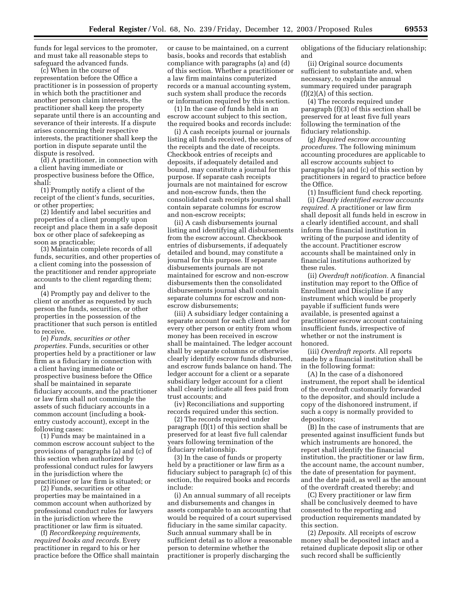funds for legal services to the promoter, and must take all reasonable steps to safeguard the advanced funds.

(c) When in the course of representation before the Office a practitioner is in possession of property in which both the practitioner and another person claim interests, the practitioner shall keep the property separate until there is an accounting and severance of their interests. If a dispute arises concerning their respective interests, the practitioner shall keep the portion in dispute separate until the dispute is resolved.

(d) A practitioner, in connection with a client having immediate or prospective business before the Office, shall:

(1) Promptly notify a client of the receipt of the client's funds, securities, or other properties;

(2) Identify and label securities and properties of a client promptly upon receipt and place them in a safe deposit box or other place of safekeeping as soon as practicable;

(3) Maintain complete records of all funds, securities, and other properties of a client coming into the possession of the practitioner and render appropriate accounts to the client regarding them; and

(4) Promptly pay and deliver to the client or another as requested by such person the funds, securities, or other properties in the possession of the practitioner that such person is entitled to receive.

(e) *Funds, securities or other properties.* Funds, securities or other properties held by a practitioner or law firm as a fiduciary in connection with a client having immediate or prospective business before the Office shall be maintained in separate fiduciary accounts, and the practitioner or law firm shall not commingle the assets of such fiduciary accounts in a common account (including a bookentry custody account), except in the following cases:

(1) Funds may be maintained in a common escrow account subject to the provisions of paragraphs (a) and (c) of this section when authorized by professional conduct rules for lawyers in the jurisdiction where the practitioner or law firm is situated; or

(2) Funds, securities or other properties may be maintained in a common account when authorized by professional conduct rules for lawyers in the jurisdiction where the practitioner or law firm is situated.

(f) *Recordkeeping requirements, required books and records.* Every practitioner in regard to his or her practice before the Office shall maintain

or cause to be maintained, on a current basis, books and records that establish compliance with paragraphs (a) and (d) of this section. Whether a practitioner or a law firm maintains computerized records or a manual accounting system, such system shall produce the records or information required by this section.

(1) In the case of funds held in an escrow account subject to this section, the required books and records include:

(i) A cash receipts journal or journals listing all funds received, the sources of the receipts and the date of receipts. Checkbook entries of receipts and deposits, if adequately detailed and bound, may constitute a journal for this purpose. If separate cash receipts journals are not maintained for escrow and non-escrow funds, then the consolidated cash receipts journal shall contain separate columns for escrow and non-escrow receipts;

(ii) A cash disbursements journal listing and identifying all disbursements from the escrow account. Checkbook entries of disbursements, if adequately detailed and bound, may constitute a journal for this purpose. If separate disbursements journals are not maintained for escrow and non-escrow disbursements then the consolidated disbursements journal shall contain separate columns for escrow and nonescrow disbursements;

(iii) A subsidiary ledger containing a separate account for each client and for every other person or entity from whom money has been received in escrow shall be maintained. The ledger account shall by separate columns or otherwise clearly identify escrow funds disbursed, and escrow funds balance on hand. The ledger account for a client or a separate subsidiary ledger account for a client shall clearly indicate all fees paid from trust accounts; and

(iv) Reconciliations and supporting records required under this section.

(2) The records required under paragraph (f)(1) of this section shall be preserved for at least five full calendar years following termination of the fiduciary relationship.

(3) In the case of funds or property held by a practitioner or law firm as a fiduciary subject to paragraph (c) of this section, the required books and records include:

(i) An annual summary of all receipts and disbursements and changes in assets comparable to an accounting that would be required of a court supervised fiduciary in the same similar capacity. Such annual summary shall be in sufficient detail as to allow a reasonable person to determine whether the practitioner is properly discharging the

obligations of the fiduciary relationship; and

(ii) Original source documents sufficient to substantiate and, when necessary, to explain the annual summary required under paragraph  $(f)(2)(A)$  of this section.

(4) The records required under paragraph (f)(3) of this section shall be preserved for at least five full years following the termination of the fiduciary relationship.

(g) *Required escrow accounting procedures.* The following minimum accounting procedures are applicable to all escrow accounts subject to paragraphs (a) and (c) of this section by practitioners in regard to practice before the Office.

(1) Insufficient fund check reporting. (i) *Clearly identified escrow accounts required.* A practitioner or law firm shall deposit all funds held in escrow in a clearly identified account, and shall inform the financial institution in writing of the purpose and identity of the account. Practitioner escrow accounts shall be maintained only in financial institutions authorized by these rules.

(ii) *Overdraft notification.* A financial institution may report to the Office of Enrollment and Discipline if any instrument which would be properly payable if sufficient funds were available, is presented against a practitioner escrow account containing insufficient funds, irrespective of whether or not the instrument is honored.

(iii) *Overdraft reports.* All reports made by a financial institution shall be in the following format:

(A) In the case of a dishonored instrument, the report shall be identical of the overdraft customarily forwarded to the depositor, and should include a copy of the dishonored instrument, if such a copy is normally provided to depositors;

(B) In the case of instruments that are presented against insufficient funds but which instruments are honored, the report shall identify the financial institution, the practitioner or law firm, the account name, the account number, the date of presentation for payment, and the date paid, as well as the amount of the overdraft created thereby; and

(C) Every practitioner or law firm shall be conclusively deemed to have consented to the reporting and production requirements mandated by this section.

(2) *Deposits.* All receipts of escrow money shall be deposited intact and a retained duplicate deposit slip or other such record shall be sufficiently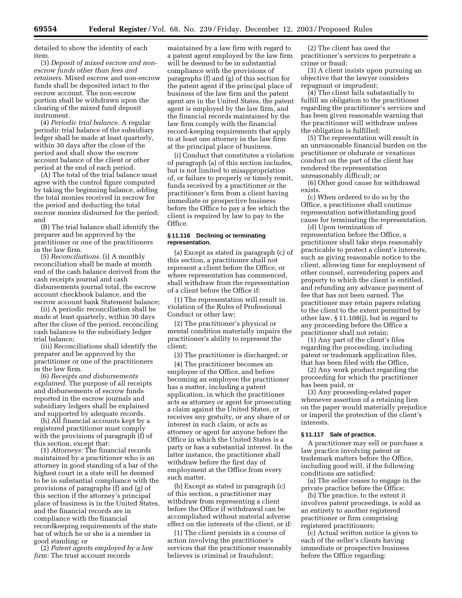detailed to show the identity of each item.

(3) *Deposit of mixed escrow and nonescrow funds other than fees and retainers.* Mixed escrow and non-escrow funds shall be deposited intact to the escrow account. The non-escrow portion shall be withdrawn upon the clearing of the mixed fund deposit instrument.

(4) *Periodic trial balance.* A regular periodic trial balance of the subsidiary ledger shall be made at least quarterly, within 30 days after the close of the period and shall show the escrow account balance of the client or other period at the end of each period.

(A) The total of the trial balance must agree with the control figure computed by taking the beginning balance, adding the total monies received in escrow for the period and deducting the total escrow monies disbursed for the period; and

(B) The trial balance shall identify the preparer and be approved by the practitioner or one of the practitioners in the law firm.

(5) *Reconciliations.* (i) A monthly reconciliation shall be made at month end of the cash balance derived from the cash receipts journal and cash disbursements journal total, the escrow account checkbook balance, and the escrow account bank Statement balance;

(ii) A periodic reconciliation shall be made at least quarterly, within 30 days after the close of the period, reconciling cash balances to the subsidiary ledger trial balance;

(iii) Reconciliations shall identify the preparer and be approved by the practitioner or one of the practitioners in the law firm.

(6) *Receipts and disbursements explained.* The purpose of all receipts and disbursements of escrow funds reported in the escrow journals and subsidiary ledgers shall be explained and supported by adequate records.

(h) All financial accounts kept by a registered practitioner must comply with the provisions of paragraph (f) of this section, except that:

(1) *Attorneys:* The financial records maintained by a practitioner who is an attorney in good standing of a bar of the highest court in a state will be deemed to be in substantial compliance with the provisions of paragraphs (f) and (g) of this section if the attorney's principal place of business is in the United States, and the financial records are in compliance with the financial recordkeeping requirements of the state bar of which he or she is a member in good standing; or

(2) *Patent agents employed by a law firm:* The trust account records

maintained by a law firm with regard to a patent agent employed by the law firm will be deemed to be in substantial compliance with the provisions of paragraphs (f) and (g) of this section for the patent agent if the principal place of business of the law firm and the patent agent are in the United States, the patent agent is employed by the law firm, and the financial records maintained by the law firm comply with the financial record-keeping requirements that apply to at least one attorney in the law firm at the principal place of business.

(i) Conduct that constitutes a violation of paragraph (a) of this section includes, but is not limited to misappropriation of, or failure to properly or timely remit, funds received by a practitioner or the practitioner's firm from a client having immediate or prospective business before the Office to pay a fee which the client is required by law to pay to the Office.

### **§ 11.116 Declining or terminating representation.**

(a) Except as stated in paragraph (c) of this section, a practitioner shall not represent a client before the Office, or where representation has commenced, shall withdraw from the representation of a client before the Office if:

(1) The representation will result in violation of the Rules of Professional Conduct or other law;

(2) The practitioner's physical or mental condition materially impairs the practitioner's ability to represent the client;

(3) The practitioner is discharged; or

(4) The practitioner becomes an employee of the Office, and before becoming an employee the practitioner has a matter, including a patent application, in which the practitioner acts as attorney or agent for prosecuting a claim against the United States, or receives any gratuity, or any share of or interest in such claim, or acts as attorney or agent for anyone before the Office in which the United States is a party or has a substantial interest. In the latter instance, the practitioner shall withdraw before the first day of employment at the Office from every such matter.

(b) Except as stated in paragraph (c) of this section, a practitioner may withdraw from representing a client before the Office if withdrawal can be accomplished without material adverse effect on the interests of the client, or if:

(1) The client persists in a course of action involving the practitioner's services that the practitioner reasonably believes is criminal or fraudulent;

(2) The client has used the practitioner's services to perpetrate a crime or fraud;

(3) A client insists upon pursuing an objective that the lawyer considers repugnant or imprudent;

(4) The client fails substantially to fulfill an obligation to the practitioner regarding the practitioner's services and has been given reasonable warning that the practitioner will withdraw unless the obligation is fulfilled;

(5) The representation will result in an unreasonable financial burden on the practitioner or obdurate or vexatious conduct on the part of the client has rendered the representation unreasonably difficult; or

(6) Other good cause for withdrawal exists.

(c) When ordered to do so by the Office, a practitioner shall continue representation notwithstanding good cause for terminating the representation.

(d) Upon termination of representation before the Office, a practitioner shall take steps reasonably practicable to protect a client's interests, such as giving reasonable notice to the client, allowing time for employment of other counsel, surrendering papers and property to which the client is entitled, and refunding any advance payment of fee that has not been earned. The practitioner may retain papers relating to the client to the extent permitted by other law, § 11.108(j), but in regard to any proceeding before the Office a practitioner shall not retain:

(1) Any part of the client's files regarding the proceeding, including patent or trademark application files, that has been filed with the Office,

(2) Any work product regarding the proceeding for which the practitioner has been paid, or

(3) Any proceeding-related paper whenever assertion of a retaining lien on the paper would materially prejudice or imperil the protection of the client's interests.

## **§ 11.117 Sale of practice.**

A practitioner may sell or purchase a law practice involving patent or trademark matters before the Office, including good will, if the following conditions are satisfied:

(a) The seller ceases to engage in the private practice before the Office;

(b) The practice, to the extent it involves patent proceedings, is sold as an entirety to another registered practitioner or firm comprising registered practitioners;

(c) Actual written notice is given to each of the seller's clients having immediate or prospective business before the Office regarding: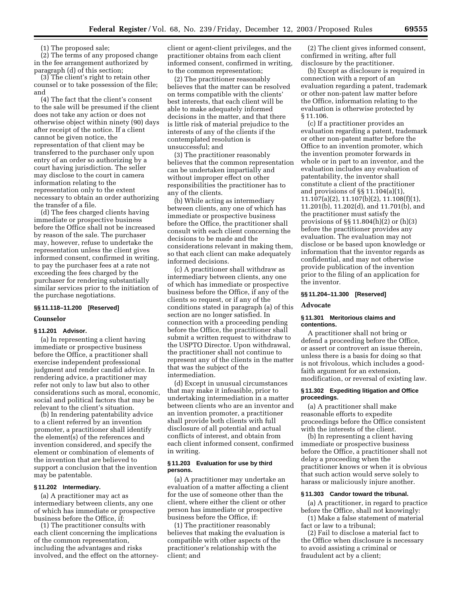(1) The proposed sale;

(2) The terms of any proposed change in the fee arrangement authorized by paragraph (d) of this section;

(3) The client's right to retain other counsel or to take possession of the file; and

(4) The fact that the client's consent to the sale will be presumed if the client does not take any action or does not otherwise object within ninety (90) days after receipt of the notice. If a client cannot be given notice, the representation of that client may be transferred to the purchaser only upon entry of an order so authorizing by a court having jurisdiction. The seller may disclose to the court in camera information relating to the representation only to the extent necessary to obtain an order authorizing the transfer of a file.

(d) The fees charged clients having immediate or prospective business before the Office shall not be increased by reason of the sale. The purchaser may, however, refuse to undertake the representation unless the client gives informed consent, confirmed in writing, to pay the purchaser fees at a rate not exceeding the fees charged by the purchaser for rendering substantially similar services prior to the initiation of the purchase negotiations.

#### **§§ 11.118–11.200 [Reserved]**

## **Counselor**

## **§ 11.201 Advisor.**

(a) In representing a client having immediate or prospective business before the Office, a practitioner shall exercise independent professional judgment and render candid advice. In rendering advice, a practitioner may refer not only to law but also to other considerations such as moral, economic, social and political factors that may be relevant to the client's situation.

(b) In rendering patentability advice to a client referred by an invention promoter, a practitioner shall identify the element(s) of the references and invention considered, and specify the element or combination of elements of the invention that are believed to support a conclusion that the invention may be patentable.

#### **§ 11.202 Intermediary.**

(a) A practitioner may act as intermediary between clients, any one of which has immediate or prospective business before the Office, if:

(1) The practitioner consults with each client concerning the implications of the common representation, including the advantages and risks involved, and the effect on the attorneyclient or agent-client privileges, and the practitioner obtains from each client informed consent, confirmed in writing, to the common representation;

(2) The practitioner reasonably believes that the matter can be resolved on terms compatible with the clients' best interests, that each client will be able to make adequately informed decisions in the matter, and that there is little risk of material prejudice to the interests of any of the clients if the contemplated resolution is unsuccessful; and

(3) The practitioner reasonably believes that the common representation can be undertaken impartially and without improper effect on other responsibilities the practitioner has to any of the clients.

(b) While acting as intermediary between clients, any one of which has immediate or prospective business before the Office, the practitioner shall consult with each client concerning the decisions to be made and the considerations relevant in making them, so that each client can make adequately informed decisions.

(c) A practitioner shall withdraw as intermediary between clients, any one of which has immediate or prospective business before the Office, if any of the clients so request, or if any of the conditions stated in paragraph (a) of this section are no longer satisfied. In connection with a proceeding pending before the Office, the practitioner shall submit a written request to withdraw to the USPTO Director. Upon withdrawal, the practitioner shall not continue to represent any of the clients in the matter that was the subject of the intermediation.

(d) Except in unusual circumstances that may make it infeasible, prior to undertaking intermediation in a matter between clients who are an inventor and an invention promoter, a practitioner shall provide both clients with full disclosure of all potential and actual conflicts of interest, and obtain from each client informed consent, confirmed in writing.

### **§ 11.203 Evaluation for use by third persons.**

(a) A practitioner may undertake an evaluation of a matter affecting a client for the use of someone other than the client, where either the client or other person has immediate or prospective business before the Office, if:

(1) The practitioner reasonably believes that making the evaluation is compatible with other aspects of the practitioner's relationship with the client; and

(2) The client gives informed consent, confirmed in writing, after full disclosure by the practitioner.

(b) Except as disclosure is required in connection with a report of an evaluation regarding a patent, trademark or other non-patent law matter before the Office, information relating to the evaluation is otherwise protected by § 11.106.

(c) If a practitioner provides an evaluation regarding a patent, trademark or other non-patent matter before the Office to an invention promoter, which the invention promoter forwards in whole or in part to an inventor, and the evaluation includes any evaluation of patentability, the inventor shall constitute a client of the practitioner and provisions of §§ 11.104(a)(1), 11.107(a)(2), 11.107(b)(2), 11.108(f)(1), 11.201(b), 11.202(d), and 11.701(b), and the practitioner must satisfy the provisions of §§ 11.804(h)(2) or (h)(3) before the practitioner provides any evaluation. The evaluation may not disclose or be based upon knowledge or information that the inventor regards as confidential, and may not otherwise provide publication of the invention prior to the filing of an application for the inventor.

## **§§ 11.204–11.300 [Reserved]**

#### **Advocate**

### **§ 11.301 Meritorious claims and contentions.**

A practitioner shall not bring or defend a proceeding before the Office, or assert or controvert an issue therein, unless there is a basis for doing so that is not frivolous, which includes a goodfaith argument for an extension, modification, or reversal of existing law.

### **§ 11.302 Expediting litigation and Office proceedings.**

(a) A practitioner shall make reasonable efforts to expedite proceedings before the Office consistent with the interests of the client.

(b) In representing a client having immediate or prospective business before the Office, a practitioner shall not delay a proceeding when the practitioner knows or when it is obvious that such action would serve solely to harass or maliciously injure another.

## **§ 11.303 Candor toward the tribunal.**

(a) A practitioner, in regard to practice before the Office, shall not knowingly:

(1) Make a false statement of material fact or law to a tribunal;

(2) Fail to disclose a material fact to the Office when disclosure is necessary to avoid assisting a criminal or fraudulent act by a client;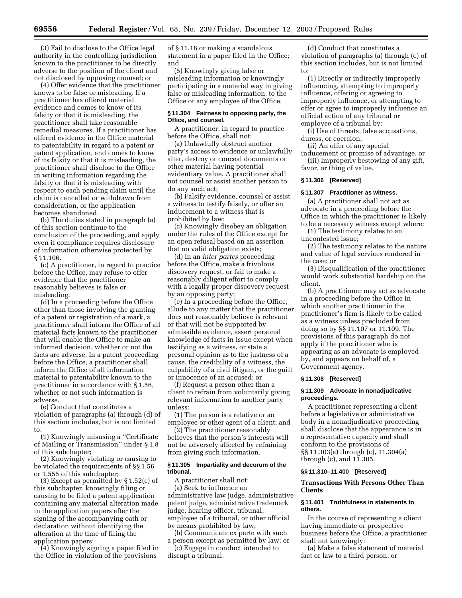(3) Fail to disclose to the Office legal authority in the controlling jurisdiction known to the practitioner to be directly adverse to the position of the client and not disclosed by opposing counsel; or

(4) Offer evidence that the practitioner knows to be false or misleading. If a practitioner has offered material evidence and comes to know of its falsity or that it is misleading, the practitioner shall take reasonable remedial measures. If a practitioner has offered evidence in the Office material to patentability in regard to a patent or patent application, and comes to know of its falsity or that it is misleading, the practitioner shall disclose to the Office in writing information regarding the falsity or that it is misleading with respect to each pending claim until the claim is cancelled or withdrawn from consideration, or the application becomes abandoned.

(b) The duties stated in paragraph (a) of this section continue to the conclusion of the proceeding, and apply even if compliance requires disclosure of information otherwise protected by § 11.106.

(c) A practitioner, in regard to practice before the Office, may refuse to offer evidence that the practitioner reasonably believes is false or misleading.

(d) In a proceeding before the Office other than those involving the granting of a patent or registration of a mark, a practitioner shall inform the Office of all material facts known to the practitioner that will enable the Office to make an informed decision, whether or not the facts are adverse. In a patent proceeding before the Office, a practitioner shall inform the Office of all information material to patentability known to the practitioner in accordance with § 1.56, whether or not such information is adverse.

(e) Conduct that constitutes a violation of paragraphs (a) through (d) of this section includes, but is not limited to:

(1) Knowingly misusing a ''Certificate of Mailing or Transmission'' under § 1.8 of this subchapter;

(2) Knowingly violating or causing to be violated the requirements of §§ 1.56 or 1.555 of this subchapter;

(3) Except as permitted by  $\S 1.52(c)$  of this subchapter, knowingly filing or causing to be filed a patent application containing any material alteration made in the application papers after the signing of the accompanying oath or declaration without identifying the alteration at the time of filing the application papers;

(4) Knowingly signing a paper filed in the Office in violation of the provisions

of § 11.18 or making a scandalous statement in a paper filed in the Office; and

(5) Knowingly giving false or misleading information or knowingly participating in a material way in giving false or misleading information, to the Office or any employee of the Office.

### **§ 11.304 Fairness to opposing party, the Office, and counsel.**

A practitioner, in regard to practice before the Office, shall not:

(a) Unlawfully obstruct another party's access to evidence or unlawfully alter, destroy or conceal documents or other material having potential evidentiary value. A practitioner shall not counsel or assist another person to do any such act;

(b) Falsify evidence, counsel or assist a witness to testify falsely, or offer an inducement to a witness that is prohibited by law;

(c) Knowingly disobey an obligation under the rules of the Office except for an open refusal based on an assertion that no valid obligation exists;

(d) In an *inter partes* proceeding before the Office, make a frivolous discovery request, or fail to make a reasonably diligent effort to comply with a legally proper discovery request by an opposing party;

(e) In a proceeding before the Office, allude to any matter that the practitioner does not reasonably believe is relevant or that will not be supported by admissible evidence, assert personal knowledge of facts in issue except when testifying as a witness, or state a personal opinion as to the justness of a cause, the credibility of a witness, the culpability of a civil litigant, or the guilt or innocence of an accused; or

(f) Request a person other than a client to refrain from voluntarily giving relevant information to another party unless:

(1) The person is a relative or an employee or other agent of a client; and

(2) The practitioner reasonably believes that the person's interests will not be adversely affected by refraining from giving such information.

### **§ 11.305 Impartiality and decorum of the tribunal.**

A practitioner shall not:

(a) Seek to influence an administrative law judge, administrative patent judge, administrative trademark judge, hearing officer, tribunal, employee of a tribunal, or other official by means prohibited by law;

(b) Communicate ex parte with such a person except as permitted by law; or

(c) Engage in conduct intended to disrupt a tribunal.

(d) Conduct that constitutes a violation of paragraphs (a) through (c) of this section includes, but is not limited to:

(1) Directly or indirectly improperly influencing, attempting to improperly influence, offering or agreeing to improperly influence, or attempting to offer or agree to improperly influence an official action of any tribunal or employee of a tribunal by:

(i) Use of threats, false accusations, duress, or coercion;

(ii) An offer of any special

inducement or promise of advantage, or (iii) Improperly bestowing of any gift, favor, or thing of value.

## **§ 11.306 [Reserved]**

#### **§ 11.307 Practitioner as witness.**

(a) A practitioner shall not act as advocate in a proceeding before the Office in which the practitioner is likely to be a necessary witness except where:

(1) The testimony relates to an uncontested issue;

(2) The testimony relates to the nature and value of legal services rendered in the case; or

(3) Disqualification of the practitioner would work substantial hardship on the client.

(b) A practitioner may act as advocate in a proceeding before the Office in which another practitioner in the practitioner's firm is likely to be called as a witness unless precluded from doing so by §§ 11.107 or 11.109. The provisions of this paragraph do not apply if the practitioner who is appearing as an advocate is employed by, and appears on behalf of, a Government agency.

### **§ 11.308 [Reserved]**

## **§ 11.309 Advocate in nonadjudicative proceedings.**

A practitioner representing a client before a legislative or administrative body in a nonadjudicative proceeding shall disclose that the appearance is in a representative capacity and shall conform to the provisions of §§ 11.303(a) through (c), 11.304(a) through (c), and 11.305.

### **§§ 11.310–11.400 [Reserved]**

## **Transactions With Persons Other Than Clients**

### **§ 11.401 Truthfulness in statements to others.**

In the course of representing a client having immediate or prospective business before the Office, a practitioner shall not knowingly:

(a) Make a false statement of material fact or law to a third person; or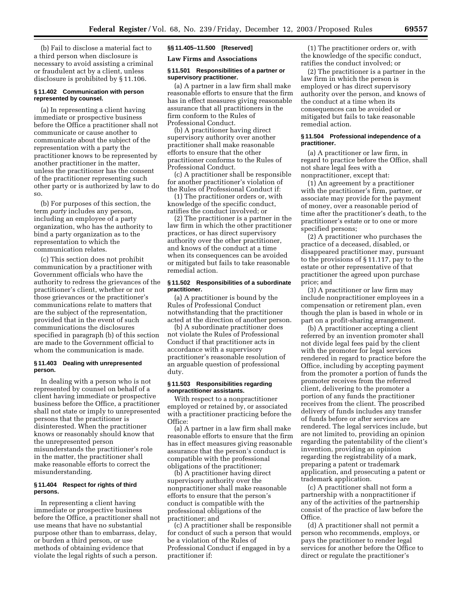(b) Fail to disclose a material fact to a third person when disclosure is necessary to avoid assisting a criminal or fraudulent act by a client, unless disclosure is prohibited by § 11.106.

### **§ 11.402 Communication with person represented by counsel.**

(a) In representing a client having immediate or prospective business before the Office a practitioner shall not communicate or cause another to communicate about the subject of the representation with a party the practitioner knows to be represented by another practitioner in the matter, unless the practitioner has the consent of the practitioner representing such other party or is authorized by law to do so.

(b) For purposes of this section, the term *party* includes any person, including an employee of a party organization, who has the authority to bind a party organization as to the representation to which the communication relates.

(c) This section does not prohibit communication by a practitioner with Government officials who have the authority to redress the grievances of the practitioner's client, whether or not those grievances or the practitioner's communications relate to matters that are the subject of the representation, provided that in the event of such communications the disclosures specified in paragraph (b) of this section are made to the Government official to whom the communication is made.

### **§ 11.403 Dealing with unrepresented person.**

In dealing with a person who is not represented by counsel on behalf of a client having immediate or prospective business before the Office, a practitioner shall not state or imply to unrepresented persons that the practitioner is disinterested. When the practitioner knows or reasonably should know that the unrepresented person misunderstands the practitioner's role in the matter, the practitioner shall make reasonable efforts to correct the misunderstanding.

### **§ 11.404 Respect for rights of third persons.**

In representing a client having immediate or prospective business before the Office, a practitioner shall not use means that have no substantial purpose other than to embarrass, delay, or burden a third person, or use methods of obtaining evidence that violate the legal rights of such a person.

# **§§ 11.405–11.500 [Reserved]**

## **Law Firms and Associations**

### **§ 11.501 Responsibilities of a partner or supervisory practitioner.**

(a) A partner in a law firm shall make reasonable efforts to ensure that the firm has in effect measures giving reasonable assurance that all practitioners in the firm conform to the Rules of Professional Conduct.

(b) A practitioner having direct supervisory authority over another practitioner shall make reasonable efforts to ensure that the other practitioner conforms to the Rules of Professional Conduct.

(c) A practitioner shall be responsible for another practitioner's violation of the Rules of Professional Conduct if:

(1) The practitioner orders or, with knowledge of the specific conduct, ratifies the conduct involved; or

(2) The practitioner is a partner in the law firm in which the other practitioner practices, or has direct supervisory authority over the other practitioner, and knows of the conduct at a time when its consequences can be avoided or mitigated but fails to take reasonable remedial action.

### **§ 11.502 Responsibilities of a subordinate practitioner.**

(a) A practitioner is bound by the Rules of Professional Conduct notwithstanding that the practitioner acted at the direction of another person.

(b) A subordinate practitioner does not violate the Rules of Professional Conduct if that practitioner acts in accordance with a supervisory practitioner's reasonable resolution of an arguable question of professional duty.

### **§ 11.503 Responsibilities regarding nonpractitioner assistants.**

With respect to a nonpractitioner employed or retained by, or associated with a practitioner practicing before the Office:

(a) A partner in a law firm shall make reasonable efforts to ensure that the firm has in effect measures giving reasonable assurance that the person's conduct is compatible with the professional obligations of the practitioner;

(b) A practitioner having direct supervisory authority over the nonpractitioner shall make reasonable efforts to ensure that the person's conduct is compatible with the professional obligations of the practitioner; and

(c) A practitioner shall be responsible for conduct of such a person that would be a violation of the Rules of Professional Conduct if engaged in by a practitioner if:

(1) The practitioner orders or, with the knowledge of the specific conduct, ratifies the conduct involved; or

(2) The practitioner is a partner in the law firm in which the person is employed or has direct supervisory authority over the person, and knows of the conduct at a time when its consequences can be avoided or mitigated but fails to take reasonable remedial action.

### **§ 11.504 Professional independence of a practitioner.**

(a) A practitioner or law firm, in regard to practice before the Office, shall not share legal fees with a nonpractitioner, except that:

(1) An agreement by a practitioner with the practitioner's firm, partner, or associate may provide for the payment of money, over a reasonable period of time after the practitioner's death, to the practitioner's estate or to one or more specified persons;

(2) A practitioner who purchases the practice of a deceased, disabled, or disappeared practitioner may, pursuant to the provisions of § 11.117, pay to the estate or other representative of that practitioner the agreed upon purchase price; and

(3) A practitioner or law firm may include nonpractitioner employees in a compensation or retirement plan, even though the plan is based in whole or in part on a profit-sharing arrangement.

(b) A practitioner accepting a client referred by an invention promoter shall not divide legal fees paid by the client with the promoter for legal services rendered in regard to practice before the Office, including by accepting payment from the promoter a portion of funds the promoter receives from the referred client, delivering to the promoter a portion of any funds the practitioner receives from the client. The proscribed delivery of funds includes any transfer of funds before or after services are rendered. The legal services include, but are not limited to, providing an opinion regarding the patentability of the client's invention, providing an opinion regarding the registrability of a mark, preparing a patent or trademark application, and prosecuting a patent or trademark application.

(c) A practitioner shall not form a partnership with a nonpractitioner if any of the activities of the partnership consist of the practice of law before the Office.

(d) A practitioner shall not permit a person who recommends, employs, or pays the practitioner to render legal services for another before the Office to direct or regulate the practitioner's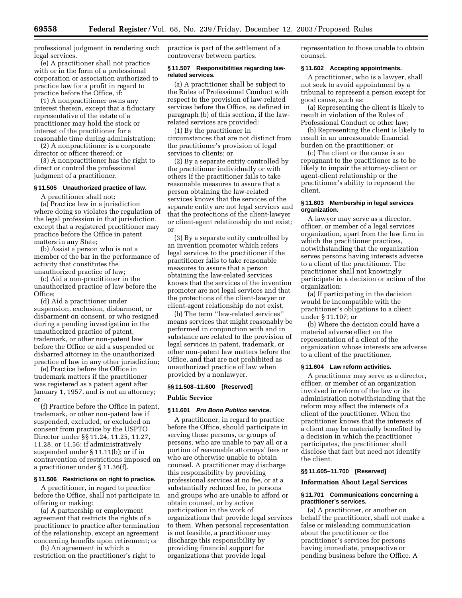professional judgment in rendering such legal services.

(e) A practitioner shall not practice with or in the form of a professional corporation or association authorized to practice law for a profit in regard to practice before the Office, if:

(1) A nonpractitioner owns any interest therein, except that a fiduciary representative of the estate of a practitioner may hold the stock or interest of the practitioner for a reasonable time during administration;

(2) A nonpractitioner is a corporate director or officer thereof; or

(3) A nonpractitioner has the right to direct or control the professional judgment of a practitioner.

## **§ 11.505 Unauthorized practice of law.**

A practitioner shall not:

(a) Practice law in a jurisdiction where doing so violates the regulation of the legal profession in that jurisdiction, except that a registered practitioner may practice before the Office in patent matters in any State;

(b) Assist a person who is not a member of the bar in the performance of activity that constitutes the unauthorized practice of law;

(c) Aid a non-practitioner in the unauthorized practice of law before the Office;

(d) Aid a practitioner under suspension, exclusion, disbarment, or disbarment on consent, or who resigned during a pending investigation in the unauthorized practice of patent, trademark, or other non-patent law before the Office or aid a suspended or disbarred attorney in the unauthorized practice of law in any other jurisdiction;

(e) Practice before the Office in trademark matters if the practitioner was registered as a patent agent after January 1, 1957, and is not an attorney; or

(f) Practice before the Office in patent, trademark, or other non-patent law if suspended, excluded, or excluded on consent from practice by the USPTO Director under §§ 11.24, 11.25, 11.27, 11.28, or 11.56; if administratively suspended under § 11.11(b); or if in contravention of restrictions imposed on a practitioner under § 11.36(f).

### **§ 11.506 Restrictions on right to practice.**

A practitioner, in regard to practice before the Office, shall not participate in offering or making:

(a) A partnership or employment agreement that restricts the rights of a practitioner to practice after termination of the relationship, except an agreement concerning benefits upon retirement; or

(b) An agreement in which a restriction on the practitioner's right to practice is part of the settlement of a controversy between parties.

### **§ 11.507 Responsibilities regarding lawrelated services.**

(a) A practitioner shall be subject to the Rules of Professional Conduct with respect to the provision of law-related services before the Office, as defined in paragraph (b) of this section, if the lawrelated services are provided:

(1) By the practitioner in circumstances that are not distinct from the practitioner's provision of legal services to clients; or

(2) By a separate entity controlled by the practitioner individually or with others if the practitioner fails to take reasonable measures to assure that a person obtaining the law-related services knows that the services of the separate entity are not legal services and that the protections of the client-lawyer or client-agent relationship do not exist; or

(3) By a separate entity controlled by an invention promoter which refers legal services to the practitioner if the practitioner fails to take reasonable measures to assure that a person obtaining the law-related services knows that the services of the invention promoter are not legal services and that the protections of the client-lawyer or client-agent relationship do not exist.

(b) The term ''law-related services'' means services that might reasonably be performed in conjunction with and in substance are related to the provision of legal services in patent, trademark, or other non-patent law matters before the Office, and that are not prohibited as unauthorized practice of law when provided by a nonlawyer.

### **§§ 11.508–11.600 [Reserved]**

#### **Public Service**

### **§ 11.601 Pro Bono Publico service.**

A practitioner, in regard to practice before the Office, should participate in serving those persons, or groups of persons, who are unable to pay all or a portion of reasonable attorneys' fees or who are otherwise unable to obtain counsel. A practitioner may discharge this responsibility by providing professional services at no fee, or at a substantially reduced fee, to persons and groups who are unable to afford or obtain counsel, or by active participation in the work of organizations that provide legal services to them. When personal representation is not feasible, a practitioner may discharge this responsibility by providing financial support for organizations that provide legal

representation to those unable to obtain counsel.

### **§ 11.602 Accepting appointments.**

A practitioner, who is a lawyer, shall not seek to avoid appointment by a tribunal to represent a person except for good cause, such as:

(a) Representing the client is likely to result in violation of the Rules of Professional Conduct or other law;

(b) Representing the client is likely to result in an unreasonable financial burden on the practitioner; or

(c) The client or the cause is so repugnant to the practitioner as to be likely to impair the attorney-client or agent-client relationship or the practitioner's ability to represent the client.

### **§ 11.603 Membership in legal services organization.**

A lawyer may serve as a director, officer, or member of a legal services organization, apart from the law firm in which the practitioner practices, notwithstanding that the organization serves persons having interests adverse to a client of the practitioner. The practitioner shall not knowingly participate in a decision or action of the organization:

(a) If participating in the decision would be incompatible with the practitioner's obligations to a client under § 11.107; or

(b) Where the decision could have a material adverse effect on the representation of a client of the organization whose interests are adverse to a client of the practitioner.

#### **§ 11.604 Law reform activities.**

A practitioner may serve as a director, officer, or member of an organization involved in reform of the law or its administration notwithstanding that the reform may affect the interests of a client of the practitioner. When the practitioner knows that the interests of a client may be materially benefited by a decision in which the practitioner participates, the practitioner shall disclose that fact but need not identify the client.

### **§§ 11.605–11.700 [Reserved]**

### **Information About Legal Services**

### **§ 11.701 Communications concerning a practitioner's services.**

(a) A practitioner, or another on behalf the practitioner, shall not make a false or misleading communication about the practitioner or the practitioner's services for persons having immediate, prospective or pending business before the Office. A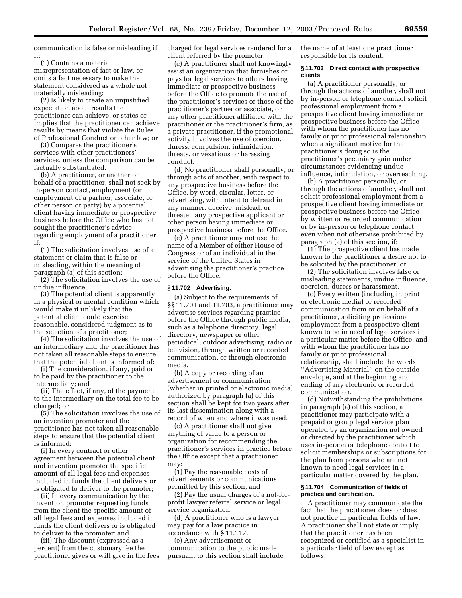communication is false or misleading if it:

(1) Contains a material misrepresentation of fact or law, or omits a fact necessary to make the statement considered as a whole not materially misleading;

(2) Is likely to create an unjustified expectation about results the practitioner can achieve, or states or implies that the practitioner can achieve results by means that violate the Rules of Professional Conduct or other law; or

(3) Compares the practitioner's services with other practitioners' services, unless the comparison can be factually substantiated.

(b) A practitioner, or another on behalf of a practitioner, shall not seek by in-person contact, employment (or employment of a partner, associate, or other person or party) by a potential client having immediate or prospective business before the Office who has not sought the practitioner's advice regarding employment of a practitioner, if:

(1) The solicitation involves use of a statement or claim that is false or misleading, within the meaning of paragraph (a) of this section;

(2) The solicitation involves the use of undue influence;

(3) The potential client is apparently in a physical or mental condition which would make it unlikely that the potential client could exercise reasonable, considered judgment as to the selection of a practitioner;

(4) The solicitation involves the use of an intermediary and the practitioner has not taken all reasonable steps to ensure that the potential client is informed of:

(i) The consideration, if any, paid or to be paid by the practitioner to the intermediary; and

(ii) The effect, if any, of the payment to the intermediary on the total fee to be charged; or

(5) The solicitation involves the use of an invention promoter and the practitioner has not taken all reasonable steps to ensure that the potential client is informed:

(i) In every contract or other agreement between the potential client and invention promoter the specific amount of all legal fees and expenses included in funds the client delivers or is obligated to deliver to the promoter;

(ii) In every communication by the invention promoter requesting funds from the client the specific amount of all legal fees and expenses included in funds the client delivers or is obligated to deliver to the promoter; and

(iii) The discount (expressed as a percent) from the customary fee the practitioner gives or will give in the fees charged for legal services rendered for a client referred by the promoter.

(c) A practitioner shall not knowingly assist an organization that furnishes or pays for legal services to others having immediate or prospective business before the Office to promote the use of the practitioner's services or those of the practitioner's partner or associate, or any other practitioner affiliated with the practitioner or the practitioner's firm, as a private practitioner, if the promotional activity involves the use of coercion, duress, compulsion, intimidation, threats, or vexatious or harassing conduct.

(d) No practitioner shall personally, or through acts of another, with respect to any prospective business before the Office, by word, circular, letter, or advertising, with intent to defraud in any manner, deceive, mislead, or threaten any prospective applicant or other person having immediate or prospective business before the Office.

(e) A practitioner may not use the name of a Member of either House of Congress or of an individual in the service of the United States in advertising the practitioner's practice before the Office.

#### **§ 11.702 Advertising.**

(a) Subject to the requirements of §§ 11.701 and 11.703, a practitioner may advertise services regarding practice before the Office through public media, such as a telephone directory, legal directory, newspaper or other periodical, outdoor advertising, radio or television, through written or recorded communication, or through electronic media.

(b) A copy or recording of an advertisement or communication (whether in printed or electronic media) authorized by paragraph (a) of this section shall be kept for two years after its last dissemination along with a record of when and where it was used.

(c) A practitioner shall not give anything of value to a person or organization for recommending the practitioner's services in practice before the Office except that a practitioner may:

(1) Pay the reasonable costs of advertisements or communications permitted by this section; and

(2) Pay the usual charges of a not-forprofit lawyer referral service or legal service organization.

(d) A practitioner who is a lawyer may pay for a law practice in accordance with § 11.117.

(e) Any advertisement or communication to the public made pursuant to this section shall include the name of at least one practitioner responsible for its content.

### **§ 11.703 Direct contact with prospective clients**

(a) A practitioner personally, or through the actions of another, shall not by in-person or telephone contact solicit professional employment from a prospective client having immediate or prospective business before the Office with whom the practitioner has no family or prior professional relationship when a significant motive for the practitioner's doing so is the practitioner's pecuniary gain under circumstances evidencing undue influence, intimidation, or overreaching.

(b) A practitioner personally, or through the actions of another, shall not solicit professional employment from a prospective client having immediate or prospective business before the Office by written or recorded communication or by in-person or telephone contact even when not otherwise prohibited by paragraph (a) of this section, if:

(1) The prospective client has made known to the practitioner a desire not to be solicited by the practitioner; or

(2) The solicitation involves false or misleading statements, undue influence, coercion, duress or harassment.

(c) Every written (including in print or electronic media) or recorded communication from or on behalf of a practitioner, soliciting professional employment from a prospective client known to be in need of legal services in a particular matter before the Office, and with whom the practitioner has no family or prior professional relationship, shall include the words ''Advertising Material'' on the outside envelope, and at the beginning and ending of any electronic or recorded communication.

(d) Notwithstanding the prohibitions in paragraph (a) of this section, a practitioner may participate with a prepaid or group legal service plan operated by an organization not owned or directed by the practitioner which uses in-person or telephone contact to solicit memberships or subscriptions for the plan from persons who are not known to need legal services in a particular matter covered by the plan.

#### **§ 11.704 Communication of fields of practice and certification.**

A practitioner may communicate the fact that the practitioner does or does not practice in particular fields of law. A practitioner shall not state or imply that the practitioner has been recognized or certified as a specialist in a particular field of law except as follows: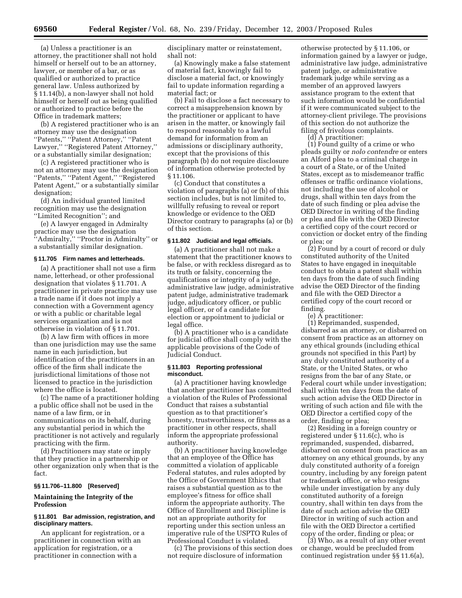(a) Unless a practitioner is an attorney, the practitioner shall not hold himself or herself out to be an attorney, lawyer, or member of a bar, or as qualified or authorized to practice general law. Unless authorized by § 11.14(b), a non-lawyer shall not hold himself or herself out as being qualified or authorized to practice before the Office in trademark matters;

(b) A registered practitioner who is an attorney may use the designation ''Patents,'' ''Patent Attorney,'' ''Patent Lawyer," "Registered Patent Attorney," or a substantially similar designation;

(c) A registered practitioner who is not an attorney may use the designation ''Patents,'' ''Patent Agent,'' ''Registered Patent Agent,'' or a substantially similar designation;

(d) An individual granted limited recognition may use the designation ''Limited Recognition''; and

(e) A lawyer engaged in Admiralty practice may use the designation ''Admiralty,'' ''Proctor in Admiralty'' or a substantially similar designation.

#### **§ 11.705 Firm names and letterheads.**

(a) A practitioner shall not use a firm name, letterhead, or other professional designation that violates § 11.701. A practitioner in private practice may use a trade name if it does not imply a connection with a Government agency or with a public or charitable legal services organization and is not otherwise in violation of § 11.701.

(b) A law firm with offices in more than one jurisdiction may use the same name in each jurisdiction, but identification of the practitioners in an office of the firm shall indicate the jurisdictional limitations of those not licensed to practice in the jurisdiction where the office is located.

(c) The name of a practitioner holding a public office shall not be used in the name of a law firm, or in communications on its behalf, during any substantial period in which the practitioner is not actively and regularly practicing with the firm.

(d) Practitioners may state or imply that they practice in a partnership or other organization only when that is the fact.

### **§§ 11.706–11.800 [Reserved]**

### **Maintaining the Integrity of the Profession**

## **§ 11.801 Bar admission, registration, and disciplinary matters.**

An applicant for registration, or a practitioner in connection with an application for registration, or a practitioner in connection with a

disciplinary matter or reinstatement, shall not:

(a) Knowingly make a false statement of material fact, knowingly fail to disclose a material fact, or knowingly fail to update information regarding a material fact; or

(b) Fail to disclose a fact necessary to correct a misapprehension known by the practitioner or applicant to have arisen in the matter, or knowingly fail to respond reasonably to a lawful demand for information from an admissions or disciplinary authority, except that the provisions of this paragraph (b) do not require disclosure of information otherwise protected by § 11.106.

(c) Conduct that constitutes a violation of paragraphs (a) or (b) of this section includes, but is not limited to, willfully refusing to reveal or report knowledge or evidence to the OED Director contrary to paragraphs (a) or (b) of this section.

### **§ 11.802 Judicial and legal officials.**

(a) A practitioner shall not make a statement that the practitioner knows to be false, or with reckless disregard as to its truth or falsity, concerning the qualifications or integrity of a judge, administrative law judge, administrative patent judge, administrative trademark judge, adjudicatory officer, or public legal officer, or of a candidate for election or appointment to judicial or legal office.

(b) A practitioner who is a candidate for judicial office shall comply with the applicable provisions of the Code of Judicial Conduct.

### **§ 11.803 Reporting professional misconduct.**

(a) A practitioner having knowledge that another practitioner has committed a violation of the Rules of Professional Conduct that raises a substantial question as to that practitioner's honesty, trustworthiness, or fitness as a practitioner in other respects, shall inform the appropriate professional authority.

(b) A practitioner having knowledge that an employee of the Office has committed a violation of applicable Federal statutes, and rules adopted by the Office of Government Ethics that raises a substantial question as to the employee's fitness for office shall inform the appropriate authority. The Office of Enrollment and Discipline is not an appropriate authority for reporting under this section unless an imperative rule of the USPTO Rules of Professional Conduct is violated.

(c) The provisions of this section does not require disclosure of information

otherwise protected by § 11.106, or information gained by a lawyer or judge, administrative law judge, administrative patent judge, or administrative trademark judge while serving as a member of an approved lawyers assistance program to the extent that such information would be confidential if it were communicated subject to the attorney-client privilege. The provisions of this section do not authorize the filing of frivolous complaints.

 $(d)$  A practitioner:

(1) Found guilty of a crime or who pleads guilty or *nolo contendre* or enters an Alford plea to a criminal charge in a court of a State, or of the United States, except as to misdemeanor traffic offenses or traffic ordinance violations, not including the use of alcohol or drugs, shall within ten days from the date of such finding or plea advise the OED Director in writing of the finding or plea and file with the OED Director a certified copy of the court record or conviction or docket entry of the finding or plea; or

(2) Found by a court of record or duly constituted authority of the United States to have engaged in inequitable conduct to obtain a patent shall within ten days from the date of such finding advise the OED Director of the finding and file with the OED Director a certified copy of the court record or finding.

(e) A practitioner:

(1) Reprimanded, suspended, disbarred as an attorney, or disbarred on consent from practice as an attorney on any ethical grounds (including ethical grounds not specified in this Part) by any duly constituted authority of a State, or the United States, or who resigns from the bar of any State, or Federal court while under investigation; shall within ten days from the date of such action advise the OED Director in writing of such action and file with the OED Director a certified copy of the order, finding or plea;

(2) Residing in a foreign country or registered under § 11.6(c), who is reprimanded, suspended, disbarred, disbarred on consent from practice as an attorney on any ethical grounds, by any duly constituted authority of a foreign country, including by any foreign patent or trademark office, or who resigns while under investigation by any duly constituted authority of a foreign country, shall within ten days from the date of such action advise the OED Director in writing of such action and file with the OED Director a certified copy of the order, finding or plea; or

(3) Who, as a result of any other event or change, would be precluded from continued registration under §§ 11.6(a),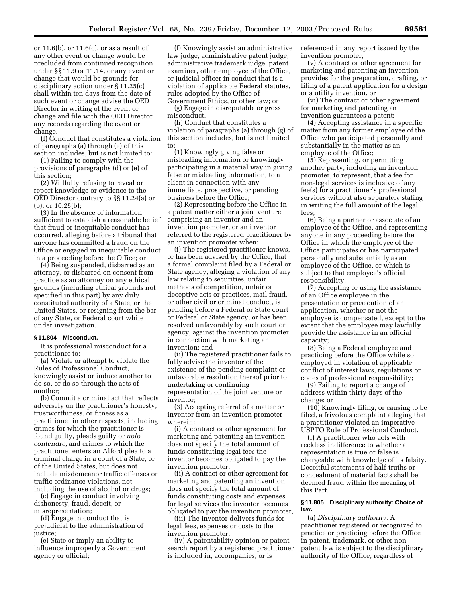or 11.6(b), or 11.6(c), or as a result of any other event or change would be precluded from continued recognition under §§ 11.9 or 11.14, or any event or change that would be grounds for disciplinary action under § 11.25(c) shall within ten days from the date of such event or change advise the OED Director in writing of the event or change and file with the OED Director any records regarding the event or change.

(f) Conduct that constitutes a violation of paragraphs (a) through (e) of this section includes, but is not limited to:

(1) Failing to comply with the provisions of paragraphs (d) or (e) of this section;

(2) Willfully refusing to reveal or report knowledge or evidence to the OED Director contrary to §§ 11.24(a) or (b), or 10.25(b);

(3) In the absence of information sufficient to establish a reasonable belief that fraud or inequitable conduct has occurred, alleging before a tribunal that anyone has committed a fraud on the Office or engaged in inequitable conduct in a proceeding before the Office; or

(4) Being suspended, disbarred as an attorney, or disbarred on consent from practice as an attorney on any ethical grounds (including ethical grounds not specified in this part) by any duly constituted authority of a State, or the United States, or resigning from the bar of any State, or Federal court while under investigation.

#### **§ 11.804 Misconduct.**

It is professional misconduct for a practitioner to:

(a) Violate or attempt to violate the Rules of Professional Conduct, knowingly assist or induce another to do so, or do so through the acts of another;

(b) Commit a criminal act that reflects adversely on the practitioner's honesty, trustworthiness, or fitness as a practitioner in other respects, including crimes for which the practitioner is found guilty, pleads guilty or *nolo contendre,* and crimes to which the practitioner enters an Alford plea to a criminal charge in a court of a State, or of the United States, but does not include misdemeanor traffic offenses or traffic ordinance violations, not including the use of alcohol or drugs;

(c) Engage in conduct involving dishonesty, fraud, deceit, or misrepresentation;

(d) Engage in conduct that is prejudicial to the administration of justice;

(e) State or imply an ability to influence improperly a Government agency or official;

(f) Knowingly assist an administrative law judge, administrative patent judge, administrative trademark judge, patent examiner, other employee of the Office, or judicial officer in conduct that is a violation of applicable Federal statutes, rules adopted by the Office of Government Ethics, or other law; or

(g) Engage in disreputable or gross misconduct.

(h) Conduct that constitutes a violation of paragraphs (a) through (g) of this section includes, but is not limited to:

(1) Knowingly giving false or misleading information or knowingly participating in a material way in giving false or misleading information, to a client in connection with any immediate, prospective, or pending business before the Office;

(2) Representing before the Office in a patent matter either a joint venture comprising an inventor and an invention promoter, or an inventor referred to the registered practitioner by an invention promoter when:

(i) The registered practitioner knows, or has been advised by the Office, that a formal complaint filed by a Federal or State agency, alleging a violation of any law relating to securities, unfair methods of competition, unfair or deceptive acts or practices, mail fraud, or other civil or criminal conduct, is pending before a Federal or State court or Federal or State agency, or has been resolved unfavorably by such court or agency, against the invention promoter in connection with marketing an invention; and

(ii) The registered practitioner fails to fully advise the inventor of the existence of the pending complaint or unfavorable resolution thereof prior to undertaking or continuing representation of the joint venture or inventor;

(3) Accepting referral of a matter or inventor from an invention promoter wherein:

(i) A contract or other agreement for marketing and patenting an invention does not specify the total amount of funds constituting legal fees the inventor becomes obligated to pay the invention promoter,

(ii) A contract or other agreement for marketing and patenting an invention does not specify the total amount of funds constituting costs and expenses for legal services the inventor becomes obligated to pay the invention promoter,

(iii) The inventor delivers funds for legal fees, expenses or costs to the invention promoter,

(iv) A patentability opinion or patent search report by a registered practitioner is included in, accompanies, or is

referenced in any report issued by the invention promoter,

(v) A contract or other agreement for marketing and patenting an invention provides for the preparation, drafting, or filing of a patent application for a design or a utility invention, or

(vi) The contract or other agreement for marketing and patenting an invention guarantees a patent;

(4) Accepting assistance in a specific matter from any former employee of the Office who participated personally and substantially in the matter as an employee of the Office;

(5) Representing, or permitting another party, including an invention promoter, to represent, that a fee for non-legal services is inclusive of any fee(s) for a practitioner's professional services without also separately stating in writing the full amount of the legal fees;

(6) Being a partner or associate of an employee of the Office, and representing anyone in any proceeding before the Office in which the employee of the Office participates or has participated personally and substantially as an employee of the Office, or which is subject to that employee's official responsibility;

(7) Accepting or using the assistance of an Office employee in the presentation or prosecution of an application, whether or not the employee is compensated, except to the extent that the employee may lawfully provide the assistance in an official capacity;

(8) Being a Federal employee and practicing before the Office while so employed in violation of applicable conflict of interest laws, regulations or codes of professional responsibility;

(9) Failing to report a change of address within thirty days of the change; or

(10) Knowingly filing, or causing to be filed, a frivolous complaint alleging that a practitioner violated an imperative USPTO Rule of Professional Conduct.

(i) A practitioner who acts with reckless indifference to whether a representation is true or false is chargeable with knowledge of its falsity. Deceitful statements of half-truths or concealment of material facts shall be deemed fraud within the meaning of this Part.

### **§ 11.805 Disciplinary authority: Choice of law.**

(a) *Disciplinary authority.* A practitioner registered or recognized to practice or practicing before the Office in patent, trademark, or other nonpatent law is subject to the disciplinary authority of the Office, regardless of